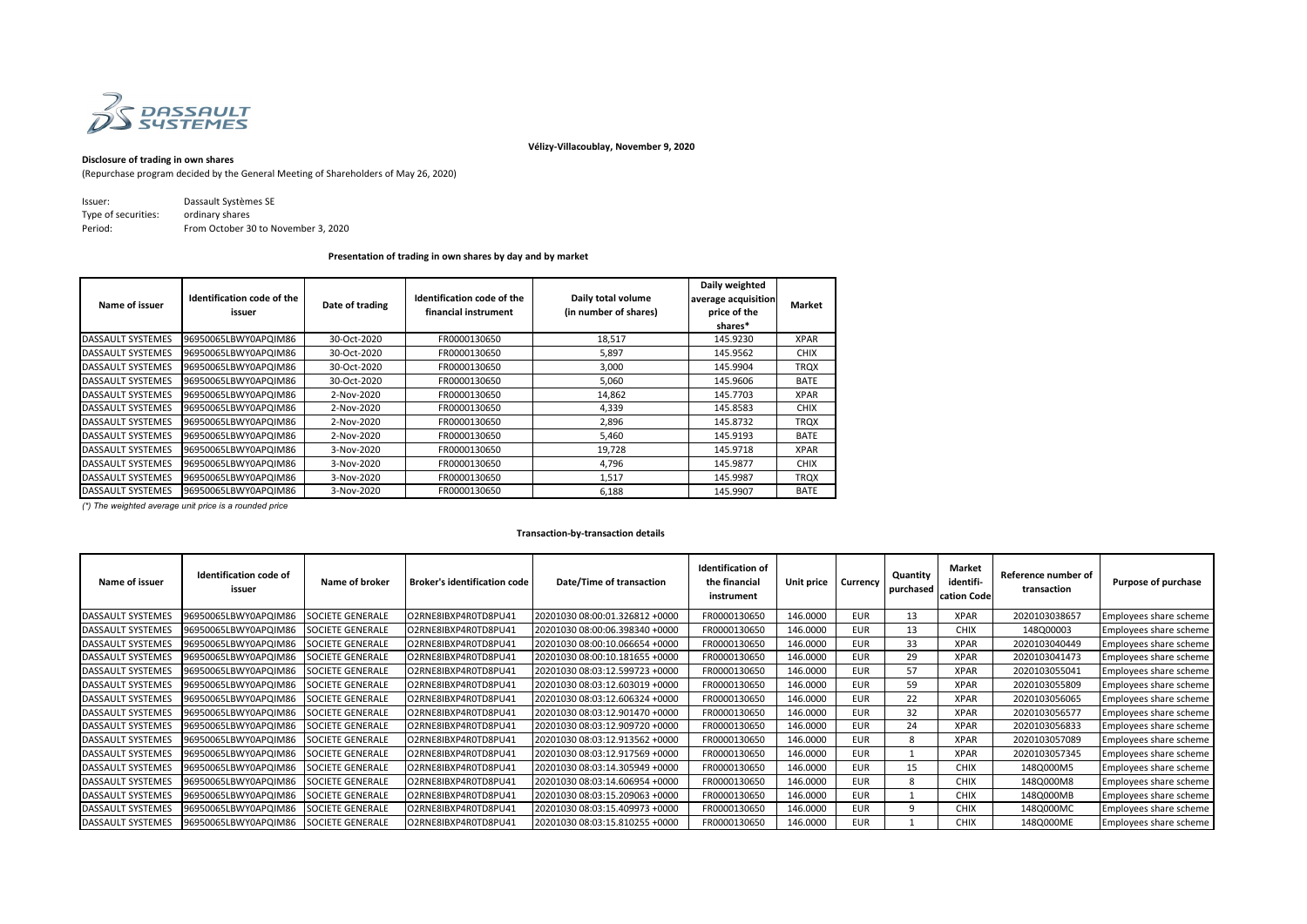

**Vélizy-Villacoublay, November 9, 2020**

# **Disclosure of trading in own shares**

(Repurchase program decided by the General Meeting of Shareholders of May 26, 2020)

| lssuer:             | Dassault Systèmes SE                |
|---------------------|-------------------------------------|
| Type of securities: | ordinary shares                     |
| Period:             | From October 30 to November 3, 2020 |

### **Presentation of trading in own shares by day and by market**

| Name of issuer           | Identification code of the<br>issuer | Date of trading | Identification code of the<br>financial instrument | Daily total volume<br>(in number of shares) | Daily weighted<br>average acquisition<br>price of the<br>shares* | Market      |
|--------------------------|--------------------------------------|-----------------|----------------------------------------------------|---------------------------------------------|------------------------------------------------------------------|-------------|
| DASSAULT SYSTEMES        | 96950065LBWY0APQIM86                 | 30-Oct-2020     | FR0000130650                                       | 18,517                                      | 145.9230                                                         | <b>XPAR</b> |
| <b>DASSAULT SYSTEMES</b> | 96950065LBWY0APQIM86                 | 30-Oct-2020     | FR0000130650                                       | 5,897                                       | 145.9562                                                         | <b>CHIX</b> |
| <b>DASSAULT SYSTEMES</b> | 96950065LBWY0APQIM86                 | 30-Oct-2020     | FR0000130650                                       | 3,000                                       | 145.9904                                                         | <b>TRQX</b> |
| <b>DASSAULT SYSTEMES</b> | 96950065LBWY0APQIM86                 | 30-Oct-2020     | FR0000130650                                       | 5,060                                       | 145.9606                                                         | <b>BATE</b> |
| DASSAULT SYSTEMES        | 96950065LBWY0APQIM86                 | 2-Nov-2020      | FR0000130650                                       | 14,862                                      | 145.7703                                                         | <b>XPAR</b> |
| <b>DASSAULT SYSTEMES</b> | 96950065LBWY0APQIM86                 | 2-Nov-2020      | FR0000130650                                       | 4,339                                       | 145.8583                                                         | <b>CHIX</b> |
| DASSAULT SYSTEMES        | 96950065LBWY0APQIM86                 | 2-Nov-2020      | FR0000130650                                       | 2,896                                       | 145.8732                                                         | <b>TRQX</b> |
| DASSAULT SYSTEMES        | 96950065LBWY0APQIM86                 | 2-Nov-2020      | FR0000130650                                       | 5.460                                       | 145.9193                                                         | <b>BATE</b> |
| DASSAULT SYSTEMES        | 96950065LBWY0APQIM86                 | 3-Nov-2020      | FR0000130650                                       | 19,728                                      | 145.9718                                                         | <b>XPAR</b> |
| DASSAULT SYSTEMES        | 96950065LBWY0APQIM86                 | 3-Nov-2020      | FR0000130650                                       | 4.796                                       | 145.9877                                                         | <b>CHIX</b> |
| DASSAULT SYSTEMES        | 96950065LBWY0APQIM86                 | 3-Nov-2020      | FR0000130650                                       | 1,517                                       | 145.9987                                                         | <b>TROX</b> |
| <b>DASSAULT SYSTEMES</b> | 96950065LBWY0APQIM86                 | 3-Nov-2020      | FR0000130650                                       | 6,188                                       | 145.9907                                                         | <b>BATE</b> |

*(\*) The weighted average unit price is a rounded price*

### **Transaction-by-transaction details**

| Name of issuer           | <b>Identification code of</b><br>issuer | Name of broker          | <b>Broker's identification code</b> | Date/Time of transaction       | <b>Identification of</b><br>the financial<br>instrument | Unit price | Currency   | Quantity<br>purchased | Market<br>identifi-<br>cation Code | Reference number of<br>transaction | Purpose of purchase    |
|--------------------------|-----------------------------------------|-------------------------|-------------------------------------|--------------------------------|---------------------------------------------------------|------------|------------|-----------------------|------------------------------------|------------------------------------|------------------------|
| <b>DASSAULT SYSTEMES</b> | 96950065LBWY0APQIM86                    | <b>SOCIETE GENERALE</b> | O2RNE8IBXP4R0TD8PU41                | 20201030 08:00:01.326812 +0000 | FR0000130650                                            | 146.0000   | <b>EUR</b> | 13                    | <b>XPAR</b>                        | 2020103038657                      | Employees share scheme |
| <b>DASSAULT SYSTEMES</b> | 96950065LBWY0APQIM86                    | <b>SOCIETE GENERALE</b> | O2RNE8IBXP4R0TD8PU41                | 20201030 08:00:06.398340 +0000 | FR0000130650                                            | 146.0000   | <b>EUR</b> | 13                    | <b>CHIX</b>                        | 148Q00003                          | Employees share scheme |
| <b>DASSAULT SYSTEMES</b> | 96950065LBWY0APQIM86                    | <b>SOCIETE GENERALE</b> | O2RNE8IBXP4R0TD8PU41                | 20201030 08:00:10.066654 +0000 | FR0000130650                                            | 146.0000   | <b>EUR</b> | 33                    | <b>XPAR</b>                        | 2020103040449                      | Employees share scheme |
| <b>DASSAULT SYSTEMES</b> | 96950065LBWY0APQIM86                    | <b>SOCIETE GENERALE</b> | O2RNE8IBXP4R0TD8PU41                | 20201030 08:00:10.181655 +0000 | FR0000130650                                            | 146.0000   | <b>EUR</b> | 29                    | <b>XPAR</b>                        | 2020103041473                      | Employees share scheme |
| <b>DASSAULT SYSTEMES</b> | 96950065LBWY0APQIM86                    | <b>SOCIETE GENERALE</b> | O2RNE8IBXP4R0TD8PU41                | 20201030 08:03:12.599723 +0000 | FR0000130650                                            | 146.0000   | <b>EUR</b> | 57                    | <b>XPAR</b>                        | 2020103055041                      | Employees share scheme |
| <b>DASSAULT SYSTEMES</b> | 96950065LBWY0APQIM86                    | <b>SOCIETE GENERALE</b> | O2RNE8IBXP4R0TD8PU41                | 20201030 08:03:12.603019 +0000 | FR0000130650                                            | 146.0000   | <b>EUR</b> | 59                    | <b>XPAR</b>                        | 2020103055809                      | Employees share scheme |
| <b>DASSAULT SYSTEMES</b> | 96950065LBWY0APQIM86                    | SOCIETE GENERALE        | O2RNE8IBXP4R0TD8PU41                | 20201030 08:03:12.606324 +0000 | FR0000130650                                            | 146.0000   | <b>EUR</b> | 22                    | <b>XPAR</b>                        | 2020103056065                      | Employees share scheme |
| <b>DASSAULT SYSTEMES</b> | 96950065LBWY0APQIM86                    | SOCIETE GENERALE        | O2RNE8IBXP4R0TD8PU41                | 20201030 08:03:12.901470 +0000 | FR0000130650                                            | 146.0000   | <b>EUR</b> | 32                    | <b>XPAR</b>                        | 2020103056577                      | Employees share scheme |
| <b>DASSAULT SYSTEMES</b> | 96950065LBWY0APQIM86                    | <b>SOCIETE GENERALE</b> | O2RNE8IBXP4R0TD8PU41                | 20201030 08:03:12.909720 +0000 | FR0000130650                                            | 146.0000   | <b>EUR</b> | 24                    | <b>XPAR</b>                        | 2020103056833                      | Employees share scheme |
| <b>DASSAULT SYSTEMES</b> | 96950065LBWY0APQIM86                    | <b>SOCIETE GENERALE</b> | O2RNE8IBXP4R0TD8PU41                | 20201030 08:03:12.913562 +0000 | FR0000130650                                            | 146.0000   | <b>EUR</b> |                       | <b>XPAR</b>                        | 2020103057089                      | Employees share scheme |
| <b>DASSAULT SYSTEMES</b> | 96950065LBWY0APQIM86                    | <b>SOCIETE GENERALE</b> | O2RNE8IBXP4R0TD8PU41                | 20201030 08:03:12.917569 +0000 | FR0000130650                                            | 146.0000   | <b>EUR</b> |                       | <b>XPAR</b>                        | 2020103057345                      | Employees share scheme |
| <b>DASSAULT SYSTEMES</b> | 96950065LBWY0APQIM86                    | SOCIETE GENERALE        | O2RNE8IBXP4R0TD8PU41                | 20201030 08:03:14.305949 +0000 | FR0000130650                                            | 146.0000   | <b>EUR</b> | 15                    | <b>CHIX</b>                        | 148Q000M5                          | Employees share scheme |
| <b>DASSAULT SYSTEMES</b> | 96950065LBWY0APQIM86                    | SOCIETE GENERALE        | O2RNE8IBXP4R0TD8PU41                | 20201030 08:03:14.606954 +0000 | FR0000130650                                            | 146.0000   | <b>EUR</b> |                       | <b>CHIX</b>                        | 148Q000M8                          | Employees share scheme |
| <b>DASSAULT SYSTEMES</b> | 96950065LBWY0APQIM86                    | SOCIETE GENERALE        | O2RNE8IBXP4R0TD8PU41                | 20201030 08:03:15.209063 +0000 | FR0000130650                                            | 146.0000   | <b>EUR</b> |                       | <b>CHIX</b>                        | 148Q000MB                          | Employees share scheme |
| <b>DASSAULT SYSTEMES</b> | 96950065LBWY0APQIM86                    | SOCIETE GENERALE        | O2RNE8IBXP4R0TD8PU41                | 20201030 08:03:15.409973 +0000 | FR0000130650                                            | 146.0000   | <b>EUR</b> |                       | <b>CHIX</b>                        | 148Q000MC                          | Employees share scheme |
| <b>DASSAULT SYSTEMES</b> | 96950065LBWY0APQIM86                    | SOCIETE GENERALE        | O2RNE8IBXP4R0TD8PU41                | 20201030 08:03:15.810255 +0000 | FR0000130650                                            | 146.0000   | <b>EUR</b> |                       | <b>CHIX</b>                        | 148Q000ME                          | Employees share scheme |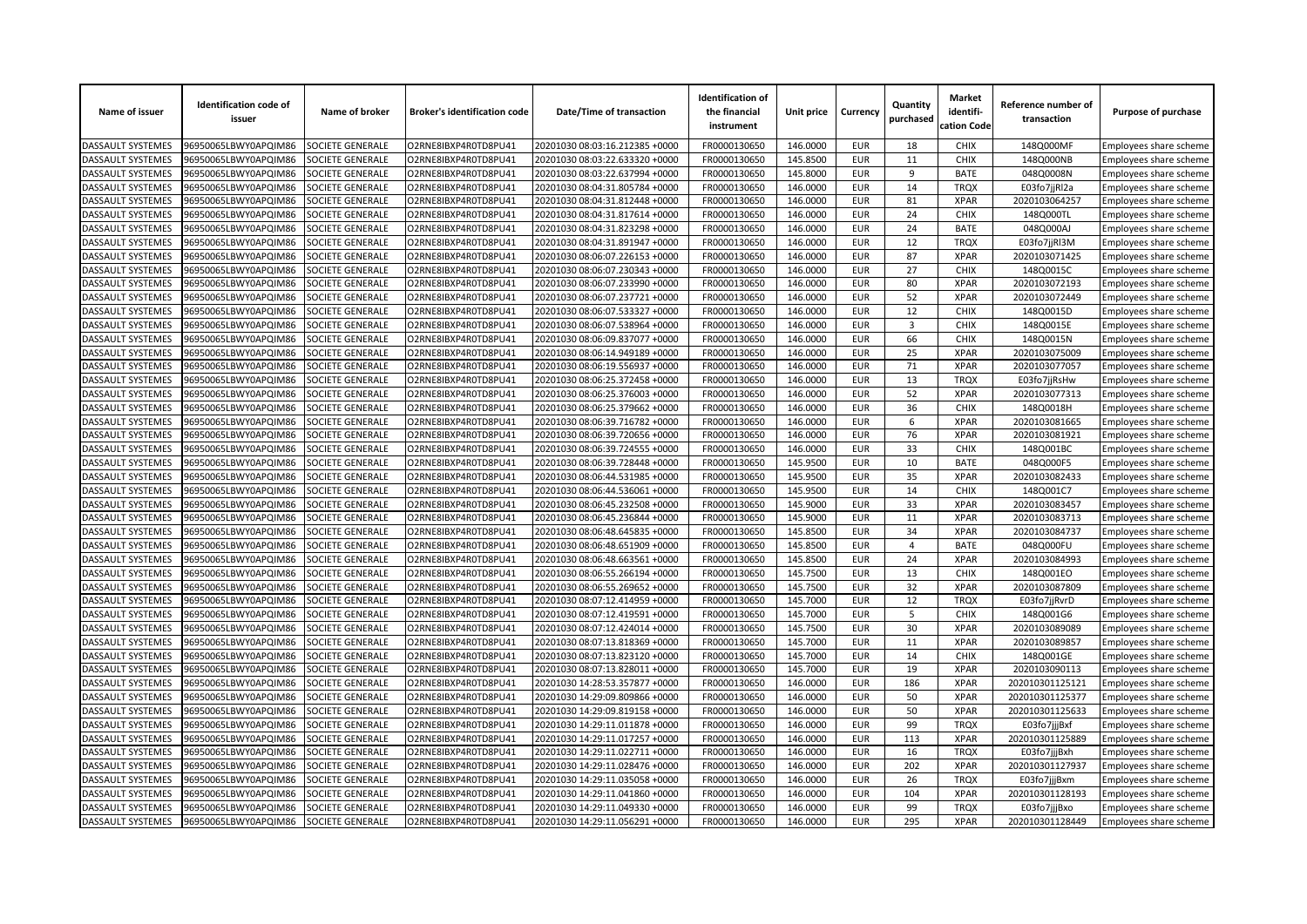| Name of issuer           | <b>Identification code of</b><br>issuer | Name of broker          | <b>Broker's identification code</b> | Date/Time of transaction       | <b>Identification of</b><br>the financial<br>instrument | Unit price | Currency   | Quantity<br>purchased | <b>Market</b><br>identifi-<br>cation Code | Reference number of<br>transaction | Purpose of purchase    |
|--------------------------|-----------------------------------------|-------------------------|-------------------------------------|--------------------------------|---------------------------------------------------------|------------|------------|-----------------------|-------------------------------------------|------------------------------------|------------------------|
| DASSAULT SYSTEMES        | 96950065LBWY0APQIM86                    | SOCIETE GENERALE        | O2RNE8IBXP4R0TD8PU41                | 20201030 08:03:16.212385 +0000 | FR0000130650                                            | 146.0000   | EUR        | 18                    | <b>CHIX</b>                               | 148Q000MF                          | Employees share scheme |
| DASSAULT SYSTEMES        | 96950065LBWY0APQIM86                    | SOCIETE GENERALE        | O2RNE8IBXP4R0TD8PU41                | 20201030 08:03:22.633320 +0000 | FR0000130650                                            | 145.8500   | <b>EUR</b> | 11                    | <b>CHIX</b>                               | 148Q000NB                          | Employees share scheme |
| DASSAULT SYSTEMES        | 96950065LBWY0APQIM86                    | SOCIETE GENERALE        | O2RNE8IBXP4R0TD8PU41                | 20201030 08:03:22.637994 +0000 | FR0000130650                                            | 145.8000   | <b>EUR</b> | 9                     | <b>BATE</b>                               | 048Q0008N                          | Employees share scheme |
| DASSAULT SYSTEMES        | 96950065LBWY0APQIM86                    | SOCIETE GENERALE        | O2RNE8IBXP4R0TD8PU41                | 20201030 08:04:31.805784 +0000 | FR0000130650                                            | 146.0000   | <b>EUR</b> | 14                    | <b>TRQX</b>                               | E03fo7jjRl2a                       | Employees share scheme |
| DASSAULT SYSTEMES        | 96950065LBWY0APQIM86                    | SOCIETE GENERALE        | O2RNE8IBXP4R0TD8PU41                | 20201030 08:04:31.812448 +0000 | FR0000130650                                            | 146.0000   | <b>EUR</b> | 81                    | <b>XPAR</b>                               | 2020103064257                      | Employees share scheme |
| DASSAULT SYSTEMES        | 96950065LBWY0APQIM86                    | SOCIETE GENERALE        | O2RNE8IBXP4R0TD8PU41                | 20201030 08:04:31.817614 +0000 | FR0000130650                                            | 146.0000   | <b>EUR</b> | 24                    | <b>CHIX</b>                               | 148Q000TL                          | Employees share scheme |
| <b>DASSAULT SYSTEMES</b> | 96950065LBWY0APQIM86                    | SOCIETE GENERALE        | O2RNE8IBXP4R0TD8PU41                | 20201030 08:04:31.823298 +0000 | FR0000130650                                            | 146.0000   | <b>EUR</b> | 24                    | <b>BATE</b>                               | 048Q000AJ                          | Employees share scheme |
| <b>DASSAULT SYSTEMES</b> | 96950065LBWY0APQIM86                    | SOCIETE GENERALE        | O2RNE8IBXP4R0TD8PU41                | 20201030 08:04:31.891947 +0000 | FR0000130650                                            | 146.0000   | <b>EUR</b> | 12                    | <b>TROX</b>                               | E03fo7jjRl3M                       | Employees share scheme |
| DASSAULT SYSTEMES        | 96950065LBWY0APQIM86                    | SOCIETE GENERALE        | O2RNE8IBXP4R0TD8PU41                | 20201030 08:06:07.226153 +0000 | FR0000130650                                            | 146.0000   | <b>EUR</b> | 87                    | <b>XPAR</b>                               | 2020103071425                      | Employees share scheme |
| DASSAULT SYSTEMES        | 96950065LBWY0APQIM86                    | SOCIETE GENERALE        | O2RNE8IBXP4R0TD8PU41                | 20201030 08:06:07.230343 +0000 | FR0000130650                                            | 146.0000   | <b>EUR</b> | 27                    | <b>CHIX</b>                               | 148Q0015C                          | Employees share scheme |
| DASSAULT SYSTEMES        | 96950065LBWY0APQIM86                    | SOCIETE GENERALE        | O2RNE8IBXP4R0TD8PU41                | 20201030 08:06:07.233990 +0000 | FR0000130650                                            | 146.0000   | <b>EUR</b> | 80                    | <b>XPAR</b>                               | 2020103072193                      | Employees share scheme |
| DASSAULT SYSTEMES        | 96950065LBWY0APQIM86                    | SOCIETE GENERALE        | O2RNE8IBXP4R0TD8PU41                | 20201030 08:06:07.237721 +0000 | FR0000130650                                            | 146.0000   | <b>EUR</b> | 52                    | <b>XPAR</b>                               | 2020103072449                      | Employees share scheme |
| DASSAULT SYSTEMES        | 96950065LBWY0APQIM86                    | SOCIETE GENERALE        | O2RNE8IBXP4R0TD8PU41                | 20201030 08:06:07.533327 +0000 | FR0000130650                                            | 146.0000   | <b>EUR</b> | 12                    | <b>CHIX</b>                               | 148Q0015D                          | Employees share scheme |
| DASSAULT SYSTEMES        | 96950065LBWY0APQIM86                    | SOCIETE GENERALE        | O2RNE8IBXP4R0TD8PU41                | 20201030 08:06:07.538964 +0000 | FR0000130650                                            | 146.0000   | <b>EUR</b> | $\overline{3}$        | <b>CHIX</b>                               | 148Q0015E                          | Employees share scheme |
| DASSAULT SYSTEMES        | 96950065LBWY0APQIM86                    | <b>SOCIETE GENERALE</b> | O2RNE8IBXP4R0TD8PU41                | 20201030 08:06:09.837077 +0000 | FR0000130650                                            | 146.0000   | <b>EUR</b> | 66                    | <b>CHIX</b>                               | 148Q0015N                          | Employees share scheme |
| DASSAULT SYSTEMES        | 96950065LBWY0APQIM86                    | SOCIETE GENERALE        | O2RNE8IBXP4R0TD8PU41                | 20201030 08:06:14.949189 +0000 | FR0000130650                                            | 146.0000   | <b>EUR</b> | 25                    | <b>XPAR</b>                               | 2020103075009                      | Employees share scheme |
| DASSAULT SYSTEMES        | 96950065LBWY0APQIM86                    | SOCIETE GENERALE        | O2RNE8IBXP4R0TD8PU41                | 20201030 08:06:19.556937 +0000 | FR0000130650                                            | 146.0000   | <b>EUR</b> | 71                    | <b>XPAR</b>                               | 2020103077057                      | Employees share scheme |
| DASSAULT SYSTEMES        | 96950065LBWY0APQIM86                    | SOCIETE GENERALE        | O2RNE8IBXP4R0TD8PU41                | 20201030 08:06:25.372458 +0000 | FR0000130650                                            | 146.0000   | <b>EUR</b> | 13                    | <b>TRQX</b>                               | E03fo7jjRsHw                       | Employees share scheme |
| <b>DASSAULT SYSTEMES</b> | 96950065LBWY0APQIM86                    | SOCIETE GENERALE        | O2RNE8IBXP4R0TD8PU41                | 20201030 08:06:25.376003 +0000 | FR0000130650                                            | 146.0000   | <b>EUR</b> | 52                    | <b>XPAR</b>                               | 2020103077313                      | Employees share scheme |
| DASSAULT SYSTEMES        | 96950065LBWY0APQIM86                    | SOCIETE GENERALE        | O2RNE8IBXP4R0TD8PU41                | 20201030 08:06:25.379662 +0000 | FR0000130650                                            | 146.0000   | <b>EUR</b> | 36                    | <b>CHIX</b>                               | 148Q0018H                          | Employees share scheme |
| DASSAULT SYSTEMES        | 96950065LBWY0APQIM86                    | SOCIETE GENERALE        | O2RNE8IBXP4R0TD8PU41                | 20201030 08:06:39.716782 +0000 | FR0000130650                                            | 146.0000   | <b>EUR</b> | 6                     | <b>XPAR</b>                               | 2020103081665                      | Employees share scheme |
| <b>DASSAULT SYSTEMES</b> | 96950065LBWY0APQIM86                    | SOCIETE GENERALE        | O2RNE8IBXP4R0TD8PU41                | 20201030 08:06:39.720656 +0000 | FR0000130650                                            | 146.0000   | <b>EUR</b> | 76                    | <b>XPAR</b>                               | 2020103081921                      | Employees share scheme |
| DASSAULT SYSTEMES        | 96950065LBWY0APQIM86                    | SOCIETE GENERALE        | O2RNE8IBXP4R0TD8PU41                | 20201030 08:06:39.724555 +0000 | FR0000130650                                            | 146.0000   | <b>EUR</b> | 33                    | <b>CHIX</b>                               | 148Q001BC                          | Employees share scheme |
| <b>DASSAULT SYSTEMES</b> | 96950065LBWY0APQIM86                    | SOCIETE GENERALE        | O2RNE8IBXP4R0TD8PU41                | 20201030 08:06:39.728448 +0000 | FR0000130650                                            | 145.9500   | <b>EUR</b> | 10                    | <b>BATE</b>                               | 048Q000F5                          | Employees share scheme |
| <b>DASSAULT SYSTEMES</b> | 96950065LBWY0APQIM86                    | <b>SOCIETE GENERALE</b> | O2RNE8IBXP4R0TD8PU41                | 20201030 08:06:44.531985 +0000 | FR0000130650                                            | 145.9500   | <b>EUR</b> | 35                    | <b>XPAR</b>                               | 2020103082433                      | Employees share scheme |
| DASSAULT SYSTEMES        | 96950065LBWY0APQIM86                    | SOCIETE GENERALE        | O2RNE8IBXP4R0TD8PU41                | 20201030 08:06:44.536061 +0000 | FR0000130650                                            | 145.9500   | <b>EUR</b> | 14                    | CHIX                                      | 148Q001C7                          | Employees share scheme |
| DASSAULT SYSTEMES        | 96950065LBWY0APQIM86                    | SOCIETE GENERALE        | O2RNE8IBXP4R0TD8PU41                | 20201030 08:06:45.232508 +0000 | FR0000130650                                            | 145.9000   | <b>EUR</b> | 33                    | <b>XPAR</b>                               | 2020103083457                      | Employees share scheme |
| <b>DASSAULT SYSTEMES</b> | 96950065LBWY0APQIM86                    | SOCIETE GENERALE        | O2RNE8IBXP4R0TD8PU41                | 20201030 08:06:45.236844 +0000 | FR0000130650                                            | 145.9000   | <b>EUR</b> | 11                    | <b>XPAR</b>                               | 2020103083713                      | Employees share scheme |
| <b>DASSAULT SYSTEMES</b> | 96950065LBWY0APQIM86                    | SOCIETE GENERALE        | O2RNE8IBXP4R0TD8PU41                | 20201030 08:06:48.645835 +0000 | FR0000130650                                            | 145.8500   | <b>EUR</b> | 34                    | <b>XPAR</b>                               | 2020103084737                      | Employees share scheme |
| DASSAULT SYSTEMES        | 96950065LBWY0APQIM86                    | SOCIETE GENERALE        | O2RNE8IBXP4R0TD8PU41                | 20201030 08:06:48.651909 +0000 | FR0000130650                                            | 145.8500   | <b>EUR</b> | $\overline{4}$        | <b>BATE</b>                               | 048Q000FU                          | Employees share scheme |
| DASSAULT SYSTEMES        | 96950065LBWY0APQIM86                    | SOCIETE GENERALE        | O2RNE8IBXP4R0TD8PU41                | 20201030 08:06:48.663561 +0000 | FR0000130650                                            | 145.8500   | <b>EUR</b> | 24                    | <b>XPAR</b>                               | 2020103084993                      | Employees share scheme |
| DASSAULT SYSTEMES        | 96950065LBWY0APQIM86                    | SOCIETE GENERALE        | O2RNE8IBXP4R0TD8PU41                | 20201030 08:06:55.266194 +0000 | FR0000130650                                            | 145.7500   | <b>EUR</b> | 13                    | <b>CHIX</b>                               | 148Q001EO                          | Employees share scheme |
| DASSAULT SYSTEMES        | 96950065LBWY0APQIM86                    | SOCIETE GENERALE        | O2RNE8IBXP4R0TD8PU41                | 20201030 08:06:55.269652 +0000 | FR0000130650                                            | 145.7500   | <b>EUR</b> | 32                    | <b>XPAR</b>                               | 2020103087809                      | Employees share scheme |
| DASSAULT SYSTEMES        | 96950065LBWY0APQIM86                    | SOCIETE GENERALE        | O2RNE8IBXP4R0TD8PU41                | 20201030 08:07:12.414959 +0000 | FR0000130650                                            | 145.7000   | <b>EUR</b> | 12                    | <b>TRQX</b>                               | E03fo7jjRvrD                       | Employees share scheme |
| DASSAULT SYSTEMES        | 96950065LBWY0APQIM86                    | SOCIETE GENERALE        | O2RNE8IBXP4R0TD8PU41                | 20201030 08:07:12.419591 +0000 | FR0000130650                                            | 145.7000   | <b>EUR</b> | 5                     | CHIX                                      | 148Q001G6                          | Employees share scheme |
| <b>DASSAULT SYSTEMES</b> | 96950065LBWY0APQIM86                    | SOCIETE GENERALE        | O2RNE8IBXP4R0TD8PU41                | 20201030 08:07:12.424014 +0000 | FR0000130650                                            | 145.7500   | <b>EUR</b> | 30                    | <b>XPAR</b>                               | 2020103089089                      | Employees share scheme |
| <b>DASSAULT SYSTEMES</b> | 96950065LBWY0APQIM86                    | SOCIETE GENERALE        | O2RNE8IBXP4R0TD8PU41                | 20201030 08:07:13.818369 +0000 | FR0000130650                                            | 145.7000   | <b>EUR</b> | 11                    | <b>XPAR</b>                               | 2020103089857                      | Employees share scheme |
| <b>DASSAULT SYSTEMES</b> | 96950065LBWY0APQIM86                    | SOCIETE GENERALE        | O2RNE8IBXP4R0TD8PU41                | 20201030 08:07:13.823120 +0000 | FR0000130650                                            | 145.7000   | <b>EUR</b> | 14                    | <b>CHIX</b>                               | 148Q001GE                          | Employees share scheme |
| DASSAULT SYSTEMES        | 96950065LBWY0APQIM86                    | SOCIETE GENERALE        | O2RNE8IBXP4R0TD8PU41                | 20201030 08:07:13.828011 +0000 | FR0000130650                                            | 145.7000   | <b>EUR</b> | 19                    | <b>XPAR</b>                               | 2020103090113                      | Employees share scheme |
| DASSAULT SYSTEMES        | 96950065LBWY0APQIM86                    | SOCIETE GENERALE        | O2RNE8IBXP4R0TD8PU41                | 20201030 14:28:53.357877 +0000 | FR0000130650                                            | 146.0000   | <b>EUR</b> | 186                   | <b>XPAR</b>                               | 202010301125121                    | Employees share scheme |
| DASSAULT SYSTEMES        | 96950065LBWY0APQIM86                    | SOCIETE GENERALE        | O2RNE8IBXP4R0TD8PU41                | 20201030 14:29:09.809866 +0000 | FR0000130650                                            | 146.0000   | <b>EUR</b> | 50                    | <b>XPAR</b>                               | 202010301125377                    | Employees share scheme |
| DASSAULT SYSTEMES        | 96950065LBWY0APQIM86                    | SOCIETE GENERALE        | O2RNE8IBXP4R0TD8PU41                | 20201030 14:29:09.819158 +0000 | FR0000130650                                            | 146.0000   | <b>EUR</b> | 50                    | <b>XPAR</b>                               | 202010301125633                    | Employees share scheme |
| DASSAULT SYSTEMES        | 96950065LBWY0APQIM86                    | SOCIETE GENERALE        | O2RNE8IBXP4R0TD8PU41                | 20201030 14:29:11.011878 +0000 | FR0000130650                                            | 146.0000   | <b>EUR</b> | 99                    | <b>TRQX</b>                               | E03fo7jjjBxf                       | Employees share scheme |
| DASSAULT SYSTEMES        | 96950065LBWY0APQIM86                    | SOCIETE GENERALE        | O2RNE8IBXP4R0TD8PU41                | 20201030 14:29:11.017257 +0000 | FR0000130650                                            | 146.0000   | <b>EUR</b> | 113                   | <b>XPAR</b>                               | 202010301125889                    | Employees share scheme |
| DASSAULT SYSTEMES        | 96950065LBWY0APQIM86                    | SOCIETE GENERALE        | O2RNE8IBXP4R0TD8PU41                | 20201030 14:29:11.022711 +0000 | FR0000130650                                            | 146.0000   | <b>EUR</b> | 16                    | <b>TRQX</b>                               | E03fo7jjjBxh                       | Employees share scheme |
| DASSAULT SYSTEMES        | 96950065LBWY0APQIM86                    | SOCIETE GENERALE        | O2RNE8IBXP4R0TD8PU41                | 20201030 14:29:11.028476 +0000 | FR0000130650                                            | 146.0000   | <b>EUR</b> | 202                   | <b>XPAR</b>                               | 202010301127937                    | Employees share scheme |
| DASSAULT SYSTEMES        | 96950065LBWY0APQIM86                    | SOCIETE GENERALE        | O2RNE8IBXP4R0TD8PU41                | 20201030 14:29:11.035058 +0000 | FR0000130650                                            | 146.0000   | <b>EUR</b> | 26                    | <b>TROX</b>                               | E03fo7jjjBxm                       | Employees share scheme |
| <b>DASSAULT SYSTEMES</b> | 96950065LBWY0APQIM86                    | SOCIETE GENERALE        | O2RNE8IBXP4R0TD8PU41                | 20201030 14:29:11.041860 +0000 | FR0000130650                                            | 146.0000   | <b>EUR</b> | 104                   | <b>XPAR</b>                               | 202010301128193                    | Employees share scheme |
| DASSAULT SYSTEMES        | 96950065LBWY0APQIM86                    | SOCIETE GENERALE        | O2RNE8IBXP4R0TD8PU41                | 20201030 14:29:11.049330 +0000 | FR0000130650                                            | 146.0000   | <b>EUR</b> | 99                    | <b>TROX</b>                               | E03fo7jjjBxo                       | Employees share scheme |
|                          |                                         |                         |                                     | 20201030 14:29:11.056291 +0000 | FR0000130650                                            | 146.0000   | <b>EUR</b> | 295                   | <b>XPAR</b>                               |                                    |                        |
| <b>DASSAULT SYSTEMES</b> | 96950065LBWY0APQIM86                    | SOCIETE GENERALE        | O2RNE8IBXP4R0TD8PU41                |                                |                                                         |            |            |                       |                                           | 202010301128449                    | Employees share scheme |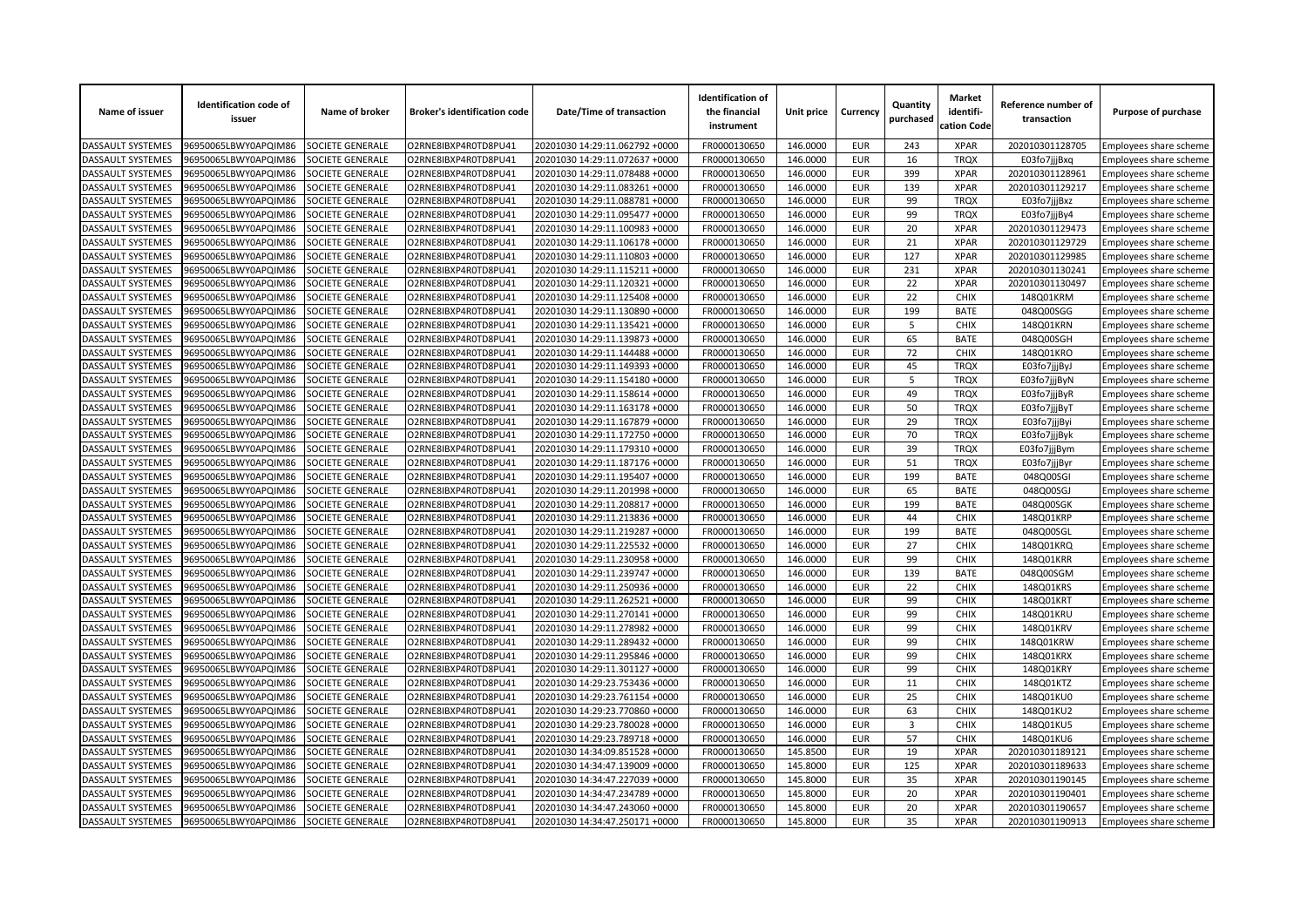| Name of issuer           | <b>Identification code of</b><br>issuer | Name of broker          | <b>Broker's identification code</b> | Date/Time of transaction       | <b>Identification of</b><br>the financial<br>instrument | Unit price | Currency   | Quantity<br>purchased   | <b>Market</b><br>identifi-<br>cation Code | Reference number of<br>transaction | Purpose of purchase    |
|--------------------------|-----------------------------------------|-------------------------|-------------------------------------|--------------------------------|---------------------------------------------------------|------------|------------|-------------------------|-------------------------------------------|------------------------------------|------------------------|
| <b>DASSAULT SYSTEMES</b> | 96950065LBWY0APQIM86                    | SOCIETE GENERALE        | O2RNE8IBXP4R0TD8PU41                | 20201030 14:29:11.062792 +0000 | FR0000130650                                            | 146.0000   | <b>EUR</b> | 243                     | <b>XPAR</b>                               | 202010301128705                    | Employees share scheme |
| <b>DASSAULT SYSTEMES</b> | 96950065LBWY0APQIM86                    | SOCIETE GENERALE        | O2RNE8IBXP4R0TD8PU41                | 20201030 14:29:11.072637 +0000 | FR0000130650                                            | 146.0000   | <b>EUR</b> | 16                      | <b>TROX</b>                               | E03fo7jjjBxq                       | Employees share scheme |
| DASSAULT SYSTEMES        | 96950065LBWY0APQIM86                    | SOCIETE GENERALE        | O2RNE8IBXP4R0TD8PU41                | 20201030 14:29:11.078488 +0000 | FR0000130650                                            | 146.0000   | <b>EUR</b> | 399                     | <b>XPAR</b>                               | 202010301128961                    | Employees share scheme |
| DASSAULT SYSTEMES        | 96950065LBWY0APQIM86                    | SOCIETE GENERALE        | O2RNE8IBXP4R0TD8PU41                | 20201030 14:29:11.083261 +0000 | FR0000130650                                            | 146.0000   | <b>EUR</b> | 139                     | <b>XPAR</b>                               | 202010301129217                    | Employees share scheme |
| <b>DASSAULT SYSTEMES</b> | 96950065LBWY0APQIM86                    | SOCIETE GENERALE        | O2RNE8IBXP4R0TD8PU41                | 20201030 14:29:11.088781 +0000 | FR0000130650                                            | 146.0000   | <b>EUR</b> | 99                      | <b>TRQX</b>                               | E03fo7jjjBxz                       | Employees share scheme |
| DASSAULT SYSTEMES        | 96950065LBWY0APQIM86                    | SOCIETE GENERALE        | O2RNE8IBXP4R0TD8PU41                | 20201030 14:29:11.095477 +0000 | FR0000130650                                            | 146.0000   | <b>EUR</b> | 99                      | <b>TRQX</b>                               | E03fo7jjjBy4                       | Employees share scheme |
| DASSAULT SYSTEMES        | 96950065LBWY0APQIM86                    | SOCIETE GENERALE        | O2RNE8IBXP4R0TD8PU41                | 20201030 14:29:11.100983 +0000 | FR0000130650                                            | 146.0000   | <b>EUR</b> | 20                      | <b>XPAR</b>                               | 202010301129473                    | Employees share scheme |
| DASSAULT SYSTEMES        | 96950065LBWY0APQIM86                    | SOCIETE GENERALE        | O2RNE8IBXP4R0TD8PU41                | 20201030 14:29:11.106178 +0000 | FR0000130650                                            | 146.0000   | <b>EUR</b> | 21                      | <b>XPAR</b>                               | 202010301129729                    | Employees share scheme |
| DASSAULT SYSTEMES        | 96950065LBWY0APQIM86                    | SOCIETE GENERALE        | O2RNE8IBXP4R0TD8PU41                | 20201030 14:29:11.110803 +0000 | FR0000130650                                            | 146.0000   | <b>EUR</b> | 127                     | <b>XPAR</b>                               | 202010301129985                    | Employees share scheme |
| DASSAULT SYSTEMES        | 96950065LBWY0APQIM86                    | SOCIETE GENERALE        | O2RNE8IBXP4R0TD8PU41                | 20201030 14:29:11.115211 +0000 | FR0000130650                                            | 146.0000   | <b>EUR</b> | 231                     | <b>XPAR</b>                               | 202010301130241                    | Employees share scheme |
| DASSAULT SYSTEMES        | 96950065LBWY0APQIM86                    | SOCIETE GENERALE        | O2RNE8IBXP4R0TD8PU41                | 20201030 14:29:11.120321 +0000 | FR0000130650                                            | 146.0000   | <b>EUR</b> | 22                      | <b>XPAR</b>                               | 202010301130497                    | Employees share scheme |
| <b>DASSAULT SYSTEMES</b> | 96950065LBWY0APQIM86                    | SOCIETE GENERALE        | O2RNE8IBXP4R0TD8PU41                | 20201030 14:29:11.125408 +0000 | FR0000130650                                            | 146.0000   | <b>EUR</b> | 22                      | <b>CHIX</b>                               | 148Q01KRM                          | Employees share scheme |
| DASSAULT SYSTEMES        | 96950065LBWY0APQIM86                    | SOCIETE GENERALE        | O2RNE8IBXP4R0TD8PU41                | 20201030 14:29:11.130890 +0000 | FR0000130650                                            | 146.0000   | <b>EUR</b> | 199                     | <b>BATE</b>                               | 048Q00SGG                          | Employees share scheme |
| DASSAULT SYSTEMES        | 96950065LBWY0APQIM86                    | SOCIETE GENERALE        | O2RNE8IBXP4R0TD8PU41                | 20201030 14:29:11.135421 +0000 | FR0000130650                                            | 146.0000   | <b>EUR</b> | 5                       | <b>CHIX</b>                               | 148Q01KRN                          | Employees share scheme |
| DASSAULT SYSTEMES        | 96950065LBWY0APQIM86                    | SOCIETE GENERALE        | O2RNE8IBXP4R0TD8PU41                | 20201030 14:29:11.139873 +0000 | FR0000130650                                            | 146.0000   | <b>EUR</b> | 65                      | <b>BATE</b>                               | 048Q00SGH                          | Employees share scheme |
| DASSAULT SYSTEMES        | 96950065LBWY0APQIM86                    | SOCIETE GENERALE        | O2RNE8IBXP4R0TD8PU41                | 20201030 14:29:11.144488 +0000 | FR0000130650                                            | 146.0000   | <b>EUR</b> | 72                      | <b>CHIX</b>                               | 148Q01KRO                          | Employees share scheme |
| DASSAULT SYSTEMES        | 96950065LBWY0APQIM86                    | SOCIETE GENERALE        | O2RNE8IBXP4R0TD8PU41                | 20201030 14:29:11.149393 +0000 | FR0000130650                                            | 146.0000   | <b>EUR</b> | 45                      | <b>TRQX</b>                               | E03fo7jjjByJ                       | Employees share scheme |
| DASSAULT SYSTEMES        | 96950065LBWY0APQIM86                    | SOCIETE GENERALE        | O2RNE8IBXP4R0TD8PU41                | 20201030 14:29:11.154180 +0000 | FR0000130650                                            | 146.0000   | <b>EUR</b> | 5                       | <b>TRQX</b>                               | E03fo7jjjByN                       | Employees share scheme |
| DASSAULT SYSTEMES        | 96950065LBWY0APQIM86                    | SOCIETE GENERALE        | O2RNE8IBXP4R0TD8PU41                | 20201030 14:29:11.158614 +0000 | FR0000130650                                            | 146.0000   | <b>EUR</b> | 49                      | <b>TRQX</b>                               | E03fo7jjjByR                       | Employees share scheme |
| DASSAULT SYSTEMES        | 96950065LBWY0APQIM86                    | SOCIETE GENERALE        | O2RNE8IBXP4R0TD8PU41                | 20201030 14:29:11.163178 +0000 | FR0000130650                                            | 146.0000   | <b>EUR</b> | 50                      | <b>TRQX</b>                               | E03fo7jjjByT                       | Employees share scheme |
| DASSAULT SYSTEMES        | 96950065LBWY0APQIM86                    | SOCIETE GENERALE        | O2RNE8IBXP4R0TD8PU41                | 20201030 14:29:11.167879 +0000 | FR0000130650                                            | 146.0000   | <b>EUR</b> | 29                      | <b>TRQX</b>                               | E03fo7jjjByi                       | Employees share scheme |
| <b>DASSAULT SYSTEMES</b> | 96950065LBWY0APQIM86                    | SOCIETE GENERALE        | O2RNE8IBXP4R0TD8PU41                | 20201030 14:29:11.172750 +0000 | FR0000130650                                            | 146.0000   | <b>EUR</b> | 70                      | <b>TRQX</b>                               | E03fo7jjjByk                       | Employees share scheme |
| DASSAULT SYSTEMES        | 96950065LBWY0APQIM86                    | SOCIETE GENERALE        | O2RNE8IBXP4R0TD8PU41                | 20201030 14:29:11.179310 +0000 | FR0000130650                                            | 146.0000   | <b>EUR</b> | 39                      | <b>TRQX</b>                               | E03fo7jjjBym                       | Employees share scheme |
| DASSAULT SYSTEMES        | 96950065LBWY0APQIM86                    | SOCIETE GENERALE        | O2RNE8IBXP4R0TD8PU41                | 20201030 14:29:11.187176 +0000 | FR0000130650                                            | 146.0000   | <b>EUR</b> | 51                      | <b>TRQX</b>                               | E03fo7jjjByr                       | Employees share scheme |
| DASSAULT SYSTEMES        | 96950065LBWY0APQIM86                    | SOCIETE GENERALE        | O2RNE8IBXP4R0TD8PU41                | 20201030 14:29:11.195407 +0000 | FR0000130650                                            | 146.0000   | <b>EUR</b> | 199                     | <b>BATE</b>                               | 048Q00SGI                          | Employees share scheme |
| DASSAULT SYSTEMES        | 96950065LBWY0APQIM86                    | SOCIETE GENERALE        | O2RNE8IBXP4R0TD8PU41                | 20201030 14:29:11.201998 +0000 | FR0000130650                                            | 146.0000   | <b>EUR</b> | 65                      | <b>BATE</b>                               | 048Q00SGJ                          | Employees share scheme |
| <b>DASSAULT SYSTEMES</b> | 96950065LBWY0APQIM86                    | SOCIETE GENERALE        | O2RNE8IBXP4R0TD8PU41                | 20201030 14:29:11.208817 +0000 | FR0000130650                                            | 146.0000   | <b>EUR</b> | 199                     | <b>BATE</b>                               | 048Q00SGK                          | Employees share scheme |
| DASSAULT SYSTEMES        | 96950065LBWY0APQIM86                    | <b>SOCIETE GENERALE</b> | O2RNE8IBXP4R0TD8PU41                | 20201030 14:29:11.213836 +0000 | FR0000130650                                            | 146.0000   | <b>EUR</b> | 44                      | CHIX                                      | 148Q01KRP                          | Employees share scheme |
| DASSAULT SYSTEMES        | 96950065LBWY0APQIM86                    | SOCIETE GENERALE        | O2RNE8IBXP4R0TD8PU41                | 20201030 14:29:11.219287 +0000 | FR0000130650                                            | 146.0000   | <b>EUR</b> | 199                     | <b>BATE</b>                               | 048Q00SGL                          | Employees share scheme |
| DASSAULT SYSTEMES        | 96950065LBWY0APQIM86                    | SOCIETE GENERALE        | O2RNE8IBXP4R0TD8PU41                | 20201030 14:29:11.225532 +0000 | FR0000130650                                            | 146.0000   | <b>EUR</b> | 27                      | <b>CHIX</b>                               | 148Q01KRQ                          | Employees share scheme |
| DASSAULT SYSTEMES        | 96950065LBWY0APQIM86                    | SOCIETE GENERALE        | O2RNE8IBXP4R0TD8PU41                | 20201030 14:29:11.230958 +0000 | FR0000130650                                            | 146.0000   | <b>EUR</b> | 99                      | <b>CHIX</b>                               | 148Q01KRR                          | Employees share scheme |
| <b>DASSAULT SYSTEMES</b> | 96950065LBWY0APQIM86                    | <b>SOCIETE GENERALE</b> | O2RNE8IBXP4R0TD8PU41                | 20201030 14:29:11.239747 +0000 | FR0000130650                                            | 146.0000   | <b>EUR</b> | 139                     | <b>BATE</b>                               | 048Q00SGM                          | Employees share scheme |
| DASSAULT SYSTEMES        | 96950065LBWY0APQIM86                    | SOCIETE GENERALE        | O2RNE8IBXP4R0TD8PU41                | 20201030 14:29:11.250936 +0000 | FR0000130650                                            | 146.0000   | <b>EUR</b> | 22                      | CHIX                                      | 148Q01KRS                          | Employees share scheme |
| DASSAULT SYSTEMES        | 96950065LBWY0APQIM86                    | SOCIETE GENERALE        | O2RNE8IBXP4R0TD8PU41                | 20201030 14:29:11.262521 +0000 | FR0000130650                                            | 146.0000   | <b>EUR</b> | 99                      | <b>CHIX</b>                               | 148Q01KRT                          | Employees share scheme |
| DASSAULT SYSTEMES        | 96950065LBWY0APQIM86                    | SOCIETE GENERALE        | O2RNE8IBXP4R0TD8PU41                | 20201030 14:29:11.270141 +0000 | FR0000130650                                            | 146.0000   | <b>EUR</b> | 99                      | CHIX                                      | 148Q01KRU                          | Employees share scheme |
| DASSAULT SYSTEMES        | 96950065LBWY0APQIM86                    | SOCIETE GENERALE        | O2RNE8IBXP4R0TD8PU41                | 20201030 14:29:11.278982 +0000 | FR0000130650                                            | 146.0000   | <b>EUR</b> | 99                      | <b>CHIX</b>                               | 148Q01KRV                          | Employees share scheme |
| <b>DASSAULT SYSTEMES</b> | 96950065LBWY0APQIM86                    | SOCIETE GENERALE        | O2RNE8IBXP4R0TD8PU41                | 20201030 14:29:11.289432 +0000 | FR0000130650                                            | 146.0000   | <b>EUR</b> | 99                      | <b>CHIX</b>                               | 148Q01KRW                          | Employees share scheme |
| DASSAULT SYSTEMES        | 96950065LBWY0APQIM86                    | SOCIETE GENERALE        | O2RNE8IBXP4R0TD8PU41                | 20201030 14:29:11.295846 +0000 | FR0000130650                                            | 146.0000   | <b>EUR</b> | 99                      | <b>CHIX</b>                               | 148Q01KRX                          | Employees share scheme |
| DASSAULT SYSTEMES        | 96950065LBWY0APQIM86                    | SOCIETE GENERALE        | O2RNE8IBXP4R0TD8PU41                | 20201030 14:29:11.301127 +0000 | FR0000130650                                            | 146.0000   | <b>EUR</b> | 99                      | <b>CHIX</b>                               | 148Q01KRY                          | Employees share scheme |
| DASSAULT SYSTEMES        | 96950065LBWY0APQIM86                    | SOCIETE GENERALE        | O2RNE8IBXP4R0TD8PU41                | 20201030 14:29:23.753436 +0000 | FR0000130650                                            | 146.0000   | <b>EUR</b> | 11                      | <b>CHIX</b>                               | 148Q01KTZ                          | Employees share scheme |
| <b>DASSAULT SYSTEMES</b> | 96950065LBWY0APQIM86                    | SOCIETE GENERALE        | O2RNE8IBXP4R0TD8PU41                | 20201030 14:29:23.761154 +0000 | FR0000130650                                            | 146.0000   | <b>EUR</b> | 25                      | <b>CHIX</b>                               | 148Q01KU0                          | Employees share scheme |
| DASSAULT SYSTEMES        | 96950065LBWY0APQIM86                    | SOCIETE GENERALE        | O2RNE8IBXP4R0TD8PU41                | 20201030 14:29:23.770860 +0000 | FR0000130650                                            | 146.0000   | <b>EUR</b> | 63                      | <b>CHIX</b>                               | 148Q01KU2                          | Employees share scheme |
| <b>DASSAULT SYSTEMES</b> | 96950065LBWY0APQIM86                    | SOCIETE GENERALE        | O2RNE8IBXP4R0TD8PU41                | 20201030 14:29:23.780028 +0000 | FR0000130650                                            | 146.0000   | <b>EUR</b> | $\overline{\mathbf{3}}$ | CHIX                                      | 148Q01KU5                          | Employees share scheme |
| DASSAULT SYSTEMES        | 96950065LBWY0APQIM86                    | SOCIETE GENERALE        | O2RNE8IBXP4R0TD8PU41                | 20201030 14:29:23.789718 +0000 | FR0000130650                                            | 146.0000   | <b>EUR</b> | 57                      | <b>CHIX</b>                               | 148Q01KU6                          | Employees share scheme |
| DASSAULT SYSTEMES        | 96950065LBWY0APQIM86                    | SOCIETE GENERALE        | O2RNE8IBXP4R0TD8PU41                | 20201030 14:34:09.851528 +0000 | FR0000130650                                            | 145.8500   | <b>EUR</b> | 19                      | <b>XPAR</b>                               | 202010301189121                    | Employees share scheme |
| DASSAULT SYSTEMES        | 96950065LBWY0APQIM86                    | SOCIETE GENERALE        | O2RNE8IBXP4R0TD8PU41                | 20201030 14:34:47.139009 +0000 | FR0000130650                                            | 145.8000   | <b>EUR</b> | 125                     | <b>XPAR</b>                               | 202010301189633                    |                        |
| DASSAULT SYSTEMES        | 96950065LBWY0APQIM86                    | SOCIETE GENERALE        | O2RNE8IBXP4R0TD8PU41                | 20201030 14:34:47.227039 +0000 | FR0000130650                                            |            | <b>EUR</b> | 35                      | <b>XPAR</b>                               | 202010301190145                    | Employees share scheme |
|                          |                                         |                         |                                     |                                |                                                         | 145.8000   | <b>EUR</b> |                         | <b>XPAR</b>                               |                                    | Employees share scheme |
| DASSAULT SYSTEMES        | 96950065LBWY0APQIM86                    | <b>SOCIETE GENERALE</b> | O2RNE8IBXP4R0TD8PU41                | 20201030 14:34:47.234789 +0000 | FR0000130650                                            | 145.8000   |            | 20                      |                                           | 202010301190401                    | Employees share scheme |
| DASSAULT SYSTEMES        | 96950065LBWY0APQIM86                    | SOCIETE GENERALE        | O2RNE8IBXP4R0TD8PU41                | 20201030 14:34:47.243060 +0000 | FR0000130650                                            | 145.8000   | <b>EUR</b> | 20                      | <b>XPAR</b>                               | 202010301190657                    | Employees share scheme |
| <b>DASSAULT SYSTEMES</b> | 96950065LBWY0APQIM86                    | <b>SOCIETE GENERALE</b> | O2RNE8IBXP4R0TD8PU41                | 20201030 14:34:47.250171 +0000 | FR0000130650                                            | 145.8000   | <b>EUR</b> | 35                      | <b>XPAR</b>                               | 202010301190913                    | Employees share scheme |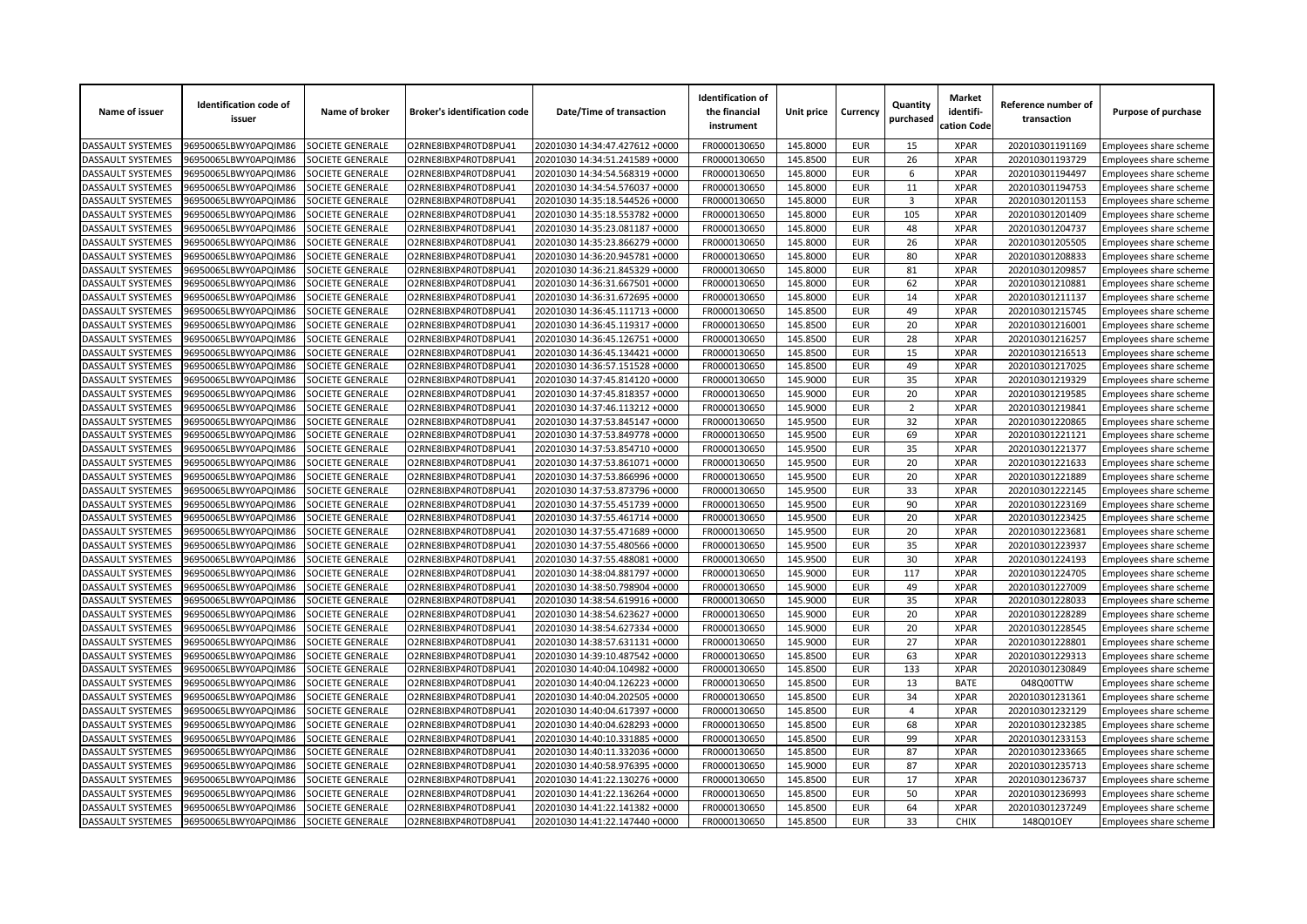| Name of issuer           | <b>Identification code of</b><br>issuer      | Name of broker                       | <b>Broker's identification code</b>          | Date/Time of transaction                                         | <b>Identification of</b><br>the financial<br>instrument | Unit price | Currency                 | Quantity<br>purchased | <b>Market</b><br>identifi-<br>cation Code | Reference number of<br>transaction | Purpose of purchase                              |
|--------------------------|----------------------------------------------|--------------------------------------|----------------------------------------------|------------------------------------------------------------------|---------------------------------------------------------|------------|--------------------------|-----------------------|-------------------------------------------|------------------------------------|--------------------------------------------------|
| <b>DASSAULT SYSTEMES</b> | 96950065LBWY0APQIM86                         | SOCIETE GENERALE                     | O2RNE8IBXP4R0TD8PU41                         | 20201030 14:34:47.427612 +0000                                   | FR0000130650                                            | 145.8000   | <b>EUR</b>               | 15                    | <b>XPAR</b>                               | 202010301191169                    | Employees share scheme                           |
| DASSAULT SYSTEMES        | 96950065LBWY0APQIM86                         | SOCIETE GENERALE                     | O2RNE8IBXP4R0TD8PU41                         | 20201030 14:34:51.241589 +0000                                   | FR0000130650                                            | 145.8500   | <b>EUR</b>               | 26                    | <b>XPAR</b>                               | 202010301193729                    | Employees share scheme                           |
| DASSAULT SYSTEMES        | 96950065LBWY0APQIM86                         | SOCIETE GENERALE                     | O2RNE8IBXP4R0TD8PU41                         | 20201030 14:34:54.568319 +0000                                   | FR0000130650                                            | 145.8000   | <b>EUR</b>               | 6                     | <b>XPAR</b>                               | 202010301194497                    | Employees share scheme                           |
| DASSAULT SYSTEMES        | 06950065LBWY0APQIM86                         | <b>SOCIETE GENERALE</b>              | O2RNE8IBXP4R0TD8PU41                         | 20201030 14:34:54.576037 +0000                                   | FR0000130650                                            | 145.8000   | <b>EUR</b>               | 11                    | <b>XPAR</b>                               | 202010301194753                    | Employees share scheme                           |
| DASSAULT SYSTEMES        | 96950065LBWY0APQIM86                         | SOCIETE GENERALE                     | O2RNE8IBXP4R0TD8PU41                         | 20201030 14:35:18.544526 +0000                                   | FR0000130650                                            | 145.8000   | <b>EUR</b>               | 3                     | <b>XPAR</b>                               | 202010301201153                    | Employees share scheme                           |
| DASSAULT SYSTEMES        | 96950065LBWY0APQIM86                         | SOCIETE GENERALE                     | O2RNE8IBXP4R0TD8PU41                         | 20201030 14:35:18.553782 +0000                                   | FR0000130650                                            | 145.8000   | <b>EUR</b>               | 105                   | <b>XPAR</b>                               | 202010301201409                    | Employees share scheme                           |
| DASSAULT SYSTEMES        | 96950065LBWY0APQIM86                         | SOCIETE GENERALE                     | O2RNE8IBXP4R0TD8PU41                         | 20201030 14:35:23.081187 +0000                                   | FR0000130650                                            | 145.8000   | <b>EUR</b>               | 48                    | <b>XPAR</b>                               | 202010301204737                    | Employees share scheme                           |
| DASSAULT SYSTEMES        | 96950065LBWY0APQIM86                         | <b>SOCIETE GENERALE</b>              | O2RNE8IBXP4R0TD8PU41                         | 20201030 14:35:23.866279 +0000                                   | FR0000130650                                            | 145.8000   | <b>EUR</b>               | 26                    | <b>XPAR</b>                               | 202010301205505                    | Employees share scheme                           |
| DASSAULT SYSTEMES        | 06950065LBWY0APQIM86                         | SOCIETE GENERALE                     | O2RNE8IBXP4R0TD8PU41                         | 20201030 14:36:20.945781 +0000                                   | FR0000130650                                            | 145.8000   | <b>EUR</b>               | 80                    | <b>XPAR</b>                               | 202010301208833                    | Employees share scheme                           |
| DASSAULT SYSTEMES        | 96950065LBWY0APQIM86                         | SOCIETE GENERALE                     | O2RNE8IBXP4R0TD8PU41                         | 20201030 14:36:21.845329 +0000                                   | FR0000130650                                            | 145.8000   | <b>EUR</b>               | 81                    | <b>XPAR</b>                               | 202010301209857                    | Employees share scheme                           |
| DASSAULT SYSTEMES        | 96950065LBWY0APQIM86                         | SOCIETE GENERALE                     | O2RNE8IBXP4R0TD8PU41                         | 20201030 14:36:31.667501 +0000                                   | FR0000130650                                            | 145.8000   | <b>EUR</b>               | 62                    | <b>XPAR</b>                               | 202010301210881                    | Employees share scheme                           |
| DASSAULT SYSTEMES        | 96950065LBWY0APQIM86                         | <b>SOCIETE GENERALE</b>              | O2RNE8IBXP4R0TD8PU41                         | 20201030 14:36:31.672695 +0000                                   | FR0000130650                                            | 145.8000   | <b>EUR</b>               | 14                    | <b>XPAR</b>                               | 202010301211137                    | Employees share scheme                           |
| DASSAULT SYSTEMES        | 96950065LBWY0APQIM86                         | SOCIETE GENERALE                     | O2RNE8IBXP4R0TD8PU41                         | 20201030 14:36:45.111713 +0000                                   | FR0000130650                                            | 145.8500   | <b>EUR</b>               | 49                    | <b>XPAR</b>                               | 202010301215745                    | Employees share scheme                           |
| DASSAULT SYSTEMES        | 96950065LBWY0APQIM86                         | SOCIETE GENERALE                     | O2RNE8IBXP4R0TD8PU41                         | 20201030 14:36:45.119317 +0000                                   | FR0000130650                                            | 145.8500   | <b>EUR</b>               | 20                    | <b>XPAR</b>                               | 202010301216001                    | Employees share scheme                           |
| DASSAULT SYSTEMES        | 96950065LBWY0APQIM86                         | SOCIETE GENERALE                     | O2RNE8IBXP4R0TD8PU41                         | 20201030 14:36:45.126751 +0000                                   | FR0000130650                                            | 145.8500   | <b>EUR</b>               | 28                    | <b>XPAR</b>                               | 202010301216257                    | Employees share scheme                           |
| DASSAULT SYSTEMES        | 06950065LBWY0APQIM86                         | SOCIETE GENERALE                     | O2RNE8IBXP4R0TD8PU41                         | 20201030 14:36:45.134421 +0000                                   | FR0000130650                                            | 145.8500   | <b>EUR</b>               | 15                    | <b>XPAR</b>                               | 202010301216513                    | Employees share scheme                           |
| <b>DASSAULT SYSTEMES</b> | 96950065LBWY0APQIM86                         | SOCIETE GENERALE                     | O2RNE8IBXP4R0TD8PU41                         | 20201030 14:36:57.151528 +0000                                   | FR0000130650                                            | 145.8500   | <b>EUR</b>               | 49                    | <b>XPAR</b>                               | 202010301217025                    | Employees share scheme                           |
| DASSAULT SYSTEMES        | 96950065LBWY0APQIM86                         | SOCIETE GENERALE                     | O2RNE8IBXP4R0TD8PU41                         | 20201030 14:37:45.814120 +0000                                   | FR0000130650                                            | 145.9000   | <b>EUR</b>               | 35                    | <b>XPAR</b>                               | 202010301219329                    | Employees share scheme                           |
| DASSAULT SYSTEMES        | 96950065LBWY0APQIM86                         | SOCIETE GENERALE                     | O2RNE8IBXP4R0TD8PU41                         | 20201030 14:37:45.818357 +0000                                   | FR0000130650                                            | 145.9000   | <b>EUR</b>               | 20                    | <b>XPAR</b>                               | 202010301219585                    | Employees share scheme                           |
| DASSAULT SYSTEMES        | 06950065LBWY0APQIM86                         | SOCIETE GENERALE                     | O2RNE8IBXP4R0TD8PU41                         | 20201030 14:37:46.113212 +0000                                   | FR0000130650                                            | 145.9000   | <b>EUR</b>               | $\overline{2}$        | <b>XPAR</b>                               | 202010301219841                    | Employees share scheme                           |
| <b>DASSAULT SYSTEMES</b> | 96950065LBWY0APQIM86                         | SOCIETE GENERALE                     | O2RNE8IBXP4R0TD8PU41                         | 20201030 14:37:53.845147 +0000                                   | FR0000130650                                            | 145.9500   | <b>EUR</b>               | 32                    | <b>XPAR</b>                               | 202010301220865                    | Employees share scheme                           |
| DASSAULT SYSTEMES        | 96950065LBWY0APQIM86                         | SOCIETE GENERALE                     | O2RNE8IBXP4R0TD8PU41                         | 20201030 14:37:53.849778 +0000                                   | FR0000130650                                            | 145.9500   | <b>EUR</b>               | 69                    | <b>XPAR</b>                               | 202010301221121                    | Employees share scheme                           |
| DASSAULT SYSTEMES        | 96950065LBWY0APQIM86                         | SOCIETE GENERALE                     | O2RNE8IBXP4R0TD8PU41                         | 20201030 14:37:53.854710 +0000                                   | FR0000130650                                            | 145.9500   | <b>EUR</b>               | 35                    | <b>XPAR</b>                               | 202010301221377                    | Employees share scheme                           |
| DASSAULT SYSTEMES        | 96950065LBWY0APQIM86                         | <b>SOCIETE GENERALE</b>              | O2RNE8IBXP4R0TD8PU41                         | 20201030 14:37:53.861071 +0000                                   | FR0000130650                                            | 145.9500   | <b>EUR</b>               | 20                    | <b>XPAR</b>                               | 202010301221633                    | Employees share scheme                           |
| DASSAULT SYSTEMES        | 96950065LBWY0APQIM86                         | SOCIETE GENERALE                     | O2RNE8IBXP4R0TD8PU41                         | 20201030 14:37:53.866996 +0000                                   | FR0000130650                                            | 145.9500   | <b>EUR</b>               | 20                    | <b>XPAR</b>                               | 202010301221889                    | Employees share scheme                           |
| DASSAULT SYSTEMES        | 96950065LBWY0APQIM86                         | SOCIETE GENERALE                     | O2RNE8IBXP4R0TD8PU41                         | 20201030 14:37:53.873796 +0000                                   | FR0000130650                                            | 145.9500   | <b>EUR</b>               | 33                    | <b>XPAR</b>                               | 202010301222145                    | Employees share scheme                           |
| DASSAULT SYSTEMES        | 96950065LBWY0APQIM86                         | SOCIETE GENERALE                     | O2RNE8IBXP4R0TD8PU41                         | 20201030 14:37:55.451739 +0000                                   | FR0000130650                                            | 145.9500   | <b>EUR</b>               | 90                    | <b>XPAR</b>                               | 202010301223169                    | Employees share scheme                           |
| DASSAULT SYSTEMES        | 96950065LBWY0APQIM86                         | <b>SOCIETE GENERALE</b>              | O2RNE8IBXP4R0TD8PU41                         | 20201030 14:37:55.461714 +0000                                   | FR0000130650                                            | 145.9500   | <b>EUR</b>               | 20                    | <b>XPAR</b>                               | 202010301223425                    | Employees share scheme                           |
| DASSAULT SYSTEMES        | 96950065LBWY0APQIM86                         | SOCIETE GENERALE                     | O2RNE8IBXP4R0TD8PU41                         | 20201030 14:37:55.471689 +0000                                   | FR0000130650                                            | 145.9500   | <b>EUR</b>               | 20                    | <b>XPAR</b>                               | 202010301223681                    | Employees share scheme                           |
| DASSAULT SYSTEMES        | 96950065LBWY0APQIM86                         | SOCIETE GENERALE                     | O2RNE8IBXP4R0TD8PU41                         | 20201030 14:37:55.480566 +0000                                   | FR0000130650                                            | 145.9500   | <b>EUR</b>               | 35                    | <b>XPAR</b>                               | 202010301223937                    | Employees share scheme                           |
| DASSAULT SYSTEMES        | 96950065LBWY0APQIM86                         | SOCIETE GENERALE                     | O2RNE8IBXP4R0TD8PU41                         | 20201030 14:37:55.488081 +0000                                   | FR0000130650                                            | 145.9500   | <b>EUR</b>               | 30                    | <b>XPAR</b>                               | 202010301224193                    | Employees share scheme                           |
| DASSAULT SYSTEMES        | 06950065LBWY0APQIM86                         | SOCIETE GENERALE                     | O2RNE8IBXP4R0TD8PU41                         | 20201030 14:38:04.881797 +0000                                   | FR0000130650                                            | 145.9000   | <b>EUR</b>               | 117                   | <b>XPAR</b>                               | 202010301224705                    | Employees share scheme                           |
| DASSAULT SYSTEMES        | 96950065LBWY0APQIM86                         | SOCIETE GENERALE                     | O2RNE8IBXP4R0TD8PU41                         | 20201030 14:38:50.798904 +0000                                   | FR0000130650                                            | 145.9000   | <b>EUR</b>               | 49                    | <b>XPAR</b>                               | 202010301227009                    |                                                  |
| DASSAULT SYSTEMES        | 96950065LBWY0APQIM86                         | SOCIETE GENERALE                     | O2RNE8IBXP4R0TD8PU41                         | 20201030 14:38:54.619916 +0000                                   | FR0000130650                                            | 145.9000   | <b>EUR</b>               | 35                    | <b>XPAR</b>                               | 202010301228033                    | Employees share scheme                           |
| DASSAULT SYSTEMES        | 96950065LBWY0APQIM86                         | SOCIETE GENERALE                     | O2RNE8IBXP4R0TD8PU41                         | 20201030 14:38:54.623627 +0000                                   | FR0000130650                                            | 145.9000   | <b>EUR</b>               | 20                    | <b>XPAR</b>                               | 202010301228289                    | Employees share scheme                           |
| DASSAULT SYSTEMES        | 06950065LBWY0APQIM86                         | SOCIETE GENERALE                     | O2RNE8IBXP4R0TD8PU41                         | 20201030 14:38:54.627334 +0000                                   | FR0000130650                                            | 145.9000   | <b>EUR</b>               | 20                    | <b>XPAR</b>                               | 202010301228545                    | Employees share scheme                           |
| <b>DASSAULT SYSTEMES</b> | 96950065LBWY0APQIM86                         | SOCIETE GENERALE                     | O2RNE8IBXP4R0TD8PU41                         | 20201030 14:38:57.631131 +0000                                   | FR0000130650                                            | 145.9000   | <b>EUR</b>               | 27                    | <b>XPAR</b>                               | 202010301228801                    | Employees share scheme<br>Employees share scheme |
| DASSAULT SYSTEMES        | 96950065LBWY0APQIM86                         | SOCIETE GENERALE                     | O2RNE8IBXP4R0TD8PU41                         | 20201030 14:39:10.487542 +0000                                   | FR0000130650                                            | 145.8500   | <b>EUR</b>               | 63                    | <b>XPAR</b>                               | 202010301229313                    |                                                  |
| DASSAULT SYSTEMES        | 96950065LBWY0APQIM86                         | SOCIETE GENERALE                     | O2RNE8IBXP4R0TD8PU41                         | 20201030 14:40:04.104982 +0000                                   | FR0000130650                                            | 145.8500   | <b>EUR</b>               | 133                   | <b>XPAR</b>                               | 202010301230849                    | Employees share scheme                           |
| DASSAULT SYSTEMES        | 06950065LBWY0APQIM86                         | <b>SOCIETE GENERALE</b>              | O2RNE8IBXP4R0TD8PU41                         | 20201030 14:40:04.126223 +0000                                   | FR0000130650                                            | 145.8500   | <b>EUR</b>               | 13                    | <b>BATE</b>                               | 048Q00TTW                          | Employees share scheme                           |
| DASSAULT SYSTEMES        | 96950065LBWY0APQIM86                         | SOCIETE GENERALE                     | O2RNE8IBXP4R0TD8PU41                         | 20201030 14:40:04.202505 +0000                                   | FR0000130650                                            | 145.8500   | <b>EUR</b>               | 34                    | <b>XPAR</b>                               | 202010301231361                    | Employees share scheme                           |
| DASSAULT SYSTEMES        |                                              |                                      |                                              |                                                                  | FR0000130650                                            | 145.8500   | <b>EUR</b>               | $\overline{4}$        | <b>XPAR</b>                               |                                    | Employees share scheme                           |
| DASSAULT SYSTEMES        | 96950065LBWY0APQIM86<br>96950065LBWY0APQIM86 | SOCIETE GENERALE<br>SOCIETE GENERALE | O2RNE8IBXP4R0TD8PU41<br>O2RNE8IBXP4R0TD8PU41 | 20201030 14:40:04.617397 +0000<br>20201030 14:40:04.628293 +0000 | FR0000130650                                            | 145.8500   |                          | 68                    | <b>XPAR</b>                               | 202010301232129<br>202010301232385 | Employees share scheme                           |
|                          |                                              |                                      |                                              |                                                                  |                                                         |            | <b>EUR</b><br><b>EUR</b> | 99                    | <b>XPAR</b>                               |                                    | Employees share scheme                           |
| DASSAULT SYSTEMES        | 06950065LBWY0APQIM86                         | <b>SOCIETE GENERALE</b>              | O2RNE8IBXP4R0TD8PU41                         | 20201030 14:40:10.331885 +0000                                   | FR0000130650                                            | 145.8500   | <b>EUR</b>               | 87                    | <b>XPAR</b>                               | 202010301233153                    | Employees share scheme                           |
| DASSAULT SYSTEMES        | 96950065LBWY0APQIM86                         | SOCIETE GENERALE                     | O2RNE8IBXP4R0TD8PU41                         | 20201030 14:40:11.332036 +0000                                   | FR0000130650                                            | 145.8500   |                          |                       |                                           | 202010301233665                    | Employees share scheme                           |
| DASSAULT SYSTEMES        | 96950065LBWY0APQIM86                         | SOCIETE GENERALE                     | O2RNE8IBXP4R0TD8PU41                         | 20201030 14:40:58.976395 +0000                                   | FR0000130650                                            | 145.9000   | <b>EUR</b>               | 87                    | <b>XPAR</b><br><b>XPAR</b>                | 202010301235713                    | Employees share scheme                           |
| DASSAULT SYSTEMES        | 96950065LBWY0APQIM86                         | SOCIETE GENERALE                     | O2RNE8IBXP4R0TD8PU41                         | 20201030 14:41:22.130276 +0000                                   | FR0000130650                                            | 145.8500   | <b>EUR</b>               | 17                    |                                           | 202010301236737                    | Employees share scheme                           |
| DASSAULT SYSTEMES        | 06950065LBWY0APQIM86                         | <b>OCIETE GENERALE</b>               | O2RNE8IBXP4R0TD8PU41                         | 20201030 14:41:22.136264 +0000                                   | FR0000130650                                            | 145.8500   | <b>EUR</b>               | 50                    | <b>XPAR</b>                               | 202010301236993                    | Employees share scheme                           |
| DASSAULT SYSTEMES        | 96950065LBWY0APQIM86                         | SOCIETE GENERALE                     | O2RNE8IBXP4R0TD8PU41                         | 20201030 14:41:22.141382 +0000                                   | FR0000130650                                            | 145.8500   | <b>EUR</b>               | 64                    | <b>XPAR</b>                               | 202010301237249                    | Employees share scheme                           |
| <b>DASSAULT SYSTEMES</b> | 96950065LBWY0APQIM86                         | SOCIETE GENERALE                     | O2RNE8IBXP4R0TD8PU41                         | 20201030 14:41:22.147440 +0000                                   | FR0000130650                                            | 145.8500   | <b>EUR</b>               | 33                    | <b>CHIX</b>                               | 148Q01OEY                          | Employees share scheme                           |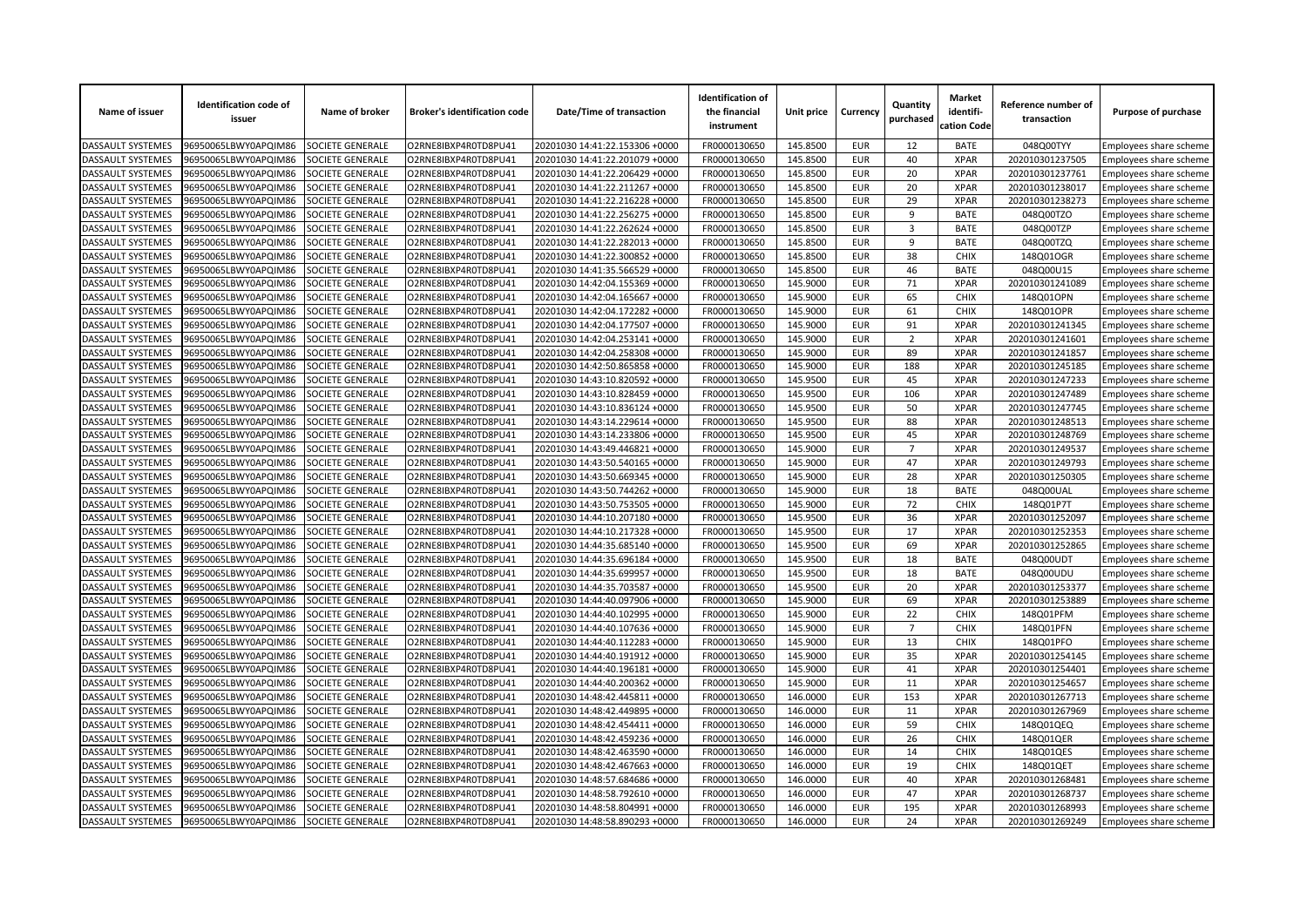| Name of issuer                                | <b>Identification code of</b><br>issuer      | Name of broker   | <b>Broker's identification code</b> | Date/Time of transaction       | <b>Identification of</b><br>the financial<br>instrument | Unit price | Currency   | Quantity<br>purchased | <b>Market</b><br>identifi-<br>cation Code | Reference number of<br>transaction | Purpose of purchase           |
|-----------------------------------------------|----------------------------------------------|------------------|-------------------------------------|--------------------------------|---------------------------------------------------------|------------|------------|-----------------------|-------------------------------------------|------------------------------------|-------------------------------|
| DASSAULT SYSTEMES                             | 96950065LBWY0APQIM86                         | SOCIETE GENERALE | O2RNE8IBXP4R0TD8PU41                | 20201030 14:41:22.153306 +0000 | FR0000130650                                            | 145.8500   | EUR        | 12                    | <b>BATE</b>                               | 048Q00TYY                          | Employees share scheme        |
| DASSAULT SYSTEMES                             | 96950065LBWY0APQIM86                         | SOCIETE GENERALE | O2RNE8IBXP4R0TD8PU41                | 20201030 14:41:22.201079 +0000 | FR0000130650                                            | 145.8500   | <b>EUR</b> | 40                    | <b>XPAR</b>                               | 202010301237505                    | Employees share scheme        |
| DASSAULT SYSTEMES                             | 96950065LBWY0APQIM86                         | SOCIETE GENERALE | O2RNE8IBXP4R0TD8PU41                | 20201030 14:41:22.206429 +0000 | FR0000130650                                            | 145.8500   | <b>EUR</b> | 20                    | <b>XPAR</b>                               | 202010301237761                    | Employees share scheme        |
| DASSAULT SYSTEMES                             | 96950065LBWY0APQIM86                         | SOCIETE GENERALE | O2RNE8IBXP4R0TD8PU41                | 20201030 14:41:22.211267 +0000 | FR0000130650                                            | 145.8500   | <b>EUR</b> | 20                    | <b>XPAR</b>                               | 202010301238017                    | Employees share scheme        |
| DASSAULT SYSTEMES                             | 96950065LBWY0APQIM86                         | SOCIETE GENERALE | O2RNE8IBXP4R0TD8PU41                | 20201030 14:41:22.216228 +0000 | FR0000130650                                            | 145.8500   | <b>EUR</b> | 29                    | <b>XPAR</b>                               | 202010301238273                    | Employees share scheme        |
| DASSAULT SYSTEMES                             | 96950065LBWY0APQIM86                         | SOCIETE GENERALE | O2RNE8IBXP4R0TD8PU41                | 20201030 14:41:22.256275 +0000 | FR0000130650                                            | 145.8500   | <b>EUR</b> | 9                     | <b>BATE</b>                               | 048Q00TZO                          | Employees share scheme        |
| <b>DASSAULT SYSTEMES</b>                      | 96950065LBWY0APQIM86                         | SOCIETE GENERALE | O2RNE8IBXP4R0TD8PU41                | 20201030 14:41:22.262624 +0000 | FR0000130650                                            | 145.8500   | <b>EUR</b> | 3                     | <b>BATE</b>                               | 048Q00TZP                          | Employees share scheme        |
| <b>DASSAULT SYSTEMES</b>                      | 96950065LBWY0APQIM86                         | SOCIETE GENERALE | O2RNE8IBXP4R0TD8PU41                | 20201030 14:41:22.282013 +0000 | FR0000130650                                            | 145.8500   | <b>EUR</b> | 9                     | <b>BATE</b>                               | 048Q00TZQ                          | Employees share scheme        |
| DASSAULT SYSTEMES                             | 96950065LBWY0APQIM86                         | SOCIETE GENERALE | O2RNE8IBXP4R0TD8PU41                | 20201030 14:41:22.300852 +0000 | FR0000130650                                            | 145.8500   | <b>EUR</b> | 38                    | <b>CHIX</b>                               | 148Q01OGR                          | Employees share scheme        |
| DASSAULT SYSTEMES                             | 96950065LBWY0APQIM86                         | SOCIETE GENERALE | O2RNE8IBXP4R0TD8PU41                | 20201030 14:41:35.566529 +0000 | FR0000130650                                            | 145.8500   | <b>EUR</b> | 46                    | <b>BATE</b>                               | 048Q00U15                          | Employees share scheme        |
| DASSAULT SYSTEMES                             | 96950065LBWY0APQIM86                         | SOCIETE GENERALE | O2RNE8IBXP4R0TD8PU41                | 20201030 14:42:04.155369 +0000 | FR0000130650                                            | 145.9000   | <b>EUR</b> | 71                    | <b>XPAR</b>                               | 202010301241089                    | Employees share scheme        |
| DASSAULT SYSTEMES                             | 96950065LBWY0APQIM86                         | SOCIETE GENERALE | O2RNE8IBXP4R0TD8PU41                | 20201030 14:42:04.165667 +0000 | FR0000130650                                            | 145.9000   | <b>EUR</b> | 65                    | <b>CHIX</b>                               | 148Q01OPN                          | Employees share scheme        |
| DASSAULT SYSTEMES                             | 96950065LBWY0APQIM86                         | SOCIETE GENERALE | O2RNE8IBXP4R0TD8PU41                | 20201030 14:42:04.172282 +0000 | FR0000130650                                            | 145.9000   | <b>EUR</b> | 61                    | <b>CHIX</b>                               | 148Q01OPR                          | Employees share scheme        |
| DASSAULT SYSTEMES                             | 96950065LBWY0APQIM86                         | SOCIETE GENERALE | O2RNE8IBXP4R0TD8PU41                | 20201030 14:42:04.177507 +0000 | FR0000130650                                            | 145.9000   | <b>EUR</b> | 91                    | <b>XPAR</b>                               | 202010301241345                    | Employees share scheme        |
| DASSAULT SYSTEMES                             | 96950065LBWY0APQIM86                         | SOCIETE GENERALE | O2RNE8IBXP4R0TD8PU41                | 20201030 14:42:04.253141 +0000 | FR0000130650                                            | 145.9000   | <b>EUR</b> | $\overline{2}$        | <b>XPAR</b>                               | 202010301241601                    | Employees share scheme        |
| DASSAULT SYSTEMES                             | 96950065LBWY0APQIM86                         | SOCIETE GENERALE | O2RNE8IBXP4R0TD8PU41                | 20201030 14:42:04.258308 +0000 | FR0000130650                                            | 145.9000   | <b>EUR</b> | 89                    | <b>XPAR</b>                               | 202010301241857                    | Employees share scheme        |
| DASSAULT SYSTEMES                             | 96950065LBWY0APQIM86                         | SOCIETE GENERALE | O2RNE8IBXP4R0TD8PU41                | 20201030 14:42:50.865858 +0000 | FR0000130650                                            | 145.9000   | <b>EUR</b> | 188                   | <b>XPAR</b>                               | 202010301245185                    | Employees share scheme        |
| DASSAULT SYSTEMES                             | 96950065LBWY0APQIM86                         | SOCIETE GENERALE | O2RNE8IBXP4R0TD8PU41                | 20201030 14:43:10.820592 +0000 | FR0000130650                                            | 145.9500   | <b>EUR</b> | 45                    | <b>XPAR</b>                               | 202010301247233                    | Employees share scheme        |
| <b>DASSAULT SYSTEMES</b>                      | 96950065LBWY0APQIM86                         | SOCIETE GENERALE | O2RNE8IBXP4R0TD8PU41                | 20201030 14:43:10.828459 +0000 | FR0000130650                                            | 145.9500   | <b>EUR</b> | 106                   | <b>XPAR</b>                               | 202010301247489                    | <b>Employees share scheme</b> |
| DASSAULT SYSTEMES                             | 96950065LBWY0APQIM86                         | SOCIETE GENERALE | O2RNE8IBXP4R0TD8PU41                | 20201030 14:43:10.836124 +0000 | FR0000130650                                            | 145.9500   | <b>EUR</b> | 50                    | <b>XPAR</b>                               | 202010301247745                    | Employees share scheme        |
| DASSAULT SYSTEMES                             | 96950065LBWY0APQIM86                         | SOCIETE GENERALE | O2RNE8IBXP4R0TD8PU41                | 20201030 14:43:14.229614 +0000 | FR0000130650                                            | 145.9500   | <b>EUR</b> | 88                    | <b>XPAR</b>                               | 202010301248513                    | Employees share scheme        |
| <b>DASSAULT SYSTEMES</b>                      | 96950065LBWY0APQIM86                         | SOCIETE GENERALE | O2RNE8IBXP4R0TD8PU41                | 20201030 14:43:14.233806 +0000 | FR0000130650                                            | 145.9500   | <b>EUR</b> | 45                    | <b>XPAR</b>                               | 202010301248769                    |                               |
| DASSAULT SYSTEMES                             |                                              | SOCIETE GENERALE | O2RNE8IBXP4R0TD8PU41                | 20201030 14:43:49.446821 +0000 | FR0000130650                                            | 145.9000   | <b>EUR</b> | $\overline{7}$        | <b>XPAR</b>                               |                                    | Employees share scheme        |
| <b>DASSAULT SYSTEMES</b>                      | 96950065LBWY0APQIM86<br>96950065LBWY0APQIM86 | SOCIETE GENERALE | O2RNE8IBXP4R0TD8PU41                | 20201030 14:43:50.540165 +0000 | FR0000130650                                            | 145.9000   | <b>EUR</b> | 47                    | <b>XPAR</b>                               | 202010301249537<br>202010301249793 | Employees share scheme        |
|                                               |                                              |                  |                                     |                                |                                                         |            | <b>EUR</b> |                       |                                           |                                    | Employees share scheme        |
| <b>DASSAULT SYSTEMES</b><br>DASSAULT SYSTEMES | 96950065LBWY0APQIM86                         | SOCIETE GENERALE | O2RNE8IBXP4R0TD8PU41                | 20201030 14:43:50.669345 +0000 | FR0000130650                                            | 145.9000   | <b>EUR</b> | 28                    | <b>XPAR</b><br><b>BATE</b>                | 202010301250305<br>048Q00UAL       | Employees share scheme        |
|                                               | 96950065LBWY0APQIM86                         | SOCIETE GENERALE | O2RNE8IBXP4R0TD8PU41                | 20201030 14:43:50.744262 +0000 | FR0000130650                                            | 145.9000   |            | 18<br>72              |                                           |                                    | Employees share scheme        |
| DASSAULT SYSTEMES                             | 96950065LBWY0APQIM86                         | SOCIETE GENERALE | O2RNE8IBXP4R0TD8PU41                | 20201030 14:43:50.753505 +0000 | FR0000130650                                            | 145.9000   | <b>EUR</b> |                       | <b>CHIX</b>                               | 148Q01P7T                          | Employees share scheme        |
| <b>DASSAULT SYSTEMES</b>                      | 96950065LBWY0APQIM86                         | SOCIETE GENERALE | O2RNE8IBXP4R0TD8PU41                | 20201030 14:44:10.207180 +0000 | FR0000130650                                            | 145.9500   | <b>EUR</b> | 36                    | <b>XPAR</b>                               | 202010301252097                    | Employees share scheme        |
| <b>DASSAULT SYSTEMES</b>                      | 96950065LBWY0APQIM86                         | SOCIETE GENERALE | O2RNE8IBXP4R0TD8PU41                | 20201030 14:44:10.217328 +0000 | FR0000130650                                            | 145.9500   | <b>EUR</b> | 17                    | <b>XPAR</b>                               | 202010301252353                    | Employees share scheme        |
| DASSAULT SYSTEMES                             | 96950065LBWY0APQIM86                         | SOCIETE GENERALE | O2RNE8IBXP4R0TD8PU41                | 20201030 14:44:35.685140 +0000 | FR0000130650                                            | 145.9500   | <b>EUR</b> | 69                    | <b>XPAR</b>                               | 202010301252865                    | Employees share scheme        |
| DASSAULT SYSTEMES                             | 96950065LBWY0APQIM86                         | SOCIETE GENERALE | O2RNE8IBXP4R0TD8PU41                | 20201030 14:44:35.696184 +0000 | FR0000130650                                            | 145.9500   | <b>EUR</b> | 18                    | <b>BATE</b>                               | 048Q00UDT                          | Employees share scheme        |
| DASSAULT SYSTEMES                             | 96950065LBWY0APQIM86                         | SOCIETE GENERALE | O2RNE8IBXP4R0TD8PU41                | 20201030 14:44:35.699957 +0000 | FR0000130650                                            | 145.9500   | <b>EUR</b> | 18                    | <b>BATE</b>                               | 048Q00UDU                          | Employees share scheme        |
| DASSAULT SYSTEMES                             | 96950065LBWY0APQIM86                         | SOCIETE GENERALE | O2RNE8IBXP4R0TD8PU41                | 20201030 14:44:35.703587 +0000 | FR0000130650                                            | 145.9500   | <b>EUR</b> | 20                    | <b>XPAR</b>                               | 202010301253377                    | Employees share scheme        |
| DASSAULT SYSTEMES                             | 96950065LBWY0APQIM86                         | SOCIETE GENERALE | O2RNE8IBXP4R0TD8PU41                | 20201030 14:44:40.097906 +0000 | FR0000130650                                            | 145.9000   | <b>EUR</b> | 69                    | <b>XPAR</b>                               | 202010301253889                    | Employees share scheme        |
| DASSAULT SYSTEMES                             | 96950065LBWY0APQIM86                         | SOCIETE GENERALE | O2RNE8IBXP4R0TD8PU41                | 20201030 14:44:40.102995 +0000 | FR0000130650                                            | 145.9000   | <b>EUR</b> | 22                    | <b>CHIX</b>                               | 148Q01PFM                          | Employees share scheme        |
| <b>DASSAULT SYSTEMES</b>                      | 96950065LBWY0APQIM86                         | SOCIETE GENERALE | O2RNE8IBXP4R0TD8PU41                | 20201030 14:44:40.107636 +0000 | FR0000130650                                            | 145.9000   | <b>EUR</b> | $\overline{7}$        | <b>CHIX</b>                               | 148Q01PFN                          | Employees share scheme        |
| <b>DASSAULT SYSTEMES</b>                      | 96950065LBWY0APQIM86                         | SOCIETE GENERALE | O2RNE8IBXP4R0TD8PU41                | 20201030 14:44:40.112283 +0000 | FR0000130650                                            | 145.9000   | <b>EUR</b> | 13                    | <b>CHIX</b>                               | 148Q01PFO                          | Employees share scheme        |
| <b>DASSAULT SYSTEMES</b>                      | 96950065LBWY0APQIM86                         | SOCIETE GENERALE | O2RNE8IBXP4R0TD8PU41                | 20201030 14:44:40.191912 +0000 | FR0000130650                                            | 145.9000   | <b>EUR</b> | 35                    | <b>XPAR</b>                               | 202010301254145                    | Employees share scheme        |
| DASSAULT SYSTEMES                             | 96950065LBWY0APQIM86                         | SOCIETE GENERALE | O2RNE8IBXP4R0TD8PU41                | 20201030 14:44:40.196181 +0000 | FR0000130650                                            | 145.9000   | <b>EUR</b> | 41                    | <b>XPAR</b>                               | 202010301254401                    | Employees share scheme        |
| DASSAULT SYSTEMES                             | 96950065LBWY0APQIM86                         | SOCIETE GENERALE | O2RNE8IBXP4R0TD8PU41                | 20201030 14:44:40.200362 +0000 | FR0000130650                                            | 145.9000   | <b>EUR</b> | 11                    | <b>XPAR</b>                               | 202010301254657                    | Employees share scheme        |
| DASSAULT SYSTEMES                             | 96950065LBWY0APQIM86                         | SOCIETE GENERALE | O2RNE8IBXP4R0TD8PU41                | 20201030 14:48:42.445811 +0000 | FR0000130650                                            | 146.0000   | <b>EUR</b> | 153                   | <b>XPAR</b>                               | 202010301267713                    | Employees share scheme        |
| DASSAULT SYSTEMES                             | 96950065LBWY0APQIM86                         | SOCIETE GENERALE | O2RNE8IBXP4R0TD8PU41                | 20201030 14:48:42.449895 +0000 | FR0000130650                                            | 146.0000   | <b>EUR</b> | 11                    | <b>XPAR</b>                               | 202010301267969                    | Employees share scheme        |
| DASSAULT SYSTEMES                             | 96950065LBWY0APQIM86                         | SOCIETE GENERALE | O2RNE8IBXP4R0TD8PU41                | 20201030 14:48:42.454411 +0000 | FR0000130650                                            | 146.0000   | <b>EUR</b> | 59                    | <b>CHIX</b>                               | 148Q01QEQ                          | Employees share scheme        |
| DASSAULT SYSTEMES                             | 96950065LBWY0APQIM86                         | SOCIETE GENERALE | O2RNE8IBXP4R0TD8PU41                | 20201030 14:48:42.459236 +0000 | FR0000130650                                            | 146.0000   | <b>EUR</b> | 26                    | <b>CHIX</b>                               | 148Q01QER                          | Employees share scheme        |
| DASSAULT SYSTEMES                             | 96950065LBWY0APQIM86                         | SOCIETE GENERALE | O2RNE8IBXP4R0TD8PU41                | 20201030 14:48:42.463590 +0000 | FR0000130650                                            | 146.0000   | <b>EUR</b> | 14                    | <b>CHIX</b>                               | 148Q01QES                          | Employees share scheme        |
| DASSAULT SYSTEMES                             | 96950065LBWY0APQIM86                         | SOCIETE GENERALE | O2RNE8IBXP4R0TD8PU41                | 20201030 14:48:42.467663 +0000 | FR0000130650                                            | 146.0000   | <b>EUR</b> | 19                    | <b>CHIX</b>                               | 148Q01QET                          | Employees share scheme        |
| DASSAULT SYSTEMES                             | 96950065LBWY0APQIM86                         | SOCIETE GENERALE | O2RNE8IBXP4R0TD8PU41                | 20201030 14:48:57.684686 +0000 | FR0000130650                                            | 146.0000   | <b>EUR</b> | 40                    | <b>XPAR</b>                               | 202010301268481                    | Employees share scheme        |
| DASSAULT SYSTEMES                             | 96950065LBWY0APQIM86                         | SOCIETE GENERALE | O2RNE8IBXP4R0TD8PU41                | 20201030 14:48:58.792610 +0000 | FR0000130650                                            | 146.0000   | <b>EUR</b> | 47                    | <b>XPAR</b>                               | 202010301268737                    | Employees share scheme        |
| DASSAULT SYSTEMES                             | 96950065LBWY0APQIM86                         | SOCIETE GENERALE | O2RNE8IBXP4R0TD8PU41                | 20201030 14:48:58.804991 +0000 | FR0000130650                                            | 146.0000   | <b>EUR</b> | 195                   | <b>XPAR</b>                               | 202010301268993                    | Employees share scheme        |
| <b>DASSAULT SYSTEMES</b>                      | 96950065LBWY0APQIM86                         | SOCIETE GENERALE | O2RNE8IBXP4R0TD8PU41                | 20201030 14:48:58.890293 +0000 | FR0000130650                                            | 146.0000   | <b>EUR</b> | 24                    | <b>XPAR</b>                               | 202010301269249                    | Employees share scheme        |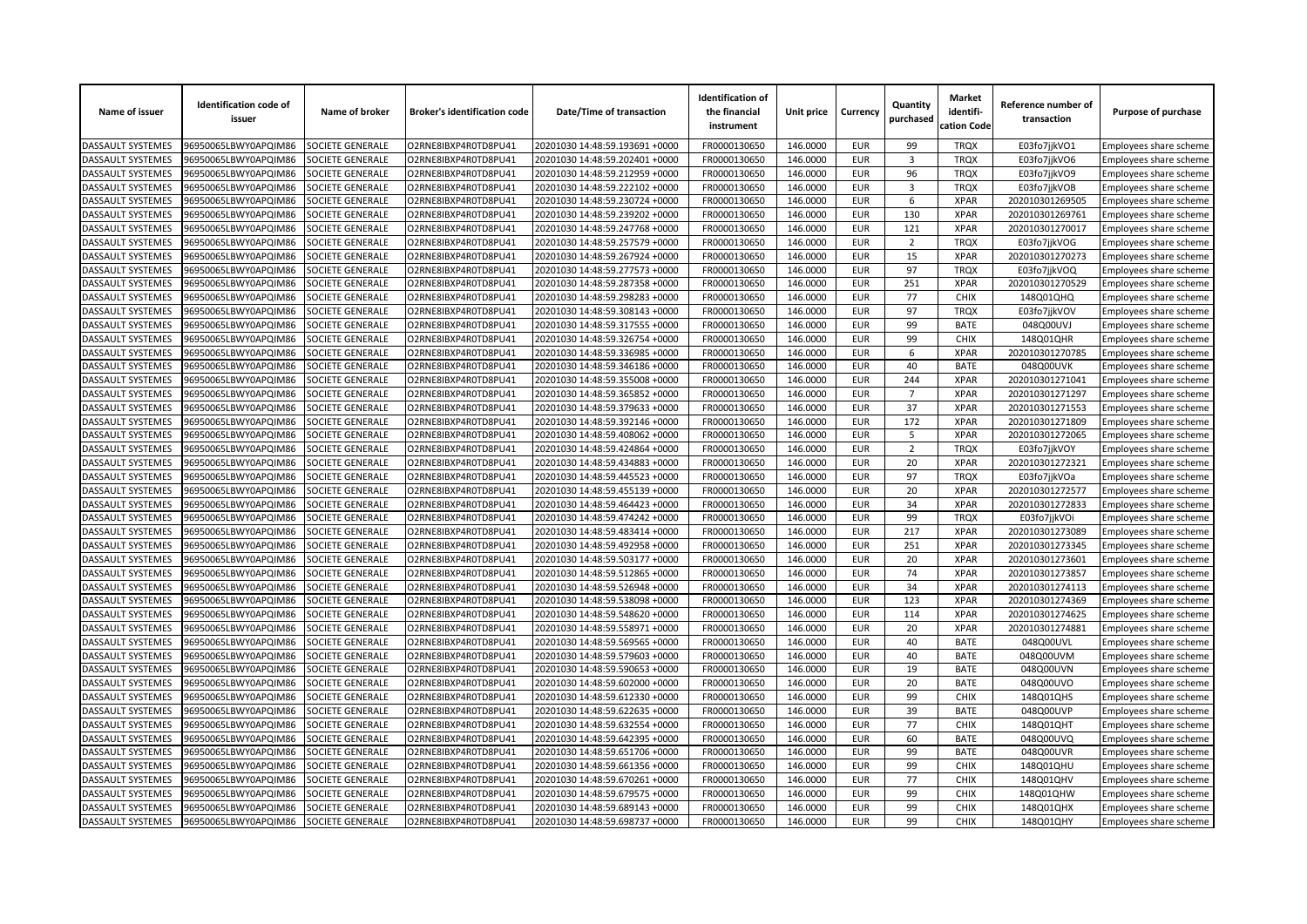| Name of issuer           | <b>Identification code of</b><br>issuer | Name of broker          | <b>Broker's identification code</b> | Date/Time of transaction       | <b>Identification of</b><br>the financial<br>instrument | Unit price | Currency   | Quantity<br>purchased   | <b>Market</b><br>identifi-<br>cation Code | Reference number of<br>transaction | Purpose of purchase    |
|--------------------------|-----------------------------------------|-------------------------|-------------------------------------|--------------------------------|---------------------------------------------------------|------------|------------|-------------------------|-------------------------------------------|------------------------------------|------------------------|
| <b>DASSAULT SYSTEMES</b> | 96950065LBWY0APQIM86                    | SOCIETE GENERALE        | O2RNE8IBXP4R0TD8PU41                | 20201030 14:48:59.193691 +0000 | FR0000130650                                            | 146.0000   | <b>EUR</b> | 99                      | <b>TRQX</b>                               | E03fo7jjkVO1                       | Employees share scheme |
| <b>DASSAULT SYSTEMES</b> | 96950065LBWY0APQIM86                    | <b>SOCIETE GENERALE</b> | O2RNE8IBXP4R0TD8PU41                | 20201030 14:48:59.202401 +0000 | FR0000130650                                            | 146.0000   | <b>EUR</b> | $\overline{\mathbf{3}}$ | <b>TRQX</b>                               | E03fo7jjkVO6                       | Employees share scheme |
| DASSAULT SYSTEMES        | 96950065LBWY0APQIM86                    | SOCIETE GENERALE        | O2RNE8IBXP4R0TD8PU41                | 20201030 14:48:59.212959 +0000 | FR0000130650                                            | 146.0000   | <b>EUR</b> | 96                      | <b>TRQX</b>                               | E03fo7jjkVO9                       | Employees share scheme |
| DASSAULT SYSTEMES        | 96950065LBWY0APQIM86                    | SOCIETE GENERALE        | O2RNE8IBXP4R0TD8PU41                | 20201030 14:48:59.222102 +0000 | FR0000130650                                            | 146.0000   | <b>EUR</b> | 3                       | <b>TRQX</b>                               | E03fo7jjkVOB                       | Employees share scheme |
| <b>DASSAULT SYSTEMES</b> | 96950065LBWY0APQIM86                    | SOCIETE GENERALE        | O2RNE8IBXP4R0TD8PU41                | 20201030 14:48:59.230724 +0000 | FR0000130650                                            | 146.0000   | <b>EUR</b> | 6                       | <b>XPAR</b>                               | 202010301269505                    | Employees share scheme |
| DASSAULT SYSTEMES        | 96950065LBWY0APQIM86                    | SOCIETE GENERALE        | O2RNE8IBXP4R0TD8PU41                | 20201030 14:48:59.239202 +0000 | FR0000130650                                            | 146.0000   | <b>EUR</b> | 130                     | <b>XPAR</b>                               | 202010301269761                    | Employees share scheme |
| DASSAULT SYSTEMES        | 96950065LBWY0APQIM86                    | SOCIETE GENERALE        | O2RNE8IBXP4R0TD8PU41                | 20201030 14:48:59.247768 +0000 | FR0000130650                                            | 146.0000   | <b>EUR</b> | 121                     | <b>XPAR</b>                               | 202010301270017                    | Employees share scheme |
| DASSAULT SYSTEMES        | 96950065LBWY0APQIM86                    | SOCIETE GENERALE        | O2RNE8IBXP4R0TD8PU41                | 20201030 14:48:59.257579 +0000 | FR0000130650                                            | 146.0000   | <b>EUR</b> | $\overline{2}$          | <b>TRQX</b>                               | E03fo7jjkVOG                       | Employees share scheme |
| DASSAULT SYSTEMES        | 96950065LBWY0APQIM86                    | SOCIETE GENERALE        | O2RNE8IBXP4R0TD8PU41                | 20201030 14:48:59.267924 +0000 | FR0000130650                                            | 146.0000   | <b>EUR</b> | 15                      | <b>XPAR</b>                               | 202010301270273                    | Employees share scheme |
| DASSAULT SYSTEMES        | 96950065LBWY0APQIM86                    | SOCIETE GENERALE        | O2RNE8IBXP4R0TD8PU41                | 20201030 14:48:59.277573 +0000 | FR0000130650                                            | 146.0000   | <b>EUR</b> | 97                      | <b>TRQX</b>                               | E03fo7jjkVOQ                       | Employees share scheme |
| DASSAULT SYSTEMES        | 96950065LBWY0APQIM86                    | SOCIETE GENERALE        | O2RNE8IBXP4R0TD8PU41                | 20201030 14:48:59.287358 +0000 | FR0000130650                                            | 146.0000   | <b>EUR</b> | 251                     | <b>XPAR</b>                               | 202010301270529                    | Employees share scheme |
| <b>DASSAULT SYSTEMES</b> | 96950065LBWY0APQIM86                    | SOCIETE GENERALE        | O2RNE8IBXP4R0TD8PU41                | 20201030 14:48:59.298283 +0000 | FR0000130650                                            | 146.0000   | <b>EUR</b> | 77                      | <b>CHIX</b>                               | 148Q01QHQ                          | Employees share scheme |
| DASSAULT SYSTEMES        | 96950065LBWY0APQIM86                    | SOCIETE GENERALE        | O2RNE8IBXP4R0TD8PU41                | 20201030 14:48:59.308143 +0000 | FR0000130650                                            | 146.0000   | <b>EUR</b> | 97                      | <b>TRQX</b>                               | E03fo7jjkVOV                       | Employees share scheme |
| DASSAULT SYSTEMES        | 96950065LBWY0APQIM86                    | SOCIETE GENERALE        | O2RNE8IBXP4R0TD8PU41                | 20201030 14:48:59.317555 +0000 | FR0000130650                                            | 146.0000   | <b>EUR</b> | 99                      | <b>BATE</b>                               | 048Q00UVJ                          | Employees share scheme |
| DASSAULT SYSTEMES        | 96950065LBWY0APQIM86                    | SOCIETE GENERALE        | O2RNE8IBXP4R0TD8PU41                | 20201030 14:48:59.326754 +0000 | FR0000130650                                            | 146.0000   | <b>EUR</b> | 99                      | <b>CHIX</b>                               | 148Q01QHR                          | Employees share scheme |
| DASSAULT SYSTEMES        | 96950065LBWY0APQIM86                    | SOCIETE GENERALE        | O2RNE8IBXP4R0TD8PU41                | 20201030 14:48:59.336985 +0000 | FR0000130650                                            | 146.0000   | <b>EUR</b> | 6                       | <b>XPAR</b>                               | 202010301270785                    | Employees share scheme |
| DASSAULT SYSTEMES        | 96950065LBWY0APQIM86                    | SOCIETE GENERALE        | O2RNE8IBXP4R0TD8PU41                | 20201030 14:48:59.346186 +0000 | FR0000130650                                            | 146.0000   | <b>EUR</b> | 40                      | <b>BATE</b>                               | 048Q00UVK                          | Employees share scheme |
| DASSAULT SYSTEMES        | 96950065LBWY0APQIM86                    | SOCIETE GENERALE        | O2RNE8IBXP4R0TD8PU41                | 20201030 14:48:59.355008 +0000 | FR0000130650                                            | 146.0000   | <b>EUR</b> | 244                     | <b>XPAR</b>                               | 202010301271041                    | Employees share scheme |
| DASSAULT SYSTEMES        | 96950065LBWY0APQIM86                    | SOCIETE GENERALE        | O2RNE8IBXP4R0TD8PU41                | 20201030 14:48:59.365852 +0000 | FR0000130650                                            | 146.0000   | <b>EUR</b> | $\overline{7}$          | <b>XPAR</b>                               | 202010301271297                    | Employees share scheme |
| DASSAULT SYSTEMES        | 96950065LBWY0APQIM86                    | SOCIETE GENERALE        | O2RNE8IBXP4R0TD8PU41                | 20201030 14:48:59.379633 +0000 | FR0000130650                                            | 146.0000   | <b>EUR</b> | 37                      | <b>XPAR</b>                               | 202010301271553                    | Employees share scheme |
| DASSAULT SYSTEMES        | 96950065LBWY0APQIM86                    | SOCIETE GENERALE        | O2RNE8IBXP4R0TD8PU41                | 20201030 14:48:59.392146 +0000 | FR0000130650                                            | 146.0000   | <b>EUR</b> | 172                     | <b>XPAR</b>                               | 202010301271809                    | Employees share scheme |
| <b>DASSAULT SYSTEMES</b> | 96950065LBWY0APQIM86                    | SOCIETE GENERALE        | O2RNE8IBXP4R0TD8PU41                | 20201030 14:48:59.408062 +0000 | FR0000130650                                            | 146.0000   | <b>EUR</b> | 5                       | <b>XPAR</b>                               | 202010301272065                    | Employees share scheme |
| DASSAULT SYSTEMES        | 96950065LBWY0APQIM86                    | SOCIETE GENERALE        | O2RNE8IBXP4R0TD8PU41                | 20201030 14:48:59.424864 +0000 | FR0000130650                                            | 146.0000   | <b>EUR</b> | $\overline{2}$          | <b>TRQX</b>                               | E03fo7jjkVOY                       | Employees share scheme |
| DASSAULT SYSTEMES        | 96950065LBWY0APQIM86                    | SOCIETE GENERALE        | O2RNE8IBXP4R0TD8PU41                | 20201030 14:48:59.434883 +0000 | FR0000130650                                            | 146.0000   | <b>EUR</b> | 20                      | <b>XPAR</b>                               | 202010301272321                    | Employees share scheme |
| DASSAULT SYSTEMES        | 96950065LBWY0APQIM86                    | SOCIETE GENERALE        | O2RNE8IBXP4R0TD8PU41                | 20201030 14:48:59.445523 +0000 | FR0000130650                                            | 146.0000   | <b>EUR</b> | 97                      | <b>TRQX</b>                               | E03fo7jjkVOa                       | Employees share scheme |
| DASSAULT SYSTEMES        | 96950065LBWY0APQIM86                    | SOCIETE GENERALE        | O2RNE8IBXP4R0TD8PU41                | 20201030 14:48:59.455139 +0000 | FR0000130650                                            | 146.0000   | <b>EUR</b> | 20                      | <b>XPAR</b>                               | 202010301272577                    | Employees share scheme |
| <b>DASSAULT SYSTEMES</b> | 96950065LBWY0APQIM86                    | SOCIETE GENERALE        | O2RNE8IBXP4R0TD8PU41                | 20201030 14:48:59.464423 +0000 | FR0000130650                                            | 146.0000   | <b>EUR</b> | 34                      | <b>XPAR</b>                               | 202010301272833                    | Employees share scheme |
| DASSAULT SYSTEMES        | 96950065LBWY0APQIM86                    | <b>SOCIETE GENERALE</b> | O2RNE8IBXP4R0TD8PU41                | 20201030 14:48:59.474242 +0000 | FR0000130650                                            | 146.0000   | <b>EUR</b> | 99                      | <b>TRQX</b>                               | E03fo7jjkVOi                       | Employees share scheme |
| DASSAULT SYSTEMES        | 96950065LBWY0APQIM86                    | SOCIETE GENERALE        | O2RNE8IBXP4R0TD8PU41                | 20201030 14:48:59.483414 +0000 | FR0000130650                                            | 146.0000   | <b>EUR</b> | 217                     | <b>XPAR</b>                               | 202010301273089                    | Employees share scheme |
| DASSAULT SYSTEMES        | 96950065LBWY0APQIM86                    | SOCIETE GENERALE        | O2RNE8IBXP4R0TD8PU41                | 20201030 14:48:59.492958 +0000 | FR0000130650                                            | 146.0000   | <b>EUR</b> | 251                     | <b>XPAR</b>                               | 202010301273345                    | Employees share scheme |
| DASSAULT SYSTEMES        | 96950065LBWY0APQIM86                    | SOCIETE GENERALE        | O2RNE8IBXP4R0TD8PU41                | 20201030 14:48:59.503177 +0000 | FR0000130650                                            | 146.0000   | <b>EUR</b> | 20                      | <b>XPAR</b>                               | 202010301273601                    | Employees share scheme |
| <b>DASSAULT SYSTEMES</b> | 96950065LBWY0APQIM86                    | <b>SOCIETE GENERALE</b> | O2RNE8IBXP4R0TD8PU41                | 20201030 14:48:59.512865 +0000 | FR0000130650                                            | 146.0000   | <b>EUR</b> | 74                      | <b>XPAR</b>                               | 202010301273857                    | Employees share scheme |
| DASSAULT SYSTEMES        | 96950065LBWY0APQIM86                    | SOCIETE GENERALE        | O2RNE8IBXP4R0TD8PU41                | 20201030 14:48:59.526948 +0000 | FR0000130650                                            | 146.0000   | <b>EUR</b> | 34                      | <b>XPAR</b>                               | 202010301274113                    | Employees share scheme |
| DASSAULT SYSTEMES        | 96950065LBWY0APQIM86                    | SOCIETE GENERALE        | O2RNE8IBXP4R0TD8PU41                | 20201030 14:48:59.538098 +0000 | FR0000130650                                            | 146.0000   | <b>EUR</b> | 123                     | <b>XPAR</b>                               | 202010301274369                    | Employees share scheme |
| DASSAULT SYSTEMES        | 96950065LBWY0APQIM86                    | SOCIETE GENERALE        | O2RNE8IBXP4R0TD8PU41                | 20201030 14:48:59.548620 +0000 | FR0000130650                                            | 146.0000   | <b>EUR</b> | 114                     | <b>XPAR</b>                               | 202010301274625                    | Employees share scheme |
| DASSAULT SYSTEMES        | 96950065LBWY0APQIM86                    | SOCIETE GENERALE        | O2RNE8IBXP4R0TD8PU41                | 20201030 14:48:59.558971 +0000 | FR0000130650                                            | 146.0000   | <b>EUR</b> | 20                      | <b>XPAR</b>                               | 202010301274881                    | Employees share scheme |
| <b>DASSAULT SYSTEMES</b> | 96950065LBWY0APQIM86                    | SOCIETE GENERALE        | O2RNE8IBXP4R0TD8PU41                | 20201030 14:48:59.569565 +0000 | FR0000130650                                            | 146.0000   | <b>EUR</b> | 40                      | <b>BATE</b>                               | 048Q00UVL                          | Employees share scheme |
| DASSAULT SYSTEMES        | 96950065LBWY0APQIM86                    | SOCIETE GENERALE        | O2RNE8IBXP4R0TD8PU41                | 20201030 14:48:59.579603 +0000 | FR0000130650                                            | 146.0000   | <b>EUR</b> | 40                      | <b>BATE</b>                               | 048Q00UVM                          | Employees share scheme |
| DASSAULT SYSTEMES        | 96950065LBWY0APQIM86                    | SOCIETE GENERALE        | O2RNE8IBXP4R0TD8PU41                | 20201030 14:48:59.590653 +0000 | FR0000130650                                            | 146.0000   | <b>EUR</b> | 19                      | <b>BATE</b>                               | 048Q00UVN                          | Employees share scheme |
| DASSAULT SYSTEMES        | 96950065LBWY0APQIM86                    | SOCIETE GENERALE        | O2RNE8IBXP4R0TD8PU41                | 20201030 14:48:59.602000 +0000 | FR0000130650                                            | 146.0000   | <b>EUR</b> | 20                      | <b>BATE</b>                               | 048Q00UVO                          | Employees share scheme |
| DASSAULT SYSTEMES        | 96950065LBWY0APQIM86                    | SOCIETE GENERALE        | O2RNE8IBXP4R0TD8PU41                | 20201030 14:48:59.612330 +0000 | FR0000130650                                            | 146.0000   | <b>EUR</b> | 99                      | <b>CHIX</b>                               | 148Q01QHS                          | Employees share scheme |
| DASSAULT SYSTEMES        | 96950065LBWY0APQIM86                    | SOCIETE GENERALE        | O2RNE8IBXP4R0TD8PU41                | 20201030 14:48:59.622635 +0000 | FR0000130650                                            | 146.0000   | <b>EUR</b> | 39                      | <b>BATE</b>                               | 048Q00UVP                          | Employees share scheme |
| <b>DASSAULT SYSTEMES</b> | 96950065LBWY0APQIM86                    | SOCIETE GENERALE        | O2RNE8IBXP4R0TD8PU41                | 20201030 14:48:59.632554 +0000 | FR0000130650                                            | 146.0000   | <b>EUR</b> | 77                      | <b>CHIX</b>                               | 148Q01QHT                          | Employees share scheme |
| DASSAULT SYSTEMES        | 96950065LBWY0APQIM86                    | SOCIETE GENERALE        | O2RNE8IBXP4R0TD8PU41                | 20201030 14:48:59.642395 +0000 | FR0000130650                                            | 146.0000   | <b>EUR</b> | 60                      | <b>BATE</b>                               | 048Q00UVQ                          | Employees share scheme |
| DASSAULT SYSTEMES        | 96950065LBWY0APQIM86                    | SOCIETE GENERALE        | O2RNE8IBXP4R0TD8PU41                | 20201030 14:48:59.651706 +0000 | FR0000130650                                            | 146.0000   | <b>EUR</b> | 99                      | <b>BATE</b>                               | 048Q00UVR                          | Employees share scheme |
| DASSAULT SYSTEMES        | 96950065LBWY0APQIM86                    | SOCIETE GENERALE        | O2RNE8IBXP4R0TD8PU41                | 20201030 14:48:59.661356 +0000 | FR0000130650                                            | 146.0000   | <b>EUR</b> | 99                      | <b>CHIX</b>                               | 148Q01QHU                          | Employees share scheme |
| DASSAULT SYSTEMES        | 96950065LBWY0APQIM86                    | SOCIETE GENERALE        | O2RNE8IBXP4R0TD8PU41                | 20201030 14:48:59.670261 +0000 | FR0000130650                                            | 146.0000   | <b>EUR</b> | 77                      | <b>CHIX</b>                               | 148Q01QHV                          |                        |
| DASSAULT SYSTEMES        | 96950065LBWY0APQIM86                    | <b>SOCIETE GENERALE</b> | O2RNE8IBXP4R0TD8PU41                | 20201030 14:48:59.679575 +0000 | FR0000130650                                            | 146.0000   | <b>EUR</b> | 99                      | <b>CHIX</b>                               | 148Q01QHW                          | Employees share scheme |
|                          |                                         |                         |                                     |                                |                                                         |            | <b>EUR</b> | 99                      | <b>CHIX</b>                               |                                    | Employees share scheme |
| DASSAULT SYSTEMES        | 96950065LBWY0APQIM86                    | SOCIETE GENERALE        | O2RNE8IBXP4R0TD8PU41                | 20201030 14:48:59.689143 +0000 | FR0000130650                                            | 146.0000   |            |                         |                                           | 148Q01QHX                          | Employees share scheme |
| <b>DASSAULT SYSTEMES</b> | 96950065LBWY0APQIM86                    | <b>SOCIETE GENERALE</b> | O2RNE8IBXP4R0TD8PU41                | 20201030 14:48:59.698737 +0000 | FR0000130650                                            | 146.0000   | <b>EUR</b> | 99                      | <b>CHIX</b>                               | 148Q01QHY                          | Employees share scheme |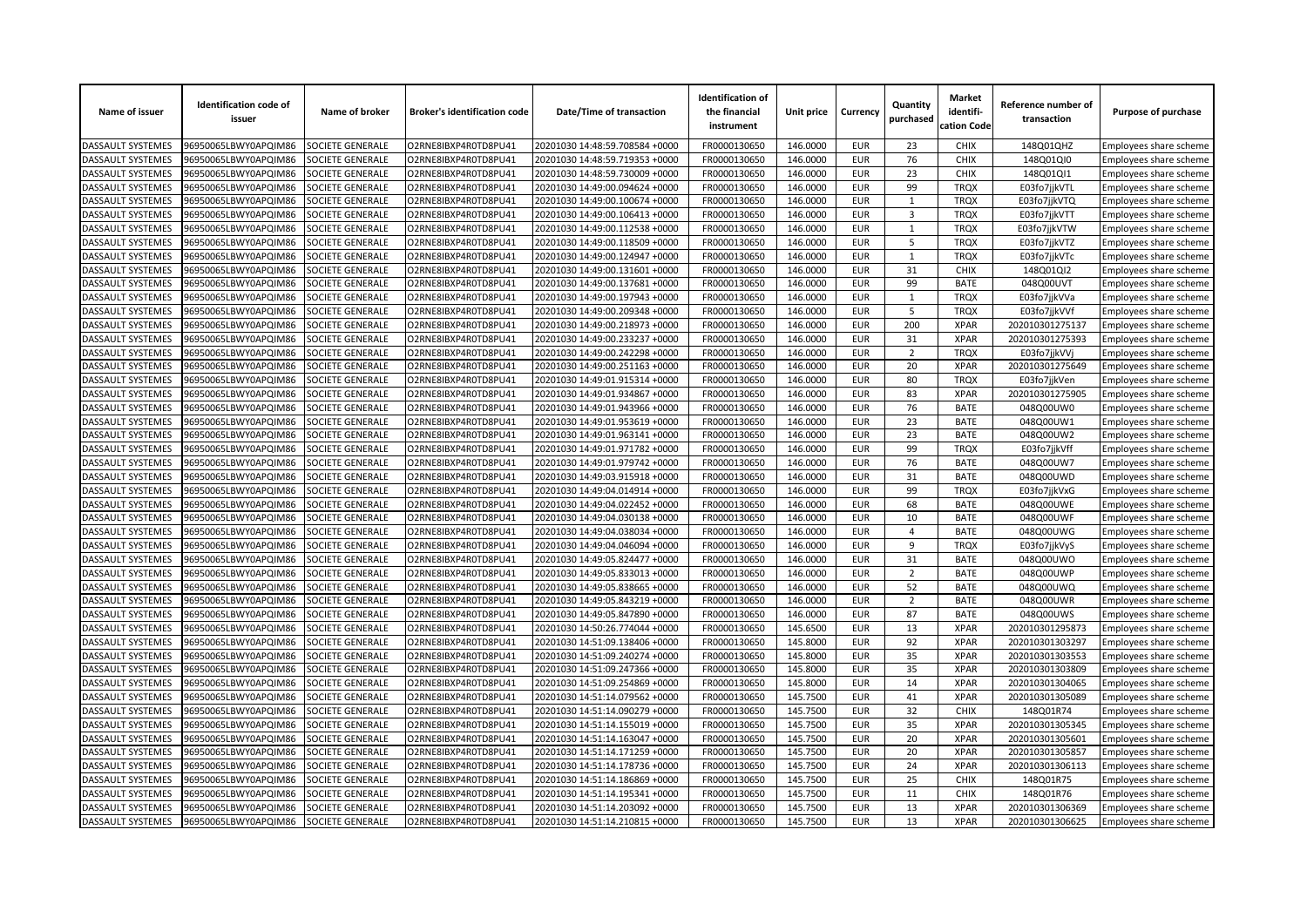| Name of issuer           | <b>Identification code of</b><br>issuer | Name of broker          | <b>Broker's identification code</b> | Date/Time of transaction       | <b>Identification of</b><br>the financial<br>instrument | Unit price | Currency                 | Quantity<br>purchased | <b>Market</b><br>identifi-<br>cation Code | Reference number of<br>transaction | Purpose of purchase    |
|--------------------------|-----------------------------------------|-------------------------|-------------------------------------|--------------------------------|---------------------------------------------------------|------------|--------------------------|-----------------------|-------------------------------------------|------------------------------------|------------------------|
| DASSAULT SYSTEMES        | 96950065LBWY0APQIM86                    | SOCIETE GENERALE        | O2RNE8IBXP4R0TD8PU41                | 20201030 14:48:59.708584 +0000 | FR0000130650                                            | 146.0000   | <b>EUR</b>               | 23                    | <b>CHIX</b>                               | 148Q01QHZ                          | Employees share scheme |
| DASSAULT SYSTEMES        | 96950065LBWY0APQIM86                    | SOCIETE GENERALE        | O2RNE8IBXP4R0TD8PU41                | 20201030 14:48:59.719353 +0000 | FR0000130650                                            | 146.0000   | <b>EUR</b>               | 76                    | <b>CHIX</b>                               | 148Q01QI0                          | Employees share scheme |
| DASSAULT SYSTEMES        | 96950065LBWY0APQIM86                    | SOCIETE GENERALE        | O2RNE8IBXP4R0TD8PU41                | 20201030 14:48:59.730009 +0000 | FR0000130650                                            | 146.0000   | <b>EUR</b>               | 23                    | <b>CHIX</b>                               | 148Q01QI1                          | Employees share scheme |
| DASSAULT SYSTEMES        | 96950065LBWY0APQIM86                    | SOCIETE GENERALE        | O2RNE8IBXP4R0TD8PU41                | 20201030 14:49:00.094624 +0000 | FR0000130650                                            | 146.0000   | <b>EUR</b>               | 99                    | <b>TRQX</b>                               | E03fo7jjkVTL                       | Employees share scheme |
| DASSAULT SYSTEMES        | 96950065LBWY0APQIM86                    | SOCIETE GENERALE        | O2RNE8IBXP4R0TD8PU41                | 20201030 14:49:00.100674 +0000 | FR0000130650                                            | 146.0000   | <b>EUR</b>               | 1                     | <b>TRQX</b>                               | E03fo7jjkVTQ                       | Employees share scheme |
| DASSAULT SYSTEMES        | 96950065LBWY0APQIM86                    | SOCIETE GENERALE        | O2RNE8IBXP4R0TD8PU41                | 20201030 14:49:00.106413 +0000 | FR0000130650                                            | 146.0000   | <b>EUR</b>               | $\overline{3}$        | <b>TRQX</b>                               | E03fo7jjkVTT                       | Employees share scheme |
| DASSAULT SYSTEMES        | 96950065LBWY0APQIM86                    | SOCIETE GENERALE        | O2RNE8IBXP4R0TD8PU41                | 20201030 14:49:00.112538 +0000 | FR0000130650                                            | 146.0000   | <b>EUR</b>               | $\mathbf{1}$          | <b>TRQX</b>                               | E03fo7jjkVTW                       | Employees share scheme |
| <b>DASSAULT SYSTEMES</b> | 96950065LBWY0APQIM86                    | SOCIETE GENERALE        | O2RNE8IBXP4R0TD8PU41                | 20201030 14:49:00.118509 +0000 | FR0000130650                                            | 146.0000   | <b>EUR</b>               | 5                     | <b>TROX</b>                               | E03fo7jjkVTZ                       | Employees share scheme |
| DASSAULT SYSTEMES        | 96950065LBWY0APQIM86                    | SOCIETE GENERALE        | O2RNE8IBXP4R0TD8PU41                | 20201030 14:49:00.124947 +0000 | FR0000130650                                            | 146.0000   | <b>EUR</b>               | 1                     | <b>TRQX</b>                               | E03fo7jjkVTc                       | Employees share scheme |
| DASSAULT SYSTEMES        | 96950065LBWY0APQIM86                    | SOCIETE GENERALE        | O2RNE8IBXP4R0TD8PU41                | 20201030 14:49:00.131601 +0000 | FR0000130650                                            | 146.0000   | <b>EUR</b>               | 31                    | <b>CHIX</b>                               | 148Q01QI2                          | Employees share scheme |
| DASSAULT SYSTEMES        | 96950065LBWY0APQIM86                    | SOCIETE GENERALE        | O2RNE8IBXP4R0TD8PU41                | 20201030 14:49:00.137681 +0000 | FR0000130650                                            | 146.0000   | <b>EUR</b>               | 99                    | <b>BATE</b>                               | 048Q00UVT                          | Employees share scheme |
| DASSAULT SYSTEMES        | 96950065LBWY0APQIM86                    | SOCIETE GENERALE        | O2RNE8IBXP4R0TD8PU41                | 20201030 14:49:00.197943 +0000 | FR0000130650                                            | 146.0000   | <b>EUR</b>               | $\mathbf{1}$          | <b>TRQX</b>                               | E03fo7jjkVVa                       | Employees share scheme |
| DASSAULT SYSTEMES        | 96950065LBWY0APQIM86                    | SOCIETE GENERALE        | O2RNE8IBXP4R0TD8PU41                | 20201030 14:49:00.209348 +0000 | FR0000130650                                            | 146.0000   | <b>EUR</b>               | 5                     | <b>TRQX</b>                               | E03fo7jjkVVf                       | Employees share scheme |
| DASSAULT SYSTEMES        | 96950065LBWY0APQIM86                    | SOCIETE GENERALE        | O2RNE8IBXP4R0TD8PU41                | 20201030 14:49:00.218973 +0000 | FR0000130650                                            | 146.0000   | <b>EUR</b>               | 200                   | <b>XPAR</b>                               | 202010301275137                    | Employees share scheme |
| DASSAULT SYSTEMES        | 96950065LBWY0APQIM86                    | <b>SOCIETE GENERALE</b> | O2RNE8IBXP4R0TD8PU41                | 20201030 14:49:00.233237 +0000 | FR0000130650                                            | 146.0000   | <b>EUR</b>               | 31                    | <b>XPAR</b>                               | 202010301275393                    | Employees share scheme |
| DASSAULT SYSTEMES        | 96950065LBWY0APQIM86                    | SOCIETE GENERALE        | O2RNE8IBXP4R0TD8PU41                | 20201030 14:49:00.242298 +0000 | FR0000130650                                            | 146.0000   | <b>EUR</b>               | $\overline{2}$        | <b>TRQX</b>                               | E03fo7jjkVVj                       | Employees share scheme |
| DASSAULT SYSTEMES        | 96950065LBWY0APQIM86                    | SOCIETE GENERALE        | O2RNE8IBXP4R0TD8PU41                | 20201030 14:49:00.251163 +0000 | FR0000130650                                            | 146.0000   | <b>EUR</b>               | 20                    | <b>XPAR</b>                               | 202010301275649                    | Employees share scheme |
| DASSAULT SYSTEMES        | 96950065LBWY0APQIM86                    | SOCIETE GENERALE        | O2RNE8IBXP4R0TD8PU41                | 20201030 14:49:01.915314 +0000 | FR0000130650                                            | 146.0000   | <b>EUR</b>               | 80                    | <b>TRQX</b>                               | E03fo7jjkVen                       | Employees share scheme |
| <b>DASSAULT SYSTEMES</b> | 96950065LBWY0APQIM86                    | SOCIETE GENERALE        | O2RNE8IBXP4R0TD8PU41                | 20201030 14:49:01.934867 +0000 | FR0000130650                                            | 146.0000   | <b>EUR</b>               | 83                    | <b>XPAR</b>                               | 202010301275905                    | Employees share scheme |
| DASSAULT SYSTEMES        | 96950065LBWY0APQIM86                    | SOCIETE GENERALE        | O2RNE8IBXP4R0TD8PU41                | 20201030 14:49:01.943966 +0000 | FR0000130650                                            | 146.0000   | <b>EUR</b>               | 76                    | <b>BATE</b>                               | 048Q00UW0                          | Employees share scheme |
| DASSAULT SYSTEMES        | 96950065LBWY0APQIM86                    | SOCIETE GENERALE        | O2RNE8IBXP4R0TD8PU41                | 20201030 14:49:01.953619 +0000 | FR0000130650                                            | 146.0000   | <b>EUR</b>               | 23                    | <b>BATE</b>                               | 048Q00UW1                          | Employees share scheme |
| <b>DASSAULT SYSTEMES</b> | 96950065LBWY0APQIM86                    | SOCIETE GENERALE        | O2RNE8IBXP4R0TD8PU41                | 20201030 14:49:01.963141 +0000 | FR0000130650                                            | 146.0000   | <b>EUR</b>               | 23                    | <b>BATE</b>                               | 048Q00UW2                          | Employees share scheme |
| DASSAULT SYSTEMES        | 96950065LBWY0APQIM86                    | SOCIETE GENERALE        | O2RNE8IBXP4R0TD8PU41                | 20201030 14:49:01.971782 +0000 | FR0000130650                                            | 146.0000   | <b>EUR</b>               | 99                    | <b>TRQX</b>                               | E03fo7jjkVff                       | Employees share scheme |
| <b>DASSAULT SYSTEMES</b> | 96950065LBWY0APQIM86                    | SOCIETE GENERALE        | O2RNE8IBXP4R0TD8PU41                | 20201030 14:49:01.979742 +0000 | FR0000130650                                            | 146.0000   | <b>EUR</b>               | 76                    | <b>BATE</b>                               | 048Q00UW7                          | Employees share scheme |
| <b>DASSAULT SYSTEMES</b> | 96950065LBWY0APQIM86                    | <b>SOCIETE GENERALE</b> | O2RNE8IBXP4R0TD8PU41                | 20201030 14:49:03.915918 +0000 | FR0000130650                                            | 146.0000   | <b>EUR</b>               | 31                    | <b>BATE</b>                               | 048Q00UWD                          | Employees share scheme |
| DASSAULT SYSTEMES        | 96950065LBWY0APQIM86                    | SOCIETE GENERALE        | O2RNE8IBXP4R0TD8PU41                | 20201030 14:49:04.014914 +0000 | FR0000130650                                            | 146.0000   | <b>EUR</b>               | 99                    | <b>TRQX</b>                               | E03fo7jjkVxG                       | Employees share scheme |
| DASSAULT SYSTEMES        | 96950065LBWY0APQIM86                    | SOCIETE GENERALE        | O2RNE8IBXP4R0TD8PU41                | 20201030 14:49:04.022452 +0000 | FR0000130650                                            | 146.0000   | <b>EUR</b>               | 68                    | <b>BATE</b>                               | 048Q00UWE                          | Employees share scheme |
| <b>DASSAULT SYSTEMES</b> | 96950065LBWY0APQIM86                    | SOCIETE GENERALE        | O2RNE8IBXP4R0TD8PU41                | 20201030 14:49:04.030138 +0000 | FR0000130650                                            | 146.0000   | <b>EUR</b>               | 10                    | <b>BATE</b>                               | 048Q00UWF                          | Employees share scheme |
| DASSAULT SYSTEMES        | 96950065LBWY0APQIM86                    | SOCIETE GENERALE        | O2RNE8IBXP4R0TD8PU41                | 20201030 14:49:04.038034 +0000 | FR0000130650                                            | 146.0000   | <b>EUR</b>               | 4                     | <b>BATE</b>                               | 048Q00UWG                          | Employees share scheme |
| DASSAULT SYSTEMES        | 96950065LBWY0APQIM86                    | SOCIETE GENERALE        | O2RNE8IBXP4R0TD8PU41                | 20201030 14:49:04.046094 +0000 | FR0000130650                                            | 146.0000   | <b>EUR</b>               | 9                     | <b>TROX</b>                               | E03fo7jjkVyS                       | Employees share scheme |
| DASSAULT SYSTEMES        | 96950065LBWY0APQIM86                    | SOCIETE GENERALE        | O2RNE8IBXP4R0TD8PU41                | 20201030 14:49:05.824477 +0000 | FR0000130650                                            | 146.0000   | <b>EUR</b>               | 31                    | <b>BATE</b>                               | 048Q00UWO                          | Employees share scheme |
| DASSAULT SYSTEMES        | 96950065LBWY0APQIM86                    | SOCIETE GENERALE        | O2RNE8IBXP4R0TD8PU41                | 20201030 14:49:05.833013 +0000 | FR0000130650                                            | 146.0000   | <b>EUR</b>               | $\overline{2}$        | <b>BATE</b>                               | 048Q00UWP                          | Employees share scheme |
| DASSAULT SYSTEMES        | 96950065LBWY0APQIM86                    | SOCIETE GENERALE        | O2RNE8IBXP4R0TD8PU41                | 20201030 14:49:05.838665 +0000 | FR0000130650                                            | 146.0000   | <b>EUR</b>               | 52                    | <b>BATE</b>                               | 048Q00UWQ                          | Employees share scheme |
| DASSAULT SYSTEMES        | 96950065LBWY0APQIM86                    | SOCIETE GENERALE        | O2RNE8IBXP4R0TD8PU41                | 20201030 14:49:05.843219 +0000 | FR0000130650                                            | 146.0000   | <b>EUR</b>               | $\overline{2}$        | <b>BATE</b>                               | 048Q00UWR                          |                        |
| DASSAULT SYSTEMES        | 96950065LBWY0APQIM86                    | SOCIETE GENERALE        | O2RNE8IBXP4R0TD8PU41                | 20201030 14:49:05.847890 +0000 | FR0000130650                                            | 146.0000   | <b>EUR</b>               | 87                    | <b>BATE</b>                               | 048Q00UWS                          | Employees share scheme |
| <b>DASSAULT SYSTEMES</b> | 96950065LBWY0APQIM86                    | SOCIETE GENERALE        | O2RNE8IBXP4R0TD8PU41                | 20201030 14:50:26.774044 +0000 | FR0000130650                                            | 145.6500   | <b>EUR</b>               | 13                    | <b>XPAR</b>                               | 202010301295873                    | Employees share scheme |
| <b>DASSAULT SYSTEMES</b> | 96950065LBWY0APQIM86                    | SOCIETE GENERALE        | O2RNE8IBXP4R0TD8PU41                | 20201030 14:51:09.138406 +0000 | FR0000130650                                            | 145.8000   | <b>EUR</b>               | 92                    | <b>XPAR</b>                               | 202010301303297                    | Employees share scheme |
|                          |                                         |                         |                                     |                                |                                                         |            |                          |                       | <b>XPAR</b>                               |                                    | Employees share scheme |
| <b>DASSAULT SYSTEMES</b> | 96950065LBWY0APQIM86                    | SOCIETE GENERALE        | O2RNE8IBXP4R0TD8PU41                | 20201030 14:51:09.240274 +0000 | FR0000130650                                            | 145.8000   | <b>EUR</b><br><b>EUR</b> | 35<br>35              | <b>XPAR</b>                               | 202010301303553                    | Employees share scheme |
| DASSAULT SYSTEMES        | 96950065LBWY0APQIM86                    | SOCIETE GENERALE        | O2RNE8IBXP4R0TD8PU41                | 20201030 14:51:09.247366 +0000 | FR0000130650                                            | 145.8000   |                          |                       |                                           | 202010301303809                    | Employees share scheme |
| DASSAULT SYSTEMES        | 96950065LBWY0APQIM86                    | SOCIETE GENERALE        | O2RNE8IBXP4R0TD8PU41                | 20201030 14:51:09.254869 +0000 | FR0000130650                                            | 145.8000   | <b>EUR</b>               | 14                    | <b>XPAR</b>                               | 202010301304065                    | Employees share scheme |
| DASSAULT SYSTEMES        | 96950065LBWY0APQIM86                    | SOCIETE GENERALE        | O2RNE8IBXP4R0TD8PU41                | 20201030 14:51:14.079562 +0000 | FR0000130650                                            | 145.7500   | <b>EUR</b>               | 41                    | <b>XPAR</b><br><b>CHIX</b>                | 202010301305089                    | Employees share scheme |
| DASSAULT SYSTEMES        | 96950065LBWY0APQIM86                    | SOCIETE GENERALE        | O2RNE8IBXP4R0TD8PU41                | 20201030 14:51:14.090279 +0000 | FR0000130650                                            | 145.7500   | <b>EUR</b>               | 32                    |                                           | 148Q01R74                          | Employees share scheme |
| DASSAULT SYSTEMES        | 96950065LBWY0APQIM86                    | SOCIETE GENERALE        | O2RNE8IBXP4R0TD8PU41                | 20201030 14:51:14.155019 +0000 | FR0000130650                                            | 145.7500   | <b>EUR</b>               | 35                    | <b>XPAR</b>                               | 202010301305345                    | Employees share scheme |
| DASSAULT SYSTEMES        | 96950065LBWY0APQIM86                    | SOCIETE GENERALE        | O2RNE8IBXP4R0TD8PU41                | 20201030 14:51:14.163047 +0000 | FR0000130650                                            | 145.7500   | <b>EUR</b>               | 20                    | <b>XPAR</b>                               | 202010301305601                    | Employees share scheme |
| DASSAULT SYSTEMES        | 96950065LBWY0APQIM86                    | SOCIETE GENERALE        | O2RNE8IBXP4R0TD8PU41                | 20201030 14:51:14.171259 +0000 | FR0000130650                                            | 145.7500   | <b>EUR</b>               | 20                    | <b>XPAR</b>                               | 202010301305857                    | Employees share scheme |
| DASSAULT SYSTEMES        | 96950065LBWY0APQIM86                    | SOCIETE GENERALE        | O2RNE8IBXP4R0TD8PU41                | 20201030 14:51:14.178736 +0000 | FR0000130650                                            | 145.7500   | <b>EUR</b>               | 24                    | <b>XPAR</b>                               | 202010301306113                    | Employees share scheme |
| DASSAULT SYSTEMES        | 96950065LBWY0APQIM86                    | SOCIETE GENERALE        | O2RNE8IBXP4R0TD8PU41                | 20201030 14:51:14.186869 +0000 | FR0000130650                                            | 145.7500   | <b>EUR</b>               | 25                    | CHIX                                      | 148Q01R75                          | Employees share scheme |
| <b>DASSAULT SYSTEMES</b> | 96950065LBWY0APQIM86                    | SOCIETE GENERALE        | O2RNE8IBXP4R0TD8PU41                | 20201030 14:51:14.195341 +0000 | FR0000130650                                            | 145.7500   | <b>EUR</b>               | 11                    | <b>CHIX</b>                               | 148Q01R76                          | Employees share scheme |
| DASSAULT SYSTEMES        | 96950065LBWY0APQIM86                    | SOCIETE GENERALE        | O2RNE8IBXP4R0TD8PU41                | 20201030 14:51:14.203092 +0000 | FR0000130650                                            | 145.7500   | <b>EUR</b>               | 13                    | <b>XPAR</b>                               | 202010301306369                    | Employees share scheme |
| <b>DASSAULT SYSTEMES</b> | 96950065LBWY0APQIM86                    | SOCIETE GENERALE        | O2RNE8IBXP4R0TD8PU41                | 20201030 14:51:14.210815 +0000 | FR0000130650                                            | 145.7500   | <b>EUR</b>               | 13                    | <b>XPAR</b>                               | 202010301306625                    | Employees share scheme |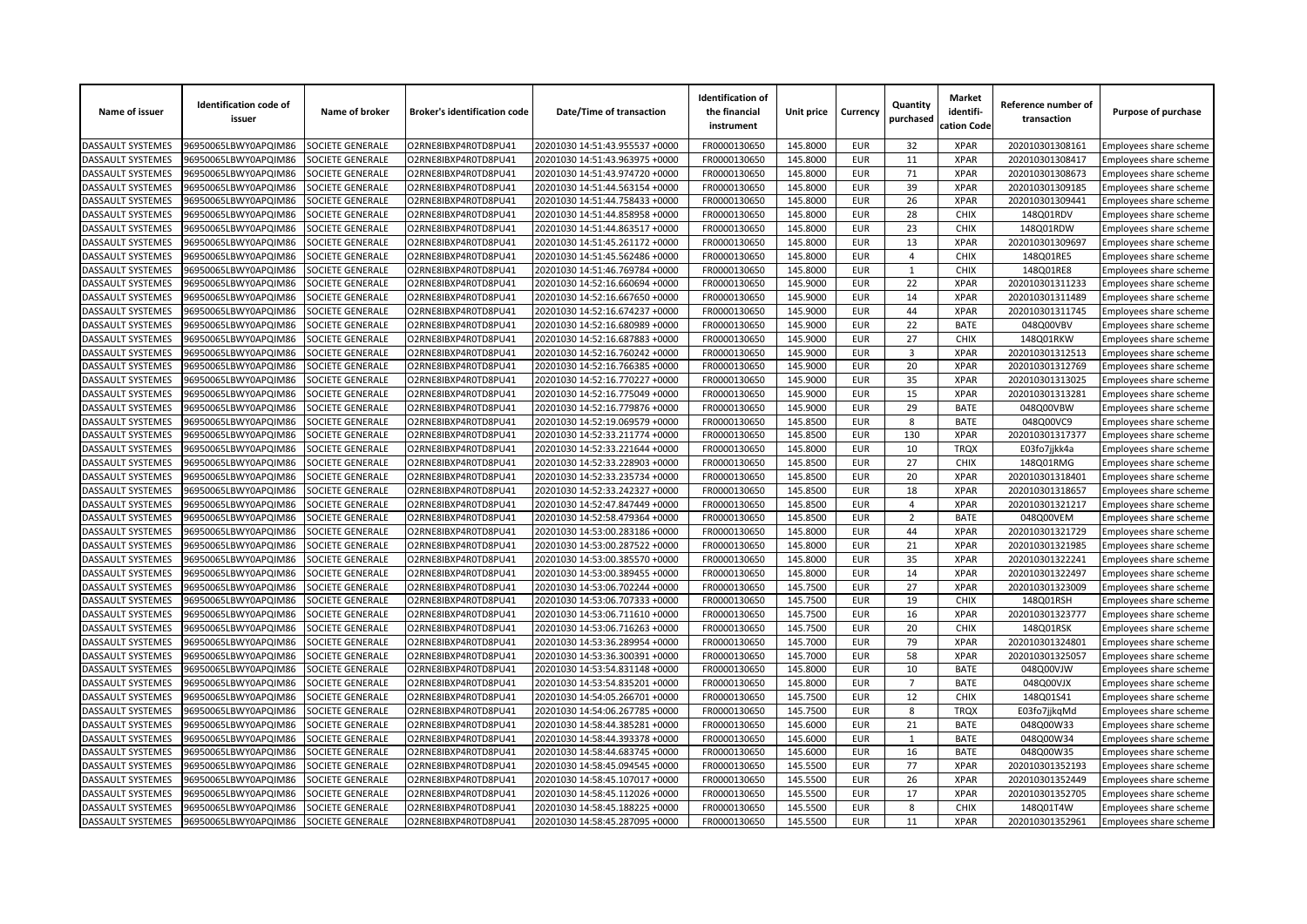| Name of issuer           | <b>Identification code of</b><br>issuer | Name of broker          | <b>Broker's identification code</b> | Date/Time of transaction       | <b>Identification of</b><br>the financial<br>instrument | Unit price | Currency   | Quantity<br>purchased   | <b>Market</b><br>identifi-<br>cation Code | Reference number of<br>transaction | Purpose of purchase    |
|--------------------------|-----------------------------------------|-------------------------|-------------------------------------|--------------------------------|---------------------------------------------------------|------------|------------|-------------------------|-------------------------------------------|------------------------------------|------------------------|
| <b>DASSAULT SYSTEMES</b> | 96950065LBWY0APQIM86                    | SOCIETE GENERALE        | O2RNE8IBXP4R0TD8PU41                | 20201030 14:51:43.955537 +0000 | FR0000130650                                            | 145.8000   | <b>EUR</b> | 32                      | <b>XPAR</b>                               | 202010301308161                    | Employees share scheme |
| <b>DASSAULT SYSTEMES</b> | 96950065LBWY0APQIM86                    | <b>SOCIETE GENERALE</b> | O2RNE8IBXP4R0TD8PU41                | 20201030 14:51:43.963975 +0000 | FR0000130650                                            | 145.8000   | <b>EUR</b> | 11                      | <b>XPAR</b>                               | 202010301308417                    | Employees share scheme |
| DASSAULT SYSTEMES        | 96950065LBWY0APQIM86                    | SOCIETE GENERALE        | O2RNE8IBXP4R0TD8PU41                | 20201030 14:51:43.974720 +0000 | FR0000130650                                            | 145.8000   | <b>EUR</b> | 71                      | <b>XPAR</b>                               | 202010301308673                    | Employees share scheme |
| DASSAULT SYSTEMES        | 96950065LBWY0APQIM86                    | SOCIETE GENERALE        | O2RNE8IBXP4R0TD8PU41                | 20201030 14:51:44.563154 +0000 | FR0000130650                                            | 145.8000   | <b>EUR</b> | 39                      | <b>XPAR</b>                               | 202010301309185                    | Employees share scheme |
| <b>DASSAULT SYSTEMES</b> | 96950065LBWY0APQIM86                    | SOCIETE GENERALE        | O2RNE8IBXP4R0TD8PU41                | 20201030 14:51:44.758433 +0000 | FR0000130650                                            | 145.8000   | <b>EUR</b> | 26                      | <b>XPAR</b>                               | 202010301309441                    | Employees share scheme |
| DASSAULT SYSTEMES        | 96950065LBWY0APQIM86                    | SOCIETE GENERALE        | O2RNE8IBXP4R0TD8PU41                | 20201030 14:51:44.858958 +0000 | FR0000130650                                            | 145.8000   | <b>EUR</b> | 28                      | <b>CHIX</b>                               | 148Q01RDV                          | Employees share scheme |
| DASSAULT SYSTEMES        | 96950065LBWY0APQIM86                    | SOCIETE GENERALE        | O2RNE8IBXP4R0TD8PU41                | 20201030 14:51:44.863517 +0000 | FR0000130650                                            | 145.8000   | <b>EUR</b> | 23                      | <b>CHIX</b>                               | 148Q01RDW                          | Employees share scheme |
| DASSAULT SYSTEMES        | 96950065LBWY0APQIM86                    | SOCIETE GENERALE        | O2RNE8IBXP4R0TD8PU41                | 20201030 14:51:45.261172 +0000 | FR0000130650                                            | 145.8000   | <b>EUR</b> | 13                      | <b>XPAR</b>                               | 202010301309697                    | Employees share scheme |
| DASSAULT SYSTEMES        | 96950065LBWY0APQIM86                    | SOCIETE GENERALE        | O2RNE8IBXP4R0TD8PU41                | 20201030 14:51:45.562486 +0000 | FR0000130650                                            | 145.8000   | <b>EUR</b> | 4                       | <b>CHIX</b>                               | 148Q01RE5                          | Employees share scheme |
| DASSAULT SYSTEMES        | 96950065LBWY0APQIM86                    | SOCIETE GENERALE        | O2RNE8IBXP4R0TD8PU41                | 20201030 14:51:46.769784 +0000 | FR0000130650                                            | 145.8000   | <b>EUR</b> | $\mathbf{1}$            | <b>CHIX</b>                               | 148Q01RE8                          | Employees share scheme |
| DASSAULT SYSTEMES        | 96950065LBWY0APQIM86                    | SOCIETE GENERALE        | O2RNE8IBXP4R0TD8PU41                | 20201030 14:52:16.660694 +0000 | FR0000130650                                            | 145.9000   | <b>EUR</b> | 22                      | <b>XPAR</b>                               | 202010301311233                    | Employees share scheme |
| <b>DASSAULT SYSTEMES</b> | 96950065LBWY0APQIM86                    | SOCIETE GENERALE        | O2RNE8IBXP4R0TD8PU41                | 20201030 14:52:16.667650 +0000 | FR0000130650                                            | 145.9000   | <b>EUR</b> | 14                      | <b>XPAR</b>                               | 202010301311489                    | Employees share scheme |
| DASSAULT SYSTEMES        | 96950065LBWY0APQIM86                    | SOCIETE GENERALE        | O2RNE8IBXP4R0TD8PU41                | 20201030 14:52:16.674237 +0000 | FR0000130650                                            | 145.9000   | <b>EUR</b> | 44                      | <b>XPAR</b>                               | 202010301311745                    | Employees share scheme |
| DASSAULT SYSTEMES        | 96950065LBWY0APQIM86                    | SOCIETE GENERALE        | O2RNE8IBXP4R0TD8PU41                | 20201030 14:52:16.680989 +0000 | FR0000130650                                            | 145.9000   | <b>EUR</b> | 22                      | <b>BATE</b>                               | 048Q00VBV                          | Employees share scheme |
| DASSAULT SYSTEMES        | 96950065LBWY0APQIM86                    | SOCIETE GENERALE        | O2RNE8IBXP4R0TD8PU41                | 20201030 14:52:16.687883 +0000 | FR0000130650                                            | 145.9000   | <b>EUR</b> | 27                      | <b>CHIX</b>                               | 148Q01RKW                          | Employees share scheme |
| DASSAULT SYSTEMES        | 96950065LBWY0APQIM86                    | SOCIETE GENERALE        | O2RNE8IBXP4R0TD8PU41                | 20201030 14:52:16.760242 +0000 | FR0000130650                                            | 145.9000   | <b>EUR</b> | $\overline{\mathbf{3}}$ | <b>XPAR</b>                               | 202010301312513                    | Employees share scheme |
| DASSAULT SYSTEMES        | 96950065LBWY0APQIM86                    | SOCIETE GENERALE        | O2RNE8IBXP4R0TD8PU41                | 20201030 14:52:16.766385 +0000 | FR0000130650                                            | 145.9000   | <b>EUR</b> | 20                      | <b>XPAR</b>                               | 202010301312769                    | Employees share scheme |
| DASSAULT SYSTEMES        | 96950065LBWY0APQIM86                    | SOCIETE GENERALE        | O2RNE8IBXP4R0TD8PU41                | 20201030 14:52:16.770227 +0000 | FR0000130650                                            | 145.9000   | <b>EUR</b> | 35                      | <b>XPAR</b>                               | 202010301313025                    | Employees share scheme |
| DASSAULT SYSTEMES        | 96950065LBWY0APQIM86                    | SOCIETE GENERALE        | O2RNE8IBXP4R0TD8PU41                | 20201030 14:52:16.775049 +0000 | FR0000130650                                            | 145.9000   | <b>EUR</b> | 15                      | <b>XPAR</b>                               | 202010301313281                    | Employees share scheme |
| DASSAULT SYSTEMES        | 96950065LBWY0APQIM86                    | SOCIETE GENERALE        | O2RNE8IBXP4R0TD8PU41                | 20201030 14:52:16.779876 +0000 | FR0000130650                                            | 145.9000   | <b>EUR</b> | 29                      | <b>BATE</b>                               | 048Q00VBW                          | Employees share scheme |
| DASSAULT SYSTEMES        | 96950065LBWY0APQIM86                    | SOCIETE GENERALE        | O2RNE8IBXP4R0TD8PU41                | 20201030 14:52:19.069579 +0000 | FR0000130650                                            | 145.8500   | <b>EUR</b> | 8                       | <b>BATE</b>                               | 048Q00VC9                          | Employees share scheme |
| <b>DASSAULT SYSTEMES</b> | 96950065LBWY0APQIM86                    | SOCIETE GENERALE        | O2RNE8IBXP4R0TD8PU41                | 20201030 14:52:33.211774 +0000 | FR0000130650                                            | 145.8500   | <b>EUR</b> | 130                     | <b>XPAR</b>                               | 202010301317377                    | Employees share scheme |
| DASSAULT SYSTEMES        | 96950065LBWY0APQIM86                    | SOCIETE GENERALE        | O2RNE8IBXP4R0TD8PU41                | 20201030 14:52:33.221644 +0000 | FR0000130650                                            | 145.8000   | <b>EUR</b> | 10                      | <b>TRQX</b>                               | E03fo7jjkk4a                       | Employees share scheme |
| DASSAULT SYSTEMES        | 96950065LBWY0APQIM86                    | SOCIETE GENERALE        | O2RNE8IBXP4R0TD8PU41                | 20201030 14:52:33.228903 +0000 | FR0000130650                                            | 145.8500   | <b>EUR</b> | 27                      | <b>CHIX</b>                               | 148Q01RMG                          | Employees share scheme |
| DASSAULT SYSTEMES        | 96950065LBWY0APQIM86                    | SOCIETE GENERALE        | O2RNE8IBXP4R0TD8PU41                | 20201030 14:52:33.235734 +0000 | FR0000130650                                            | 145.8500   | <b>EUR</b> | 20                      | <b>XPAR</b>                               | 202010301318401                    | Employees share scheme |
| DASSAULT SYSTEMES        | 96950065LBWY0APQIM86                    | SOCIETE GENERALE        | O2RNE8IBXP4R0TD8PU41                | 20201030 14:52:33.242327 +0000 | FR0000130650                                            | 145.8500   | <b>EUR</b> | 18                      | <b>XPAR</b>                               | 202010301318657                    | Employees share scheme |
| <b>DASSAULT SYSTEMES</b> | 96950065LBWY0APQIM86                    | SOCIETE GENERALE        | O2RNE8IBXP4R0TD8PU41                | 20201030 14:52:47.847449 +0000 | FR0000130650                                            | 145.8500   | <b>EUR</b> | $\overline{4}$          | <b>XPAR</b>                               | 202010301321217                    | Employees share scheme |
| DASSAULT SYSTEMES        | 96950065LBWY0APQIM86                    | SOCIETE GENERALE        | O2RNE8IBXP4R0TD8PU41                | 20201030 14:52:58.479364 +0000 | FR0000130650                                            | 145.8500   | <b>EUR</b> | $\overline{2}$          | <b>BATE</b>                               | 048Q00VEM                          | Employees share scheme |
| DASSAULT SYSTEMES        | 96950065LBWY0APQIM86                    | SOCIETE GENERALE        | O2RNE8IBXP4R0TD8PU41                | 20201030 14:53:00.283186 +0000 | FR0000130650                                            | 145.8000   | <b>EUR</b> | 44                      | <b>XPAR</b>                               | 202010301321729                    | Employees share scheme |
| DASSAULT SYSTEMES        | 96950065LBWY0APQIM86                    | SOCIETE GENERALE        | O2RNE8IBXP4R0TD8PU41                | 20201030 14:53:00.287522 +0000 | FR0000130650                                            | 145.8000   | <b>EUR</b> | 21                      | <b>XPAR</b>                               | 202010301321985                    | Employees share scheme |
| DASSAULT SYSTEMES        | 96950065LBWY0APQIM86                    | SOCIETE GENERALE        | O2RNE8IBXP4R0TD8PU41                | 20201030 14:53:00.385570 +0000 | FR0000130650                                            | 145.8000   | <b>EUR</b> | 35                      | <b>XPAR</b>                               | 202010301322241                    | Employees share scheme |
| <b>DASSAULT SYSTEMES</b> | 96950065LBWY0APQIM86                    | SOCIETE GENERALE        | O2RNE8IBXP4R0TD8PU41                | 20201030 14:53:00.389455 +0000 | FR0000130650                                            | 145.8000   | <b>EUR</b> | 14                      | <b>XPAR</b>                               | 202010301322497                    | Employees share scheme |
| DASSAULT SYSTEMES        | 96950065LBWY0APQIM86                    | SOCIETE GENERALE        | O2RNE8IBXP4R0TD8PU41                | 20201030 14:53:06.702244 +0000 | FR0000130650                                            | 145.7500   | <b>EUR</b> | 27                      | <b>XPAR</b>                               | 202010301323009                    | Employees share scheme |
| DASSAULT SYSTEMES        | 96950065LBWY0APQIM86                    | SOCIETE GENERALE        | O2RNE8IBXP4R0TD8PU41                | 20201030 14:53:06.707333 +0000 | FR0000130650                                            | 145.7500   | <b>EUR</b> | 19                      | <b>CHIX</b>                               | 148Q01RSH                          | Employees share scheme |
| DASSAULT SYSTEMES        | 96950065LBWY0APQIM86                    | SOCIETE GENERALE        | O2RNE8IBXP4R0TD8PU41                | 20201030 14:53:06.711610 +0000 | FR0000130650                                            | 145.7500   | <b>EUR</b> | 16                      | <b>XPAR</b>                               | 202010301323777                    | Employees share scheme |
| DASSAULT SYSTEMES        | 96950065LBWY0APQIM86                    | SOCIETE GENERALE        | O2RNE8IBXP4R0TD8PU41                | 20201030 14:53:06.716263 +0000 | FR0000130650                                            | 145.7500   | <b>EUR</b> | 20                      | <b>CHIX</b>                               | 148Q01RSK                          | Employees share scheme |
| <b>DASSAULT SYSTEMES</b> | 96950065LBWY0APQIM86                    | SOCIETE GENERALE        | O2RNE8IBXP4R0TD8PU41                | 20201030 14:53:36.289954 +0000 | FR0000130650                                            | 145.7000   | <b>EUR</b> | 79                      | <b>XPAR</b>                               | 202010301324801                    | Employees share scheme |
| DASSAULT SYSTEMES        | 96950065LBWY0APQIM86                    | SOCIETE GENERALE        | O2RNE8IBXP4R0TD8PU41                | 20201030 14:53:36.300391 +0000 | FR0000130650                                            | 145.7000   | <b>EUR</b> | 58                      | <b>XPAR</b>                               | 202010301325057                    | Employees share scheme |
| DASSAULT SYSTEMES        | 96950065LBWY0APQIM86                    | SOCIETE GENERALE        | O2RNE8IBXP4R0TD8PU41                | 20201030 14:53:54.831148 +0000 | FR0000130650                                            | 145.8000   | <b>EUR</b> | 10                      | <b>BATE</b>                               | 048Q00VJW                          | Employees share scheme |
| DASSAULT SYSTEMES        | 96950065LBWY0APQIM86                    | SOCIETE GENERALE        | O2RNE8IBXP4R0TD8PU41                | 20201030 14:53:54.835201 +0000 | FR0000130650                                            | 145.8000   | <b>EUR</b> | $\overline{7}$          | <b>BATE</b>                               | 048Q00VJX                          | Employees share scheme |
| DASSAULT SYSTEMES        | 96950065LBWY0APQIM86                    | SOCIETE GENERALE        | O2RNE8IBXP4R0TD8PU41                | 20201030 14:54:05.266701 +0000 | FR0000130650                                            | 145.7500   | <b>EUR</b> | 12                      | <b>CHIX</b>                               | 148Q01S41                          | Employees share scheme |
| DASSAULT SYSTEMES        | 96950065LBWY0APQIM86                    | SOCIETE GENERALE        | O2RNE8IBXP4R0TD8PU41                | 20201030 14:54:06.267785 +0000 | FR0000130650                                            | 145.7500   | <b>EUR</b> | 8                       | <b>TRQX</b>                               | E03fo7jjkqMd                       | Employees share scheme |
| <b>DASSAULT SYSTEMES</b> | 96950065LBWY0APQIM86                    | SOCIETE GENERALE        | O2RNE8IBXP4R0TD8PU41                | 20201030 14:58:44.385281 +0000 | FR0000130650                                            | 145.6000   | <b>EUR</b> | 21                      | <b>BATE</b>                               | 048Q00W33                          | Employees share scheme |
| DASSAULT SYSTEMES        | 96950065LBWY0APQIM86                    | SOCIETE GENERALE        | O2RNE8IBXP4R0TD8PU41                | 20201030 14:58:44.393378 +0000 | FR0000130650                                            | 145.6000   | <b>EUR</b> | 1                       | <b>BATE</b>                               | 048Q00W34                          | Employees share scheme |
| DASSAULT SYSTEMES        | 96950065LBWY0APQIM86                    | SOCIETE GENERALE        | O2RNE8IBXP4R0TD8PU41                | 20201030 14:58:44.683745 +0000 | FR0000130650                                            | 145.6000   | <b>EUR</b> | 16                      | <b>BATE</b>                               | 048Q00W35                          | Employees share scheme |
| DASSAULT SYSTEMES        | 96950065LBWY0APQIM86                    | SOCIETE GENERALE        | O2RNE8IBXP4R0TD8PU41                | 20201030 14:58:45.094545 +0000 | FR0000130650                                            | 145.5500   | <b>EUR</b> | 77                      | <b>XPAR</b>                               | 202010301352193                    |                        |
| DASSAULT SYSTEMES        | 96950065LBWY0APQIM86                    | SOCIETE GENERALE        | O2RNE8IBXP4R0TD8PU41                | 20201030 14:58:45.107017 +0000 | FR0000130650                                            |            | <b>EUR</b> | 26                      | <b>XPAR</b>                               | 202010301352449                    | Employees share scheme |
|                          |                                         |                         |                                     |                                |                                                         | 145.5500   | <b>EUR</b> |                         | <b>XPAR</b>                               |                                    | Employees share scheme |
| DASSAULT SYSTEMES        | 96950065LBWY0APQIM86                    | SOCIETE GENERALE        | O2RNE8IBXP4R0TD8PU41                | 20201030 14:58:45.112026 +0000 | FR0000130650                                            | 145.5500   |            | 17                      |                                           | 202010301352705                    | Employees share scheme |
| DASSAULT SYSTEMES        | 96950065LBWY0APQIM86                    | SOCIETE GENERALE        | O2RNE8IBXP4R0TD8PU41                | 20201030 14:58:45.188225 +0000 | FR0000130650                                            | 145.5500   | <b>EUR</b> | 8                       | <b>CHIX</b>                               | 148Q01T4W                          | Employees share scheme |
| <b>DASSAULT SYSTEMES</b> | 96950065LBWY0APQIM86                    | SOCIETE GENERALE        | O2RNE8IBXP4R0TD8PU41                | 20201030 14:58:45.287095 +0000 | FR0000130650                                            | 145.5500   | <b>EUR</b> | 11                      | <b>XPAR</b>                               | 202010301352961                    | Employees share scheme |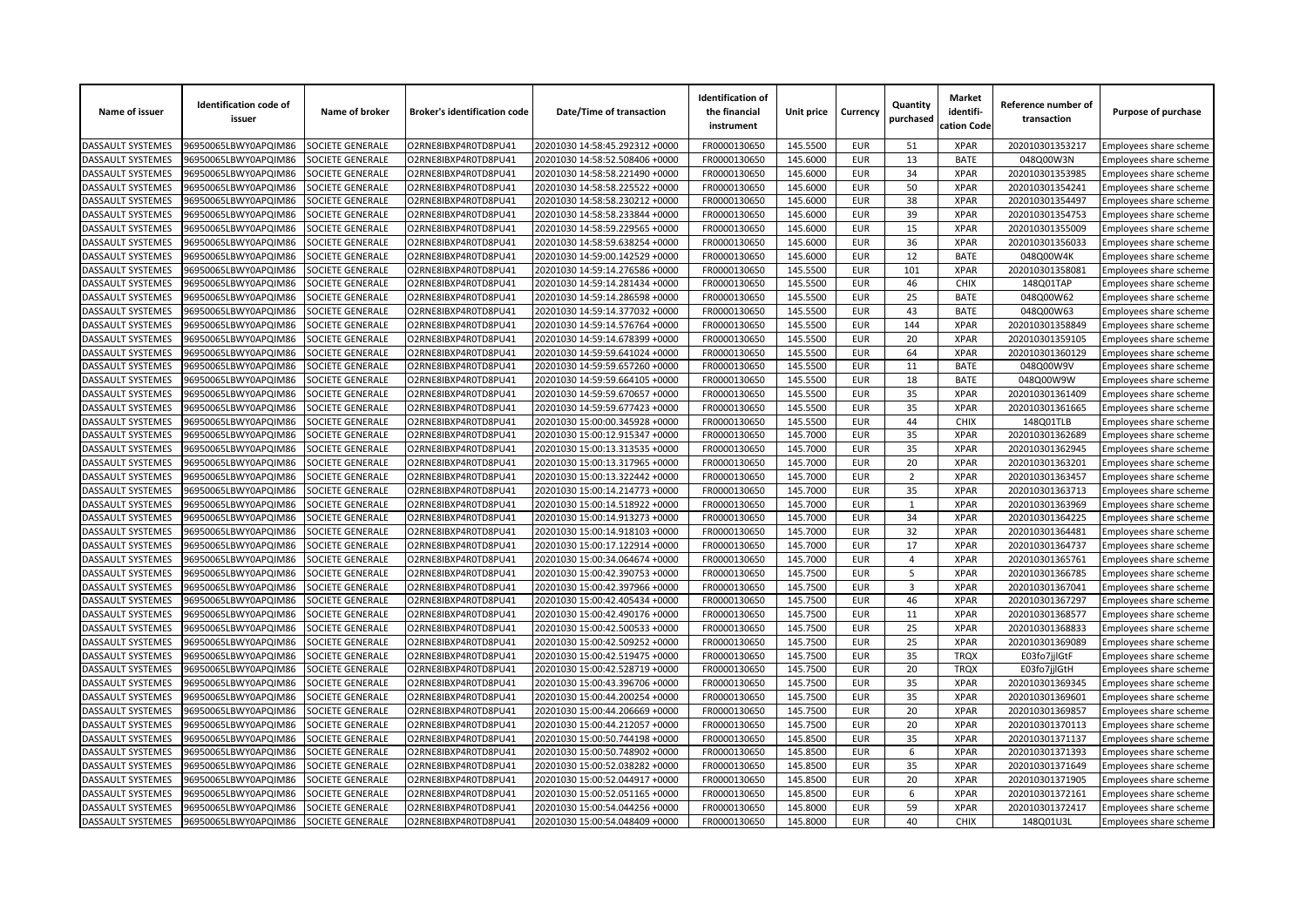| Name of issuer                         | <b>Identification code of</b><br>issuer      | Name of broker          | <b>Broker's identification code</b> | Date/Time of transaction       | <b>Identification of</b><br>the financial<br>instrument | Unit price           | Currency                 | Quantity<br>purchased | <b>Market</b><br>identifi-<br>cation Code | Reference number of<br>transaction | Purpose of purchase                              |
|----------------------------------------|----------------------------------------------|-------------------------|-------------------------------------|--------------------------------|---------------------------------------------------------|----------------------|--------------------------|-----------------------|-------------------------------------------|------------------------------------|--------------------------------------------------|
| <b>DASSAULT SYSTEMES</b>               | 96950065LBWY0APQIM86                         | SOCIETE GENERALE        | O2RNE8IBXP4R0TD8PU41                | 20201030 14:58:45.292312 +0000 | FR0000130650                                            | 145.5500             | <b>EUR</b>               | 51                    | <b>XPAR</b>                               | 202010301353217                    | Employees share scheme                           |
| <b>DASSAULT SYSTEMES</b>               | 96950065LBWY0APQIM86                         | SOCIETE GENERALE        | O2RNE8IBXP4R0TD8PU41                | 20201030 14:58:52.508406 +0000 | FR0000130650                                            | 145.6000             | <b>EUR</b>               | 13                    | <b>BATE</b>                               | 048Q00W3N                          | Employees share scheme                           |
| DASSAULT SYSTEMES                      | 96950065LBWY0APQIM86                         | SOCIETE GENERALE        | O2RNE8IBXP4R0TD8PU41                | 20201030 14:58:58.221490 +0000 | FR0000130650                                            | 145.6000             | <b>EUR</b>               | 34                    | <b>XPAR</b>                               | 202010301353985                    | Employees share scheme                           |
| DASSAULT SYSTEMES                      | 96950065LBWY0APQIM86                         | SOCIETE GENERALE        | O2RNE8IBXP4R0TD8PU41                | 20201030 14:58:58.225522 +0000 | FR0000130650                                            | 145.6000             | <b>EUR</b>               | 50                    | <b>XPAR</b>                               | 202010301354241                    | Employees share scheme                           |
| <b>DASSAULT SYSTEMES</b>               | 96950065LBWY0APQIM86                         | SOCIETE GENERALE        | O2RNE8IBXP4R0TD8PU41                | 20201030 14:58:58.230212 +0000 | FR0000130650                                            | 145.6000             | <b>EUR</b>               | 38                    | <b>XPAR</b>                               | 202010301354497                    | Employees share scheme                           |
| DASSAULT SYSTEMES                      | 96950065LBWY0APQIM86                         | SOCIETE GENERALE        | O2RNE8IBXP4R0TD8PU41                | 20201030 14:58:58.233844 +0000 | FR0000130650                                            | 145.6000             | <b>EUR</b>               | 39                    | <b>XPAR</b>                               | 202010301354753                    | Employees share scheme                           |
| DASSAULT SYSTEMES                      | 96950065LBWY0APQIM86                         | SOCIETE GENERALE        | O2RNE8IBXP4R0TD8PU41                | 20201030 14:58:59.229565 +0000 | FR0000130650                                            | 145.6000             | <b>EUR</b>               | 15                    | <b>XPAR</b>                               | 202010301355009                    | Employees share scheme                           |
| DASSAULT SYSTEMES                      | 96950065LBWY0APQIM86                         | SOCIETE GENERALE        | O2RNE8IBXP4R0TD8PU41                | 20201030 14:58:59.638254 +0000 | FR0000130650                                            | 145.6000             | <b>EUR</b>               | 36                    | <b>XPAR</b>                               | 202010301356033                    | Employees share scheme                           |
| DASSAULT SYSTEMES                      | 96950065LBWY0APQIM86                         | SOCIETE GENERALE        | O2RNE8IBXP4R0TD8PU41                | 20201030 14:59:00.142529 +0000 | FR0000130650                                            | 145.6000             | <b>EUR</b>               | 12                    | <b>BATE</b>                               | 048Q00W4K                          | Employees share scheme                           |
| DASSAULT SYSTEMES                      | 96950065LBWY0APQIM86                         | SOCIETE GENERALE        | O2RNE8IBXP4R0TD8PU41                | 20201030 14:59:14.276586 +0000 | FR0000130650                                            | 145.5500             | <b>EUR</b>               | 101                   | <b>XPAR</b>                               | 202010301358081                    | Employees share scheme                           |
| DASSAULT SYSTEMES                      | 96950065LBWY0APQIM86                         | SOCIETE GENERALE        | O2RNE8IBXP4R0TD8PU41                | 20201030 14:59:14.281434 +0000 | FR0000130650                                            | 145.5500             | <b>EUR</b>               | 46                    | CHIX                                      | 148Q01TAP                          | Employees share scheme                           |
| <b>DASSAULT SYSTEMES</b>               | 96950065LBWY0APQIM86                         | SOCIETE GENERALE        | O2RNE8IBXP4R0TD8PU41                | 20201030 14:59:14.286598 +0000 | FR0000130650                                            | 145.5500             | <b>EUR</b>               | 25                    | <b>BATE</b>                               | 048Q00W62                          | <b>Employees share scheme</b>                    |
| DASSAULT SYSTEMES                      | 96950065LBWY0APQIM86                         | SOCIETE GENERALE        | O2RNE8IBXP4R0TD8PU41                | 20201030 14:59:14.377032 +0000 | FR0000130650                                            | 145.5500             | <b>EUR</b>               | 43                    | <b>BATE</b>                               | 048Q00W63                          | Employees share scheme                           |
| DASSAULT SYSTEMES                      | 96950065LBWY0APQIM86                         | SOCIETE GENERALE        | O2RNE8IBXP4R0TD8PU41                | 20201030 14:59:14.576764 +0000 | FR0000130650                                            | 145.5500             | <b>EUR</b>               | 144                   | <b>XPAR</b>                               | 202010301358849                    | Employees share scheme                           |
| DASSAULT SYSTEMES                      | 96950065LBWY0APQIM86                         | SOCIETE GENERALE        | O2RNE8IBXP4R0TD8PU41                | 20201030 14:59:14.678399 +0000 | FR0000130650                                            | 145.5500             | <b>EUR</b>               | 20                    | <b>XPAR</b>                               | 202010301359105                    | Employees share scheme                           |
| DASSAULT SYSTEMES                      | 96950065LBWY0APQIM86                         | SOCIETE GENERALE        | O2RNE8IBXP4R0TD8PU41                | 20201030 14:59:59.641024 +0000 | FR0000130650                                            | 145.5500             | <b>EUR</b>               | 64                    | <b>XPAR</b>                               | 202010301360129                    | Employees share scheme                           |
| DASSAULT SYSTEMES                      | 96950065LBWY0APQIM86                         | SOCIETE GENERALE        | O2RNE8IBXP4R0TD8PU41                | 20201030 14:59:59.657260 +0000 | FR0000130650                                            | 145.5500             | <b>EUR</b>               | 11                    | <b>BATE</b>                               | 048Q00W9V                          | Employees share scheme                           |
| DASSAULT SYSTEMES                      | 96950065LBWY0APQIM86                         | SOCIETE GENERALE        | O2RNE8IBXP4R0TD8PU41                | 20201030 14:59:59.664105 +0000 | FR0000130650                                            | 145.5500             | <b>EUR</b>               | 18                    | <b>BATE</b>                               | 048Q00W9W                          | Employees share scheme                           |
| DASSAULT SYSTEMES                      | 96950065LBWY0APQIM86                         | SOCIETE GENERALE        | O2RNE8IBXP4R0TD8PU41                | 20201030 14:59:59.670657 +0000 | FR0000130650                                            | 145.5500             | <b>EUR</b>               | 35                    | <b>XPAR</b>                               | 202010301361409                    | Employees share scheme                           |
| DASSAULT SYSTEMES                      | 96950065LBWY0APQIM86                         | SOCIETE GENERALE        | O2RNE8IBXP4R0TD8PU41                | 20201030 14:59:59.677423 +0000 | FR0000130650                                            | 145.5500             | <b>EUR</b>               | 35                    | <b>XPAR</b>                               | 202010301361665                    | Employees share scheme                           |
| DASSAULT SYSTEMES                      | 96950065LBWY0APQIM86                         | SOCIETE GENERALE        | O2RNE8IBXP4R0TD8PU41                | 20201030 15:00:00.345928 +0000 | FR0000130650                                            | 145.5500             | <b>EUR</b>               | 44                    | <b>CHIX</b>                               | 148Q01TLB                          | Employees share scheme                           |
| DASSAULT SYSTEMES                      | 96950065LBWY0APQIM86                         | SOCIETE GENERALE        | O2RNE8IBXP4R0TD8PU41                | 20201030 15:00:12.915347 +0000 | FR0000130650                                            | 145.7000             | <b>EUR</b>               | 35                    | <b>XPAR</b>                               | 202010301362689                    | Employees share scheme                           |
| DASSAULT SYSTEMES                      | 96950065LBWY0APQIM86                         | SOCIETE GENERALE        | O2RNE8IBXP4R0TD8PU41                | 20201030 15:00:13.313535 +0000 | FR0000130650                                            | 145.7000             | <b>EUR</b>               | 35                    | <b>XPAR</b>                               | 202010301362945                    | Employees share scheme                           |
| DASSAULT SYSTEMES                      | 96950065LBWY0APQIM86                         | SOCIETE GENERALE        | O2RNE8IBXP4R0TD8PU41                | 20201030 15:00:13.317965 +0000 | FR0000130650                                            | 145.7000             | <b>EUR</b>               | 20                    | <b>XPAR</b>                               | 202010301363201                    | Employees share scheme                           |
| DASSAULT SYSTEMES                      | 96950065LBWY0APQIM86                         | SOCIETE GENERALE        | O2RNE8IBXP4R0TD8PU41                | 20201030 15:00:13.322442 +0000 | FR0000130650                                            | 145.7000             | <b>EUR</b>               | $\overline{2}$        | <b>XPAR</b>                               | 202010301363457                    | Employees share scheme                           |
| DASSAULT SYSTEMES                      | 96950065LBWY0APQIM86                         | SOCIETE GENERALE        | O2RNE8IBXP4R0TD8PU41                | 20201030 15:00:14.214773 +0000 | FR0000130650                                            | 145.7000             | <b>EUR</b>               | 35                    | <b>XPAR</b>                               | 202010301363713                    | Employees share scheme                           |
| <b>DASSAULT SYSTEMES</b>               | 96950065LBWY0APQIM86                         | SOCIETE GENERALE        | O2RNE8IBXP4R0TD8PU41                | 20201030 15:00:14.518922 +0000 | FR0000130650                                            | 145.7000             | <b>EUR</b>               | $\mathbf{1}$          | <b>XPAR</b>                               | 202010301363969                    | Employees share scheme                           |
| DASSAULT SYSTEMES                      | 96950065LBWY0APQIM86                         | <b>SOCIETE GENERALE</b> | O2RNE8IBXP4R0TD8PU41                | 20201030 15:00:14.913273 +0000 | FR0000130650                                            | 145.7000             | <b>EUR</b>               | 34                    | <b>XPAR</b>                               | 202010301364225                    | Employees share scheme                           |
| DASSAULT SYSTEMES                      | 96950065LBWY0APQIM86                         | SOCIETE GENERALE        | O2RNE8IBXP4R0TD8PU41                | 20201030 15:00:14.918103 +0000 | FR0000130650                                            | 145.7000             | <b>EUR</b>               | 32                    | <b>XPAR</b>                               | 202010301364481                    | Employees share scheme                           |
| DASSAULT SYSTEMES                      | 96950065LBWY0APQIM86                         | SOCIETE GENERALE        | O2RNE8IBXP4R0TD8PU41                | 20201030 15:00:17.122914 +0000 | FR0000130650                                            | 145.7000             | <b>EUR</b>               | 17                    | <b>XPAR</b>                               | 202010301364737                    | Employees share scheme                           |
| DASSAULT SYSTEMES                      | 96950065LBWY0APQIM86                         | SOCIETE GENERALE        | O2RNE8IBXP4R0TD8PU41                | 20201030 15:00:34.064674 +0000 | FR0000130650                                            | 145.7000             | <b>EUR</b>               | $\overline{4}$        | <b>XPAR</b>                               | 202010301365761                    | Employees share scheme                           |
| <b>DASSAULT SYSTEMES</b>               | 96950065LBWY0APQIM86                         | <b>SOCIETE GENERALE</b> | O2RNE8IBXP4R0TD8PU41                | 20201030 15:00:42.390753 +0000 | FR0000130650                                            | 145.7500             | <b>EUR</b>               | 5                     | <b>XPAR</b>                               | 202010301366785                    | Employees share scheme                           |
| DASSAULT SYSTEMES                      | 96950065LBWY0APQIM86                         | SOCIETE GENERALE        | O2RNE8IBXP4R0TD8PU41                | 20201030 15:00:42.397966 +0000 | FR0000130650                                            | 145.7500             | <b>EUR</b>               | $\overline{3}$        | <b>XPAR</b>                               | 202010301367041                    | Employees share scheme                           |
| DASSAULT SYSTEMES                      | 96950065LBWY0APQIM86                         | SOCIETE GENERALE        | O2RNE8IBXP4R0TD8PU41                | 20201030 15:00:42.405434 +0000 | FR0000130650                                            | 145.7500             | <b>EUR</b>               | 46                    | <b>XPAR</b>                               | 202010301367297                    | Employees share scheme                           |
| DASSAULT SYSTEMES                      | 96950065LBWY0APQIM86                         | SOCIETE GENERALE        | O2RNE8IBXP4R0TD8PU41                | 20201030 15:00:42.490176 +0000 | FR0000130650                                            | 145.7500             | <b>EUR</b>               | 11                    | <b>XPAR</b>                               | 202010301368577                    | Employees share scheme                           |
| DASSAULT SYSTEMES                      | 96950065LBWY0APQIM86                         | SOCIETE GENERALE        | O2RNE8IBXP4R0TD8PU41                | 20201030 15:00:42.500533 +0000 | FR0000130650                                            | 145.7500             | <b>EUR</b>               | 25                    | <b>XPAR</b>                               | 202010301368833                    | Employees share scheme                           |
| <b>DASSAULT SYSTEMES</b>               | 96950065LBWY0APQIM86                         | SOCIETE GENERALE        | O2RNE8IBXP4R0TD8PU41                | 20201030 15:00:42.509252 +0000 | FR0000130650                                            | 145.7500             | <b>EUR</b>               | 25                    | <b>XPAR</b>                               | 202010301369089                    | Employees share scheme                           |
| DASSAULT SYSTEMES                      | 96950065LBWY0APQIM86                         | SOCIETE GENERALE        | O2RNE8IBXP4R0TD8PU41                | 20201030 15:00:42.519475 +0000 | FR0000130650                                            | 145.7500             | <b>EUR</b>               | 35                    | <b>TRQX</b>                               | E03fo7jjlGtF                       | Employees share scheme                           |
| DASSAULT SYSTEMES                      | 96950065LBWY0APQIM86                         | SOCIETE GENERALE        | O2RNE8IBXP4R0TD8PU41                | 20201030 15:00:42.528719 +0000 | FR0000130650                                            | 145.7500             | <b>EUR</b>               | 20                    | <b>TRQX</b>                               | E03fo7jjlGtH                       | Employees share scheme                           |
| DASSAULT SYSTEMES                      | 96950065LBWY0APQIM86                         | SOCIETE GENERALE        | O2RNE8IBXP4R0TD8PU41                | 20201030 15:00:43.396706 +0000 | FR0000130650                                            | 145.7500             | <b>EUR</b>               | 35                    | <b>XPAR</b>                               | 202010301369345                    |                                                  |
|                                        |                                              | SOCIETE GENERALE        | O2RNE8IBXP4R0TD8PU41                | 20201030 15:00:44.200254 +0000 |                                                         |                      |                          | 35                    | <b>XPAR</b>                               |                                    | Employees share scheme                           |
| DASSAULT SYSTEMES<br>DASSAULT SYSTEMES | 96950065LBWY0APQIM86<br>96950065LBWY0APQIM86 | SOCIETE GENERALE        | O2RNE8IBXP4R0TD8PU41                | 20201030 15:00:44.206669 +0000 | FR0000130650<br>FR0000130650                            | 145.7500<br>145.7500 | <b>EUR</b><br><b>EUR</b> | 20                    | <b>XPAR</b>                               | 202010301369601<br>202010301369857 | Employees share scheme<br>Employees share scheme |
| <b>DASSAULT SYSTEMES</b>               | 96950065LBWY0APQIM86                         | SOCIETE GENERALE        | O2RNE8IBXP4R0TD8PU41                | 20201030 15:00:44.212057 +0000 | FR0000130650                                            | 145.7500             | <b>EUR</b>               | 20                    | <b>XPAR</b>                               | 202010301370113                    | Employees share scheme                           |
|                                        |                                              |                         |                                     |                                |                                                         |                      | <b>EUR</b>               | 35                    |                                           |                                    |                                                  |
| DASSAULT SYSTEMES                      | 96950065LBWY0APQIM86                         | SOCIETE GENERALE        | O2RNE8IBXP4R0TD8PU41                | 20201030 15:00:50.744198 +0000 | FR0000130650                                            | 145.8500             | <b>EUR</b>               |                       | <b>XPAR</b><br><b>XPAR</b>                | 202010301371137                    | Employees share scheme                           |
| DASSAULT SYSTEMES                      | 96950065LBWY0APQIM86                         | SOCIETE GENERALE        | O2RNE8IBXP4R0TD8PU41                | 20201030 15:00:50.748902 +0000 | FR0000130650                                            | 145.8500             |                          | 6                     |                                           | 202010301371393                    | Employees share scheme                           |
| DASSAULT SYSTEMES                      | 96950065LBWY0APQIM86                         | SOCIETE GENERALE        | O2RNE8IBXP4R0TD8PU41                | 20201030 15:00:52.038282 +0000 | FR0000130650                                            | 145.8500             | <b>EUR</b>               | 35                    | <b>XPAR</b>                               | 202010301371649                    | Employees share scheme                           |
| DASSAULT SYSTEMES                      | 96950065LBWY0APQIM86                         | SOCIETE GENERALE        | O2RNE8IBXP4R0TD8PU41                | 20201030 15:00:52.044917 +0000 | FR0000130650                                            | 145.8500             | <b>EUR</b>               | 20                    | <b>XPAR</b>                               | 202010301371905                    | Employees share scheme                           |
| DASSAULT SYSTEMES                      | 96950065LBWY0APQIM86                         | SOCIETE GENERALE        | O2RNE8IBXP4R0TD8PU41                | 20201030 15:00:52.051165 +0000 | FR0000130650                                            | 145.8500             | <b>EUR</b>               | 6                     | <b>XPAR</b>                               | 202010301372161                    | Employees share scheme                           |
| DASSAULT SYSTEMES                      | 96950065LBWY0APQIM86                         | SOCIETE GENERALE        | O2RNE8IBXP4R0TD8PU41                | 20201030 15:00:54.044256 +0000 | FR0000130650                                            | 145.8000             | <b>EUR</b>               | 59                    | <b>XPAR</b>                               | 202010301372417                    | Employees share scheme                           |
| <b>DASSAULT SYSTEMES</b>               | 96950065LBWY0APQIM86                         | <b>SOCIETE GENERALE</b> | O2RNE8IBXP4R0TD8PU41                | 20201030 15:00:54.048409 +0000 | FR0000130650                                            | 145.8000             | <b>EUR</b>               | 40                    | <b>CHIX</b>                               | 148Q01U3L                          | Employees share scheme                           |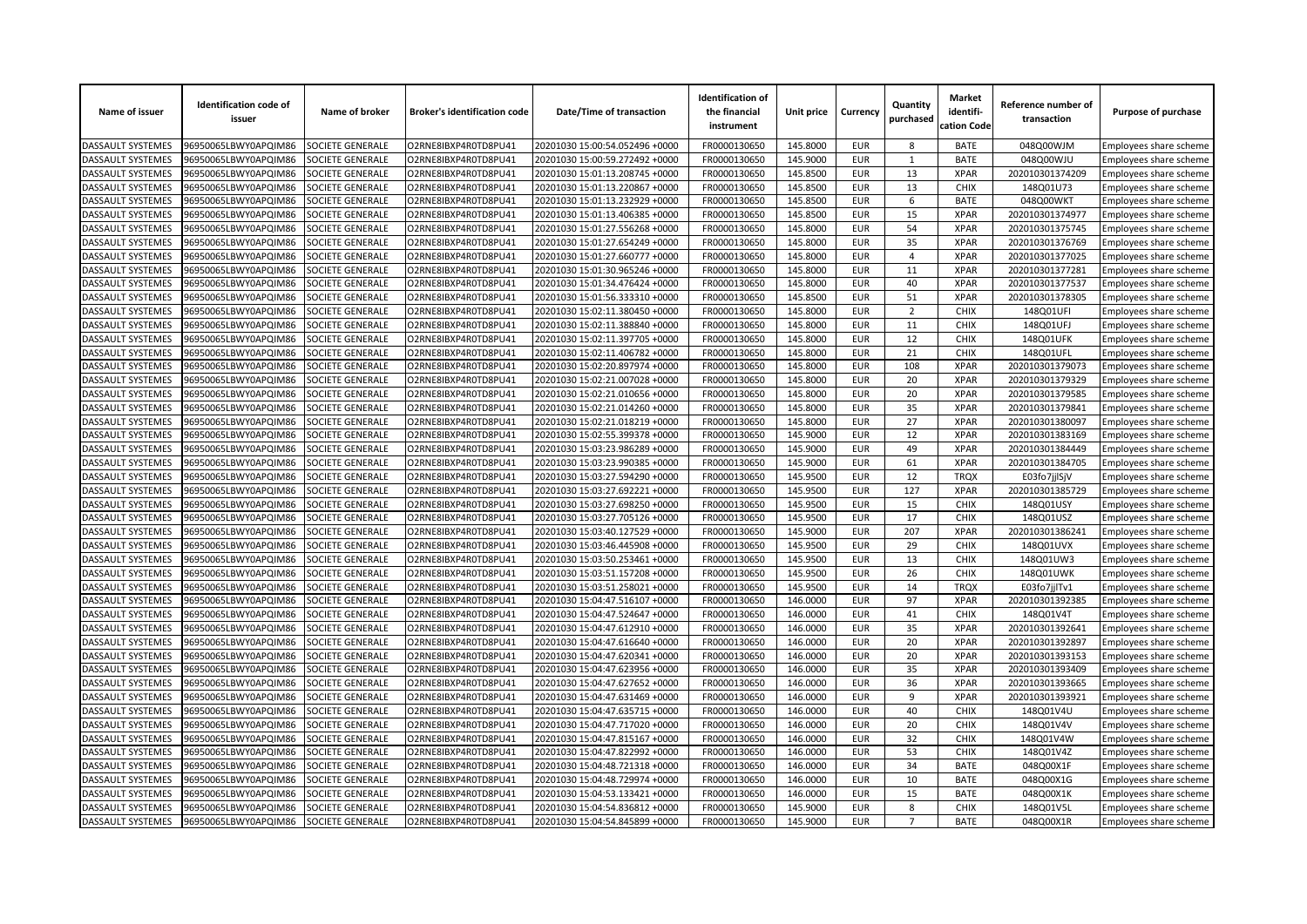| Name of issuer           | <b>Identification code of</b><br>issuer | Name of broker   | <b>Broker's identification code</b> | Date/Time of transaction       | <b>Identification of</b><br>the financial<br>instrument | Unit price           | Currency                 | Quantity<br>purchased | <b>Market</b><br>identifi-<br>cation Code | Reference number of<br>transaction | Purpose of purchase           |
|--------------------------|-----------------------------------------|------------------|-------------------------------------|--------------------------------|---------------------------------------------------------|----------------------|--------------------------|-----------------------|-------------------------------------------|------------------------------------|-------------------------------|
| DASSAULT SYSTEMES        | 96950065LBWY0APQIM86                    | SOCIETE GENERALE | O2RNE8IBXP4R0TD8PU41                | 20201030 15:00:54.052496 +0000 | FR0000130650                                            | 145.8000             | <b>EUR</b>               | 8                     | <b>BATE</b>                               | 048Q00WJM                          | Employees share scheme        |
| DASSAULT SYSTEMES        | 96950065LBWY0APQIM86                    | SOCIETE GENERALE | O2RNE8IBXP4R0TD8PU41                | 20201030 15:00:59.272492 +0000 | FR0000130650                                            | 145.9000             | <b>EUR</b>               | $\mathbf{1}$          | <b>BATE</b>                               | 048Q00WJU                          | Employees share scheme        |
| DASSAULT SYSTEMES        | 96950065LBWY0APQIM86                    | SOCIETE GENERALE | O2RNE8IBXP4R0TD8PU41                | 20201030 15:01:13.208745 +0000 | FR0000130650                                            | 145.8500             | <b>EUR</b>               | 13                    | <b>XPAR</b>                               | 202010301374209                    | Employees share scheme        |
| DASSAULT SYSTEMES        | 96950065LBWY0APQIM86                    | SOCIETE GENERALE | O2RNE8IBXP4R0TD8PU41                | 20201030 15:01:13.220867 +0000 | FR0000130650                                            | 145.8500             | <b>EUR</b>               | 13                    | <b>CHIX</b>                               | 148Q01U73                          | Employees share scheme        |
| DASSAULT SYSTEMES        | 96950065LBWY0APQIM86                    | SOCIETE GENERALE | O2RNE8IBXP4R0TD8PU41                | 20201030 15:01:13.232929 +0000 | FR0000130650                                            | 145.8500             | <b>EUR</b>               | 6                     | <b>BATE</b>                               | 048Q00WKT                          | Employees share scheme        |
| DASSAULT SYSTEMES        | 96950065LBWY0APQIM86                    | SOCIETE GENERALE | O2RNE8IBXP4R0TD8PU41                | 20201030 15:01:13.406385 +0000 | FR0000130650                                            | 145.8500             | <b>EUR</b>               | 15                    | <b>XPAR</b>                               | 202010301374977                    | Employees share scheme        |
| <b>DASSAULT SYSTEMES</b> | 96950065LBWY0APQIM86                    | SOCIETE GENERALE | O2RNE8IBXP4R0TD8PU41                | 20201030 15:01:27.556268 +0000 | FR0000130650                                            | 145.8000             | <b>EUR</b>               | 54                    | <b>XPAR</b>                               | 202010301375745                    | Employees share scheme        |
| <b>DASSAULT SYSTEMES</b> | 96950065LBWY0APQIM86                    | SOCIETE GENERALE | O2RNE8IBXP4R0TD8PU41                | 20201030 15:01:27.654249 +0000 | FR0000130650                                            | 145.8000             | <b>EUR</b>               | 35                    | <b>XPAR</b>                               | 202010301376769                    | Employees share scheme        |
| DASSAULT SYSTEMES        | 96950065LBWY0APQIM86                    | SOCIETE GENERALE | O2RNE8IBXP4R0TD8PU41                | 20201030 15:01:27.660777 +0000 | FR0000130650                                            | 145.8000             | <b>EUR</b>               | $\overline{4}$        | <b>XPAR</b>                               | 202010301377025                    | Employees share scheme        |
| DASSAULT SYSTEMES        | 96950065LBWY0APQIM86                    | SOCIETE GENERALE | O2RNE8IBXP4R0TD8PU41                | 20201030 15:01:30.965246 +0000 | FR0000130650                                            | 145.8000             | <b>EUR</b>               | 11                    | <b>XPAR</b>                               | 202010301377281                    | Employees share scheme        |
| DASSAULT SYSTEMES        | 96950065LBWY0APQIM86                    | SOCIETE GENERALE | O2RNE8IBXP4R0TD8PU41                | 20201030 15:01:34.476424 +0000 | FR0000130650                                            | 145.8000             | <b>EUR</b>               | 40                    | <b>XPAR</b>                               | 202010301377537                    | Employees share scheme        |
| DASSAULT SYSTEMES        | 96950065LBWY0APQIM86                    | SOCIETE GENERALE | O2RNE8IBXP4R0TD8PU41                | 20201030 15:01:56.333310 +0000 | FR0000130650                                            | 145.8500             | <b>EUR</b>               | 51                    | <b>XPAR</b>                               | 202010301378305                    | Employees share scheme        |
| DASSAULT SYSTEMES        | 96950065LBWY0APQIM86                    | SOCIETE GENERALE | O2RNE8IBXP4R0TD8PU41                | 20201030 15:02:11.380450 +0000 | FR0000130650                                            | 145.8000             | <b>EUR</b>               | $\overline{2}$        | CHIX                                      | 148Q01UFI                          | Employees share scheme        |
| DASSAULT SYSTEMES        | 96950065LBWY0APQIM86                    | SOCIETE GENERALE | O2RNE8IBXP4R0TD8PU41                | 20201030 15:02:11.388840 +0000 | FR0000130650                                            | 145.8000             | <b>EUR</b>               | 11                    | <b>CHIX</b>                               | 148Q01UFJ                          | Employees share scheme        |
| DASSAULT SYSTEMES        | 96950065LBWY0APQIM86                    | SOCIETE GENERALE | O2RNE8IBXP4R0TD8PU41                | 20201030 15:02:11.397705 +0000 | FR0000130650                                            | 145.8000             | <b>EUR</b>               | 12                    | <b>CHIX</b>                               | 148Q01UFK                          | Employees share scheme        |
| DASSAULT SYSTEMES        | 96950065LBWY0APQIM86                    | SOCIETE GENERALE | O2RNE8IBXP4R0TD8PU41                | 20201030 15:02:11.406782 +0000 | FR0000130650                                            | 145.8000             | <b>EUR</b>               | 21                    | <b>CHIX</b>                               | 148Q01UFL                          | Employees share scheme        |
| DASSAULT SYSTEMES        | 96950065LBWY0APQIM86                    | SOCIETE GENERALE | O2RNE8IBXP4R0TD8PU41                | 20201030 15:02:20.897974 +0000 | FR0000130650                                            | 145.8000             | <b>EUR</b>               | 108                   | <b>XPAR</b>                               | 202010301379073                    | Employees share scheme        |
| DASSAULT SYSTEMES        | 96950065LBWY0APQIM86                    | SOCIETE GENERALE | O2RNE8IBXP4R0TD8PU41                | 20201030 15:02:21.007028 +0000 | FR0000130650                                            | 145.8000             | <b>EUR</b>               | 20                    | <b>XPAR</b>                               | 202010301379329                    | Employees share scheme        |
| <b>DASSAULT SYSTEMES</b> | 96950065LBWY0APQIM86                    | SOCIETE GENERALE | O2RNE8IBXP4R0TD8PU41                | 20201030 15:02:21.010656 +0000 | FR0000130650                                            | 145.8000             | <b>EUR</b>               | 20                    | <b>XPAR</b>                               | 202010301379585                    | <b>Employees share scheme</b> |
| DASSAULT SYSTEMES        | 96950065LBWY0APQIM86                    | SOCIETE GENERALE | O2RNE8IBXP4R0TD8PU41                | 20201030 15:02:21.014260 +0000 | FR0000130650                                            | 145.8000             | <b>EUR</b>               | 35                    | <b>XPAR</b>                               | 202010301379841                    | Employees share scheme        |
| DASSAULT SYSTEMES        | 96950065LBWY0APQIM86                    | SOCIETE GENERALE | O2RNE8IBXP4R0TD8PU41                | 20201030 15:02:21.018219 +0000 | FR0000130650                                            | 145.8000             | <b>EUR</b>               | 27                    | <b>XPAR</b>                               | 202010301380097                    | Employees share scheme        |
| <b>DASSAULT SYSTEMES</b> | 96950065LBWY0APQIM86                    | SOCIETE GENERALE | O2RNE8IBXP4R0TD8PU41                | 20201030 15:02:55.399378 +0000 | FR0000130650                                            | 145.9000             | <b>EUR</b>               | 12                    | <b>XPAR</b>                               | 202010301383169                    | Employees share scheme        |
| DASSAULT SYSTEMES        | 96950065LBWY0APQIM86                    | SOCIETE GENERALE | O2RNE8IBXP4R0TD8PU41                | 20201030 15:03:23.986289 +0000 | FR0000130650                                            | 145.9000             | <b>EUR</b>               | 49                    | <b>XPAR</b>                               | 202010301384449                    | Employees share scheme        |
| <b>DASSAULT SYSTEMES</b> | 96950065LBWY0APQIM86                    | SOCIETE GENERALE | O2RNE8IBXP4R0TD8PU41                | 20201030 15:03:23.990385 +0000 | FR0000130650                                            | 145.9000             | <b>EUR</b>               | 61                    | <b>XPAR</b>                               | 202010301384705                    | Employees share scheme        |
| <b>DASSAULT SYSTEMES</b> | 96950065LBWY0APQIM86                    | SOCIETE GENERALE | O2RNE8IBXP4R0TD8PU41                | 20201030 15:03:27.594290 +0000 | FR0000130650                                            | 145.9500             | <b>EUR</b>               | 12                    | <b>TROX</b>                               | E03fo7jjlSjV                       | Employees share scheme        |
| DASSAULT SYSTEMES        | 96950065LBWY0APQIM86                    | SOCIETE GENERALE | O2RNE8IBXP4R0TD8PU41                | 20201030 15:03:27.692221 +0000 | FR0000130650                                            | 145.9500             | <b>EUR</b>               | 127                   | <b>XPAR</b>                               | 202010301385729                    | Employees share scheme        |
| DASSAULT SYSTEMES        | 96950065LBWY0APQIM86                    | SOCIETE GENERALE | O2RNE8IBXP4R0TD8PU41                | 20201030 15:03:27.698250 +0000 | FR0000130650                                            | 145.9500             | <b>EUR</b>               | 15                    | <b>CHIX</b>                               | 148Q01USY                          | Employees share scheme        |
| <b>DASSAULT SYSTEMES</b> | 96950065LBWY0APQIM86                    | SOCIETE GENERALE | O2RNE8IBXP4R0TD8PU41                | 20201030 15:03:27.705126 +0000 | FR0000130650                                            | 145.9500             | <b>EUR</b>               | 17                    | <b>CHIX</b>                               | 148Q01USZ                          | Employees share scheme        |
| <b>DASSAULT SYSTEMES</b> | 96950065LBWY0APQIM86                    | SOCIETE GENERALE | O2RNE8IBXP4R0TD8PU41                | 20201030 15:03:40.127529 +0000 | FR0000130650                                            | 145.9000             | <b>EUR</b>               | 207                   | <b>XPAR</b>                               | 202010301386241                    | Employees share scheme        |
| DASSAULT SYSTEMES        | 96950065LBWY0APQIM86                    | SOCIETE GENERALE | O2RNE8IBXP4R0TD8PU41                | 20201030 15:03:46.445908 +0000 | FR0000130650                                            | 145.9500             | <b>EUR</b>               | 29                    | CHIX                                      | 148Q01UVX                          | Employees share scheme        |
| DASSAULT SYSTEMES        | 96950065LBWY0APQIM86                    | SOCIETE GENERALE | O2RNE8IBXP4R0TD8PU41                | 20201030 15:03:50.253461 +0000 | FR0000130650                                            | 145.9500             | <b>EUR</b>               | 13                    | CHIX                                      | 148Q01UW3                          | Employees share scheme        |
| DASSAULT SYSTEMES        | 96950065LBWY0APQIM86                    | SOCIETE GENERALE | O2RNE8IBXP4R0TD8PU41                | 20201030 15:03:51.157208 +0000 | FR0000130650                                            | 145.9500             | <b>EUR</b>               | 26                    | <b>CHIX</b>                               | 148Q01UWK                          | Employees share scheme        |
| DASSAULT SYSTEMES        | 96950065LBWY0APQIM86                    | SOCIETE GENERALE | O2RNE8IBXP4R0TD8PU41                | 20201030 15:03:51.258021 +0000 | FR0000130650                                            | 145.9500             | <b>EUR</b>               | 14                    | <b>TRQX</b>                               | E03fo7jjlTv1                       | Employees share scheme        |
| DASSAULT SYSTEMES        | 96950065LBWY0APQIM86                    | SOCIETE GENERALE | O2RNE8IBXP4R0TD8PU41                | 20201030 15:04:47.516107 +0000 | FR0000130650                                            | 146.0000             | <b>EUR</b>               | 97                    | <b>XPAR</b>                               | 202010301392385                    |                               |
| DASSAULT SYSTEMES        | 96950065LBWY0APQIM86                    | SOCIETE GENERALE | O2RNE8IBXP4R0TD8PU41                | 20201030 15:04:47.524647 +0000 | FR0000130650                                            | 146.0000             | <b>EUR</b>               | 41                    | <b>CHIX</b>                               | 148Q01V4T                          | Employees share scheme        |
| <b>DASSAULT SYSTEMES</b> | 96950065LBWY0APQIM86                    | SOCIETE GENERALE | O2RNE8IBXP4R0TD8PU41                | 20201030 15:04:47.612910 +0000 | FR0000130650                                            | 146.0000             | <b>EUR</b>               | 35                    | <b>XPAR</b>                               | 202010301392641                    | Employees share scheme        |
| <b>DASSAULT SYSTEMES</b> | 96950065LBWY0APQIM86                    | SOCIETE GENERALE | O2RNE8IBXP4R0TD8PU41                | 20201030 15:04:47.616640 +0000 | FR0000130650                                            | 146.0000             | <b>EUR</b>               | 20                    | <b>XPAR</b>                               | 202010301392897                    | Employees share scheme        |
|                          |                                         |                  |                                     |                                |                                                         |                      | <b>EUR</b>               | 20                    | <b>XPAR</b>                               |                                    | Employees share scheme        |
| <b>DASSAULT SYSTEMES</b> | 96950065LBWY0APQIM86                    | SOCIETE GENERALE | O2RNE8IBXP4R0TD8PU41                | 20201030 15:04:47.620341 +0000 | FR0000130650                                            | 146.0000             |                          |                       | <b>XPAR</b>                               | 202010301393153                    | Employees share scheme        |
| DASSAULT SYSTEMES        | 96950065LBWY0APQIM86                    | SOCIETE GENERALE | O2RNE8IBXP4R0TD8PU41                | 20201030 15:04:47.623956 +0000 | FR0000130650                                            | 146.0000             | <b>EUR</b>               | 35                    |                                           | 202010301393409                    | Employees share scheme        |
| DASSAULT SYSTEMES        | 96950065LBWY0APQIM86                    | SOCIETE GENERALE | O2RNE8IBXP4R0TD8PU41                | 20201030 15:04:47.627652 +0000 | FR0000130650                                            | 146.0000             | <b>EUR</b>               | 36                    | <b>XPAR</b>                               | 202010301393665                    | Employees share scheme        |
| DASSAULT SYSTEMES        | 96950065LBWY0APQIM86                    | SOCIETE GENERALE | O2RNE8IBXP4R0TD8PU41                | 20201030 15:04:47.631469 +0000 | FR0000130650                                            | 146.0000<br>146.0000 | <b>EUR</b><br><b>EUR</b> | 9<br>40               | <b>XPAR</b><br>CHIX                       | 202010301393921                    | Employees share scheme        |
| DASSAULT SYSTEMES        | 96950065LBWY0APQIM86                    | SOCIETE GENERALE | O2RNE8IBXP4R0TD8PU41                | 20201030 15:04:47.635715 +0000 | FR0000130650                                            |                      |                          |                       |                                           | 148Q01V4U                          | Employees share scheme        |
| DASSAULT SYSTEMES        | 96950065LBWY0APQIM86                    | SOCIETE GENERALE | O2RNE8IBXP4R0TD8PU41                | 20201030 15:04:47.717020 +0000 | FR0000130650                                            | 146.0000             | <b>EUR</b>               | 20                    | <b>CHIX</b>                               | 148Q01V4V                          | Employees share scheme        |
| DASSAULT SYSTEMES        | 96950065LBWY0APQIM86                    | SOCIETE GENERALE | O2RNE8IBXP4R0TD8PU41                | 20201030 15:04:47.815167 +0000 | FR0000130650                                            | 146.0000             | <b>EUR</b>               | 32                    | <b>CHIX</b>                               | 148Q01V4W                          | Employees share scheme        |
| DASSAULT SYSTEMES        | 96950065LBWY0APQIM86                    | SOCIETE GENERALE | O2RNE8IBXP4R0TD8PU41                | 20201030 15:04:47.822992 +0000 | FR0000130650                                            | 146.0000             | <b>EUR</b>               | 53                    | <b>CHIX</b>                               | 148Q01V4Z                          | Employees share scheme        |
| DASSAULT SYSTEMES        | 96950065LBWY0APQIM86                    | SOCIETE GENERALE | O2RNE8IBXP4R0TD8PU41                | 20201030 15:04:48.721318 +0000 | FR0000130650                                            | 146.0000             | <b>EUR</b>               | 34                    | <b>BATE</b>                               | 048Q00X1F                          | Employees share scheme        |
| DASSAULT SYSTEMES        | 96950065LBWY0APQIM86                    | SOCIETE GENERALE | O2RNE8IBXP4R0TD8PU41                | 20201030 15:04:48.729974 +0000 | FR0000130650                                            | 146.0000             | <b>EUR</b>               | 10                    | <b>BATE</b>                               | 048Q00X1G                          | Employees share scheme        |
| <b>DASSAULT SYSTEMES</b> | 96950065LBWY0APQIM86                    | SOCIETE GENERALE | O2RNE8IBXP4R0TD8PU41                | 20201030 15:04:53.133421 +0000 | FR0000130650                                            | 146.0000             | <b>EUR</b>               | 15                    | <b>BATE</b>                               | 048Q00X1K                          | Employees share scheme        |
| DASSAULT SYSTEMES        | 96950065LBWY0APQIM86                    | SOCIETE GENERALE | O2RNE8IBXP4R0TD8PU41                | 20201030 15:04:54.836812 +0000 | FR0000130650                                            | 145.9000             | <b>EUR</b>               | 8                     | <b>CHIX</b>                               | 148Q01V5L                          | Employees share scheme        |
| <b>DASSAULT SYSTEMES</b> | 96950065LBWY0APQIM86                    | SOCIETE GENERALE | O2RNE8IBXP4R0TD8PU41                | 20201030 15:04:54.845899 +0000 | FR0000130650                                            | 145.9000             | <b>EUR</b>               | $\overline{7}$        | <b>BATE</b>                               | 048Q00X1R                          | Employees share scheme        |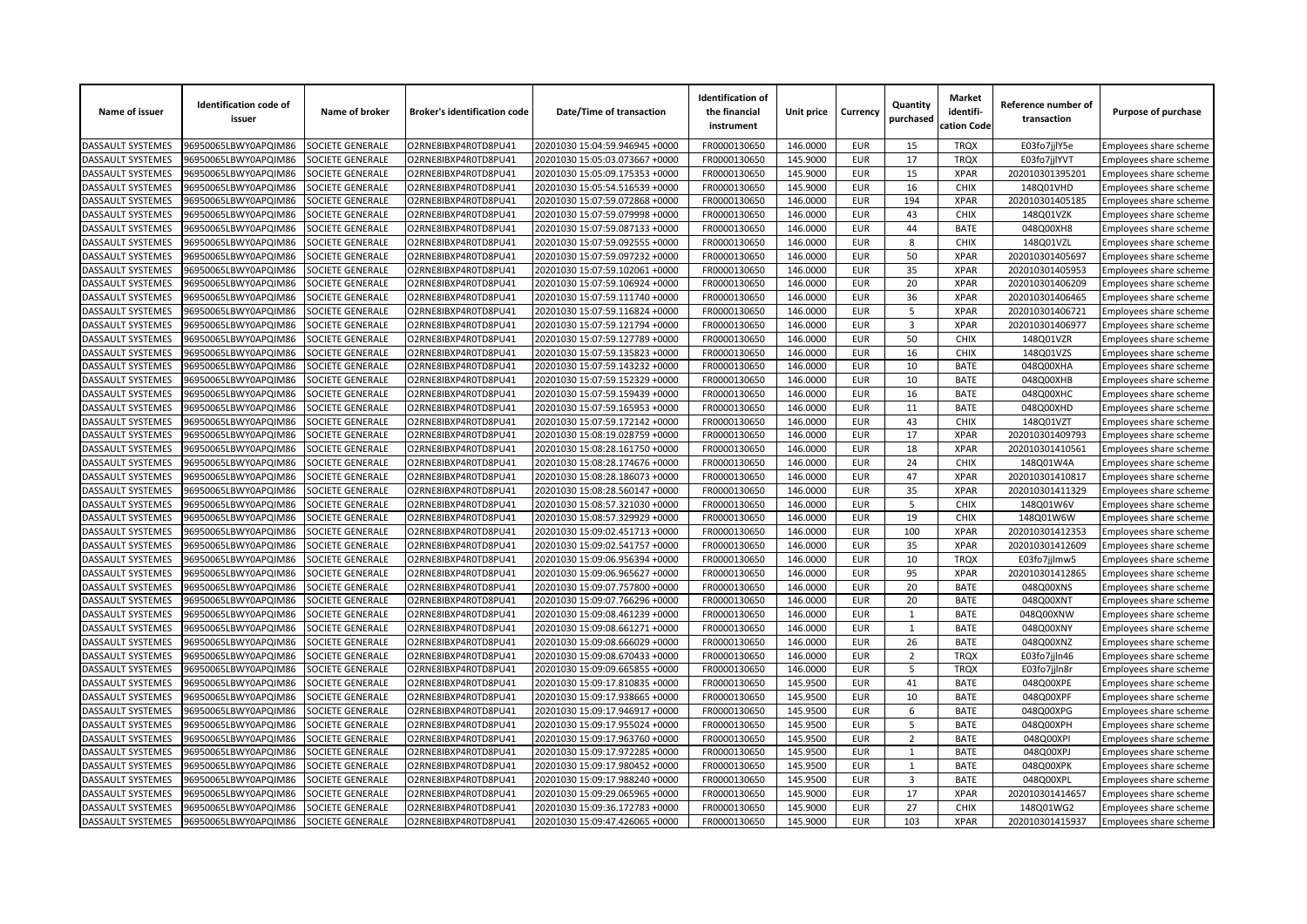| Name of issuer           | <b>Identification code of</b><br>issuer | Name of broker          | <b>Broker's identification code</b> | Date/Time of transaction       | <b>Identification of</b><br>the financial<br>instrument | Unit price           | Currency                 | Quantity<br>purchased   | <b>Market</b><br>identifi-<br>cation Code | Reference number of<br>transaction | Purpose of purchase    |
|--------------------------|-----------------------------------------|-------------------------|-------------------------------------|--------------------------------|---------------------------------------------------------|----------------------|--------------------------|-------------------------|-------------------------------------------|------------------------------------|------------------------|
| DASSAULT SYSTEMES        | 96950065LBWY0APQIM86                    | SOCIETE GENERALE        | O2RNE8IBXP4R0TD8PU41                | 20201030 15:04:59.946945 +0000 | FR0000130650                                            | 146.0000             | <b>EUR</b>               | 15                      | <b>TRQX</b>                               | E03fo7jjlY5e                       | Employees share scheme |
| DASSAULT SYSTEMES        | 96950065LBWY0APQIM86                    | SOCIETE GENERALE        | O2RNE8IBXP4R0TD8PU41                | 20201030 15:05:03.073667 +0000 | FR0000130650                                            | 145.9000             | <b>EUR</b>               | 17                      | <b>TROX</b>                               | E03fo7jjlYVT                       | Employees share scheme |
| DASSAULT SYSTEMES        | 96950065LBWY0APQIM86                    | SOCIETE GENERALE        | O2RNE8IBXP4R0TD8PU41                | 20201030 15:05:09.175353 +0000 | FR0000130650                                            | 145.9000             | <b>EUR</b>               | 15                      | <b>XPAR</b>                               | 202010301395201                    | Employees share scheme |
| DASSAULT SYSTEMES        | 96950065LBWY0APQIM86                    | SOCIETE GENERALE        | O2RNE8IBXP4R0TD8PU41                | 20201030 15:05:54.516539 +0000 | FR0000130650                                            | 145.9000             | <b>EUR</b>               | 16                      | <b>CHIX</b>                               | 148Q01VHD                          | Employees share scheme |
| DASSAULT SYSTEMES        | 96950065LBWY0APQIM86                    | SOCIETE GENERALE        | O2RNE8IBXP4R0TD8PU41                | 20201030 15:07:59.072868 +0000 | FR0000130650                                            | 146.0000             | <b>EUR</b>               | 194                     | <b>XPAR</b>                               | 202010301405185                    | Employees share scheme |
| DASSAULT SYSTEMES        | 96950065LBWY0APQIM86                    | SOCIETE GENERALE        | O2RNE8IBXP4R0TD8PU41                | 20201030 15:07:59.079998 +0000 | FR0000130650                                            | 146.0000             | <b>EUR</b>               | 43                      | <b>CHIX</b>                               | 148Q01VZK                          | Employees share scheme |
| <b>DASSAULT SYSTEMES</b> | 96950065LBWY0APQIM86                    | SOCIETE GENERALE        | O2RNE8IBXP4R0TD8PU41                | 20201030 15:07:59.087133 +0000 | FR0000130650                                            | 146.0000             | <b>EUR</b>               | 44                      | <b>BATE</b>                               | 048Q00XH8                          | Employees share scheme |
| <b>DASSAULT SYSTEMES</b> | 96950065LBWY0APQIM86                    | SOCIETE GENERALE        | O2RNE8IBXP4R0TD8PU41                | 20201030 15:07:59.092555 +0000 | FR0000130650                                            | 146.0000             | <b>EUR</b>               | 8                       | <b>CHIX</b>                               | 148Q01VZL                          | Employees share scheme |
| DASSAULT SYSTEMES        | 96950065LBWY0APQIM86                    | SOCIETE GENERALE        | O2RNE8IBXP4R0TD8PU41                | 20201030 15:07:59.097232 +0000 | FR0000130650                                            | 146.0000             | <b>EUR</b>               | 50                      | <b>XPAR</b>                               | 202010301405697                    | Employees share scheme |
| DASSAULT SYSTEMES        | 96950065LBWY0APQIM86                    | SOCIETE GENERALE        | O2RNE8IBXP4R0TD8PU41                | 20201030 15:07:59.102061 +0000 | FR0000130650                                            | 146.0000             | <b>EUR</b>               | 35                      | <b>XPAR</b>                               | 202010301405953                    | Employees share scheme |
| DASSAULT SYSTEMES        | 96950065LBWY0APQIM86                    | SOCIETE GENERALE        | O2RNE8IBXP4R0TD8PU41                | 20201030 15:07:59.106924 +0000 | FR0000130650                                            | 146.0000             | <b>EUR</b>               | 20                      | <b>XPAR</b>                               | 202010301406209                    | Employees share scheme |
| DASSAULT SYSTEMES        | 96950065LBWY0APQIM86                    | SOCIETE GENERALE        | O2RNE8IBXP4R0TD8PU41                | 20201030 15:07:59.111740 +0000 | FR0000130650                                            | 146.0000             | <b>EUR</b>               | 36                      | <b>XPAR</b>                               | 202010301406465                    | Employees share scheme |
| DASSAULT SYSTEMES        | 96950065LBWY0APQIM86                    | SOCIETE GENERALE        | O2RNE8IBXP4R0TD8PU41                | 20201030 15:07:59.116824 +0000 | FR0000130650                                            | 146.0000             | <b>EUR</b>               | 5                       | <b>XPAR</b>                               | 202010301406721                    | Employees share scheme |
| DASSAULT SYSTEMES        | 96950065LBWY0APQIM86                    | SOCIETE GENERALE        | O2RNE8IBXP4R0TD8PU41                | 20201030 15:07:59.121794 +0000 | FR0000130650                                            | 146.0000             | <b>EUR</b>               | $\overline{3}$          | <b>XPAR</b>                               | 202010301406977                    | Employees share scheme |
| DASSAULT SYSTEMES        | 96950065LBWY0APQIM86                    | <b>SOCIETE GENERALE</b> | O2RNE8IBXP4R0TD8PU41                | 20201030 15:07:59.127789 +0000 | FR0000130650                                            | 146.0000             | <b>EUR</b>               | 50                      | CHIX                                      | 148Q01VZR                          | Employees share scheme |
| DASSAULT SYSTEMES        | 96950065LBWY0APQIM86                    | SOCIETE GENERALE        | O2RNE8IBXP4R0TD8PU41                | 20201030 15:07:59.135823 +0000 | FR0000130650                                            | 146.0000             | <b>EUR</b>               | 16                      | <b>CHIX</b>                               | 148Q01VZS                          | Employees share scheme |
| DASSAULT SYSTEMES        | 96950065LBWY0APQIM86                    | SOCIETE GENERALE        | O2RNE8IBXP4R0TD8PU41                | 20201030 15:07:59.143232 +0000 | FR0000130650                                            | 146.0000             | <b>EUR</b>               | 10                      | <b>BATE</b>                               | 048Q00XHA                          | Employees share scheme |
| DASSAULT SYSTEMES        | 96950065LBWY0APQIM86                    | SOCIETE GENERALE        | O2RNE8IBXP4R0TD8PU41                | 20201030 15:07:59.152329 +0000 | FR0000130650                                            | 146.0000             | <b>EUR</b>               | 10                      | <b>BATE</b>                               | 048Q00XHB                          | Employees share scheme |
| <b>DASSAULT SYSTEMES</b> | 96950065LBWY0APQIM86                    | SOCIETE GENERALE        | O2RNE8IBXP4R0TD8PU41                | 20201030 15:07:59.159439 +0000 | FR0000130650                                            | 146.0000             | <b>EUR</b>               | 16                      | <b>BATE</b>                               | 048Q00XHC                          | Employees share scheme |
| DASSAULT SYSTEMES        | 96950065LBWY0APQIM86                    | SOCIETE GENERALE        | O2RNE8IBXP4R0TD8PU41                | 20201030 15:07:59.165953 +0000 | FR0000130650                                            | 146.0000             | <b>EUR</b>               | 11                      | <b>BATE</b>                               | 048Q00XHD                          | Employees share scheme |
| DASSAULT SYSTEMES        | 96950065LBWY0APQIM86                    | SOCIETE GENERALE        | O2RNE8IBXP4R0TD8PU41                | 20201030 15:07:59.172142 +0000 | FR0000130650                                            | 146.0000             | <b>EUR</b>               | 43                      | <b>CHIX</b>                               | 148Q01VZT                          | Employees share scheme |
| <b>DASSAULT SYSTEMES</b> | 96950065LBWY0APQIM86                    | SOCIETE GENERALE        | O2RNE8IBXP4R0TD8PU41                | 20201030 15:08:19.028759 +0000 | FR0000130650                                            | 146.0000             | <b>EUR</b>               | 17                      | <b>XPAR</b>                               | 202010301409793                    | Employees share scheme |
| DASSAULT SYSTEMES        | 96950065LBWY0APQIM86                    | SOCIETE GENERALE        | O2RNE8IBXP4R0TD8PU41                | 20201030 15:08:28.161750 +0000 | FR0000130650                                            | 146.0000             | <b>EUR</b>               | 18                      | <b>XPAR</b>                               | 202010301410561                    | Employees share scheme |
| <b>DASSAULT SYSTEMES</b> | 96950065LBWY0APQIM86                    | SOCIETE GENERALE        | O2RNE8IBXP4R0TD8PU41                | 20201030 15:08:28.174676 +0000 | FR0000130650                                            | 146.0000             | <b>EUR</b>               | 24                      | <b>CHIX</b>                               | 148Q01W4A                          | Employees share scheme |
| <b>DASSAULT SYSTEMES</b> | 96950065LBWY0APQIM86                    | <b>SOCIETE GENERALE</b> | O2RNE8IBXP4R0TD8PU41                | 20201030 15:08:28.186073 +0000 | FR0000130650                                            | 146.0000             | <b>EUR</b>               | 47                      | <b>XPAR</b>                               | 202010301410817                    | Employees share scheme |
| DASSAULT SYSTEMES        | 96950065LBWY0APQIM86                    | SOCIETE GENERALE        | O2RNE8IBXP4R0TD8PU41                | 20201030 15:08:28.560147 +0000 | FR0000130650                                            | 146.0000             | <b>EUR</b>               | 35                      | <b>XPAR</b>                               | 202010301411329                    | Employees share scheme |
| DASSAULT SYSTEMES        | 96950065LBWY0APQIM86                    | SOCIETE GENERALE        | O2RNE8IBXP4R0TD8PU41                | 20201030 15:08:57.321030 +0000 | FR0000130650                                            | 146.0000             | <b>EUR</b>               | 5                       | <b>CHIX</b>                               | 148Q01W6V                          | Employees share scheme |
| <b>DASSAULT SYSTEMES</b> | 96950065LBWY0APQIM86                    | SOCIETE GENERALE        | O2RNE8IBXP4R0TD8PU41                | 20201030 15:08:57.329929 +0000 | FR0000130650                                            | 146.0000             | <b>EUR</b>               | 19                      | <b>CHIX</b>                               | 148Q01W6W                          | Employees share scheme |
| <b>DASSAULT SYSTEMES</b> | 96950065LBWY0APQIM86                    | SOCIETE GENERALE        | O2RNE8IBXP4R0TD8PU41                | 20201030 15:09:02.451713 +0000 | FR0000130650                                            | 146.0000             | <b>EUR</b>               | 100                     | <b>XPAR</b>                               | 202010301412353                    | Employees share scheme |
| DASSAULT SYSTEMES        | 96950065LBWY0APQIM86                    | SOCIETE GENERALE        | O2RNE8IBXP4R0TD8PU41                | 20201030 15:09:02.541757 +0000 | FR0000130650                                            | 146.0000             | <b>EUR</b>               | 35                      | <b>XPAR</b>                               | 202010301412609                    | Employees share scheme |
| DASSAULT SYSTEMES        | 96950065LBWY0APQIM86                    | SOCIETE GENERALE        | O2RNE8IBXP4R0TD8PU41                | 20201030 15:09:06.956394 +0000 | FR0000130650                                            | 146.0000             | <b>EUR</b>               | 10                      | <b>TRQX</b>                               | E03fo7jjlmw5                       | Employees share scheme |
| DASSAULT SYSTEMES        | 96950065LBWY0APQIM86                    | SOCIETE GENERALE        | O2RNE8IBXP4R0TD8PU41                | 20201030 15:09:06.965627 +0000 | FR0000130650                                            | 146.0000             | <b>EUR</b>               | 95                      | <b>XPAR</b>                               | 202010301412865                    | Employees share scheme |
| DASSAULT SYSTEMES        | 96950065LBWY0APQIM86                    | SOCIETE GENERALE        | O2RNE8IBXP4R0TD8PU41                | 20201030 15:09:07.757800 +0000 | FR0000130650                                            | 146.0000             | <b>EUR</b>               | 20                      | <b>BATE</b>                               | 048Q00XNS                          | Employees share scheme |
| DASSAULT SYSTEMES        | 96950065LBWY0APQIM86                    | SOCIETE GENERALE        | O2RNE8IBXP4R0TD8PU41                | 20201030 15:09:07.766296 +0000 | FR0000130650                                            | 146.0000             | <b>EUR</b>               | 20                      | <b>BATE</b>                               | 048Q00XNT                          |                        |
| DASSAULT SYSTEMES        | 96950065LBWY0APQIM86                    | SOCIETE GENERALE        | O2RNE8IBXP4R0TD8PU41                | 20201030 15:09:08.461239 +0000 | FR0000130650                                            | 146.0000             | <b>EUR</b>               | $\mathbf{1}$            | <b>BATE</b>                               | 048Q00XNW                          | Employees share scheme |
| <b>DASSAULT SYSTEMES</b> | 96950065LBWY0APQIM86                    | SOCIETE GENERALE        | O2RNE8IBXP4R0TD8PU41                | 20201030 15:09:08.661271 +0000 | FR0000130650                                            | 146.0000             | <b>EUR</b>               | 1                       | <b>BATE</b>                               | 048Q00XNY                          | Employees share scheme |
| <b>DASSAULT SYSTEMES</b> | 96950065LBWY0APQIM86                    | SOCIETE GENERALE        | O2RNE8IBXP4R0TD8PU41                | 20201030 15:09:08.666029 +0000 | FR0000130650                                            | 146.0000             | <b>EUR</b>               | 26                      | <b>BATE</b>                               | 048Q00XNZ                          | Employees share scheme |
|                          |                                         |                         |                                     |                                |                                                         |                      | <b>EUR</b>               | $\overline{2}$          |                                           |                                    | Employees share scheme |
| <b>DASSAULT SYSTEMES</b> | 96950065LBWY0APQIM86                    | SOCIETE GENERALE        | O2RNE8IBXP4R0TD8PU41                | 20201030 15:09:08.670433 +0000 | FR0000130650                                            | 146.0000             |                          |                         | <b>TRQX</b>                               | E03fo7jjln46                       | Employees share scheme |
| DASSAULT SYSTEMES        | 96950065LBWY0APQIM86                    | SOCIETE GENERALE        | O2RNE8IBXP4R0TD8PU41                | 20201030 15:09:09.665855 +0000 | FR0000130650                                            | 146.0000             | <b>EUR</b>               | 5                       | <b>TRQX</b>                               | E03fo7jjIn8r                       | Employees share scheme |
| DASSAULT SYSTEMES        | 96950065LBWY0APQIM86                    | SOCIETE GENERALE        | O2RNE8IBXP4R0TD8PU41                | 20201030 15:09:17.810835 +0000 | FR0000130650                                            | 145.9500             | <b>EUR</b>               | 41                      | <b>BATE</b>                               | 048Q00XPE                          | Employees share scheme |
| DASSAULT SYSTEMES        | 96950065LBWY0APQIM86                    | SOCIETE GENERALE        | O2RNE8IBXP4R0TD8PU41                | 20201030 15:09:17.938665 +0000 | FR0000130650                                            | 145.9500<br>145.9500 | <b>EUR</b><br><b>EUR</b> | 10<br>6                 | <b>BATE</b><br><b>BATE</b>                | 048Q00XPF                          | Employees share scheme |
| DASSAULT SYSTEMES        | 96950065LBWY0APQIM86                    | SOCIETE GENERALE        | O2RNE8IBXP4R0TD8PU41                | 20201030 15:09:17.946917 +0000 | FR0000130650                                            |                      |                          |                         |                                           | 048Q00XPG                          | Employees share scheme |
| DASSAULT SYSTEMES        | 96950065LBWY0APQIM86                    | SOCIETE GENERALE        | O2RNE8IBXP4R0TD8PU41                | 20201030 15:09:17.955024 +0000 | FR0000130650                                            | 145.9500             | <b>EUR</b>               | 5                       | <b>BATE</b>                               | 048Q00XPH                          | Employees share scheme |
| DASSAULT SYSTEMES        | 96950065LBWY0APQIM86                    | SOCIETE GENERALE        | O2RNE8IBXP4R0TD8PU41                | 20201030 15:09:17.963760 +0000 | FR0000130650                                            | 145.9500             | <b>EUR</b>               | $\overline{2}$          | <b>BATE</b>                               | 048Q00XPI                          | Employees share scheme |
| DASSAULT SYSTEMES        | 96950065LBWY0APQIM86                    | SOCIETE GENERALE        | O2RNE8IBXP4R0TD8PU41                | 20201030 15:09:17.972285 +0000 | FR0000130650                                            | 145.9500             | <b>EUR</b>               | 1                       | <b>BATE</b>                               | 048Q00XPJ                          | Employees share scheme |
| DASSAULT SYSTEMES        | 96950065LBWY0APQIM86                    | SOCIETE GENERALE        | O2RNE8IBXP4R0TD8PU41                | 20201030 15:09:17.980452 +0000 | FR0000130650                                            | 145.9500             | <b>EUR</b>               | $\mathbf{1}$            | <b>BATE</b>                               | 048Q00XPK                          | Employees share scheme |
| DASSAULT SYSTEMES        | 96950065LBWY0APQIM86                    | SOCIETE GENERALE        | O2RNE8IBXP4R0TD8PU41                | 20201030 15:09:17.988240 +0000 | FR0000130650                                            | 145.9500             | <b>EUR</b>               | $\overline{\mathbf{3}}$ | <b>BATE</b>                               | 048Q00XPL                          | Employees share scheme |
| <b>DASSAULT SYSTEMES</b> | 96950065LBWY0APQIM86                    | SOCIETE GENERALE        | O2RNE8IBXP4R0TD8PU41                | 20201030 15:09:29.065965 +0000 | FR0000130650                                            | 145.9000             | <b>EUR</b>               | 17                      | <b>XPAR</b>                               | 202010301414657                    | Employees share scheme |
| DASSAULT SYSTEMES        | 96950065LBWY0APQIM86                    | SOCIETE GENERALE        | O2RNE8IBXP4R0TD8PU41                | 20201030 15:09:36.172783 +0000 | FR0000130650                                            | 145.9000             | <b>EUR</b>               | 27                      | <b>CHIX</b>                               | 148Q01WG2                          | Employees share scheme |
| <b>DASSAULT SYSTEMES</b> | 96950065LBWY0APQIM86                    | SOCIETE GENERALE        | O2RNE8IBXP4R0TD8PU41                | 20201030 15:09:47.426065 +0000 | FR0000130650                                            | 145.9000             | <b>EUR</b>               | 103                     | <b>XPAR</b>                               | 202010301415937                    | Employees share scheme |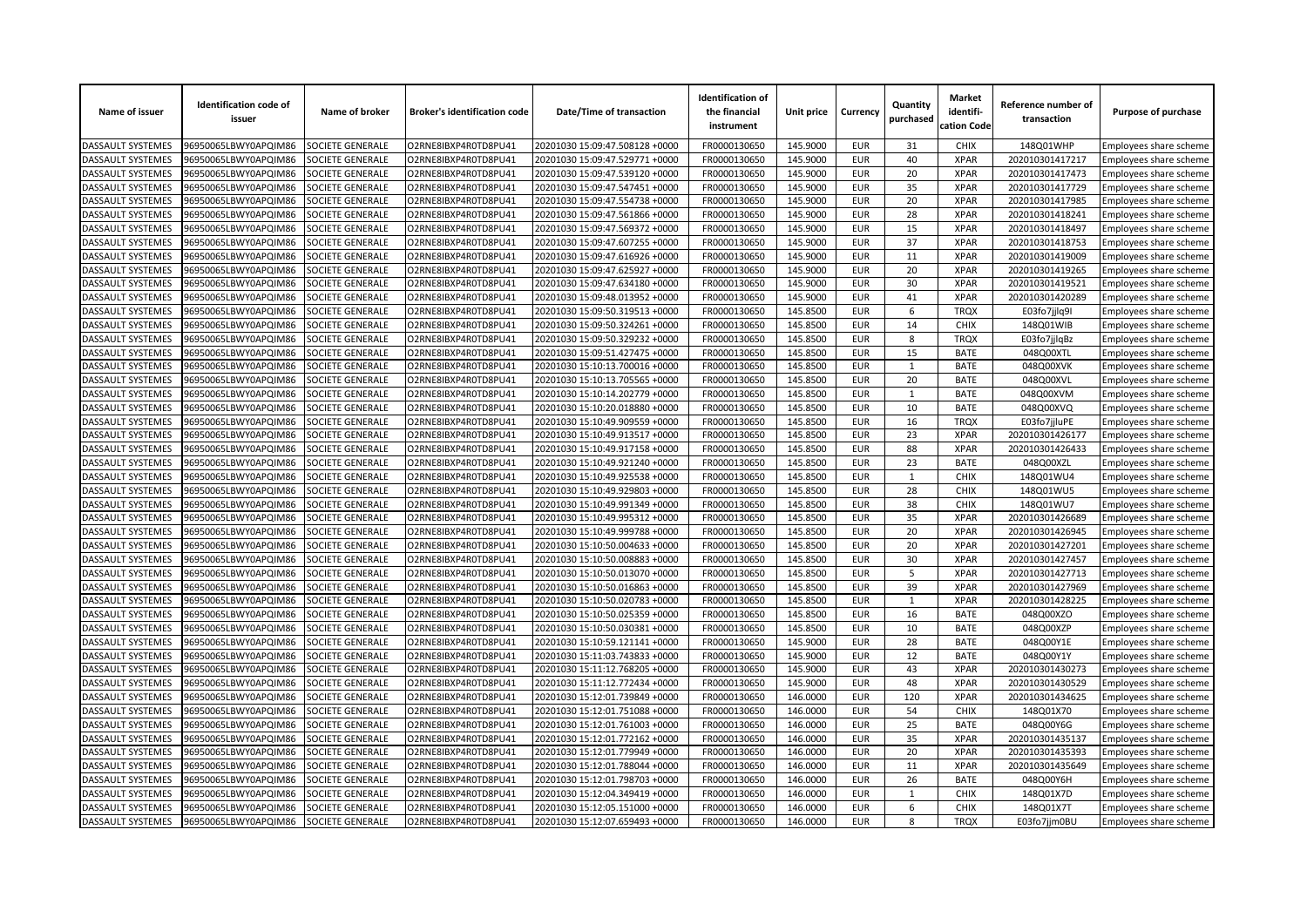| Name of issuer                         | <b>Identification code of</b><br>issuer      | Name of broker                       | <b>Broker's identification code</b>          | Date/Time of transaction                                         | <b>Identification of</b><br>the financial<br>instrument | Unit price           | Currency                 | Quantity<br>purchased | Market<br>identifi-<br>cation Code | Reference number of<br>transaction | Purpose of purchase    |
|----------------------------------------|----------------------------------------------|--------------------------------------|----------------------------------------------|------------------------------------------------------------------|---------------------------------------------------------|----------------------|--------------------------|-----------------------|------------------------------------|------------------------------------|------------------------|
| DASSAULT SYSTEMES                      | 96950065LBWY0APQIM86                         | SOCIETE GENERALE                     | O2RNE8IBXP4R0TD8PU41                         | 20201030 15:09:47.508128 +0000                                   | FR0000130650                                            | 145.9000             | <b>EUR</b>               | 31                    | <b>CHIX</b>                        | 148Q01WHP                          | Employees share scheme |
| DASSAULT SYSTEMES                      | 96950065LBWY0APQIM86                         | SOCIETE GENERALE                     | O2RNE8IBXP4R0TD8PU41                         | 20201030 15:09:47.529771 +0000                                   | FR0000130650                                            | 145.9000             | <b>EUR</b>               | 40                    | <b>XPAR</b>                        | 202010301417217                    | Employees share scheme |
| DASSAULT SYSTEMES                      | 96950065LBWY0APQIM86                         | SOCIETE GENERALE                     | O2RNE8IBXP4R0TD8PU41                         | 20201030 15:09:47.539120 +0000                                   | FR0000130650                                            | 145.9000             | <b>EUR</b>               | 20                    | <b>XPAR</b>                        | 202010301417473                    | Employees share scheme |
| DASSAULT SYSTEMES                      | 96950065LBWY0APQIM86                         | SOCIETE GENERALE                     | O2RNE8IBXP4R0TD8PU41                         | 20201030 15:09:47.547451 +0000                                   | FR0000130650                                            | 145.9000             | <b>EUR</b>               | 35                    | <b>XPAR</b>                        | 202010301417729                    | Employees share scheme |
| DASSAULT SYSTEMES                      | 06950065LBWY0APQIM86                         | SOCIETE GENERALE                     | O2RNE8IBXP4R0TD8PU41                         | 20201030 15:09:47.554738 +0000                                   | FR0000130650                                            | 145.9000             | <b>EUR</b>               | 20                    | <b>XPAR</b>                        | 202010301417985                    | Employees share scheme |
| DASSAULT SYSTEMES                      | 96950065LBWY0APQIM86                         | SOCIETE GENERALE                     | O2RNE8IBXP4R0TD8PU41                         | 20201030 15:09:47.561866 +0000                                   | FR0000130650                                            | 145.9000             | <b>EUR</b>               | 28                    | <b>XPAR</b>                        | 202010301418241                    | Employees share scheme |
| DASSAULT SYSTEMES                      | 96950065LBWY0APQIM86                         | SOCIETE GENERALE                     | O2RNE8IBXP4R0TD8PU41                         | 20201030 15:09:47.569372 +0000                                   | FR0000130650                                            | 145.9000             | <b>EUR</b>               | 15                    | <b>XPAR</b>                        | 202010301418497                    | Employees share scheme |
| DASSAULT SYSTEMES                      | 96950065LBWY0APQIM86                         | SOCIETE GENERALE                     | O2RNE8IBXP4R0TD8PU41                         | 20201030 15:09:47.607255 +0000                                   | FR0000130650                                            | 145.9000             | <b>EUR</b>               | 37                    | <b>XPAR</b>                        | 202010301418753                    | Employees share scheme |
| DASSAULT SYSTEMES                      | 06950065LBWY0APQIM86                         | SOCIETE GENERALE                     | O2RNE8IBXP4R0TD8PU41                         | 20201030 15:09:47.616926 +0000                                   | FR0000130650                                            | 145.9000             | <b>EUR</b>               | 11                    | <b>XPAR</b>                        | 202010301419009                    | Employees share scheme |
| DASSAULT SYSTEMES                      | 96950065LBWY0APQIM86                         | SOCIETE GENERALE                     | O2RNE8IBXP4R0TD8PU41                         | 20201030 15:09:47.625927 +0000                                   | FR0000130650                                            | 145.9000             | <b>EUR</b>               | 20                    | <b>XPAR</b>                        | 202010301419265                    | Employees share scheme |
| DASSAULT SYSTEMES                      | 96950065LBWY0APQIM86                         | SOCIETE GENERALE                     | O2RNE8IBXP4R0TD8PU41                         | 20201030 15:09:47.634180 +0000                                   | FR0000130650                                            | 145.9000             | <b>EUR</b>               | 30                    | <b>XPAR</b>                        | 202010301419521                    | Employees share scheme |
| DASSAULT SYSTEMES                      | 96950065LBWY0APQIM86                         | SOCIETE GENERALE                     | O2RNE8IBXP4R0TD8PU41                         | 20201030 15:09:48.013952 +0000                                   | FR0000130650                                            | 145.9000             | <b>EUR</b>               | 41                    | <b>XPAR</b>                        | 202010301420289                    | Employees share scheme |
| DASSAULT SYSTEMES                      | 96950065LBWY0APQIM86                         | SOCIETE GENERALE                     | O2RNE8IBXP4R0TD8PU41                         | 20201030 15:09:50.319513 +0000                                   | FR0000130650                                            | 145.8500             | <b>EUR</b>               | 6                     | <b>TRQX</b>                        | E03fo7jjlq9I                       | Employees share scheme |
| DASSAULT SYSTEMES                      | 96950065LBWY0APQIM86                         | SOCIETE GENERALE                     | O2RNE8IBXP4R0TD8PU41                         | 20201030 15:09:50.324261 +0000                                   | FR0000130650                                            | 145.8500             | <b>EUR</b>               | 14                    | <b>CHIX</b>                        | 148Q01WIB                          | Employees share scheme |
| DASSAULT SYSTEMES                      | 96950065LBWY0APQIM86                         | SOCIETE GENERALE                     | O2RNE8IBXP4R0TD8PU41                         | 20201030 15:09:50.329232 +0000                                   | FR0000130650                                            | 145.8500             | <b>EUR</b>               | 8                     | <b>TRQX</b>                        | E03fo7jjlqBz                       | Employees share scheme |
| DASSAULT SYSTEMES                      | 96950065LBWY0APQIM86                         | <b>SOCIETE GENERALE</b>              | O2RNE8IBXP4R0TD8PU41                         | 20201030 15:09:51.427475 +0000                                   | FR0000130650                                            | 145.8500             | <b>EUR</b>               | 15                    | <b>BATE</b>                        | 048Q00XTL                          | Employees share scheme |
| DASSAULT SYSTEMES                      | 96950065LBWY0APQIM86                         | SOCIETE GENERALE                     | O2RNE8IBXP4R0TD8PU41                         | 20201030 15:10:13.700016 +0000                                   | FR0000130650                                            | 145.8500             | <b>EUR</b>               | $\mathbf 1$           | <b>BATE</b>                        | 048Q00XVK                          | Employees share scheme |
| DASSAULT SYSTEMES                      | 96950065LBWY0APQIM86                         | SOCIETE GENERALE                     | O2RNE8IBXP4R0TD8PU41                         | 20201030 15:10:13.705565 +0000                                   | FR0000130650                                            | 145.8500             | <b>EUR</b>               | 20                    | <b>BATE</b>                        | 048Q00XVL                          | Employees share scheme |
| DASSAULT SYSTEMES                      | 96950065LBWY0APQIM86                         | SOCIETE GENERALE                     | O2RNE8IBXP4R0TD8PU41                         | 20201030 15:10:14.202779 +0000                                   | FR0000130650                                            | 145.8500             | <b>EUR</b>               | $\mathbf{1}$          | <b>BATE</b>                        | 048Q00XVM                          | Employees share scheme |
| DASSAULT SYSTEMES                      | 96950065LBWY0APQIM86                         | <b>SOCIETE GENERALE</b>              | O2RNE8IBXP4R0TD8PU41                         | 20201030 15:10:20.018880 +0000                                   | FR0000130650                                            | 145.8500             | <b>EUR</b>               | 10                    | <b>BATE</b>                        | 048Q00XVQ                          | Employees share scheme |
| DASSAULT SYSTEMES                      | 96950065LBWY0APQIM86                         | SOCIETE GENERALE                     | O2RNE8IBXP4R0TD8PU41                         | 20201030 15:10:49.909559 +0000                                   | FR0000130650                                            | 145.8500             | <b>EUR</b>               | 16                    | <b>TRQX</b>                        | E03fo7jjluPE                       | Employees share scheme |
| DASSAULT SYSTEMES                      | 96950065LBWY0APQIM86                         | SOCIETE GENERALE                     | O2RNE8IBXP4R0TD8PU41                         | 20201030 15:10:49.913517 +0000                                   | FR0000130650                                            | 145.8500             | <b>EUR</b>               | 23                    | <b>XPAR</b>                        | 202010301426177                    | Employees share scheme |
| DASSAULT SYSTEMES                      | 96950065LBWY0APQIM86                         | SOCIETE GENERALE                     | O2RNE8IBXP4R0TD8PU41                         | 20201030 15:10:49.917158 +0000                                   | FR0000130650                                            | 145.8500             | <b>EUR</b>               | 88                    | <b>XPAR</b>                        | 202010301426433                    | Employees share scheme |
| DASSAULT SYSTEMES                      | 96950065LBWY0APQIM86                         | <b>SOCIETE GENERALE</b>              | O2RNE8IBXP4R0TD8PU41                         | 20201030 15:10:49.921240 +0000                                   | FR0000130650                                            | 145.8500             | <b>EUR</b>               | 23                    | <b>BATE</b>                        | 048Q00XZL                          | Employees share scheme |
| <b>DASSAULT SYSTEMES</b>               | 96950065LBWY0APQIM86                         | SOCIETE GENERALE                     | O2RNE8IBXP4R0TD8PU41                         | 20201030 15:10:49.925538 +0000                                   | FR0000130650                                            | 145.8500             | <b>EUR</b>               | $\mathbf{1}$          | <b>CHIX</b>                        | 148Q01WU4                          | Employees share scheme |
| DASSAULT SYSTEMES                      | 96950065LBWY0APQIM86                         | SOCIETE GENERALE                     | O2RNE8IBXP4R0TD8PU41                         | 20201030 15:10:49.929803 +0000                                   | FR0000130650                                            | 145.8500             | <b>EUR</b>               | 28                    | <b>CHIX</b>                        | 148Q01WU5                          | Employees share scheme |
| DASSAULT SYSTEMES                      | 96950065LBWY0APQIM86                         | SOCIETE GENERALE                     | O2RNE8IBXP4R0TD8PU41                         | 20201030 15:10:49.991349 +0000                                   | FR0000130650                                            | 145.8500             | <b>EUR</b>               | 38                    | <b>CHIX</b>                        | 148Q01WU7                          | Employees share scheme |
| DASSAULT SYSTEMES                      | 96950065LBWY0APQIM86                         | <b>SOCIETE GENERALE</b>              | O2RNE8IBXP4R0TD8PU41                         | 20201030 15:10:49.995312 +0000                                   | FR0000130650                                            | 145.8500             | <b>EUR</b>               | 35                    | <b>XPAR</b>                        | 202010301426689                    | Employees share scheme |
| <b>DASSAULT SYSTEMES</b>               | 96950065LBWY0APQIM86                         | SOCIETE GENERALE                     | O2RNE8IBXP4R0TD8PU41                         | 20201030 15:10:49.999788 +0000                                   | FR0000130650                                            | 145.8500             | <b>EUR</b>               | 20                    | <b>XPAR</b>                        | 202010301426945                    | Employees share scheme |
| DASSAULT SYSTEMES                      | 96950065LBWY0APQIM86                         | SOCIETE GENERALE                     | O2RNE8IBXP4R0TD8PU41                         | 20201030 15:10:50.004633 +0000                                   | FR0000130650                                            | 145.8500             | <b>EUR</b>               | 20                    | <b>XPAR</b>                        | 202010301427201                    | Employees share scheme |
| DASSAULT SYSTEMES                      | 96950065LBWY0APQIM86                         | SOCIETE GENERALE                     | O2RNE8IBXP4R0TD8PU41                         | 20201030 15:10:50.008883 +0000                                   | FR0000130650                                            | 145.8500             | <b>EUR</b>               | 30                    | <b>XPAR</b>                        | 202010301427457                    | Employees share scheme |
| DASSAULT SYSTEMES                      | 96950065LBWY0APQIM86                         | SOCIETE GENERALE                     | O2RNE8IBXP4R0TD8PU41                         | 20201030 15:10:50.013070 +0000                                   | FR0000130650                                            | 145.8500             | <b>EUR</b>               | 5                     | <b>XPAR</b>                        | 202010301427713                    | Employees share scheme |
| <b>DASSAULT SYSTEMES</b>               | 96950065LBWY0APQIM86                         | SOCIETE GENERALE                     | O2RNE8IBXP4R0TD8PU41                         | 20201030 15:10:50.016863 +0000                                   | FR0000130650                                            | 145.8500             | <b>EUR</b>               | 39                    | <b>XPAR</b>                        | 202010301427969                    | Employees share scheme |
| DASSAULT SYSTEMES                      | 96950065LBWY0APQIM86                         | SOCIETE GENERALE                     | O2RNE8IBXP4R0TD8PU41                         | 20201030 15:10:50.020783 +0000                                   | FR0000130650                                            | 145.8500             | <b>EUR</b>               | $\mathbf{1}$          | <b>XPAR</b>                        | 202010301428225                    | Employees share scheme |
| DASSAULT SYSTEMES                      | 96950065LBWY0APQIM86                         | SOCIETE GENERALE                     | O2RNE8IBXP4R0TD8PU41                         | 20201030 15:10:50.025359 +0000                                   | FR0000130650                                            | 145.8500             | <b>EUR</b>               | 16                    | <b>BATE</b>                        | 048Q00XZO                          | Employees share scheme |
| DASSAULT SYSTEMES                      | 96950065LBWY0APQIM86                         | SOCIETE GENERALE                     | O2RNE8IBXP4R0TD8PU41                         | 20201030 15:10:50.030381 +0000                                   | FR0000130650                                            | 145.8500             | <b>EUR</b>               | 10                    | <b>BATE</b>                        | 048Q00XZP                          | Employees share scheme |
| DASSAULT SYSTEMES                      | 96950065LBWY0APQIM86                         | SOCIETE GENERALE                     | O2RNE8IBXP4R0TD8PU41                         | 20201030 15:10:59.121141 +0000                                   | FR0000130650                                            | 145.9000             | <b>EUR</b>               | 28                    | <b>BATE</b>                        | 048Q00Y1E                          | Employees share scheme |
| DASSAULT SYSTEMES                      | 96950065LBWY0APQIM86                         | SOCIETE GENERALE                     | O2RNE8IBXP4R0TD8PU41                         | 20201030 15:11:03.743833 +0000                                   | FR0000130650                                            | 145.9000             | <b>EUR</b>               | 12                    | <b>BATE</b>                        | 048Q00Y1Y                          | Employees share scheme |
| DASSAULT SYSTEMES                      | 96950065LBWY0APQIM86                         | SOCIETE GENERALE                     | O2RNE8IBXP4R0TD8PU41                         | 20201030 15:11:12.768205 +0000                                   | FR0000130650                                            | 145.9000             | <b>EUR</b>               | 43                    | <b>XPAR</b>                        | 202010301430273                    | Employees share scheme |
| DASSAULT SYSTEMES                      | 06950065LBWY0APQIM86                         | <b>SOCIETE GENERALE</b>              | O2RNE8IBXP4R0TD8PU41                         | 20201030 15:11:12.772434 +0000                                   | FR0000130650                                            | 145.9000             | <b>EUR</b>               | 48                    | <b>XPAR</b>                        | 202010301430529                    | Employees share scheme |
| DASSAULT SYSTEMES                      | 96950065LBWY0APQIM86                         | SOCIETE GENERALE                     | O2RNE8IBXP4R0TD8PU41                         | 20201030 15:12:01.739849 +0000                                   | FR0000130650                                            | 146.0000             | <b>EUR</b>               | 120                   | <b>XPAR</b>                        | 202010301434625                    | Employees share scheme |
| DASSAULT SYSTEMES                      | 96950065LBWY0APQIM86                         | SOCIETE GENERALE                     | O2RNE8IBXP4R0TD8PU41                         | 20201030 15:12:01.751088 +0000                                   | FR0000130650                                            | 146.0000             | <b>EUR</b>               | 54                    | <b>CHIX</b>                        | 148Q01X70                          | Employees share scheme |
| DASSAULT SYSTEMES                      | 96950065LBWY0APQIM86                         | SOCIETE GENERALE                     | O2RNE8IBXP4R0TD8PU41                         | 20201030 15:12:01.761003 +0000                                   | FR0000130650                                            | 146.0000             | <b>EUR</b>               | 25                    | <b>BATE</b>                        | 048Q00Y6G                          | Employees share scheme |
| DASSAULT SYSTEMES                      | 96950065LBWY0APQIM86                         | <b>SOCIETE GENERALE</b>              | O2RNE8IBXP4R0TD8PU41                         | 20201030 15:12:01.772162 +0000                                   | FR0000130650                                            | 146.0000             | <b>EUR</b>               | 35                    | <b>XPAR</b>                        | 202010301435137                    | Employees share scheme |
| DASSAULT SYSTEMES                      | 96950065LBWY0APQIM86                         | SOCIETE GENERALE                     | O2RNE8IBXP4R0TD8PU41                         | 20201030 15:12:01.779949 +0000                                   | FR0000130650                                            | 146.0000             | <b>EUR</b>               | 20                    | <b>XPAR</b>                        | 202010301435393                    |                        |
|                                        |                                              |                                      |                                              |                                                                  |                                                         |                      |                          | 11                    | <b>XPAR</b>                        |                                    | Employees share scheme |
| DASSAULT SYSTEMES<br>DASSAULT SYSTEMES | 96950065LBWY0APQIM86<br>96950065LBWY0APQIM86 | SOCIETE GENERALE<br>SOCIETE GENERALE | O2RNE8IBXP4R0TD8PU41<br>O2RNE8IBXP4R0TD8PU41 | 20201030 15:12:01.788044 +0000<br>20201030 15:12:01.798703 +0000 | FR0000130650<br>FR0000130650                            | 146.0000<br>146.0000 | <b>EUR</b><br><b>EUR</b> | 26                    | <b>BATE</b>                        | 202010301435649<br>048Q00Y6H       | Employees share scheme |
|                                        | 06950065LBWY0APQIM86                         | <b>OCIETE GENERALE</b>               | O2RNE8IBXP4R0TD8PU41                         | 20201030 15:12:04.349419 +0000                                   | FR0000130650                                            | 146.0000             | <b>EUR</b>               | $\mathbf{1}$          | <b>CHIX</b>                        | 148Q01X7D                          | Employees share scheme |
| DASSAULT SYSTEMES                      |                                              |                                      |                                              |                                                                  |                                                         |                      | <b>EUR</b>               |                       |                                    |                                    | Employees share scheme |
| DASSAULT SYSTEMES                      | 96950065LBWY0APQIM86                         | SOCIETE GENERALE                     | O2RNE8IBXP4R0TD8PU41                         | 20201030 15:12:05.151000 +0000                                   | FR0000130650                                            | 146.0000             | <b>EUR</b>               | 6<br>8                | <b>CHIX</b><br><b>TROX</b>         | 148Q01X7T                          | Employees share scheme |
| <b>DASSAULT SYSTEMES</b>               | 96950065LBWY0APQIM86                         | SOCIETE GENERALE                     | O2RNE8IBXP4R0TD8PU41                         | 20201030 15:12:07.659493 +0000                                   | FR0000130650                                            | 146.0000             |                          |                       |                                    | E03fo7jjm0BU                       | Employees share scheme |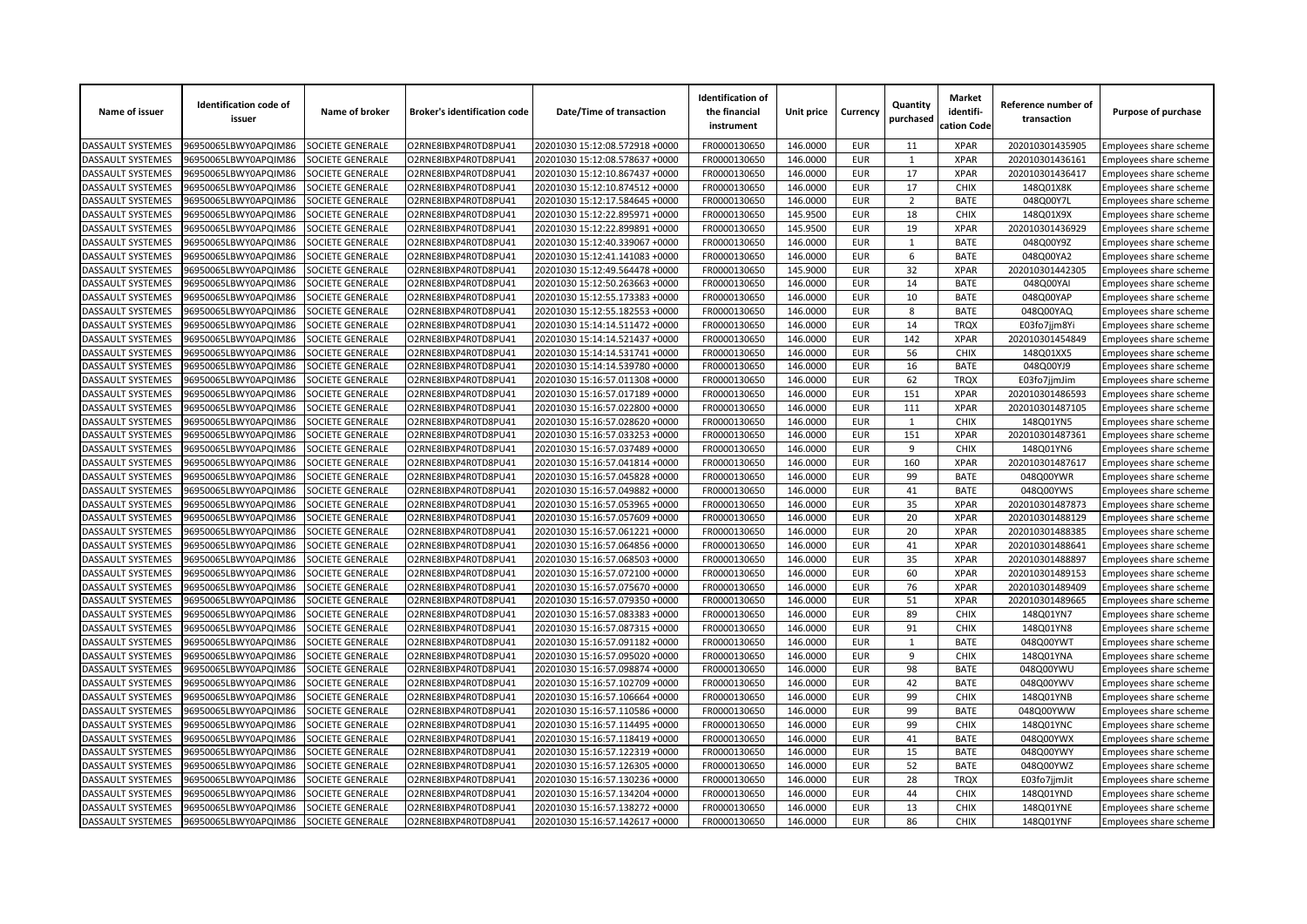| Name of issuer           | <b>Identification code of</b><br>issuer | Name of broker          | <b>Broker's identification code</b> | Date/Time of transaction       | <b>Identification of</b><br>the financial<br>instrument | Unit price | Currency   | Quantity<br>purchased | <b>Market</b><br>identifi-<br>cation Code | Reference number of<br>transaction | Purpose of purchase    |
|--------------------------|-----------------------------------------|-------------------------|-------------------------------------|--------------------------------|---------------------------------------------------------|------------|------------|-----------------------|-------------------------------------------|------------------------------------|------------------------|
| DASSAULT SYSTEMES        | 96950065LBWY0APQIM86                    | SOCIETE GENERALE        | O2RNE8IBXP4R0TD8PU41                | 20201030 15:12:08.572918 +0000 | FR0000130650                                            | 146.0000   | <b>EUR</b> | 11                    | <b>XPAR</b>                               | 202010301435905                    | Employees share scheme |
| DASSAULT SYSTEMES        | 96950065LBWY0APQIM86                    | SOCIETE GENERALE        | O2RNE8IBXP4R0TD8PU41                | 20201030 15:12:08.578637 +0000 | FR0000130650                                            | 146.0000   | <b>EUR</b> | $\mathbf{1}$          | <b>XPAR</b>                               | 202010301436161                    | Employees share scheme |
| DASSAULT SYSTEMES        | 96950065LBWY0APQIM86                    | SOCIETE GENERALE        | O2RNE8IBXP4R0TD8PU41                | 20201030 15:12:10.867437 +0000 | FR0000130650                                            | 146.0000   | <b>EUR</b> | 17                    | <b>XPAR</b>                               | 202010301436417                    | Employees share scheme |
| DASSAULT SYSTEMES        | 96950065LBWY0APQIM86                    | SOCIETE GENERALE        | O2RNE8IBXP4R0TD8PU41                | 20201030 15:12:10.874512 +0000 | FR0000130650                                            | 146.0000   | <b>EUR</b> | 17                    | <b>CHIX</b>                               | 148Q01X8K                          | Employees share scheme |
| DASSAULT SYSTEMES        | 96950065LBWY0APQIM86                    | SOCIETE GENERALE        | O2RNE8IBXP4R0TD8PU41                | 20201030 15:12:17.584645 +0000 | FR0000130650                                            | 146.0000   | <b>EUR</b> | $\overline{2}$        | <b>BATE</b>                               | 048Q00Y7L                          | Employees share scheme |
| DASSAULT SYSTEMES        | 96950065LBWY0APQIM86                    | SOCIETE GENERALE        | O2RNE8IBXP4R0TD8PU41                | 20201030 15:12:22.895971 +0000 | FR0000130650                                            | 145.9500   | <b>EUR</b> | 18                    | <b>CHIX</b>                               | 148Q01X9X                          | Employees share scheme |
| DASSAULT SYSTEMES        | 96950065LBWY0APQIM86                    | SOCIETE GENERALE        | O2RNE8IBXP4R0TD8PU41                | 20201030 15:12:22.899891 +0000 | FR0000130650                                            | 145.9500   | <b>EUR</b> | 19                    | <b>XPAR</b>                               | 202010301436929                    | Employees share scheme |
| <b>DASSAULT SYSTEMES</b> | 96950065LBWY0APQIM86                    | SOCIETE GENERALE        | O2RNE8IBXP4R0TD8PU41                | 20201030 15:12:40.339067 +0000 | FR0000130650                                            | 146.0000   | <b>EUR</b> | 1                     | <b>BATE</b>                               | 048Q00Y9Z                          | Employees share scheme |
| DASSAULT SYSTEMES        | 96950065LBWY0APQIM86                    | SOCIETE GENERALE        | O2RNE8IBXP4R0TD8PU41                | 20201030 15:12:41.141083 +0000 | FR0000130650                                            | 146.0000   | <b>EUR</b> | 6                     | <b>BATE</b>                               | 048Q00YA2                          | Employees share scheme |
| DASSAULT SYSTEMES        | 96950065LBWY0APQIM86                    | SOCIETE GENERALE        | O2RNE8IBXP4R0TD8PU41                | 20201030 15:12:49.564478 +0000 | FR0000130650                                            | 145.9000   | <b>EUR</b> | 32                    | <b>XPAR</b>                               | 202010301442305                    | Employees share scheme |
| DASSAULT SYSTEMES        | 96950065LBWY0APQIM86                    | SOCIETE GENERALE        | O2RNE8IBXP4R0TD8PU41                | 20201030 15:12:50.263663 +0000 | FR0000130650                                            | 146.0000   | <b>EUR</b> | 14                    | <b>BATE</b>                               | 048Q00YAI                          | Employees share scheme |
| DASSAULT SYSTEMES        | 96950065LBWY0APQIM86                    | SOCIETE GENERALE        | O2RNE8IBXP4R0TD8PU41                | 20201030 15:12:55.173383 +0000 | FR0000130650                                            | 146.0000   | <b>EUR</b> | 10                    | <b>BATE</b>                               | 048Q00YAP                          | Employees share scheme |
| DASSAULT SYSTEMES        | 96950065LBWY0APQIM86                    | SOCIETE GENERALE        | O2RNE8IBXP4R0TD8PU41                | 20201030 15:12:55.182553 +0000 | FR0000130650                                            | 146.0000   | <b>EUR</b> | 8                     | <b>BATE</b>                               | 048Q00YAQ                          | Employees share scheme |
| DASSAULT SYSTEMES        | 96950065LBWY0APQIM86                    | SOCIETE GENERALE        | O2RNE8IBXP4R0TD8PU41                | 20201030 15:14:14.511472 +0000 | FR0000130650                                            | 146.0000   | <b>EUR</b> | 14                    | <b>TRQX</b>                               | E03fo7jjm8Yi                       | Employees share scheme |
| DASSAULT SYSTEMES        | 96950065LBWY0APQIM86                    | SOCIETE GENERALE        | O2RNE8IBXP4R0TD8PU41                | 20201030 15:14:14.521437 +0000 | FR0000130650                                            | 146.0000   | <b>EUR</b> | 142                   | <b>XPAR</b>                               | 202010301454849                    | Employees share scheme |
| DASSAULT SYSTEMES        | 96950065LBWY0APQIM86                    | SOCIETE GENERALE        | O2RNE8IBXP4R0TD8PU41                | 20201030 15:14:14.531741 +0000 | FR0000130650                                            | 146.0000   | <b>EUR</b> | 56                    | <b>CHIX</b>                               | 148Q01XX5                          | Employees share scheme |
| DASSAULT SYSTEMES        | 96950065LBWY0APQIM86                    | SOCIETE GENERALE        | O2RNE8IBXP4R0TD8PU41                | 20201030 15:14:14.539780 +0000 | FR0000130650                                            | 146.0000   | <b>EUR</b> | 16                    | <b>BATE</b>                               | 048Q00YJ9                          | Employees share scheme |
| DASSAULT SYSTEMES        | 96950065LBWY0APQIM86                    | SOCIETE GENERALE        | O2RNE8IBXP4R0TD8PU41                | 20201030 15:16:57.011308 +0000 | FR0000130650                                            | 146.0000   | <b>EUR</b> | 62                    | <b>TRQX</b>                               | E03fo7jjmJim                       | Employees share scheme |
| <b>DASSAULT SYSTEMES</b> | 96950065LBWY0APQIM86                    | SOCIETE GENERALE        | O2RNE8IBXP4R0TD8PU41                | 20201030 15:16:57.017189 +0000 | FR0000130650                                            | 146.0000   | <b>EUR</b> | 151                   | <b>XPAR</b>                               | 202010301486593                    | Employees share scheme |
| DASSAULT SYSTEMES        | 96950065LBWY0APQIM86                    | SOCIETE GENERALE        | O2RNE8IBXP4R0TD8PU41                | 20201030 15:16:57.022800 +0000 | FR0000130650                                            | 146.0000   | <b>EUR</b> | 111                   | <b>XPAR</b>                               | 202010301487105                    | Employees share scheme |
| DASSAULT SYSTEMES        | 96950065LBWY0APQIM86                    | SOCIETE GENERALE        | O2RNE8IBXP4R0TD8PU41                | 20201030 15:16:57.028620 +0000 | FR0000130650                                            | 146.0000   | <b>EUR</b> | 1                     | <b>CHIX</b>                               | 148Q01YN5                          | Employees share scheme |
| <b>DASSAULT SYSTEMES</b> | 96950065LBWY0APQIM86                    | SOCIETE GENERALE        | O2RNE8IBXP4R0TD8PU41                | 20201030 15:16:57.033253 +0000 | FR0000130650                                            | 146.0000   | <b>EUR</b> | 151                   | <b>XPAR</b>                               | 202010301487361                    | Employees share scheme |
| DASSAULT SYSTEMES        | 96950065LBWY0APQIM86                    | SOCIETE GENERALE        | O2RNE8IBXP4R0TD8PU41                | 20201030 15:16:57.037489 +0000 | FR0000130650                                            | 146.0000   | <b>EUR</b> | 9                     | <b>CHIX</b>                               | 148Q01YN6                          | Employees share scheme |
| <b>DASSAULT SYSTEMES</b> | 96950065LBWY0APQIM86                    | SOCIETE GENERALE        | O2RNE8IBXP4R0TD8PU41                | 20201030 15:16:57.041814 +0000 | FR0000130650                                            | 146.0000   | <b>EUR</b> | 160                   | <b>XPAR</b>                               | 202010301487617                    | Employees share scheme |
| <b>DASSAULT SYSTEMES</b> | 96950065LBWY0APQIM86                    | <b>SOCIETE GENERALE</b> | O2RNE8IBXP4R0TD8PU41                | 20201030 15:16:57.045828 +0000 | FR0000130650                                            | 146.0000   | <b>EUR</b> | 99                    | <b>BATE</b>                               | 048Q00YWR                          | Employees share scheme |
| DASSAULT SYSTEMES        | 96950065LBWY0APQIM86                    | SOCIETE GENERALE        | O2RNE8IBXP4R0TD8PU41                | 20201030 15:16:57.049882 +0000 | FR0000130650                                            | 146.0000   | <b>EUR</b> | 41                    | <b>BATE</b>                               | 048Q00YWS                          | Employees share scheme |
| DASSAULT SYSTEMES        | 96950065LBWY0APQIM86                    | SOCIETE GENERALE        | O2RNE8IBXP4R0TD8PU41                | 20201030 15:16:57.053965 +0000 | FR0000130650                                            | 146.0000   | <b>EUR</b> | 35                    | <b>XPAR</b>                               | 202010301487873                    | Employees share scheme |
| <b>DASSAULT SYSTEMES</b> | 96950065LBWY0APQIM86                    | SOCIETE GENERALE        | O2RNE8IBXP4R0TD8PU41                | 20201030 15:16:57.057609 +0000 | FR0000130650                                            | 146.0000   | <b>EUR</b> | 20                    | <b>XPAR</b>                               | 202010301488129                    | Employees share scheme |
| DASSAULT SYSTEMES        | 96950065LBWY0APQIM86                    | SOCIETE GENERALE        | O2RNE8IBXP4R0TD8PU41                | 20201030 15:16:57.061221 +0000 | FR0000130650                                            | 146.0000   | <b>EUR</b> | 20                    | <b>XPAR</b>                               | 202010301488385                    | Employees share scheme |
| DASSAULT SYSTEMES        | 96950065LBWY0APQIM86                    | SOCIETE GENERALE        | O2RNE8IBXP4R0TD8PU41                | 20201030 15:16:57.064856 +0000 | FR0000130650                                            | 146.0000   | <b>EUR</b> | 41                    | <b>XPAR</b>                               | 202010301488641                    | Employees share scheme |
| DASSAULT SYSTEMES        | 96950065LBWY0APQIM86                    | SOCIETE GENERALE        | O2RNE8IBXP4R0TD8PU41                | 20201030 15:16:57.068503 +0000 | FR0000130650                                            | 146.0000   | <b>EUR</b> | 35                    | <b>XPAR</b>                               | 202010301488897                    | Employees share scheme |
| DASSAULT SYSTEMES        | 96950065LBWY0APQIM86                    | SOCIETE GENERALE        | O2RNE8IBXP4R0TD8PU41                | 20201030 15:16:57.072100 +0000 | FR0000130650                                            | 146.0000   | <b>EUR</b> | 60                    | <b>XPAR</b>                               | 202010301489153                    | Employees share scheme |
| DASSAULT SYSTEMES        | 96950065LBWY0APQIM86                    | SOCIETE GENERALE        | O2RNE8IBXP4R0TD8PU41                | 20201030 15:16:57.075670 +0000 | FR0000130650                                            | 146.0000   | <b>EUR</b> | 76                    | <b>XPAR</b>                               | 202010301489409                    | Employees share scheme |
| DASSAULT SYSTEMES        | 96950065LBWY0APQIM86                    | SOCIETE GENERALE        | O2RNE8IBXP4R0TD8PU41                | 20201030 15:16:57.079350 +0000 | FR0000130650                                            | 146.0000   | <b>EUR</b> | 51                    | <b>XPAR</b>                               | 202010301489665                    |                        |
| DASSAULT SYSTEMES        | 96950065LBWY0APQIM86                    | SOCIETE GENERALE        | O2RNE8IBXP4R0TD8PU41                | 20201030 15:16:57.083383 +0000 | FR0000130650                                            | 146.0000   | <b>EUR</b> | 89                    | CHIX                                      | 148Q01YN7                          | Employees share scheme |
| <b>DASSAULT SYSTEMES</b> | 96950065LBWY0APQIM86                    | SOCIETE GENERALE        | O2RNE8IBXP4R0TD8PU41                | 20201030 15:16:57.087315 +0000 | FR0000130650                                            | 146.0000   | <b>EUR</b> | 91                    | <b>CHIX</b>                               | 148Q01YN8                          | Employees share scheme |
| <b>DASSAULT SYSTEMES</b> | 96950065LBWY0APQIM86                    | SOCIETE GENERALE        | O2RNE8IBXP4R0TD8PU41                | 20201030 15:16:57.091182 +0000 | FR0000130650                                            | 146.0000   | <b>EUR</b> | 1                     | <b>BATE</b>                               | 048Q00YWT                          | Employees share scheme |
|                          |                                         |                         |                                     |                                |                                                         |            | <b>EUR</b> | 9                     | <b>CHIX</b>                               |                                    | Employees share scheme |
| <b>DASSAULT SYSTEMES</b> | 96950065LBWY0APQIM86                    | SOCIETE GENERALE        | O2RNE8IBXP4R0TD8PU41                | 20201030 15:16:57.095020 +0000 | FR0000130650                                            | 146.0000   |            | 98                    |                                           | 148Q01YNA                          | Employees share scheme |
| DASSAULT SYSTEMES        | 96950065LBWY0APQIM86                    | SOCIETE GENERALE        | O2RNE8IBXP4R0TD8PU41                | 20201030 15:16:57.098874 +0000 | FR0000130650                                            | 146.0000   | <b>EUR</b> |                       | <b>BATE</b>                               | 048Q00YWU                          | Employees share scheme |
| DASSAULT SYSTEMES        | 96950065LBWY0APQIM86                    | SOCIETE GENERALE        | O2RNE8IBXP4R0TD8PU41                | 20201030 15:16:57.102709 +0000 | FR0000130650                                            | 146.0000   | <b>EUR</b> | 42                    | <b>BATE</b>                               | 048Q00YWV                          | Employees share scheme |
| DASSAULT SYSTEMES        | 96950065LBWY0APQIM86                    | SOCIETE GENERALE        | O2RNE8IBXP4R0TD8PU41                | 20201030 15:16:57.106664 +0000 | FR0000130650                                            | 146.0000   | <b>EUR</b> | 99                    | <b>CHIX</b>                               | 148Q01YNB                          | Employees share scheme |
| DASSAULT SYSTEMES        | 96950065LBWY0APQIM86                    | SOCIETE GENERALE        | O2RNE8IBXP4R0TD8PU41                | 20201030 15:16:57.110586 +0000 | FR0000130650                                            | 146.0000   | <b>EUR</b> | 99                    | <b>BATE</b>                               | 048Q00YWW                          | Employees share scheme |
| DASSAULT SYSTEMES        | 96950065LBWY0APQIM86                    | SOCIETE GENERALE        | O2RNE8IBXP4R0TD8PU41                | 20201030 15:16:57.114495 +0000 | FR0000130650                                            | 146.0000   | <b>EUR</b> | 99                    | CHIX                                      | 148Q01YNC                          | Employees share scheme |
| DASSAULT SYSTEMES        | 96950065LBWY0APQIM86                    | SOCIETE GENERALE        | O2RNE8IBXP4R0TD8PU41                | 20201030 15:16:57.118419 +0000 | FR0000130650                                            | 146.0000   | <b>EUR</b> | 41                    | <b>BATE</b>                               | 048Q00YWX                          | Employees share scheme |
| DASSAULT SYSTEMES        | 96950065LBWY0APQIM86                    | SOCIETE GENERALE        | O2RNE8IBXP4R0TD8PU41                | 20201030 15:16:57.122319 +0000 | FR0000130650                                            | 146.0000   | <b>EUR</b> | 15                    | <b>BATE</b>                               | 048Q00YWY                          | Employees share scheme |
| DASSAULT SYSTEMES        | 96950065LBWY0APQIM86                    | SOCIETE GENERALE        | O2RNE8IBXP4R0TD8PU41                | 20201030 15:16:57.126305 +0000 | FR0000130650                                            | 146.0000   | <b>EUR</b> | 52                    | <b>BATE</b>                               | 048Q00YWZ                          | Employees share scheme |
| DASSAULT SYSTEMES        | 96950065LBWY0APQIM86                    | SOCIETE GENERALE        | O2RNE8IBXP4R0TD8PU41                | 20201030 15:16:57.130236 +0000 | FR0000130650                                            | 146.0000   | <b>EUR</b> | 28                    | <b>TRQX</b>                               | E03fo7jjmJit                       | Employees share scheme |
| <b>DASSAULT SYSTEMES</b> | 96950065LBWY0APQIM86                    | SOCIETE GENERALE        | O2RNE8IBXP4R0TD8PU41                | 20201030 15:16:57.134204 +0000 | FR0000130650                                            | 146.0000   | <b>EUR</b> | 44                    | <b>CHIX</b>                               | 148Q01YND                          | Employees share scheme |
| DASSAULT SYSTEMES        | 96950065LBWY0APQIM86                    | SOCIETE GENERALE        | O2RNE8IBXP4R0TD8PU41                | 20201030 15:16:57.138272 +0000 | FR0000130650                                            | 146.0000   | <b>EUR</b> | 13                    | <b>CHIX</b>                               | 148Q01YNE                          | Employees share scheme |
| <b>DASSAULT SYSTEMES</b> | 96950065LBWY0APQIM86                    | SOCIETE GENERALE        | O2RNE8IBXP4R0TD8PU41                | 20201030 15:16:57.142617 +0000 | FR0000130650                                            | 146.0000   | <b>EUR</b> | 86                    | CHIX                                      | 148Q01YNF                          | Employees share scheme |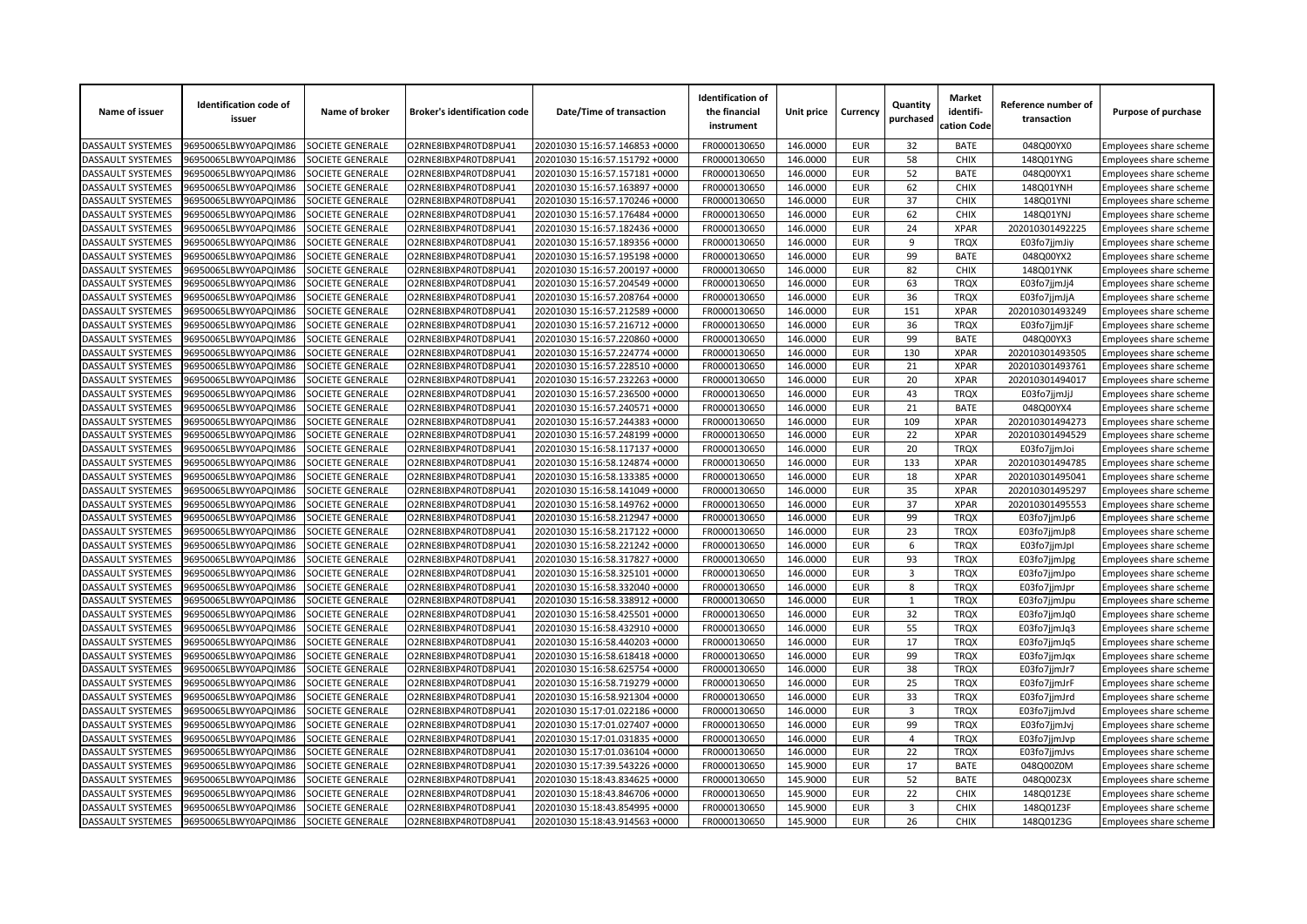| Name of issuer                                | <b>Identification code of</b><br>issuer      | Name of broker                       | <b>Broker's identification code</b>          | Date/Time of transaction                                         | <b>Identification of</b><br>the financial<br>instrument | Unit price           | Currency                 | Quantity<br>purchased   | <b>Market</b><br>identifi-<br>cation Code | Reference number of<br>transaction | Purpose of purchase                              |
|-----------------------------------------------|----------------------------------------------|--------------------------------------|----------------------------------------------|------------------------------------------------------------------|---------------------------------------------------------|----------------------|--------------------------|-------------------------|-------------------------------------------|------------------------------------|--------------------------------------------------|
| DASSAULT SYSTEMES                             | 96950065LBWY0APQIM86                         | SOCIETE GENERALE                     | O2RNE8IBXP4R0TD8PU41                         | 20201030 15:16:57.146853 +0000                                   | FR0000130650                                            | 146.0000             | <b>EUR</b>               | 32                      | <b>BATE</b>                               | 048Q00YX0                          | Employees share scheme                           |
| DASSAULT SYSTEMES                             | 96950065LBWY0APQIM86                         | SOCIETE GENERALE                     | O2RNE8IBXP4R0TD8PU41                         | 20201030 15:16:57.151792 +0000                                   | FR0000130650                                            | 146.0000             | <b>EUR</b>               | 58                      | <b>CHIX</b>                               | 148Q01YNG                          | Employees share scheme                           |
| DASSAULT SYSTEMES                             | 96950065LBWY0APQIM86                         | SOCIETE GENERALE                     | O2RNE8IBXP4R0TD8PU41                         | 20201030 15:16:57.157181 +0000                                   | FR0000130650                                            | 146.0000             | <b>EUR</b>               | 52                      | <b>BATE</b>                               | 048Q00YX1                          | Employees share scheme                           |
| DASSAULT SYSTEMES                             | 96950065LBWY0APQIM86                         | SOCIETE GENERALE                     | O2RNE8IBXP4R0TD8PU41                         | 20201030 15:16:57.163897 +0000                                   | FR0000130650                                            | 146.0000             | <b>EUR</b>               | 62                      | <b>CHIX</b>                               | 148Q01YNH                          | Employees share scheme                           |
| DASSAULT SYSTEMES                             | 96950065LBWY0APQIM86                         | SOCIETE GENERALE                     | O2RNE8IBXP4R0TD8PU41                         | 20201030 15:16:57.170246 +0000                                   | FR0000130650                                            | 146.0000             | <b>EUR</b>               | 37                      | CHIX                                      | 148Q01YNI                          | Employees share scheme                           |
| DASSAULT SYSTEMES                             | 96950065LBWY0APQIM86                         | SOCIETE GENERALE                     | O2RNE8IBXP4R0TD8PU41                         | 20201030 15:16:57.176484 +0000                                   | FR0000130650                                            | 146.0000             | <b>EUR</b>               | 62                      | <b>CHIX</b>                               | 148Q01YNJ                          | Employees share scheme                           |
| DASSAULT SYSTEMES                             | 96950065LBWY0APQIM86                         | SOCIETE GENERALE                     | O2RNE8IBXP4R0TD8PU41                         | 20201030 15:16:57.182436 +0000                                   | FR0000130650                                            | 146.0000             | <b>EUR</b>               | 24                      | <b>XPAR</b>                               | 202010301492225                    | Employees share scheme                           |
| <b>DASSAULT SYSTEMES</b>                      | 96950065LBWY0APQIM86                         | SOCIETE GENERALE                     | O2RNE8IBXP4R0TD8PU41                         | 20201030 15:16:57.189356 +0000                                   | FR0000130650                                            | 146.0000             | <b>EUR</b>               | 9                       | <b>TROX</b>                               | E03fo7jjmJiy                       | Employees share scheme                           |
| DASSAULT SYSTEMES                             | 96950065LBWY0APQIM86                         | SOCIETE GENERALE                     | O2RNE8IBXP4R0TD8PU41                         | 20201030 15:16:57.195198 +0000                                   | FR0000130650                                            | 146.0000             | <b>EUR</b>               | 99                      | <b>BATE</b>                               | 048Q00YX2                          | Employees share scheme                           |
| DASSAULT SYSTEMES                             | 96950065LBWY0APQIM86                         | SOCIETE GENERALE                     | O2RNE8IBXP4R0TD8PU41                         | 20201030 15:16:57.200197 +0000                                   | FR0000130650                                            | 146.0000             | <b>EUR</b>               | 82                      | <b>CHIX</b>                               | 148Q01YNK                          | Employees share scheme                           |
| DASSAULT SYSTEMES                             | 96950065LBWY0APQIM86                         | SOCIETE GENERALE                     | O2RNE8IBXP4R0TD8PU41                         | 20201030 15:16:57.204549 +0000                                   | FR0000130650                                            | 146.0000             | <b>EUR</b>               | 63                      | <b>TRQX</b>                               | E03fo7jjmJj4                       | Employees share scheme                           |
| DASSAULT SYSTEMES                             | 96950065LBWY0APQIM86                         | SOCIETE GENERALE                     | O2RNE8IBXP4R0TD8PU41                         | 20201030 15:16:57.208764 +0000                                   | FR0000130650                                            | 146.0000             | <b>EUR</b>               | 36                      | <b>TRQX</b>                               | E03fo7jjmJjA                       | Employees share scheme                           |
| DASSAULT SYSTEMES                             | 96950065LBWY0APQIM86                         | SOCIETE GENERALE                     | O2RNE8IBXP4R0TD8PU41                         | 20201030 15:16:57.212589 +0000                                   | FR0000130650                                            | 146.0000             | <b>EUR</b>               | 151                     | <b>XPAR</b>                               | 202010301493249                    | Employees share scheme                           |
| DASSAULT SYSTEMES                             | 96950065LBWY0APQIM86                         | SOCIETE GENERALE                     | O2RNE8IBXP4R0TD8PU41                         | 20201030 15:16:57.216712 +0000                                   | FR0000130650                                            | 146.0000             | <b>EUR</b>               | 36                      | <b>TRQX</b>                               | E03fo7jjmJjF                       | Employees share scheme                           |
| DASSAULT SYSTEMES                             | 96950065LBWY0APQIM86                         | <b>SOCIETE GENERALE</b>              | O2RNE8IBXP4R0TD8PU41                         | 20201030 15:16:57.220860 +0000                                   | FR0000130650                                            | 146.0000             | <b>EUR</b>               | 99                      | <b>BATE</b>                               | 048Q00YX3                          | Employees share scheme                           |
| DASSAULT SYSTEMES                             | 96950065LBWY0APQIM86                         | SOCIETE GENERALE                     | O2RNE8IBXP4R0TD8PU41                         | 20201030 15:16:57.224774 +0000                                   | FR0000130650                                            | 146.0000             | <b>EUR</b>               | 130                     | <b>XPAR</b>                               | 202010301493505                    | Employees share scheme                           |
| DASSAULT SYSTEMES                             | 96950065LBWY0APQIM86                         | SOCIETE GENERALE                     | O2RNE8IBXP4R0TD8PU41                         | 20201030 15:16:57.228510 +0000                                   | FR0000130650                                            | 146.0000             | <b>EUR</b>               | 21                      | <b>XPAR</b>                               | 202010301493761                    | Employees share scheme                           |
| DASSAULT SYSTEMES                             | 96950065LBWY0APQIM86                         | SOCIETE GENERALE                     | O2RNE8IBXP4R0TD8PU41                         | 20201030 15:16:57.232263 +0000                                   | FR0000130650                                            | 146.0000             | <b>EUR</b>               | 20                      | <b>XPAR</b>                               | 202010301494017                    | Employees share scheme                           |
| <b>DASSAULT SYSTEMES</b>                      | 96950065LBWY0APQIM86                         | SOCIETE GENERALE                     | O2RNE8IBXP4R0TD8PU41                         | 20201030 15:16:57.236500 +0000                                   | FR0000130650                                            | 146.0000             | <b>EUR</b>               | 43                      | <b>TROX</b>                               | E03fo7jjmJjJ                       | Employees share scheme                           |
| DASSAULT SYSTEMES                             | 96950065LBWY0APQIM86                         | SOCIETE GENERALE                     | O2RNE8IBXP4R0TD8PU41                         | 20201030 15:16:57.240571 +0000                                   | FR0000130650                                            | 146.0000             | <b>EUR</b>               | 21                      | <b>BATE</b>                               | 048Q00YX4                          | Employees share scheme                           |
| DASSAULT SYSTEMES                             | 96950065LBWY0APQIM86                         | SOCIETE GENERALE                     | O2RNE8IBXP4R0TD8PU41                         | 20201030 15:16:57.244383 +0000                                   | FR0000130650                                            | 146.0000             | <b>EUR</b>               | 109                     | <b>XPAR</b>                               | 202010301494273                    | Employees share scheme                           |
| <b>DASSAULT SYSTEMES</b>                      | 96950065LBWY0APQIM86                         | SOCIETE GENERALE                     | O2RNE8IBXP4R0TD8PU41                         | 20201030 15:16:57.248199 +0000                                   | FR0000130650                                            | 146.0000             | <b>EUR</b>               | 22                      | <b>XPAR</b>                               | 202010301494529                    | Employees share scheme                           |
| DASSAULT SYSTEMES                             | 96950065LBWY0APQIM86                         | SOCIETE GENERALE                     | O2RNE8IBXP4R0TD8PU41                         | 20201030 15:16:58.117137 +0000                                   | FR0000130650                                            | 146.0000             | <b>EUR</b>               | 20                      | <b>TRQX</b>                               | E03fo7jjmJoi                       | Employees share scheme                           |
| <b>DASSAULT SYSTEMES</b>                      | 96950065LBWY0APQIM86                         | SOCIETE GENERALE                     | O2RNE8IBXP4R0TD8PU41                         | 20201030 15:16:58.124874 +0000                                   | FR0000130650                                            | 146.0000             | <b>EUR</b>               | 133                     | <b>XPAR</b>                               | 202010301494785                    |                                                  |
| <b>DASSAULT SYSTEMES</b>                      | 96950065LBWY0APQIM86                         | SOCIETE GENERALE                     | O2RNE8IBXP4R0TD8PU41                         | 20201030 15:16:58.133385 +0000                                   | FR0000130650                                            | 146.0000             | <b>EUR</b>               | 18                      | <b>XPAR</b>                               | 202010301495041                    | Employees share scheme                           |
| DASSAULT SYSTEMES                             | 96950065LBWY0APQIM86                         | SOCIETE GENERALE                     | O2RNE8IBXP4R0TD8PU41                         | 20201030 15:16:58.141049 +0000                                   | FR0000130650                                            | 146.0000             | <b>EUR</b>               | 35                      | <b>XPAR</b>                               | 202010301495297                    | Employees share scheme<br>Employees share scheme |
| DASSAULT SYSTEMES                             | 96950065LBWY0APQIM86                         | SOCIETE GENERALE                     | O2RNE8IBXP4R0TD8PU41                         | 20201030 15:16:58.149762 +0000                                   | FR0000130650                                            | 146.0000             | <b>EUR</b>               | 37                      | <b>XPAR</b>                               | 202010301495553                    |                                                  |
|                                               |                                              | SOCIETE GENERALE                     | O2RNE8IBXP4R0TD8PU41                         |                                                                  |                                                         |                      |                          | 99                      |                                           |                                    | Employees share scheme                           |
| <b>DASSAULT SYSTEMES</b><br>DASSAULT SYSTEMES | 96950065LBWY0APQIM86                         |                                      |                                              | 20201030 15:16:58.212947 +0000                                   | FR0000130650<br>FR0000130650                            | 146.0000<br>146.0000 | <b>EUR</b><br><b>EUR</b> | 23                      | <b>TRQX</b><br><b>TRQX</b>                | E03fo7jjmJp6                       | Employees share scheme                           |
| DASSAULT SYSTEMES                             | 96950065LBWY0APQIM86<br>96950065LBWY0APQIM86 | SOCIETE GENERALE<br>SOCIETE GENERALE | O2RNE8IBXP4R0TD8PU41<br>O2RNE8IBXP4R0TD8PU41 | 20201030 15:16:58.217122 +0000<br>20201030 15:16:58.221242 +0000 | FR0000130650                                            | 146.0000             | <b>EUR</b>               | 6                       | <b>TROX</b>                               | E03fo7jjmJp8                       | Employees share scheme                           |
|                                               |                                              |                                      |                                              |                                                                  |                                                         |                      | <b>EUR</b>               | 93                      |                                           | E03fo7jjmJpl                       | Employees share scheme                           |
| DASSAULT SYSTEMES                             | 96950065LBWY0APQIM86                         | SOCIETE GENERALE                     | O2RNE8IBXP4R0TD8PU41                         | 20201030 15:16:58.317827 +0000                                   | FR0000130650                                            | 146.0000             |                          |                         | <b>TRQX</b>                               | E03fo7jjmJpg                       | Employees share scheme                           |
| DASSAULT SYSTEMES                             | 96950065LBWY0APQIM86                         | SOCIETE GENERALE                     | O2RNE8IBXP4R0TD8PU41                         | 20201030 15:16:58.325101 +0000                                   | FR0000130650                                            | 146.0000             | <b>EUR</b>               | $\overline{\mathbf{3}}$ | <b>TRQX</b>                               | E03fo7jjmJpo                       | Employees share scheme                           |
| DASSAULT SYSTEMES                             | 96950065LBWY0APQIM86                         | SOCIETE GENERALE                     | O2RNE8IBXP4R0TD8PU41                         | 20201030 15:16:58.332040 +0000                                   | FR0000130650                                            | 146.0000             | <b>EUR</b>               | 8                       | <b>TRQX</b>                               | E03fo7jjmJpr                       | Employees share scheme                           |
| DASSAULT SYSTEMES                             | 96950065LBWY0APQIM86                         | SOCIETE GENERALE                     | O2RNE8IBXP4R0TD8PU41                         | 20201030 15:16:58.338912 +0000                                   | FR0000130650                                            | 146.0000             | <b>EUR</b>               | 1                       | <b>TRQX</b>                               | E03fo7jjmJpu                       | Employees share scheme                           |
| DASSAULT SYSTEMES                             | 96950065LBWY0APQIM86                         | SOCIETE GENERALE                     | O2RNE8IBXP4R0TD8PU41                         | 20201030 15:16:58.425501 +0000                                   | FR0000130650                                            | 146.0000             | <b>EUR</b>               | 32                      | <b>TRQX</b>                               | E03fo7jjmJq0                       | Employees share scheme                           |
| <b>DASSAULT SYSTEMES</b>                      | 96950065LBWY0APQIM86                         | SOCIETE GENERALE                     | O2RNE8IBXP4R0TD8PU41                         | 20201030 15:16:58.432910 +0000                                   | FR0000130650                                            | 146.0000             | <b>EUR</b>               | 55                      | <b>TRQX</b>                               | E03fo7jjmJq3                       | Employees share scheme                           |
| <b>DASSAULT SYSTEMES</b>                      | 96950065LBWY0APQIM86                         | SOCIETE GENERALE                     | O2RNE8IBXP4R0TD8PU41                         | 20201030 15:16:58.440203 +0000                                   | FR0000130650                                            | 146.0000             | <b>EUR</b>               | 17                      | <b>TRQX</b>                               | E03fo7jjmJq5                       | Employees share scheme                           |
| <b>DASSAULT SYSTEMES</b>                      | 96950065LBWY0APQIM86                         | SOCIETE GENERALE                     | O2RNE8IBXP4R0TD8PU41                         | 20201030 15:16:58.618418 +0000                                   | FR0000130650                                            | 146.0000             | <b>EUR</b>               | 99                      | <b>TRQX</b>                               | E03fo7jjmJqx                       | Employees share scheme                           |
| DASSAULT SYSTEMES                             | 96950065LBWY0APQIM86                         | SOCIETE GENERALE                     | O2RNE8IBXP4R0TD8PU41                         | 20201030 15:16:58.625754 +0000                                   | FR0000130650                                            | 146.0000             | <b>EUR</b>               | 38                      | <b>TRQX</b>                               | E03fo7jjmJr7                       | Employees share scheme                           |
| DASSAULT SYSTEMES                             | 96950065LBWY0APQIM86                         | SOCIETE GENERALE                     | O2RNE8IBXP4R0TD8PU41                         | 20201030 15:16:58.719279 +0000                                   | FR0000130650                                            | 146.0000             | <b>EUR</b>               | 25                      | <b>TRQX</b>                               | E03fo7jjmJrF                       | Employees share scheme                           |
| DASSAULT SYSTEMES                             | 96950065LBWY0APQIM86                         | SOCIETE GENERALE                     | O2RNE8IBXP4R0TD8PU41                         | 20201030 15:16:58.921304 +0000                                   | FR0000130650                                            | 146.0000             | <b>EUR</b>               | 33                      | <b>TRQX</b>                               | E03fo7jjmJrd                       | Employees share scheme                           |
| DASSAULT SYSTEMES                             | 96950065LBWY0APQIM86                         | SOCIETE GENERALE                     | O2RNE8IBXP4R0TD8PU41                         | 20201030 15:17:01.022186 +0000                                   | FR0000130650                                            | 146.0000             | <b>EUR</b>               | 3                       | <b>TRQX</b>                               | E03fo7jjmJvd                       | Employees share scheme                           |
| DASSAULT SYSTEMES                             | 96950065LBWY0APQIM86                         | SOCIETE GENERALE                     | O2RNE8IBXP4R0TD8PU41                         | 20201030 15:17:01.027407 +0000                                   | FR0000130650                                            | 146.0000             | <b>EUR</b>               | 99                      | <b>TRQX</b>                               | E03fo7jjmJvj                       | Employees share scheme                           |
| DASSAULT SYSTEMES                             | 96950065LBWY0APQIM86                         | SOCIETE GENERALE                     | O2RNE8IBXP4R0TD8PU41                         | 20201030 15:17:01.031835 +0000                                   | FR0000130650                                            | 146.0000             | <b>EUR</b>               | $\overline{4}$          | <b>TRQX</b>                               | E03fo7jjmJvp                       | Employees share scheme                           |
| DASSAULT SYSTEMES                             | 96950065LBWY0APQIM86                         | SOCIETE GENERALE                     | O2RNE8IBXP4R0TD8PU41                         | 20201030 15:17:01.036104 +0000                                   | FR0000130650                                            | 146.0000             | <b>EUR</b>               | 22                      | <b>TRQX</b>                               | E03fo7jjmJvs                       | Employees share scheme                           |
| DASSAULT SYSTEMES                             | 96950065LBWY0APQIM86                         | SOCIETE GENERALE                     | O2RNE8IBXP4R0TD8PU41                         | 20201030 15:17:39.543226 +0000                                   | FR0000130650                                            | 145.9000             | <b>EUR</b>               | 17                      | <b>BATE</b>                               | 048Q00Z0M                          | Employees share scheme                           |
| DASSAULT SYSTEMES                             | 96950065LBWY0APQIM86                         | SOCIETE GENERALE                     | O2RNE8IBXP4R0TD8PU41                         | 20201030 15:18:43.834625 +0000                                   | FR0000130650                                            | 145.9000             | <b>EUR</b>               | 52                      | <b>BATE</b>                               | 048Q00Z3X                          | Employees share scheme                           |
| <b>DASSAULT SYSTEMES</b>                      | 96950065LBWY0APQIM86                         | SOCIETE GENERALE                     | O2RNE8IBXP4R0TD8PU41                         | 20201030 15:18:43.846706 +0000                                   | FR0000130650                                            | 145.9000             | <b>EUR</b>               | 22                      | <b>CHIX</b>                               | 148Q01Z3E                          | Employees share scheme                           |
| DASSAULT SYSTEMES                             | 96950065LBWY0APQIM86                         | SOCIETE GENERALE                     | O2RNE8IBXP4R0TD8PU41                         | 20201030 15:18:43.854995 +0000                                   | FR0000130650                                            | 145.9000             | <b>EUR</b>               | 3                       | <b>CHIX</b>                               | 148Q01Z3F                          | Employees share scheme                           |
| <b>DASSAULT SYSTEMES</b>                      | 96950065LBWY0APQIM86                         | SOCIETE GENERALE                     | O2RNE8IBXP4R0TD8PU41                         | 20201030 15:18:43.914563 +0000                                   | FR0000130650                                            | 145.9000             | <b>EUR</b>               | 26                      | CHIX                                      | 148Q01Z3G                          | Employees share scheme                           |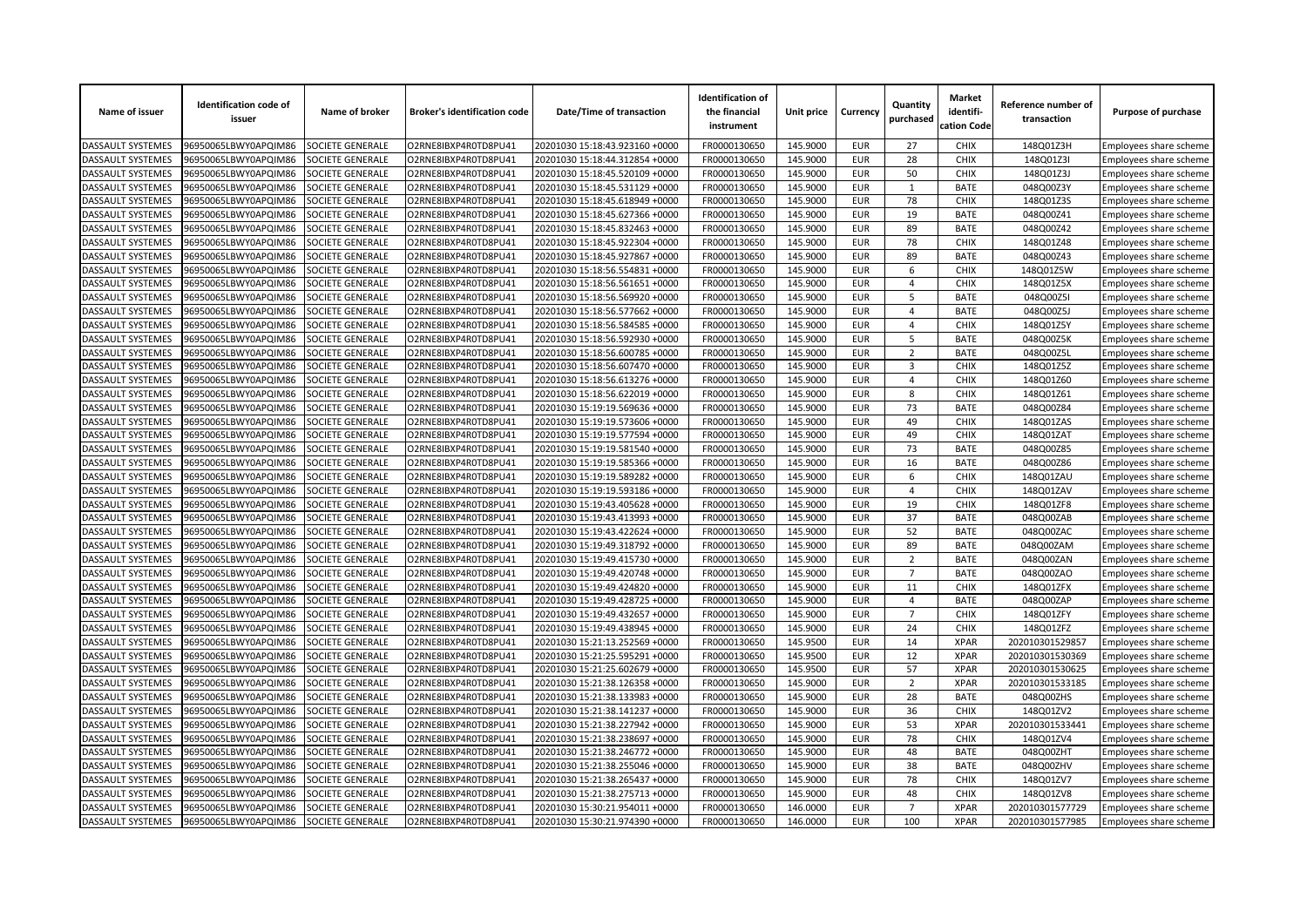| Name of issuer           | <b>Identification code of</b><br>issuer | Name of broker          | <b>Broker's identification code</b> | Date/Time of transaction       | <b>Identification of</b><br>the financial<br>instrument | Unit price           | Currency                 | Quantity<br>purchased | <b>Market</b><br>identifi-<br>cation Code | Reference number of<br>transaction | Purpose of purchase    |
|--------------------------|-----------------------------------------|-------------------------|-------------------------------------|--------------------------------|---------------------------------------------------------|----------------------|--------------------------|-----------------------|-------------------------------------------|------------------------------------|------------------------|
| DASSAULT SYSTEMES        | 96950065LBWY0APQIM86                    | SOCIETE GENERALE        | O2RNE8IBXP4R0TD8PU41                | 20201030 15:18:43.923160 +0000 | FR0000130650                                            | 145.9000             | EUR                      | 27                    | <b>CHIX</b>                               | 148Q01Z3H                          | Employees share scheme |
| DASSAULT SYSTEMES        | 96950065LBWY0APQIM86                    | SOCIETE GENERALE        | O2RNE8IBXP4R0TD8PU41                | 20201030 15:18:44.312854 +0000 | FR0000130650                                            | 145.9000             | <b>EUR</b>               | 28                    | <b>CHIX</b>                               | 148Q01Z3I                          | Employees share scheme |
| DASSAULT SYSTEMES        | 96950065LBWY0APQIM86                    | SOCIETE GENERALE        | O2RNE8IBXP4R0TD8PU41                | 20201030 15:18:45.520109 +0000 | FR0000130650                                            | 145.9000             | <b>EUR</b>               | 50                    | CHIX                                      | 148Q01Z3J                          | Employees share scheme |
| DASSAULT SYSTEMES        | 96950065LBWY0APQIM86                    | SOCIETE GENERALE        | O2RNE8IBXP4R0TD8PU41                | 20201030 15:18:45.531129 +0000 | FR0000130650                                            | 145.9000             | <b>EUR</b>               | 1                     | <b>BATE</b>                               | 048Q00Z3Y                          | Employees share scheme |
| DASSAULT SYSTEMES        | 96950065LBWY0APQIM86                    | SOCIETE GENERALE        | O2RNE8IBXP4R0TD8PU41                | 20201030 15:18:45.618949 +0000 | FR0000130650                                            | 145.9000             | <b>EUR</b>               | 78                    | CHIX                                      | 148Q01Z3S                          | Employees share scheme |
| DASSAULT SYSTEMES        | 96950065LBWY0APQIM86                    | SOCIETE GENERALE        | O2RNE8IBXP4R0TD8PU41                | 20201030 15:18:45.627366 +0000 | FR0000130650                                            | 145.9000             | <b>EUR</b>               | 19                    | <b>BATE</b>                               | 048Q00Z41                          | Employees share scheme |
| DASSAULT SYSTEMES        | 96950065LBWY0APQIM86                    | SOCIETE GENERALE        | O2RNE8IBXP4R0TD8PU41                | 20201030 15:18:45.832463 +0000 | FR0000130650                                            | 145.9000             | <b>EUR</b>               | 89                    | <b>BATE</b>                               | 048Q00Z42                          | Employees share scheme |
| <b>DASSAULT SYSTEMES</b> | 96950065LBWY0APQIM86                    | SOCIETE GENERALE        | O2RNE8IBXP4R0TD8PU41                | 20201030 15:18:45.922304 +0000 | FR0000130650                                            | 145.9000             | <b>EUR</b>               | 78                    | <b>CHIX</b>                               | 148Q01Z48                          | Employees share scheme |
| DASSAULT SYSTEMES        | 96950065LBWY0APQIM86                    | SOCIETE GENERALE        | O2RNE8IBXP4R0TD8PU41                | 20201030 15:18:45.927867 +0000 | FR0000130650                                            | 145.9000             | <b>EUR</b>               | 89                    | <b>BATE</b>                               | 048Q00Z43                          | Employees share scheme |
| DASSAULT SYSTEMES        | 96950065LBWY0APQIM86                    | SOCIETE GENERALE        | O2RNE8IBXP4R0TD8PU41                | 20201030 15:18:56.554831 +0000 | FR0000130650                                            | 145.9000             | <b>EUR</b>               | 6                     | <b>CHIX</b>                               | 148Q01Z5W                          | Employees share scheme |
| DASSAULT SYSTEMES        | 96950065LBWY0APQIM86                    | SOCIETE GENERALE        | O2RNE8IBXP4R0TD8PU41                | 20201030 15:18:56.561651 +0000 | FR0000130650                                            | 145.9000             | <b>EUR</b>               | 4                     | <b>CHIX</b>                               | 148Q01Z5X                          | Employees share scheme |
| DASSAULT SYSTEMES        | 96950065LBWY0APQIM86                    | SOCIETE GENERALE        | O2RNE8IBXP4R0TD8PU41                | 20201030 15:18:56.569920 +0000 | FR0000130650                                            | 145.9000             | <b>EUR</b>               | 5                     | <b>BATE</b>                               | 048Q00Z5                           | Employees share scheme |
| DASSAULT SYSTEMES        | 96950065LBWY0APQIM86                    | SOCIETE GENERALE        | O2RNE8IBXP4R0TD8PU41                | 20201030 15:18:56.577662 +0000 | FR0000130650                                            | 145.9000             | <b>EUR</b>               | $\overline{4}$        | <b>BATE</b>                               | 048Q00Z5J                          | Employees share scheme |
| DASSAULT SYSTEMES        | 96950065LBWY0APQIM86                    | SOCIETE GENERALE        | O2RNE8IBXP4R0TD8PU41                | 20201030 15:18:56.584585 +0000 | FR0000130650                                            | 145.9000             | <b>EUR</b>               | $\overline{4}$        | <b>CHIX</b>                               | 148Q01Z5Y                          | Employees share scheme |
| DASSAULT SYSTEMES        | 96950065LBWY0APQIM86                    | <b>SOCIETE GENERALE</b> | O2RNE8IBXP4R0TD8PU41                | 20201030 15:18:56.592930 +0000 | FR0000130650                                            | 145.9000             | <b>EUR</b>               | 5                     | <b>BATE</b>                               | 048Q00Z5K                          | Employees share scheme |
| DASSAULT SYSTEMES        | 96950065LBWY0APQIM86                    | SOCIETE GENERALE        | O2RNE8IBXP4R0TD8PU41                | 20201030 15:18:56.600785 +0000 | FR0000130650                                            | 145.9000             | <b>EUR</b>               | $\overline{2}$        | <b>BATE</b>                               | 048Q00Z5I                          | Employees share scheme |
| DASSAULT SYSTEMES        | 96950065LBWY0APQIM86                    | SOCIETE GENERALE        | O2RNE8IBXP4R0TD8PU41                | 20201030 15:18:56.607470 +0000 | FR0000130650                                            | 145.9000             | <b>EUR</b>               | $\overline{3}$        | <b>CHIX</b>                               | 148Q01Z5Z                          | Employees share scheme |
| DASSAULT SYSTEMES        | 96950065LBWY0APQIM86                    | SOCIETE GENERALE        | O2RNE8IBXP4R0TD8PU41                | 20201030 15:18:56.613276 +0000 | FR0000130650                                            | 145.9000             | <b>EUR</b>               | $\overline{4}$        | CHIX                                      | 148Q01Z60                          | Employees share scheme |
| <b>DASSAULT SYSTEMES</b> | 96950065LBWY0APQIM86                    | SOCIETE GENERALE        | O2RNE8IBXP4R0TD8PU41                | 20201030 15:18:56.622019 +0000 | FR0000130650                                            | 145.9000             | <b>EUR</b>               | 8                     | <b>CHIX</b>                               | 148Q01Z61                          | Employees share scheme |
| DASSAULT SYSTEMES        | 96950065LBWY0APQIM86                    | SOCIETE GENERALE        | O2RNE8IBXP4R0TD8PU41                | 20201030 15:19:19.569636 +0000 | FR0000130650                                            | 145.9000             | <b>EUR</b>               | 73                    | <b>BATE</b>                               | 048Q00Z84                          | Employees share scheme |
| DASSAULT SYSTEMES        | 96950065LBWY0APQIM86                    | SOCIETE GENERALE        | O2RNE8IBXP4R0TD8PU41                | 20201030 15:19:19.573606 +0000 | FR0000130650                                            | 145.9000             | <b>EUR</b>               | 49                    | <b>CHIX</b>                               | 148Q01ZAS                          | Employees share scheme |
| <b>DASSAULT SYSTEMES</b> | 96950065LBWY0APQIM86                    | SOCIETE GENERALE        | O2RNE8IBXP4R0TD8PU41                | 20201030 15:19:19.577594 +0000 | FR0000130650                                            | 145.9000             | <b>EUR</b>               | 49                    | <b>CHIX</b>                               | 148Q01ZAT                          | Employees share scheme |
| DASSAULT SYSTEMES        | 96950065LBWY0APQIM86                    | SOCIETE GENERALE        | O2RNE8IBXP4R0TD8PU41                | 20201030 15:19:19.581540 +0000 | FR0000130650                                            | 145.9000             | <b>EUR</b>               | 73                    | <b>BATE</b>                               | 048Q00Z85                          | Employees share scheme |
| DASSAULT SYSTEMES        | 96950065LBWY0APQIM86                    | SOCIETE GENERALE        | O2RNE8IBXP4R0TD8PU41                | 20201030 15:19:19.585366 +0000 | FR0000130650                                            | 145.9000             | <b>EUR</b>               | 16                    | <b>BATE</b>                               | 048Q00Z86                          | Employees share scheme |
| <b>DASSAULT SYSTEMES</b> | 96950065LBWY0APQIM86                    | <b>SOCIETE GENERALE</b> | O2RNE8IBXP4R0TD8PU41                | 20201030 15:19:19.589282 +0000 | FR0000130650                                            | 145.9000             | <b>EUR</b>               | 6                     | <b>CHIX</b>                               | 148Q01ZAU                          | Employees share scheme |
| DASSAULT SYSTEMES        | 96950065LBWY0APQIM86                    | SOCIETE GENERALE        | O2RNE8IBXP4R0TD8PU41                | 20201030 15:19:19.593186 +0000 | FR0000130650                                            | 145.9000             | <b>EUR</b>               | 4                     | <b>CHIX</b>                               | 148Q01ZAV                          | Employees share scheme |
| DASSAULT SYSTEMES        | 96950065LBWY0APQIM86                    | SOCIETE GENERALE        | O2RNE8IBXP4R0TD8PU41                | 20201030 15:19:43.405628 +0000 | FR0000130650                                            | 145.9000             | <b>EUR</b>               | 19                    | <b>CHIX</b>                               | 148Q01ZF8                          | Employees share scheme |
| <b>DASSAULT SYSTEMES</b> | 96950065LBWY0APQIM86                    | SOCIETE GENERALE        | O2RNE8IBXP4R0TD8PU41                | 20201030 15:19:43.413993 +0000 | FR0000130650                                            | 145.9000             | <b>EUR</b>               | 37                    | <b>BATE</b>                               | 048Q00ZAB                          | Employees share scheme |
| DASSAULT SYSTEMES        | 96950065LBWY0APQIM86                    | SOCIETE GENERALE        | O2RNE8IBXP4R0TD8PU41                | 20201030 15:19:43.422624 +0000 | FR0000130650                                            | 145.9000             | <b>EUR</b>               | 52                    | <b>BATE</b>                               | 048Q00ZAC                          | Employees share scheme |
| DASSAULT SYSTEMES        | 96950065LBWY0APQIM86                    | SOCIETE GENERALE        | O2RNE8IBXP4R0TD8PU41                | 20201030 15:19:49.318792 +0000 | FR0000130650                                            | 145.9000             | <b>EUR</b>               | 89                    | <b>BATE</b>                               | 048Q00ZAM                          | Employees share scheme |
| DASSAULT SYSTEMES        | 96950065LBWY0APQIM86                    | SOCIETE GENERALE        | O2RNE8IBXP4R0TD8PU41                | 20201030 15:19:49.415730 +0000 | FR0000130650                                            | 145.9000             | <b>EUR</b>               | $\overline{2}$        | <b>BATE</b>                               | 048Q00ZAN                          | Employees share scheme |
| DASSAULT SYSTEMES        | 96950065LBWY0APQIM86                    | SOCIETE GENERALE        | O2RNE8IBXP4R0TD8PU41                | 20201030 15:19:49.420748 +0000 | FR0000130650                                            | 145.9000             | <b>EUR</b>               | $\overline{7}$        | <b>BATE</b>                               | 048Q00ZAO                          | Employees share scheme |
| DASSAULT SYSTEMES        | 96950065LBWY0APQIM86                    | SOCIETE GENERALE        | O2RNE8IBXP4R0TD8PU41                | 20201030 15:19:49.424820 +0000 | FR0000130650                                            | 145.9000             | <b>EUR</b>               | 11                    | <b>CHIX</b>                               | 148Q01ZFX                          | Employees share scheme |
| DASSAULT SYSTEMES        | 96950065LBWY0APQIM86                    | SOCIETE GENERALE        | O2RNE8IBXP4R0TD8PU41                | 20201030 15:19:49.428725 +0000 | FR0000130650                                            | 145.9000             | <b>EUR</b>               | 4                     | <b>BATE</b>                               | 048Q00ZAP                          |                        |
| DASSAULT SYSTEMES        | 96950065LBWY0APQIM86                    | SOCIETE GENERALE        | O2RNE8IBXP4R0TD8PU41                | 20201030 15:19:49.432657 +0000 | FR0000130650                                            | 145.9000             | <b>EUR</b>               | $\overline{7}$        | CHIX                                      | 148Q01ZFY                          | Employees share scheme |
| <b>DASSAULT SYSTEMES</b> | 96950065LBWY0APQIM86                    | SOCIETE GENERALE        | O2RNE8IBXP4R0TD8PU41                | 20201030 15:19:49.438945 +0000 | FR0000130650                                            | 145.9000             | <b>EUR</b>               | 24                    | <b>CHIX</b>                               | 148Q01ZFZ                          | Employees share scheme |
| DASSAULT SYSTEMES        | 96950065LBWY0APQIM86                    | SOCIETE GENERALE        | O2RNE8IBXP4R0TD8PU41                | 20201030 15:21:13.252569 +0000 | FR0000130650                                            | 145.9500             | <b>EUR</b>               | 14                    | <b>XPAR</b>                               | 202010301529857                    | Employees share scheme |
|                          |                                         |                         |                                     |                                |                                                         |                      | <b>EUR</b>               | 12                    | <b>XPAR</b>                               |                                    | Employees share scheme |
| <b>DASSAULT SYSTEMES</b> | 96950065LBWY0APQIM86                    | SOCIETE GENERALE        | O2RNE8IBXP4R0TD8PU41                | 20201030 15:21:25.595291 +0000 | FR0000130650                                            | 145.9500             | <b>EUR</b>               | 57                    | <b>XPAR</b>                               | 202010301530369                    | Employees share scheme |
| DASSAULT SYSTEMES        | 96950065LBWY0APQIM86                    | SOCIETE GENERALE        | O2RNE8IBXP4R0TD8PU41                | 20201030 15:21:25.602679 +0000 | FR0000130650                                            | 145.9500             |                          | $\overline{2}$        |                                           | 202010301530625                    | Employees share scheme |
| DASSAULT SYSTEMES        | 96950065LBWY0APQIM86                    | SOCIETE GENERALE        | O2RNE8IBXP4R0TD8PU41                | 20201030 15:21:38.126358 +0000 | FR0000130650                                            | 145.9000             | <b>EUR</b>               |                       | <b>XPAR</b>                               | 202010301533185                    | Employees share scheme |
| DASSAULT SYSTEMES        | 96950065LBWY0APQIM86                    | SOCIETE GENERALE        | O2RNE8IBXP4R0TD8PU41                | 20201030 15:21:38.133983 +0000 | FR0000130650                                            | 145.9000<br>145.9000 | <b>EUR</b><br><b>EUR</b> | 28<br>36              | <b>BATE</b><br><b>CHIX</b>                | 048Q00ZHS                          | Employees share scheme |
| DASSAULT SYSTEMES        | 96950065LBWY0APQIM86                    | SOCIETE GENERALE        | O2RNE8IBXP4R0TD8PU41                | 20201030 15:21:38.141237 +0000 | FR0000130650                                            |                      |                          |                       | <b>XPAR</b>                               | 148Q01ZV2                          | Employees share scheme |
| DASSAULT SYSTEMES        | 96950065LBWY0APQIM86                    | SOCIETE GENERALE        | O2RNE8IBXP4R0TD8PU41                | 20201030 15:21:38.227942 +0000 | FR0000130650                                            | 145.9000             | <b>EUR</b>               | 53                    |                                           | 202010301533441                    | Employees share scheme |
| DASSAULT SYSTEMES        | 96950065LBWY0APQIM86                    | SOCIETE GENERALE        | O2RNE8IBXP4R0TD8PU41                | 20201030 15:21:38.238697 +0000 | FR0000130650                                            | 145.9000             | <b>EUR</b>               | 78                    | <b>CHIX</b>                               | 148Q01ZV4                          | Employees share scheme |
| DASSAULT SYSTEMES        | 96950065LBWY0APQIM86                    | SOCIETE GENERALE        | O2RNE8IBXP4R0TD8PU41                | 20201030 15:21:38.246772 +0000 | FR0000130650                                            | 145.9000             | <b>EUR</b>               | 48                    | <b>BATE</b>                               | 048Q00ZHT                          | Employees share scheme |
| DASSAULT SYSTEMES        | 96950065LBWY0APQIM86                    | SOCIETE GENERALE        | O2RNE8IBXP4R0TD8PU41                | 20201030 15:21:38.255046 +0000 | FR0000130650                                            | 145.9000             | <b>EUR</b>               | 38                    | <b>BATE</b>                               | 048Q00ZHV                          | Employees share scheme |
| DASSAULT SYSTEMES        | 96950065LBWY0APQIM86                    | SOCIETE GENERALE        | O2RNE8IBXP4R0TD8PU41                | 20201030 15:21:38.265437 +0000 | FR0000130650                                            | 145.9000             | <b>EUR</b>               | 78                    | <b>CHIX</b>                               | 148Q01ZV7                          | Employees share scheme |
| DASSAULT SYSTEMES        | 96950065LBWY0APQIM86                    | SOCIETE GENERALE        | O2RNE8IBXP4R0TD8PU41                | 20201030 15:21:38.275713 +0000 | FR0000130650                                            | 145.9000             | <b>EUR</b>               | 48                    | <b>CHIX</b>                               | 148Q01ZV8                          | Employees share scheme |
| DASSAULT SYSTEMES        | 96950065LBWY0APQIM86                    | SOCIETE GENERALE        | O2RNE8IBXP4R0TD8PU41                | 20201030 15:30:21.954011 +0000 | FR0000130650                                            | 146.0000             | <b>EUR</b>               | $\overline{7}$        | <b>XPAR</b>                               | 202010301577729                    | Employees share scheme |
| <b>DASSAULT SYSTEMES</b> | 96950065LBWY0APQIM86                    | SOCIETE GENERALE        | O2RNE8IBXP4R0TD8PU41                | 20201030 15:30:21.974390 +0000 | FR0000130650                                            | 146.0000             | <b>EUR</b>               | 100                   | <b>XPAR</b>                               | 202010301577985                    | Employees share scheme |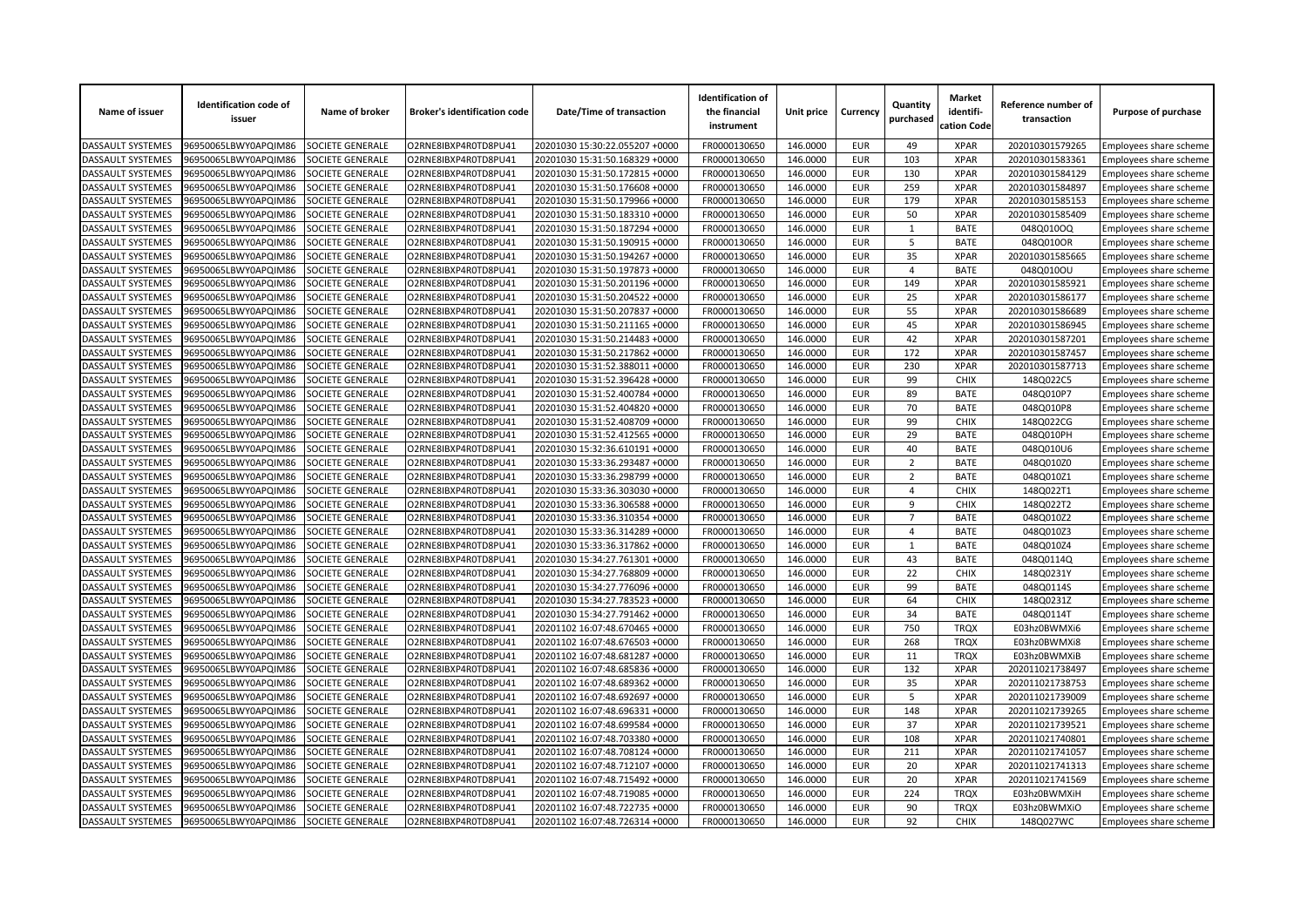| Name of issuer                         | <b>Identification code of</b><br>issuer      | Name of broker          | <b>Broker's identification code</b> | Date/Time of transaction                                         | <b>Identification of</b><br>the financial<br>instrument | Unit price           | Currency                 | Quantity<br>purchased | <b>Market</b><br>identifi-<br>cation Code | Reference number of<br>transaction | Purpose of purchase                              |
|----------------------------------------|----------------------------------------------|-------------------------|-------------------------------------|------------------------------------------------------------------|---------------------------------------------------------|----------------------|--------------------------|-----------------------|-------------------------------------------|------------------------------------|--------------------------------------------------|
| <b>DASSAULT SYSTEMES</b>               | 96950065LBWY0APQIM86                         | SOCIETE GENERALE        | O2RNE8IBXP4R0TD8PU41                | 20201030 15:30:22.055207 +0000                                   | FR0000130650                                            | 146.0000             | <b>EUR</b>               | 49                    | <b>XPAR</b>                               | 202010301579265                    | Employees share scheme                           |
| <b>DASSAULT SYSTEMES</b>               | 96950065LBWY0APQIM86                         | <b>SOCIETE GENERALE</b> | O2RNE8IBXP4R0TD8PU41                | 20201030 15:31:50.168329 +0000                                   | FR0000130650                                            | 146.0000             | <b>EUR</b>               | 103                   | <b>XPAR</b>                               | 202010301583361                    | Employees share scheme                           |
| DASSAULT SYSTEMES                      | 96950065LBWY0APQIM86                         | SOCIETE GENERALE        | O2RNE8IBXP4R0TD8PU41                | 20201030 15:31:50.172815 +0000                                   | FR0000130650                                            | 146.0000             | <b>EUR</b>               | 130                   | <b>XPAR</b>                               | 202010301584129                    | Employees share scheme                           |
| DASSAULT SYSTEMES                      | 96950065LBWY0APQIM86                         | SOCIETE GENERALE        | O2RNE8IBXP4R0TD8PU41                | 20201030 15:31:50.176608 +0000                                   | FR0000130650                                            | 146.0000             | <b>EUR</b>               | 259                   | <b>XPAR</b>                               | 202010301584897                    | Employees share scheme                           |
| <b>DASSAULT SYSTEMES</b>               | 96950065LBWY0APQIM86                         | SOCIETE GENERALE        | O2RNE8IBXP4R0TD8PU41                | 20201030 15:31:50.179966 +0000                                   | FR0000130650                                            | 146.0000             | <b>EUR</b>               | 179                   | <b>XPAR</b>                               | 202010301585153                    | Employees share scheme                           |
| DASSAULT SYSTEMES                      | 96950065LBWY0APQIM86                         | SOCIETE GENERALE        | O2RNE8IBXP4R0TD8PU41                | 20201030 15:31:50.183310 +0000                                   | FR0000130650                                            | 146.0000             | <b>EUR</b>               | 50                    | <b>XPAR</b>                               | 202010301585409                    | Employees share scheme                           |
| DASSAULT SYSTEMES                      | 96950065LBWY0APQIM86                         | SOCIETE GENERALE        | O2RNE8IBXP4R0TD8PU41                | 20201030 15:31:50.187294 +0000                                   | FR0000130650                                            | 146.0000             | <b>EUR</b>               | 1                     | <b>BATE</b>                               | 048Q010OQ                          | Employees share scheme                           |
| DASSAULT SYSTEMES                      | 96950065LBWY0APQIM86                         | SOCIETE GENERALE        | O2RNE8IBXP4R0TD8PU41                | 20201030 15:31:50.190915 +0000                                   | FR0000130650                                            | 146.0000             | <b>EUR</b>               | 5                     | <b>BATE</b>                               | 048Q010OR                          | Employees share scheme                           |
| DASSAULT SYSTEMES                      | 96950065LBWY0APQIM86                         | SOCIETE GENERALE        | O2RNE8IBXP4R0TD8PU41                | 20201030 15:31:50.194267 +0000                                   | FR0000130650                                            | 146.0000             | <b>EUR</b>               | 35                    | <b>XPAR</b>                               | 202010301585665                    | Employees share scheme                           |
| DASSAULT SYSTEMES                      | 96950065LBWY0APQIM86                         | SOCIETE GENERALE        | O2RNE8IBXP4R0TD8PU41                | 20201030 15:31:50.197873 +0000                                   | FR0000130650                                            | 146.0000             | <b>EUR</b>               | 4                     | <b>BATE</b>                               | 048Q010OU                          | Employees share scheme                           |
| DASSAULT SYSTEMES                      | 96950065LBWY0APQIM86                         | SOCIETE GENERALE        | O2RNE8IBXP4R0TD8PU41                | 20201030 15:31:50.201196 +0000                                   | FR0000130650                                            | 146.0000             | <b>EUR</b>               | 149                   | <b>XPAR</b>                               | 202010301585921                    | Employees share scheme                           |
| <b>DASSAULT SYSTEMES</b>               | 96950065LBWY0APQIM86                         | SOCIETE GENERALE        | O2RNE8IBXP4R0TD8PU41                | 20201030 15:31:50.204522 +0000                                   | FR0000130650                                            | 146.0000             | <b>EUR</b>               | 25                    | <b>XPAR</b>                               | 202010301586177                    | Employees share scheme                           |
| DASSAULT SYSTEMES                      | 96950065LBWY0APQIM86                         | SOCIETE GENERALE        | O2RNE8IBXP4R0TD8PU41                | 20201030 15:31:50.207837 +0000                                   | FR0000130650                                            | 146.0000             | <b>EUR</b>               | 55                    | <b>XPAR</b>                               | 202010301586689                    | Employees share scheme                           |
| DASSAULT SYSTEMES                      | 96950065LBWY0APQIM86                         | SOCIETE GENERALE        | O2RNE8IBXP4R0TD8PU41                | 20201030 15:31:50.211165 +0000                                   | FR0000130650                                            | 146.0000             | <b>EUR</b>               | 45                    | <b>XPAR</b>                               | 202010301586945                    | Employees share scheme                           |
| DASSAULT SYSTEMES                      | 96950065LBWY0APQIM86                         | SOCIETE GENERALE        | O2RNE8IBXP4R0TD8PU41                | 20201030 15:31:50.214483 +0000                                   | FR0000130650                                            | 146.0000             | <b>EUR</b>               | 42                    | <b>XPAR</b>                               | 202010301587201                    | Employees share scheme                           |
| DASSAULT SYSTEMES                      | 96950065LBWY0APQIM86                         | SOCIETE GENERALE        | O2RNE8IBXP4R0TD8PU41                | 20201030 15:31:50.217862 +0000                                   | FR0000130650                                            | 146.0000             | <b>EUR</b>               | 172                   | <b>XPAR</b>                               | 202010301587457                    | Employees share scheme                           |
| DASSAULT SYSTEMES                      | 96950065LBWY0APQIM86                         | SOCIETE GENERALE        | O2RNE8IBXP4R0TD8PU41                | 20201030 15:31:52.388011 +0000                                   | FR0000130650                                            | 146.0000             | <b>EUR</b>               | 230                   | <b>XPAR</b>                               | 202010301587713                    | Employees share scheme                           |
| DASSAULT SYSTEMES                      | 96950065LBWY0APQIM86                         | SOCIETE GENERALE        | O2RNE8IBXP4R0TD8PU41                | 20201030 15:31:52.396428 +0000                                   | FR0000130650                                            | 146.0000             | <b>EUR</b>               | 99                    | <b>CHIX</b>                               | 148Q022C5                          | Employees share scheme                           |
| DASSAULT SYSTEMES                      | 96950065LBWY0APQIM86                         | SOCIETE GENERALE        | O2RNE8IBXP4R0TD8PU41                | 20201030 15:31:52.400784 +0000                                   | FR0000130650                                            | 146.0000             | <b>EUR</b>               | 89                    | <b>BATE</b>                               | 048Q010P7                          | Employees share scheme                           |
| DASSAULT SYSTEMES                      | 96950065LBWY0APQIM86                         | SOCIETE GENERALE        | O2RNE8IBXP4R0TD8PU41                | 20201030 15:31:52.404820 +0000                                   | FR0000130650                                            | 146.0000             | <b>EUR</b>               | 70                    | <b>BATE</b>                               | 048Q010P8                          | Employees share scheme                           |
| DASSAULT SYSTEMES                      | 96950065LBWY0APQIM86                         | SOCIETE GENERALE        | O2RNE8IBXP4R0TD8PU41                | 20201030 15:31:52.408709 +0000                                   | FR0000130650                                            | 146.0000             | <b>EUR</b>               | 99                    | <b>CHIX</b>                               | 148Q022CG                          | Employees share scheme                           |
| <b>DASSAULT SYSTEMES</b>               | 96950065LBWY0APQIM86                         | SOCIETE GENERALE        | O2RNE8IBXP4R0TD8PU41                | 20201030 15:31:52.412565 +0000                                   | FR0000130650                                            | 146.0000             | <b>EUR</b>               | 29                    | <b>BATE</b>                               | 048Q010PH                          | Employees share scheme                           |
| DASSAULT SYSTEMES                      | 96950065LBWY0APQIM86                         | SOCIETE GENERALE        | O2RNE8IBXP4R0TD8PU41                | 20201030 15:32:36.610191 +0000                                   | FR0000130650                                            | 146.0000             | <b>EUR</b>               | 40                    | <b>BATE</b>                               | 048Q010U6                          | Employees share scheme                           |
| DASSAULT SYSTEMES                      | 96950065LBWY0APQIM86                         | SOCIETE GENERALE        | O2RNE8IBXP4R0TD8PU41                | 20201030 15:33:36.293487 +0000                                   | FR0000130650                                            | 146.0000             | <b>EUR</b>               | $\overline{2}$        | <b>BATE</b>                               | 048Q010Z0                          | Employees share scheme                           |
| DASSAULT SYSTEMES                      | 96950065LBWY0APQIM86                         | SOCIETE GENERALE        | O2RNE8IBXP4R0TD8PU41                | 20201030 15:33:36.298799 +0000                                   | FR0000130650                                            | 146.0000             | <b>EUR</b>               | $\overline{2}$        | <b>BATE</b>                               | 048Q010Z1                          | Employees share scheme                           |
| DASSAULT SYSTEMES                      | 96950065LBWY0APQIM86                         | SOCIETE GENERALE        | O2RNE8IBXP4R0TD8PU41                | 20201030 15:33:36.303030 +0000                                   | FR0000130650                                            | 146.0000             | <b>EUR</b>               | $\overline{4}$        | <b>CHIX</b>                               | 148Q022T1                          | Employees share scheme                           |
| <b>DASSAULT SYSTEMES</b>               | 96950065LBWY0APQIM86                         | SOCIETE GENERALE        | O2RNE8IBXP4R0TD8PU41                | 20201030 15:33:36.306588 +0000                                   | FR0000130650                                            | 146.0000             | <b>EUR</b>               | 9                     | <b>CHIX</b>                               | 148Q022T2                          | Employees share scheme                           |
| DASSAULT SYSTEMES                      | 96950065LBWY0APQIM86                         | SOCIETE GENERALE        | O2RNE8IBXP4R0TD8PU41                | 20201030 15:33:36.310354 +0000                                   | FR0000130650                                            | 146.0000             | <b>EUR</b>               | $\overline{7}$        | <b>BATE</b>                               | 048Q010Z2                          | Employees share scheme                           |
| DASSAULT SYSTEMES                      | 96950065LBWY0APQIM86                         | SOCIETE GENERALE        | O2RNE8IBXP4R0TD8PU41                | 20201030 15:33:36.314289 +0000                                   | FR0000130650                                            | 146.0000             | <b>EUR</b>               | $\overline{4}$        | <b>BATE</b>                               | 048Q010Z3                          | Employees share scheme                           |
| DASSAULT SYSTEMES                      | 96950065LBWY0APQIM86                         | SOCIETE GENERALE        | O2RNE8IBXP4R0TD8PU41                | 20201030 15:33:36.317862 +0000                                   | FR0000130650                                            | 146.0000             | <b>EUR</b>               | 1                     | <b>BATE</b>                               | 048Q010Z4                          | Employees share scheme                           |
| DASSAULT SYSTEMES                      | 96950065LBWY0APQIM86                         | SOCIETE GENERALE        | O2RNE8IBXP4R0TD8PU41                | 20201030 15:34:27.761301 +0000                                   | FR0000130650                                            | 146.0000             | <b>EUR</b>               | 43                    | <b>BATE</b>                               | 048Q0114Q                          | Employees share scheme                           |
| <b>DASSAULT SYSTEMES</b>               | 96950065LBWY0APQIM86                         | SOCIETE GENERALE        | O2RNE8IBXP4R0TD8PU41                | 20201030 15:34:27.768809 +0000                                   | FR0000130650                                            | 146.0000             | <b>EUR</b>               | 22                    | <b>CHIX</b>                               | 148Q0231Y                          | Employees share scheme                           |
| DASSAULT SYSTEMES                      | 96950065LBWY0APQIM86                         | SOCIETE GENERALE        | O2RNE8IBXP4R0TD8PU41                | 20201030 15:34:27.776096 +0000                                   | FR0000130650                                            | 146.0000             | <b>EUR</b>               | 99                    | <b>BATE</b>                               | 048Q0114S                          | Employees share scheme                           |
| DASSAULT SYSTEMES                      | 96950065LBWY0APQIM86                         | SOCIETE GENERALE        | O2RNE8IBXP4R0TD8PU41                | 20201030 15:34:27.783523 +0000                                   | FR0000130650                                            | 146.0000             | <b>EUR</b>               | 64                    | <b>CHIX</b>                               | 148Q0231Z                          | Employees share scheme                           |
| DASSAULT SYSTEMES                      | 96950065LBWY0APQIM86                         | SOCIETE GENERALE        | O2RNE8IBXP4R0TD8PU41                | 20201030 15:34:27.791462 +0000                                   | FR0000130650                                            | 146.0000             | <b>EUR</b>               | 34                    | <b>BATE</b>                               | 048Q0114T                          | Employees share scheme                           |
| DASSAULT SYSTEMES                      | 96950065LBWY0APQIM86                         | SOCIETE GENERALE        | O2RNE8IBXP4R0TD8PU41                | 20201102 16:07:48.670465 +0000                                   | FR0000130650                                            | 146.0000             | <b>EUR</b>               | 750                   | <b>TRQX</b>                               | E03hz0BWMXi6                       | Employees share scheme                           |
| DASSAULT SYSTEMES                      | 96950065LBWY0APQIM86                         | SOCIETE GENERALE        | O2RNE8IBXP4R0TD8PU41                | 20201102 16:07:48.676503 +0000                                   | FR0000130650                                            | 146.0000             | <b>EUR</b>               | 268                   | <b>TRQX</b>                               | E03hz0BWMXi8                       | Employees share scheme                           |
| DASSAULT SYSTEMES                      | 96950065LBWY0APQIM86                         | SOCIETE GENERALE        | O2RNE8IBXP4R0TD8PU41                | 20201102 16:07:48.681287 +0000                                   | FR0000130650                                            | 146.0000             | <b>EUR</b>               | 11                    | <b>TROX</b>                               | E03hz0BWMXiB                       | Employees share scheme                           |
| DASSAULT SYSTEMES                      | 96950065LBWY0APQIM86                         | SOCIETE GENERALE        | O2RNE8IBXP4R0TD8PU41                | 20201102 16:07:48.685836 +0000                                   | FR0000130650                                            | 146.0000             | <b>EUR</b>               | 132                   | <b>XPAR</b>                               | 202011021738497                    | Employees share scheme                           |
| DASSAULT SYSTEMES                      | 96950065LBWY0APQIM86                         | SOCIETE GENERALE        | O2RNE8IBXP4R0TD8PU41                | 20201102 16:07:48.689362 +0000                                   | FR0000130650                                            | 146.0000             | <b>EUR</b>               | 35                    | <b>XPAR</b>                               | 202011021738753                    |                                                  |
|                                        |                                              | SOCIETE GENERALE        | O2RNE8IBXP4R0TD8PU41                |                                                                  |                                                         |                      |                          | 5                     | <b>XPAR</b>                               |                                    | Employees share scheme                           |
| DASSAULT SYSTEMES<br>DASSAULT SYSTEMES | 96950065LBWY0APQIM86<br>96950065LBWY0APQIM86 | SOCIETE GENERALE        | O2RNE8IBXP4R0TD8PU41                | 20201102 16:07:48.692697 +0000<br>20201102 16:07:48.696331 +0000 | FR0000130650<br>FR0000130650                            | 146.0000<br>146.0000 | <b>EUR</b><br><b>EUR</b> | 148                   | <b>XPAR</b>                               | 202011021739009<br>202011021739265 | Employees share scheme<br>Employees share scheme |
| <b>DASSAULT SYSTEMES</b>               | 96950065LBWY0APQIM86                         | SOCIETE GENERALE        | O2RNE8IBXP4R0TD8PU41                | 20201102 16:07:48.699584 +0000                                   | FR0000130650                                            | 146.0000             | <b>EUR</b>               | 37                    | <b>XPAR</b>                               | 202011021739521                    | Employees share scheme                           |
|                                        |                                              |                         |                                     |                                                                  |                                                         |                      |                          |                       |                                           |                                    |                                                  |
| DASSAULT SYSTEMES                      | 96950065LBWY0APQIM86                         | SOCIETE GENERALE        | O2RNE8IBXP4R0TD8PU41                | 20201102 16:07:48.703380 +0000                                   | FR0000130650                                            | 146.0000             | <b>EUR</b><br><b>EUR</b> | 108<br>211            | <b>XPAR</b><br><b>XPAR</b>                | 202011021740801                    | Employees share scheme                           |
| DASSAULT SYSTEMES                      | 96950065LBWY0APQIM86                         | SOCIETE GENERALE        | O2RNE8IBXP4R0TD8PU41                | 20201102 16:07:48.708124 +0000                                   | FR0000130650                                            | 146.0000             |                          |                       |                                           | 202011021741057                    | Employees share scheme                           |
| DASSAULT SYSTEMES                      | 96950065LBWY0APQIM86                         | SOCIETE GENERALE        | O2RNE8IBXP4R0TD8PU41                | 20201102 16:07:48.712107 +0000                                   | FR0000130650                                            | 146.0000             | <b>EUR</b>               | 20                    | <b>XPAR</b>                               | 202011021741313                    | Employees share scheme                           |
| DASSAULT SYSTEMES                      | 96950065LBWY0APQIM86                         | SOCIETE GENERALE        | O2RNE8IBXP4R0TD8PU41                | 20201102 16:07:48.715492 +0000                                   | FR0000130650                                            | 146.0000             | <b>EUR</b>               | 20                    | <b>XPAR</b>                               | 202011021741569                    | Employees share scheme                           |
| DASSAULT SYSTEMES                      | 96950065LBWY0APQIM86                         | <b>SOCIETE GENERALE</b> | O2RNE8IBXP4R0TD8PU41                | 20201102 16:07:48.719085 +0000                                   | FR0000130650                                            | 146.0000             | <b>EUR</b>               | 224                   | <b>TRQX</b>                               | E03hz0BWMXiH                       | Employees share scheme                           |
| DASSAULT SYSTEMES                      | 96950065LBWY0APQIM86                         | SOCIETE GENERALE        | O2RNE8IBXP4R0TD8PU41                | 20201102 16:07:48.722735 +0000                                   | FR0000130650                                            | 146.0000             | <b>EUR</b>               | 90                    | <b>TROX</b>                               | E03hz0BWMXiO                       | Employees share scheme                           |
| <b>DASSAULT SYSTEMES</b>               | 96950065LBWY0APQIM86                         | SOCIETE GENERALE        | O2RNE8IBXP4R0TD8PU41                | 20201102 16:07:48.726314 +0000                                   | FR0000130650                                            | 146.0000             | <b>EUR</b>               | 92                    | <b>CHIX</b>                               | 148Q027WC                          | Employees share scheme                           |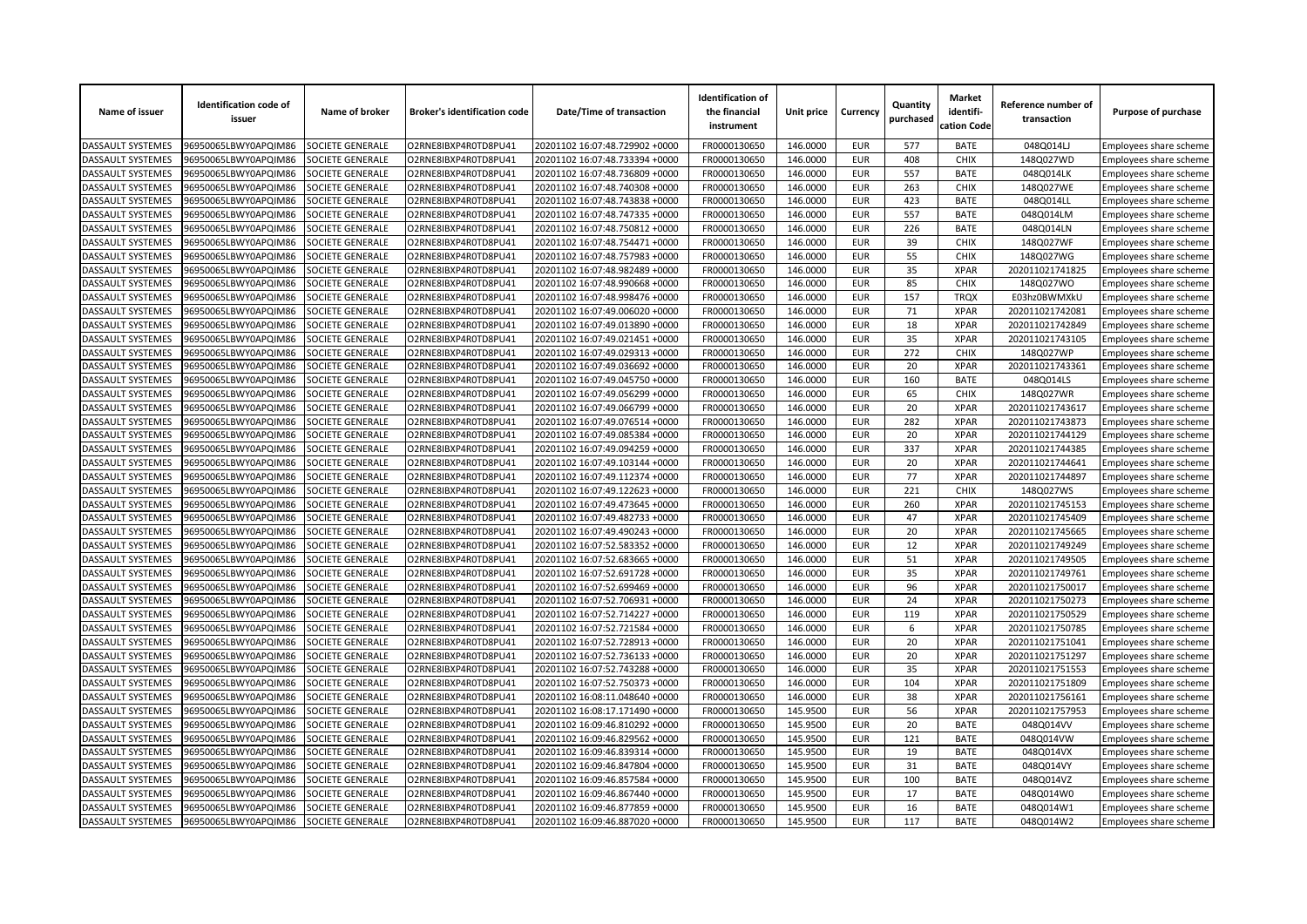| Name of issuer           | <b>Identification code of</b><br>issuer | Name of broker          | <b>Broker's identification code</b> | Date/Time of transaction       | <b>Identification of</b><br>the financial<br>instrument | Unit price           | Currency                 | Quantity<br>purchased | <b>Market</b><br>identifi-<br>cation Code | Reference number of<br>transaction | Purpose of purchase                              |
|--------------------------|-----------------------------------------|-------------------------|-------------------------------------|--------------------------------|---------------------------------------------------------|----------------------|--------------------------|-----------------------|-------------------------------------------|------------------------------------|--------------------------------------------------|
| DASSAULT SYSTEMES        | 96950065LBWY0APQIM86                    | SOCIETE GENERALE        | O2RNE8IBXP4R0TD8PU41                | 20201102 16:07:48.729902 +0000 | FR0000130650                                            | 146.0000             | <b>EUR</b>               | 577                   | <b>BATE</b>                               | 048Q014LJ                          | Employees share scheme                           |
| DASSAULT SYSTEMES        | 96950065LBWY0APQIM86                    | SOCIETE GENERALE        | O2RNE8IBXP4R0TD8PU41                | 20201102 16:07:48.733394 +0000 | FR0000130650                                            | 146.0000             | <b>EUR</b>               | 408                   | <b>CHIX</b>                               | 148Q027WD                          | Employees share scheme                           |
| DASSAULT SYSTEMES        | 96950065LBWY0APQIM86                    | SOCIETE GENERALE        | O2RNE8IBXP4R0TD8PU41                | 20201102 16:07:48.736809 +0000 | FR0000130650                                            | 146.0000             | <b>EUR</b>               | 557                   | <b>BATE</b>                               | 048Q014LK                          | Employees share scheme                           |
| DASSAULT SYSTEMES        | 96950065LBWY0APQIM86                    | SOCIETE GENERALE        | O2RNE8IBXP4R0TD8PU41                | 20201102 16:07:48.740308 +0000 | FR0000130650                                            | 146.0000             | <b>EUR</b>               | 263                   | <b>CHIX</b>                               | 148Q027WE                          | Employees share scheme                           |
| DASSAULT SYSTEMES        | 96950065LBWY0APQIM86                    | SOCIETE GENERALE        | O2RNE8IBXP4R0TD8PU41                | 20201102 16:07:48.743838 +0000 | FR0000130650                                            | 146.0000             | <b>EUR</b>               | 423                   | <b>BATE</b>                               | 048Q014LL                          | Employees share scheme                           |
| DASSAULT SYSTEMES        | 96950065LBWY0APQIM86                    | SOCIETE GENERALE        | O2RNE8IBXP4R0TD8PU41                | 20201102 16:07:48.747335 +0000 | FR0000130650                                            | 146.0000             | <b>EUR</b>               | 557                   | <b>BATE</b>                               | 048Q014LM                          | Employees share scheme                           |
| DASSAULT SYSTEMES        | 96950065LBWY0APQIM86                    | SOCIETE GENERALE        | O2RNE8IBXP4R0TD8PU41                | 20201102 16:07:48.750812 +0000 | FR0000130650                                            | 146.0000             | <b>EUR</b>               | 226                   | <b>BATE</b>                               | 048Q014LN                          | Employees share scheme                           |
| <b>DASSAULT SYSTEMES</b> | 96950065LBWY0APQIM86                    | SOCIETE GENERALE        | O2RNE8IBXP4R0TD8PU41                | 20201102 16:07:48.754471 +0000 | FR0000130650                                            | 146.0000             | <b>EUR</b>               | 39                    | <b>CHIX</b>                               | 148Q027WF                          | Employees share scheme                           |
| DASSAULT SYSTEMES        | 96950065LBWY0APQIM86                    | SOCIETE GENERALE        | O2RNE8IBXP4R0TD8PU41                | 20201102 16:07:48.757983 +0000 | FR0000130650                                            | 146.0000             | <b>EUR</b>               | 55                    | <b>CHIX</b>                               | 148Q027WG                          | Employees share scheme                           |
| DASSAULT SYSTEMES        | 96950065LBWY0APQIM86                    | SOCIETE GENERALE        | O2RNE8IBXP4R0TD8PU41                | 20201102 16:07:48.982489 +0000 | FR0000130650                                            | 146.0000             | <b>EUR</b>               | 35                    | <b>XPAR</b>                               | 202011021741825                    | Employees share scheme                           |
| DASSAULT SYSTEMES        | 96950065LBWY0APQIM86                    | SOCIETE GENERALE        | O2RNE8IBXP4R0TD8PU41                | 20201102 16:07:48.990668 +0000 | FR0000130650                                            | 146.0000             | <b>EUR</b>               | 85                    | <b>CHIX</b>                               | 148Q027WO                          | Employees share scheme                           |
| DASSAULT SYSTEMES        | 96950065LBWY0APQIM86                    | SOCIETE GENERALE        | O2RNE8IBXP4R0TD8PU41                | 20201102 16:07:48.998476 +0000 | FR0000130650                                            | 146.0000             | <b>EUR</b>               | 157                   | <b>TRQX</b>                               | E03hz0BWMXkU                       | Employees share scheme                           |
| DASSAULT SYSTEMES        | 96950065LBWY0APQIM86                    | SOCIETE GENERALE        | O2RNE8IBXP4R0TD8PU41                | 20201102 16:07:49.006020 +0000 | FR0000130650                                            | 146.0000             | <b>EUR</b>               | 71                    | <b>XPAR</b>                               | 202011021742081                    | Employees share scheme                           |
| DASSAULT SYSTEMES        | 96950065LBWY0APQIM86                    | SOCIETE GENERALE        | O2RNE8IBXP4R0TD8PU41                | 20201102 16:07:49.013890 +0000 | FR0000130650                                            | 146.0000             | <b>EUR</b>               | 18                    | <b>XPAR</b>                               | 202011021742849                    | Employees share scheme                           |
| DASSAULT SYSTEMES        | 96950065LBWY0APQIM86                    | <b>SOCIETE GENERALE</b> | O2RNE8IBXP4R0TD8PU41                | 20201102 16:07:49.021451 +0000 | FR0000130650                                            | 146.0000             | <b>EUR</b>               | 35                    | <b>XPAR</b>                               | 202011021743105                    | Employees share scheme                           |
| DASSAULT SYSTEMES        | 96950065LBWY0APQIM86                    | SOCIETE GENERALE        | O2RNE8IBXP4R0TD8PU41                | 20201102 16:07:49.029313 +0000 | FR0000130650                                            | 146.0000             | <b>EUR</b>               | 272                   | <b>CHIX</b>                               | 148Q027WP                          | Employees share scheme                           |
| DASSAULT SYSTEMES        | 96950065LBWY0APQIM86                    | SOCIETE GENERALE        | O2RNE8IBXP4R0TD8PU41                | 20201102 16:07:49.036692 +0000 | FR0000130650                                            | 146.0000             | <b>EUR</b>               | 20                    | <b>XPAR</b>                               | 202011021743361                    | Employees share scheme                           |
| DASSAULT SYSTEMES        | 96950065LBWY0APQIM86                    | SOCIETE GENERALE        | O2RNE8IBXP4R0TD8PU41                | 20201102 16:07:49.045750 +0000 | FR0000130650                                            | 146.0000             | <b>EUR</b>               | 160                   | <b>BATE</b>                               | 048Q014LS                          | Employees share scheme                           |
| <b>DASSAULT SYSTEMES</b> | 96950065LBWY0APQIM86                    | SOCIETE GENERALE        | O2RNE8IBXP4R0TD8PU41                | 20201102 16:07:49.056299 +0000 | FR0000130650                                            | 146.0000             | <b>EUR</b>               | 65                    | <b>CHIX</b>                               | 148Q027WR                          | Employees share scheme                           |
| DASSAULT SYSTEMES        | 96950065LBWY0APQIM86                    | SOCIETE GENERALE        | O2RNE8IBXP4R0TD8PU41                | 20201102 16:07:49.066799 +0000 | FR0000130650                                            | 146.0000             | <b>EUR</b>               | 20                    | <b>XPAR</b>                               | 202011021743617                    | Employees share scheme                           |
| DASSAULT SYSTEMES        | 96950065LBWY0APQIM86                    | SOCIETE GENERALE        | O2RNE8IBXP4R0TD8PU41                | 20201102 16:07:49.076514 +0000 | FR0000130650                                            | 146.0000             | <b>EUR</b>               | 282                   | <b>XPAR</b>                               | 202011021743873                    | Employees share scheme                           |
| <b>DASSAULT SYSTEMES</b> | 96950065LBWY0APQIM86                    | SOCIETE GENERALE        | O2RNE8IBXP4R0TD8PU41                | 20201102 16:07:49.085384 +0000 | FR0000130650                                            | 146.0000             | <b>EUR</b>               | 20                    | <b>XPAR</b>                               | 202011021744129                    | Employees share scheme                           |
| DASSAULT SYSTEMES        | 96950065LBWY0APQIM86                    | SOCIETE GENERALE        | O2RNE8IBXP4R0TD8PU41                | 20201102 16:07:49.094259 +0000 | FR0000130650                                            | 146.0000             | <b>EUR</b>               | 337                   | <b>XPAR</b>                               | 202011021744385                    | Employees share scheme                           |
| <b>DASSAULT SYSTEMES</b> | 96950065LBWY0APQIM86                    | SOCIETE GENERALE        | O2RNE8IBXP4R0TD8PU41                | 20201102 16:07:49.103144 +0000 | FR0000130650                                            | 146.0000             | <b>EUR</b>               | 20                    | <b>XPAR</b>                               | 202011021744641                    | Employees share scheme                           |
| <b>DASSAULT SYSTEMES</b> | 96950065LBWY0APQIM86                    | <b>SOCIETE GENERALE</b> | O2RNE8IBXP4R0TD8PU41                | 20201102 16:07:49.112374 +0000 | FR0000130650                                            | 146.0000             | <b>EUR</b>               | 77                    | <b>XPAR</b>                               | 202011021744897                    | Employees share scheme                           |
| DASSAULT SYSTEMES        | 96950065LBWY0APQIM86                    | SOCIETE GENERALE        | O2RNE8IBXP4R0TD8PU41                | 20201102 16:07:49.122623 +0000 | FR0000130650                                            | 146.0000             | <b>EUR</b>               | 221                   | CHIX                                      | 148Q027WS                          | Employees share scheme                           |
| DASSAULT SYSTEMES        | 96950065LBWY0APQIM86                    | SOCIETE GENERALE        | O2RNE8IBXP4R0TD8PU41                | 20201102 16:07:49.473645 +0000 | FR0000130650                                            | 146.0000             | <b>EUR</b>               | 260                   | <b>XPAR</b>                               | 202011021745153                    | Employees share scheme                           |
| <b>DASSAULT SYSTEMES</b> | 96950065LBWY0APQIM86                    | SOCIETE GENERALE        | O2RNE8IBXP4R0TD8PU41                | 20201102 16:07:49.482733 +0000 | FR0000130650                                            | 146.0000             | <b>EUR</b>               | 47                    | <b>XPAR</b>                               | 202011021745409                    | Employees share scheme                           |
| <b>DASSAULT SYSTEMES</b> | 96950065LBWY0APQIM86                    | SOCIETE GENERALE        | O2RNE8IBXP4R0TD8PU41                | 20201102 16:07:49.490243 +0000 | FR0000130650                                            | 146.0000             | <b>EUR</b>               | 20                    | <b>XPAR</b>                               | 202011021745665                    | Employees share scheme                           |
| DASSAULT SYSTEMES        | 96950065LBWY0APQIM86                    | SOCIETE GENERALE        | O2RNE8IBXP4R0TD8PU41                | 20201102 16:07:52.583352 +0000 | FR0000130650                                            | 146.0000             | <b>EUR</b>               | 12                    | <b>XPAR</b>                               | 202011021749249                    | Employees share scheme                           |
| DASSAULT SYSTEMES        | 96950065LBWY0APQIM86                    | SOCIETE GENERALE        | O2RNE8IBXP4R0TD8PU41                | 20201102 16:07:52.683665 +0000 | FR0000130650                                            | 146.0000             | <b>EUR</b>               | 51                    | <b>XPAR</b>                               | 202011021749505                    | Employees share scheme                           |
| DASSAULT SYSTEMES        | 96950065LBWY0APQIM86                    | SOCIETE GENERALE        | O2RNE8IBXP4R0TD8PU41                | 20201102 16:07:52.691728 +0000 | FR0000130650                                            | 146.0000             | <b>EUR</b>               | 35                    | <b>XPAR</b>                               | 202011021749761                    | Employees share scheme                           |
| DASSAULT SYSTEMES        | 96950065LBWY0APQIM86                    | SOCIETE GENERALE        | O2RNE8IBXP4R0TD8PU41                | 20201102 16:07:52.699469 +0000 | FR0000130650                                            | 146.0000             | <b>EUR</b>               | 96                    | <b>XPAR</b>                               | 202011021750017                    | Employees share scheme                           |
| DASSAULT SYSTEMES        | 96950065LBWY0APQIM86                    | SOCIETE GENERALE        | O2RNE8IBXP4R0TD8PU41                | 20201102 16:07:52.706931 +0000 | FR0000130650                                            | 146.0000             | <b>EUR</b>               | 24                    | <b>XPAR</b>                               | 202011021750273                    |                                                  |
| DASSAULT SYSTEMES        | 96950065LBWY0APQIM86                    | SOCIETE GENERALE        | O2RNE8IBXP4R0TD8PU41                | 20201102 16:07:52.714227 +0000 | FR0000130650                                            | 146.0000             | <b>EUR</b>               | 119                   | <b>XPAR</b>                               | 202011021750529                    | Employees share scheme                           |
| <b>DASSAULT SYSTEMES</b> | 96950065LBWY0APQIM86                    | SOCIETE GENERALE        | O2RNE8IBXP4R0TD8PU41                | 20201102 16:07:52.721584 +0000 | FR0000130650                                            | 146.0000             | <b>EUR</b>               | 6                     | <b>XPAR</b>                               | 202011021750785                    | Employees share scheme                           |
| <b>DASSAULT SYSTEMES</b> | 96950065LBWY0APQIM86                    | SOCIETE GENERALE        | O2RNE8IBXP4R0TD8PU41                | 20201102 16:07:52.728913 +0000 | FR0000130650                                            | 146.0000             | <b>EUR</b>               | 20                    | <b>XPAR</b>                               | 202011021751041                    | Employees share scheme<br>Employees share scheme |
| <b>DASSAULT SYSTEMES</b> | 96950065LBWY0APQIM86                    | SOCIETE GENERALE        | O2RNE8IBXP4R0TD8PU41                | 20201102 16:07:52.736133 +0000 | FR0000130650                                            | 146.0000             | <b>EUR</b>               | 20                    | <b>XPAR</b>                               | 202011021751297                    |                                                  |
| DASSAULT SYSTEMES        | 96950065LBWY0APQIM86                    | SOCIETE GENERALE        | O2RNE8IBXP4R0TD8PU41                | 20201102 16:07:52.743288 +0000 | FR0000130650                                            | 146.0000             | <b>EUR</b>               | 35                    | <b>XPAR</b>                               | 202011021751553                    | Employees share scheme                           |
|                          |                                         |                         |                                     |                                |                                                         |                      |                          |                       |                                           |                                    | Employees share scheme                           |
| DASSAULT SYSTEMES        | 96950065LBWY0APQIM86                    | SOCIETE GENERALE        | O2RNE8IBXP4R0TD8PU41                | 20201102 16:07:52.750373 +0000 | FR0000130650                                            | 146.0000             | <b>EUR</b>               | 104                   | <b>XPAR</b>                               | 202011021751809                    | Employees share scheme                           |
| DASSAULT SYSTEMES        | 96950065LBWY0APQIM86                    | SOCIETE GENERALE        | O2RNE8IBXP4R0TD8PU41                | 20201102 16:08:11.048640 +0000 | FR0000130650                                            | 146.0000<br>145.9500 | <b>EUR</b><br><b>EUR</b> | 38<br>56              | <b>XPAR</b><br><b>XPAR</b>                | 202011021756161                    | Employees share scheme                           |
| DASSAULT SYSTEMES        | 96950065LBWY0APQIM86                    | SOCIETE GENERALE        | O2RNE8IBXP4R0TD8PU41                | 20201102 16:08:17.171490 +0000 | FR0000130650                                            |                      |                          |                       |                                           | 202011021757953                    | Employees share scheme                           |
| DASSAULT SYSTEMES        | 96950065LBWY0APQIM86                    | SOCIETE GENERALE        | O2RNE8IBXP4R0TD8PU41                | 20201102 16:09:46.810292 +0000 | FR0000130650                                            | 145.9500             | <b>EUR</b>               | 20                    | <b>BATE</b>                               | 048Q014VV                          | Employees share scheme                           |
| DASSAULT SYSTEMES        | 96950065LBWY0APQIM86                    | SOCIETE GENERALE        | O2RNE8IBXP4R0TD8PU41                | 20201102 16:09:46.829562 +0000 | FR0000130650                                            | 145.9500             | <b>EUR</b>               | 121                   | <b>BATE</b>                               | 048Q014VW                          | Employees share scheme                           |
| DASSAULT SYSTEMES        | 96950065LBWY0APQIM86                    | SOCIETE GENERALE        | O2RNE8IBXP4R0TD8PU41                | 20201102 16:09:46.839314 +0000 | FR0000130650                                            | 145.9500             | <b>EUR</b>               | 19                    | <b>BATE</b>                               | 048Q014VX                          | Employees share scheme                           |
| DASSAULT SYSTEMES        | 96950065LBWY0APQIM86                    | SOCIETE GENERALE        | O2RNE8IBXP4R0TD8PU41                | 20201102 16:09:46.847804 +0000 | FR0000130650                                            | 145.9500             | <b>EUR</b>               | 31                    | <b>BATE</b>                               | 048Q014VY                          | Employees share scheme                           |
| DASSAULT SYSTEMES        | 96950065LBWY0APQIM86                    | SOCIETE GENERALE        | O2RNE8IBXP4R0TD8PU41                | 20201102 16:09:46.857584 +0000 | FR0000130650                                            | 145.9500             | <b>EUR</b>               | 100                   | <b>BATE</b>                               | 048Q014VZ                          | Employees share scheme                           |
| <b>DASSAULT SYSTEMES</b> | 96950065LBWY0APQIM86                    | SOCIETE GENERALE        | O2RNE8IBXP4R0TD8PU41                | 20201102 16:09:46.867440 +0000 | FR0000130650                                            | 145.9500             | <b>EUR</b>               | 17                    | <b>BATE</b>                               | 048Q014W0                          | Employees share scheme                           |
| DASSAULT SYSTEMES        | 96950065LBWY0APQIM86                    | SOCIETE GENERALE        | O2RNE8IBXP4R0TD8PU41                | 20201102 16:09:46.877859 +0000 | FR0000130650                                            | 145.9500             | <b>EUR</b>               | 16                    | <b>BATE</b>                               | 048Q014W1                          | Employees share scheme                           |
| <b>DASSAULT SYSTEMES</b> | 96950065LBWY0APQIM86                    | SOCIETE GENERALE        | O2RNE8IBXP4R0TD8PU41                | 20201102 16:09:46.887020 +0000 | FR0000130650                                            | 145.9500             | <b>EUR</b>               | 117                   | <b>BATE</b>                               | 048Q014W2                          | Employees share scheme                           |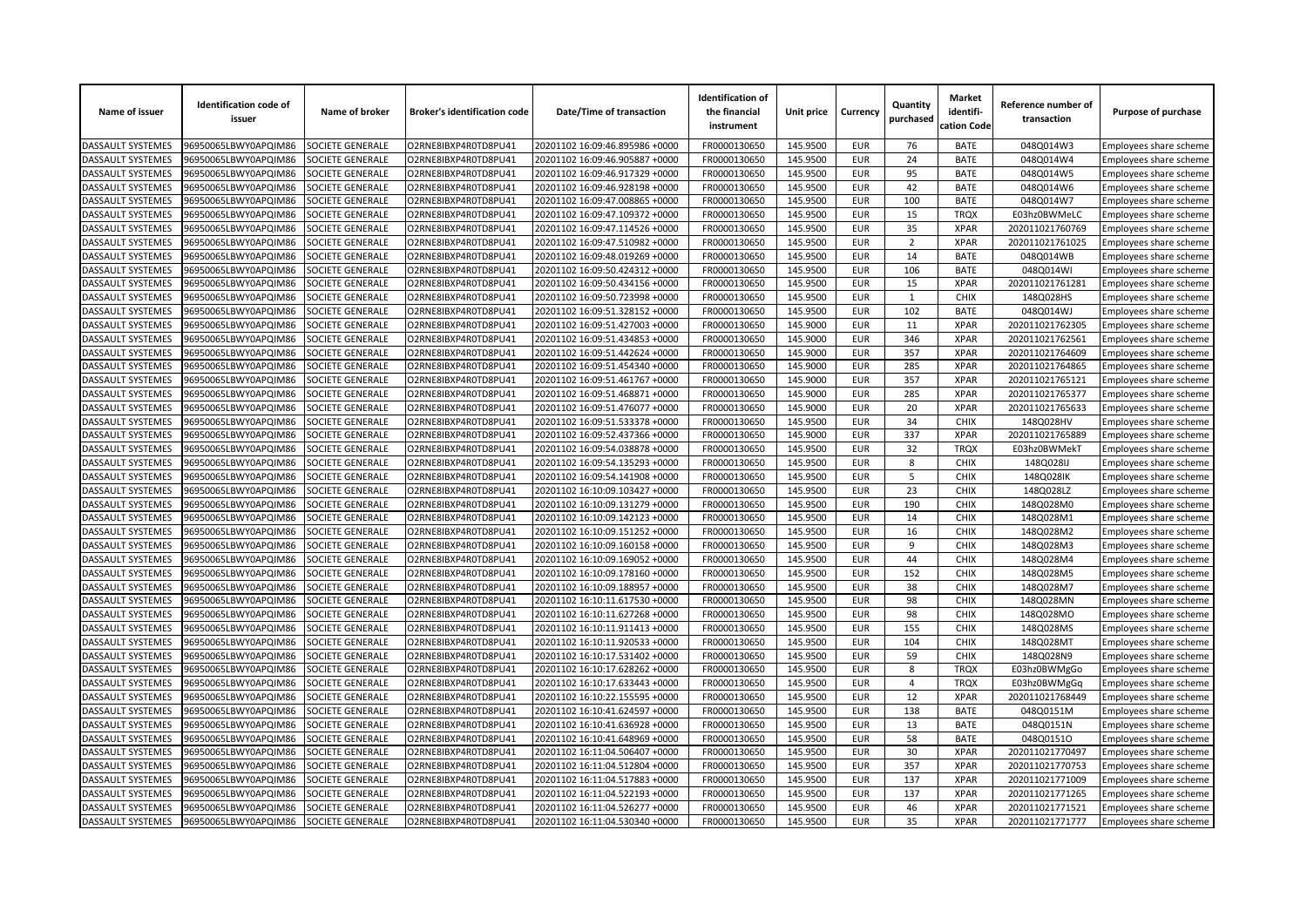| Name of issuer           | <b>Identification code of</b><br>issuer      | Name of broker          | <b>Broker's identification code</b> | Date/Time of transaction                                         | <b>Identification of</b><br>the financial<br>instrument | Unit price           | Currency                 | Quantity<br>purchased | <b>Market</b><br>identifi-<br>cation Code | Reference number of<br>transaction | Purpose of purchase                              |
|--------------------------|----------------------------------------------|-------------------------|-------------------------------------|------------------------------------------------------------------|---------------------------------------------------------|----------------------|--------------------------|-----------------------|-------------------------------------------|------------------------------------|--------------------------------------------------|
| <b>DASSAULT SYSTEMES</b> | 96950065LBWY0APQIM86                         | SOCIETE GENERALE        | O2RNE8IBXP4R0TD8PU41                | 20201102 16:09:46.895986 +0000                                   | FR0000130650                                            | 145.9500             | <b>EUR</b>               | 76                    | <b>BATE</b>                               | 048Q014W3                          | Employees share scheme                           |
| <b>DASSAULT SYSTEMES</b> | 96950065LBWY0APQIM86                         | <b>SOCIETE GENERALE</b> | O2RNE8IBXP4R0TD8PU41                | 20201102 16:09:46.905887 +0000                                   | FR0000130650                                            | 145.9500             | <b>EUR</b>               | 24                    | <b>BATE</b>                               | 048Q014W4                          | Employees share scheme                           |
| DASSAULT SYSTEMES        | 96950065LBWY0APQIM86                         | SOCIETE GENERALE        | O2RNE8IBXP4R0TD8PU41                | 20201102 16:09:46.917329 +0000                                   | FR0000130650                                            | 145.9500             | <b>EUR</b>               | 95                    | <b>BATE</b>                               | 048Q014W5                          | Employees share scheme                           |
| DASSAULT SYSTEMES        | 96950065LBWY0APQIM86                         | SOCIETE GENERALE        | O2RNE8IBXP4R0TD8PU41                | 20201102 16:09:46.928198 +0000                                   | FR0000130650                                            | 145.9500             | <b>EUR</b>               | 42                    | <b>BATE</b>                               | 048Q014W6                          | Employees share scheme                           |
| <b>DASSAULT SYSTEMES</b> | 96950065LBWY0APQIM86                         | SOCIETE GENERALE        | O2RNE8IBXP4R0TD8PU41                | 20201102 16:09:47.008865 +0000                                   | FR0000130650                                            | 145.9500             | <b>EUR</b>               | 100                   | <b>BATE</b>                               | 048Q014W7                          | Employees share scheme                           |
| DASSAULT SYSTEMES        | 96950065LBWY0APQIM86                         | SOCIETE GENERALE        | O2RNE8IBXP4R0TD8PU41                | 20201102 16:09:47.109372 +0000                                   | FR0000130650                                            | 145.9500             | <b>EUR</b>               | 15                    | <b>TRQX</b>                               | E03hz0BWMeLC                       | Employees share scheme                           |
| DASSAULT SYSTEMES        | 96950065LBWY0APQIM86                         | SOCIETE GENERALE        | O2RNE8IBXP4R0TD8PU41                | 20201102 16:09:47.114526 +0000                                   | FR0000130650                                            | 145.9500             | <b>EUR</b>               | 35                    | <b>XPAR</b>                               | 202011021760769                    | Employees share scheme                           |
| DASSAULT SYSTEMES        | 96950065LBWY0APQIM86                         | SOCIETE GENERALE        | O2RNE8IBXP4R0TD8PU41                | 20201102 16:09:47.510982 +0000                                   | FR0000130650                                            | 145.9500             | <b>EUR</b>               | $\overline{2}$        | <b>XPAR</b>                               | 202011021761025                    | Employees share scheme                           |
| DASSAULT SYSTEMES        | 96950065LBWY0APQIM86                         | SOCIETE GENERALE        | O2RNE8IBXP4R0TD8PU41                | 20201102 16:09:48.019269 +0000                                   | FR0000130650                                            | 145.9500             | <b>EUR</b>               | 14                    | <b>BATE</b>                               | 048Q014WB                          | Employees share scheme                           |
| DASSAULT SYSTEMES        | 96950065LBWY0APQIM86                         | SOCIETE GENERALE        | O2RNE8IBXP4R0TD8PU41                | 20201102 16:09:50.424312 +0000                                   | FR0000130650                                            | 145.9500             | <b>EUR</b>               | 106                   | <b>BATE</b>                               | 048Q014WI                          | Employees share scheme                           |
| DASSAULT SYSTEMES        | 96950065LBWY0APQIM86                         | SOCIETE GENERALE        | O2RNE8IBXP4R0TD8PU41                | 20201102 16:09:50.434156 +0000                                   | FR0000130650                                            | 145.9500             | <b>EUR</b>               | 15                    | <b>XPAR</b>                               | 202011021761281                    | Employees share scheme                           |
| <b>DASSAULT SYSTEMES</b> | 96950065LBWY0APQIM86                         | SOCIETE GENERALE        | O2RNE8IBXP4R0TD8PU41                | 20201102 16:09:50.723998 +0000                                   | FR0000130650                                            | 145.9500             | <b>EUR</b>               | $\mathbf{1}$          | <b>CHIX</b>                               | 148Q028HS                          | Employees share scheme                           |
| DASSAULT SYSTEMES        | 96950065LBWY0APQIM86                         | SOCIETE GENERALE        | O2RNE8IBXP4R0TD8PU41                | 20201102 16:09:51.328152 +0000                                   | FR0000130650                                            | 145.9500             | <b>EUR</b>               | 102                   | <b>BATE</b>                               | 048Q014WJ                          | Employees share scheme                           |
| DASSAULT SYSTEMES        | 96950065LBWY0APQIM86                         | SOCIETE GENERALE        | O2RNE8IBXP4R0TD8PU41                | 20201102 16:09:51.427003 +0000                                   | FR0000130650                                            | 145.9000             | <b>EUR</b>               | 11                    | <b>XPAR</b>                               | 202011021762305                    | Employees share scheme                           |
| DASSAULT SYSTEMES        | 96950065LBWY0APQIM86                         | SOCIETE GENERALE        | O2RNE8IBXP4R0TD8PU41                | 20201102 16:09:51.434853 +0000                                   | FR0000130650                                            | 145.9000             | <b>EUR</b>               | 346                   | <b>XPAR</b>                               | 202011021762561                    | Employees share scheme                           |
| DASSAULT SYSTEMES        | 96950065LBWY0APQIM86                         | SOCIETE GENERALE        | O2RNE8IBXP4R0TD8PU41                | 20201102 16:09:51.442624 +0000                                   | FR0000130650                                            | 145.9000             | <b>EUR</b>               | 357                   | <b>XPAR</b>                               | 202011021764609                    | Employees share scheme                           |
| DASSAULT SYSTEMES        | 96950065LBWY0APQIM86                         | SOCIETE GENERALE        | O2RNE8IBXP4R0TD8PU41                | 20201102 16:09:51.454340 +0000                                   | FR0000130650                                            | 145.9000             | <b>EUR</b>               | 285                   | <b>XPAR</b>                               | 202011021764865                    | Employees share scheme                           |
| DASSAULT SYSTEMES        | 96950065LBWY0APQIM86                         | SOCIETE GENERALE        | O2RNE8IBXP4R0TD8PU41                | 20201102 16:09:51.461767 +0000                                   | FR0000130650                                            | 145.9000             | <b>EUR</b>               | 357                   | <b>XPAR</b>                               | 202011021765121                    | Employees share scheme                           |
| DASSAULT SYSTEMES        | 96950065LBWY0APQIM86                         | SOCIETE GENERALE        | O2RNE8IBXP4R0TD8PU41                | 20201102 16:09:51.468871 +0000                                   | FR0000130650                                            | 145.9000             | <b>EUR</b>               | 285                   | <b>XPAR</b>                               | 202011021765377                    | Employees share scheme                           |
| DASSAULT SYSTEMES        | 96950065LBWY0APQIM86                         | SOCIETE GENERALE        | O2RNE8IBXP4R0TD8PU41                | 20201102 16:09:51.476077 +0000                                   | FR0000130650                                            | 145.9000             | <b>EUR</b>               | 20                    | <b>XPAR</b>                               | 202011021765633                    | Employees share scheme                           |
| DASSAULT SYSTEMES        | 96950065LBWY0APQIM86                         | SOCIETE GENERALE        | O2RNE8IBXP4R0TD8PU41                | 20201102 16:09:51.533378 +0000                                   | FR0000130650                                            | 145.9500             | <b>EUR</b>               | 34                    | <b>CHIX</b>                               | 148Q028HV                          | Employees share scheme                           |
| <b>DASSAULT SYSTEMES</b> | 96950065LBWY0APQIM86                         | SOCIETE GENERALE        | O2RNE8IBXP4R0TD8PU41                | 20201102 16:09:52.437366 +0000                                   | FR0000130650                                            | 145.9000             | <b>EUR</b>               | 337                   | <b>XPAR</b>                               | 202011021765889                    | Employees share scheme                           |
| DASSAULT SYSTEMES        | 96950065LBWY0APQIM86                         | SOCIETE GENERALE        | O2RNE8IBXP4R0TD8PU41                | 20201102 16:09:54.038878 +0000                                   | FR0000130650                                            | 145.9500             | <b>EUR</b>               | 32                    | <b>TRQX</b>                               | E03hz0BWMekT                       | Employees share scheme                           |
| DASSAULT SYSTEMES        | 96950065LBWY0APQIM86                         | SOCIETE GENERALE        | O2RNE8IBXP4R0TD8PU41                | 20201102 16:09:54.135293 +0000                                   | FR0000130650                                            | 145.9500             | <b>EUR</b>               | 8                     | <b>CHIX</b>                               | 148Q028IJ                          | Employees share scheme                           |
| DASSAULT SYSTEMES        | 96950065LBWY0APQIM86                         | SOCIETE GENERALE        | O2RNE8IBXP4R0TD8PU41                | 20201102 16:09:54.141908 +0000                                   | FR0000130650                                            | 145.9500             | <b>EUR</b>               | 5                     | <b>CHIX</b>                               | 148Q028IK                          | Employees share scheme                           |
| DASSAULT SYSTEMES        | 96950065LBWY0APQIM86                         | SOCIETE GENERALE        | O2RNE8IBXP4R0TD8PU41                | 20201102 16:10:09.103427 +0000                                   | FR0000130650                                            | 145.9500             | <b>EUR</b>               | 23                    | <b>CHIX</b>                               | 148Q028LZ                          | Employees share scheme                           |
| <b>DASSAULT SYSTEMES</b> | 96950065LBWY0APQIM86                         | SOCIETE GENERALE        | O2RNE8IBXP4R0TD8PU41                | 20201102 16:10:09.131279 +0000                                   | FR0000130650                                            | 145.9500             | <b>EUR</b>               | 190                   | <b>CHIX</b>                               | 148Q028M0                          | Employees share scheme                           |
| DASSAULT SYSTEMES        | 96950065LBWY0APQIM86                         | <b>SOCIETE GENERALE</b> | O2RNE8IBXP4R0TD8PU41                | 20201102 16:10:09.142123 +0000                                   | FR0000130650                                            | 145.9500             | <b>EUR</b>               | 14                    | CHIX                                      | 148Q028M1                          | Employees share scheme                           |
| DASSAULT SYSTEMES        | 96950065LBWY0APQIM86                         | SOCIETE GENERALE        | O2RNE8IBXP4R0TD8PU41                | 20201102 16:10:09.151252 +0000                                   | FR0000130650                                            | 145.9500             | <b>EUR</b>               | 16                    | <b>CHIX</b>                               | 148Q028M2                          | Employees share scheme                           |
| DASSAULT SYSTEMES        | 96950065LBWY0APQIM86                         | SOCIETE GENERALE        | O2RNE8IBXP4R0TD8PU41                | 20201102 16:10:09.160158 +0000                                   | FR0000130650                                            | 145.9500             | <b>EUR</b>               | 9                     | <b>CHIX</b>                               | 148Q028M3                          | Employees share scheme                           |
| DASSAULT SYSTEMES        | 96950065LBWY0APQIM86                         | SOCIETE GENERALE        | O2RNE8IBXP4R0TD8PU41                | 20201102 16:10:09.169052 +0000                                   | FR0000130650                                            | 145.9500             | <b>EUR</b>               | 44                    | CHIX                                      | 148Q028M4                          | Employees share scheme                           |
| <b>DASSAULT SYSTEMES</b> | 96950065LBWY0APQIM86                         | <b>SOCIETE GENERALE</b> | O2RNE8IBXP4R0TD8PU41                | 20201102 16:10:09.178160 +0000                                   | FR0000130650                                            | 145.9500             | <b>EUR</b>               | 152                   | CHIX                                      | 148Q028M5                          | Employees share scheme                           |
| DASSAULT SYSTEMES        | 96950065LBWY0APQIM86                         | SOCIETE GENERALE        | O2RNE8IBXP4R0TD8PU41                | 20201102 16:10:09.188957 +0000                                   | FR0000130650                                            | 145.9500             | <b>EUR</b>               | 38                    | <b>CHIX</b>                               | 148Q028M7                          | Employees share scheme                           |
| DASSAULT SYSTEMES        | 96950065LBWY0APQIM86                         | SOCIETE GENERALE        | O2RNE8IBXP4R0TD8PU41                | 20201102 16:10:11.617530 +0000                                   | FR0000130650                                            | 145.9500             | <b>EUR</b>               | 98                    | <b>CHIX</b>                               | 148Q028MN                          | Employees share scheme                           |
| DASSAULT SYSTEMES        | 96950065LBWY0APQIM86                         | SOCIETE GENERALE        | O2RNE8IBXP4R0TD8PU41                | 20201102 16:10:11.627268 +0000                                   | FR0000130650                                            | 145.9500             | <b>EUR</b>               | 98                    | <b>CHIX</b>                               | 148Q028MO                          |                                                  |
| DASSAULT SYSTEMES        | 96950065LBWY0APQIM86                         | SOCIETE GENERALE        | O2RNE8IBXP4R0TD8PU41                | 20201102 16:10:11.911413 +0000                                   | FR0000130650                                            | 145.9500             | <b>EUR</b>               | 155                   | <b>CHIX</b>                               | 148Q028MS                          | Employees share scheme                           |
| DASSAULT SYSTEMES        | 96950065LBWY0APQIM86                         | SOCIETE GENERALE        | O2RNE8IBXP4R0TD8PU41                | 20201102 16:10:11.920533 +0000                                   | FR0000130650                                            | 145.9500             | <b>EUR</b>               | 104                   | CHIX                                      | 148Q028MT                          | Employees share scheme                           |
| DASSAULT SYSTEMES        | 96950065LBWY0APQIM86                         | SOCIETE GENERALE        | O2RNE8IBXP4R0TD8PU41                | 20201102 16:10:17.531402 +0000                                   | FR0000130650                                            | 145.9500             | <b>EUR</b>               | 59                    | <b>CHIX</b>                               | 148Q028N9                          | Employees share scheme<br>Employees share scheme |
| DASSAULT SYSTEMES        | 96950065LBWY0APQIM86                         | SOCIETE GENERALE        | O2RNE8IBXP4R0TD8PU41                | 20201102 16:10:17.628262 +0000                                   | FR0000130650                                            | 145.9500             | <b>EUR</b>               | 8                     | <b>TRQX</b>                               | E03hz0BWMgGo                       | Employees share scheme                           |
| DASSAULT SYSTEMES        |                                              | SOCIETE GENERALE        | O2RNE8IBXP4R0TD8PU41                | 20201102 16:10:17.633443 +0000                                   | FR0000130650                                            | 145.9500             | <b>EUR</b>               | 4                     | <b>TRQX</b>                               |                                    |                                                  |
| DASSAULT SYSTEMES        | 96950065LBWY0APQIM86                         | SOCIETE GENERALE        | O2RNE8IBXP4R0TD8PU41                |                                                                  |                                                         |                      |                          | 12                    | <b>XPAR</b>                               | E03hz0BWMgGq                       | Employees share scheme                           |
| DASSAULT SYSTEMES        | 96950065LBWY0APQIM86<br>96950065LBWY0APQIM86 | SOCIETE GENERALE        | O2RNE8IBXP4R0TD8PU41                | 20201102 16:10:22.155595 +0000<br>20201102 16:10:41.624597 +0000 | FR0000130650<br>FR0000130650                            | 145.9500<br>145.9500 | <b>EUR</b><br><b>EUR</b> | 138                   | <b>BATE</b>                               | 202011021768449<br>048Q0151M       | Employees share scheme                           |
|                          |                                              |                         |                                     |                                                                  |                                                         |                      |                          |                       |                                           |                                    | Employees share scheme                           |
| <b>DASSAULT SYSTEMES</b> | 96950065LBWY0APQIM86                         | SOCIETE GENERALE        | O2RNE8IBXP4R0TD8PU41                | 20201102 16:10:41.636928 +0000                                   | FR0000130650                                            | 145.9500             | <b>EUR</b>               | 13                    | <b>BATE</b>                               | 048Q0151N                          | Employees share scheme                           |
| DASSAULT SYSTEMES        | 96950065LBWY0APQIM86                         | SOCIETE GENERALE        | O2RNE8IBXP4R0TD8PU41                | 20201102 16:10:41.648969 +0000                                   | FR0000130650                                            | 145.9500             | <b>EUR</b>               | 58                    | <b>BATE</b>                               | 048Q0151O                          | Employees share scheme                           |
| DASSAULT SYSTEMES        | 96950065LBWY0APQIM86                         | SOCIETE GENERALE        | O2RNE8IBXP4R0TD8PU41                | 20201102 16:11:04.506407 +0000                                   | FR0000130650                                            | 145.9500             | <b>EUR</b>               | 30                    | <b>XPAR</b>                               | 202011021770497                    | Employees share scheme                           |
| DASSAULT SYSTEMES        | 96950065LBWY0APQIM86                         | SOCIETE GENERALE        | O2RNE8IBXP4R0TD8PU41                | 20201102 16:11:04.512804 +0000                                   | FR0000130650                                            | 145.9500             | <b>EUR</b>               | 357                   | <b>XPAR</b>                               | 202011021770753                    | Employees share scheme                           |
| DASSAULT SYSTEMES        | 96950065LBWY0APQIM86                         | SOCIETE GENERALE        | O2RNE8IBXP4R0TD8PU41                | 20201102 16:11:04.517883 +0000                                   | FR0000130650                                            | 145.9500             | <b>EUR</b>               | 137                   | <b>XPAR</b>                               | 202011021771009                    | Employees share scheme                           |
| DASSAULT SYSTEMES        | 96950065LBWY0APQIM86                         | <b>SOCIETE GENERALE</b> | O2RNE8IBXP4R0TD8PU41                | 20201102 16:11:04.522193 +0000                                   | FR0000130650                                            | 145.9500             | <b>EUR</b>               | 137                   | <b>XPAR</b>                               | 202011021771265                    | Employees share scheme                           |
| DASSAULT SYSTEMES        | 96950065LBWY0APQIM86                         | SOCIETE GENERALE        | O2RNE8IBXP4R0TD8PU41                | 20201102 16:11:04.526277 +0000                                   | FR0000130650                                            | 145.9500             | <b>EUR</b>               | 46                    | <b>XPAR</b>                               | 202011021771521                    | Employees share scheme                           |
| <b>DASSAULT SYSTEMES</b> | 96950065LBWY0APQIM86                         | SOCIETE GENERALE        | O2RNE8IBXP4R0TD8PU41                | 20201102 16:11:04.530340 +0000                                   | FR0000130650                                            | 145.9500             | <b>EUR</b>               | 35                    | <b>XPAR</b>                               | 202011021771777                    | Employees share scheme                           |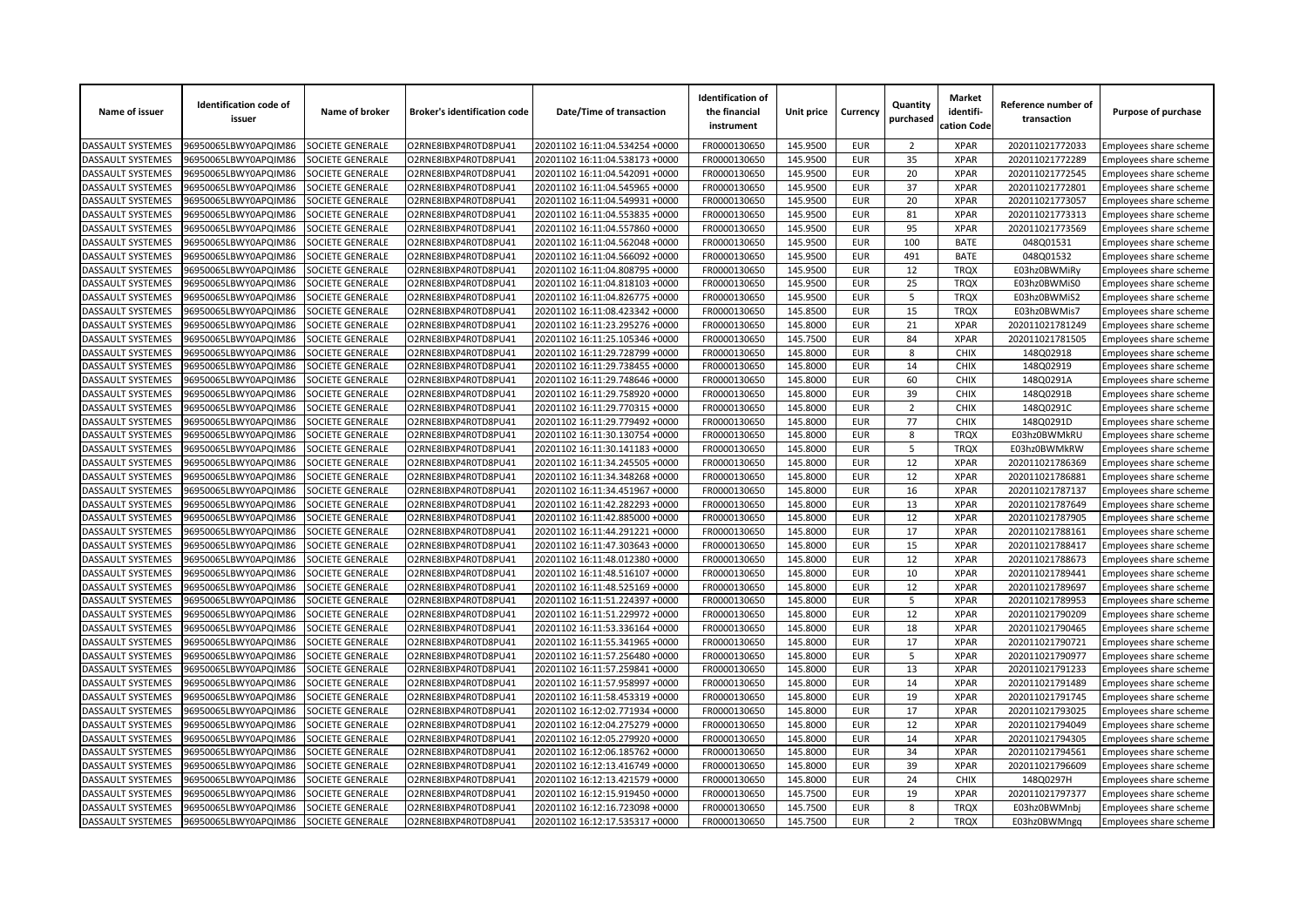| Name of issuer           | <b>Identification code of</b><br>issuer | Name of broker          | <b>Broker's identification code</b> | Date/Time of transaction       | <b>Identification of</b><br>the financial<br>instrument | Unit price           | Currency                 | Quantity<br>purchased | <b>Market</b><br>identifi-<br>cation Code | Reference number of<br>transaction | Purpose of purchase    |
|--------------------------|-----------------------------------------|-------------------------|-------------------------------------|--------------------------------|---------------------------------------------------------|----------------------|--------------------------|-----------------------|-------------------------------------------|------------------------------------|------------------------|
| DASSAULT SYSTEMES        | 96950065LBWY0APQIM86                    | SOCIETE GENERALE        | O2RNE8IBXP4R0TD8PU41                | 20201102 16:11:04.534254 +0000 | FR0000130650                                            | 145.9500             | EUR                      | $\overline{2}$        | <b>XPAR</b>                               | 202011021772033                    | Employees share scheme |
| DASSAULT SYSTEMES        | 96950065LBWY0APQIM86                    | SOCIETE GENERALE        | O2RNE8IBXP4R0TD8PU41                | 20201102 16:11:04.538173 +0000 | FR0000130650                                            | 145.9500             | <b>EUR</b>               | 35                    | <b>XPAR</b>                               | 202011021772289                    | Employees share scheme |
| DASSAULT SYSTEMES        | 96950065LBWY0APQIM86                    | SOCIETE GENERALE        | O2RNE8IBXP4R0TD8PU41                | 20201102 16:11:04.542091 +0000 | FR0000130650                                            | 145.9500             | <b>EUR</b>               | 20                    | <b>XPAR</b>                               | 202011021772545                    | Employees share scheme |
| DASSAULT SYSTEMES        | 96950065LBWY0APQIM86                    | SOCIETE GENERALE        | O2RNE8IBXP4R0TD8PU41                | 20201102 16:11:04.545965 +0000 | FR0000130650                                            | 145.9500             | <b>EUR</b>               | 37                    | <b>XPAR</b>                               | 202011021772801                    | Employees share scheme |
| DASSAULT SYSTEMES        | 96950065LBWY0APQIM86                    | SOCIETE GENERALE        | O2RNE8IBXP4R0TD8PU41                | 20201102 16:11:04.549931 +0000 | FR0000130650                                            | 145.9500             | <b>EUR</b>               | 20                    | <b>XPAR</b>                               | 202011021773057                    | Employees share scheme |
| DASSAULT SYSTEMES        | 96950065LBWY0APQIM86                    | SOCIETE GENERALE        | O2RNE8IBXP4R0TD8PU41                | 20201102 16:11:04.553835 +0000 | FR0000130650                                            | 145.9500             | <b>EUR</b>               | 81                    | <b>XPAR</b>                               | 202011021773313                    | Employees share scheme |
| DASSAULT SYSTEMES        | 96950065LBWY0APQIM86                    | SOCIETE GENERALE        | O2RNE8IBXP4R0TD8PU41                | 20201102 16:11:04.557860 +0000 | FR0000130650                                            | 145.9500             | <b>EUR</b>               | 95                    | <b>XPAR</b>                               | 202011021773569                    | Employees share scheme |
| <b>DASSAULT SYSTEMES</b> | 96950065LBWY0APQIM86                    | SOCIETE GENERALE        | O2RNE8IBXP4R0TD8PU41                | 20201102 16:11:04.562048 +0000 | FR0000130650                                            | 145.9500             | <b>EUR</b>               | 100                   | <b>BATE</b>                               | 048Q01531                          | Employees share scheme |
| DASSAULT SYSTEMES        | 96950065LBWY0APQIM86                    | SOCIETE GENERALE        | O2RNE8IBXP4R0TD8PU41                | 20201102 16:11:04.566092 +0000 | FR0000130650                                            | 145.9500             | <b>EUR</b>               | 491                   | <b>BATE</b>                               | 048Q01532                          | Employees share scheme |
| DASSAULT SYSTEMES        | 96950065LBWY0APQIM86                    | SOCIETE GENERALE        | O2RNE8IBXP4R0TD8PU41                | 20201102 16:11:04.808795 +0000 | FR0000130650                                            | 145.9500             | <b>EUR</b>               | 12                    | <b>TRQX</b>                               | E03hz0BWMiRy                       | Employees share scheme |
| DASSAULT SYSTEMES        | 96950065LBWY0APQIM86                    | SOCIETE GENERALE        | O2RNE8IBXP4R0TD8PU41                | 20201102 16:11:04.818103 +0000 | FR0000130650                                            | 145.9500             | <b>EUR</b>               | 25                    | <b>TRQX</b>                               | E03hz0BWMiS0                       | Employees share scheme |
| DASSAULT SYSTEMES        | 96950065LBWY0APQIM86                    | SOCIETE GENERALE        | O2RNE8IBXP4R0TD8PU41                | 20201102 16:11:04.826775 +0000 | FR0000130650                                            | 145.9500             | <b>EUR</b>               | 5                     | <b>TRQX</b>                               | E03hz0BWMiS2                       | Employees share scheme |
| DASSAULT SYSTEMES        | 96950065LBWY0APQIM86                    | SOCIETE GENERALE        | O2RNE8IBXP4R0TD8PU41                | 20201102 16:11:08.423342 +0000 | FR0000130650                                            | 145.8500             | <b>EUR</b>               | 15                    | <b>TROX</b>                               | E03hz0BWMis7                       | Employees share scheme |
| DASSAULT SYSTEMES        | 96950065LBWY0APQIM86                    | SOCIETE GENERALE        | O2RNE8IBXP4R0TD8PU41                | 20201102 16:11:23.295276 +0000 | FR0000130650                                            | 145.8000             | <b>EUR</b>               | 21                    | <b>XPAR</b>                               | 202011021781249                    | Employees share scheme |
| DASSAULT SYSTEMES        | 96950065LBWY0APQIM86                    | <b>SOCIETE GENERALE</b> | O2RNE8IBXP4R0TD8PU41                | 20201102 16:11:25.105346 +0000 | FR0000130650                                            | 145.7500             | <b>EUR</b>               | 84                    | <b>XPAR</b>                               | 202011021781505                    | Employees share scheme |
| DASSAULT SYSTEMES        | 96950065LBWY0APQIM86                    | SOCIETE GENERALE        | O2RNE8IBXP4R0TD8PU41                | 20201102 16:11:29.728799 +0000 | FR0000130650                                            | 145.8000             | <b>EUR</b>               | 8                     | <b>CHIX</b>                               | 148Q02918                          | Employees share scheme |
| DASSAULT SYSTEMES        | 96950065LBWY0APQIM86                    | SOCIETE GENERALE        | O2RNE8IBXP4R0TD8PU41                | 20201102 16:11:29.738455 +0000 | FR0000130650                                            | 145.8000             | <b>EUR</b>               | 14                    | <b>CHIX</b>                               | 148Q02919                          | Employees share scheme |
| DASSAULT SYSTEMES        | 96950065LBWY0APQIM86                    | SOCIETE GENERALE        | O2RNE8IBXP4R0TD8PU41                | 20201102 16:11:29.748646 +0000 | FR0000130650                                            | 145.8000             | <b>EUR</b>               | 60                    | <b>CHIX</b>                               | 148Q0291A                          | Employees share scheme |
| <b>DASSAULT SYSTEMES</b> | 96950065LBWY0APQIM86                    | SOCIETE GENERALE        | O2RNE8IBXP4R0TD8PU41                | 20201102 16:11:29.758920 +0000 | FR0000130650                                            | 145.8000             | <b>EUR</b>               | 39                    | <b>CHIX</b>                               | 148Q0291B                          | Employees share scheme |
| DASSAULT SYSTEMES        | 96950065LBWY0APQIM86                    | SOCIETE GENERALE        | O2RNE8IBXP4R0TD8PU41                | 20201102 16:11:29.770315 +0000 | FR0000130650                                            | 145.8000             | <b>EUR</b>               | $\overline{2}$        | <b>CHIX</b>                               | 148Q0291C                          | Employees share scheme |
| DASSAULT SYSTEMES        | 96950065LBWY0APQIM86                    | SOCIETE GENERALE        | O2RNE8IBXP4R0TD8PU41                | 20201102 16:11:29.779492 +0000 | FR0000130650                                            | 145.8000             | <b>EUR</b>               | 77                    | <b>CHIX</b>                               | 148Q0291D                          | Employees share scheme |
| <b>DASSAULT SYSTEMES</b> | 96950065LBWY0APQIM86                    | SOCIETE GENERALE        | O2RNE8IBXP4R0TD8PU41                | 20201102 16:11:30.130754 +0000 | FR0000130650                                            | 145.8000             | <b>EUR</b>               | 8                     | <b>TRQX</b>                               | E03hz0BWMkRU                       | Employees share scheme |
| DASSAULT SYSTEMES        | 96950065LBWY0APQIM86                    | SOCIETE GENERALE        | O2RNE8IBXP4R0TD8PU41                | 20201102 16:11:30.141183 +0000 | FR0000130650                                            | 145.8000             | <b>EUR</b>               | 5                     | <b>TRQX</b>                               | E03hz0BWMkRW                       | Employees share scheme |
| <b>DASSAULT SYSTEMES</b> | 96950065LBWY0APQIM86                    | SOCIETE GENERALE        | O2RNE8IBXP4R0TD8PU41                | 20201102 16:11:34.245505 +0000 | FR0000130650                                            | 145.8000             | <b>EUR</b>               | 12                    | <b>XPAR</b>                               | 202011021786369                    | Employees share scheme |
| <b>DASSAULT SYSTEMES</b> | 96950065LBWY0APQIM86                    | <b>SOCIETE GENERALE</b> | O2RNE8IBXP4R0TD8PU41                | 20201102 16:11:34.348268 +0000 | FR0000130650                                            | 145.8000             | <b>EUR</b>               | 12                    | <b>XPAR</b>                               | 202011021786881                    | Employees share scheme |
| DASSAULT SYSTEMES        | 96950065LBWY0APQIM86                    | SOCIETE GENERALE        | O2RNE8IBXP4R0TD8PU41                | 20201102 16:11:34.451967 +0000 | FR0000130650                                            | 145.8000             | <b>EUR</b>               | 16                    | <b>XPAR</b>                               | 202011021787137                    | Employees share scheme |
| DASSAULT SYSTEMES        | 96950065LBWY0APQIM86                    | SOCIETE GENERALE        | O2RNE8IBXP4R0TD8PU41                | 20201102 16:11:42.282293 +0000 | FR0000130650                                            | 145.8000             | <b>EUR</b>               | 13                    | <b>XPAR</b>                               | 202011021787649                    | Employees share scheme |
| <b>DASSAULT SYSTEMES</b> | 96950065LBWY0APQIM86                    | SOCIETE GENERALE        | O2RNE8IBXP4R0TD8PU41                | 20201102 16:11:42.885000 +0000 | FR0000130650                                            | 145.8000             | <b>EUR</b>               | 12                    | <b>XPAR</b>                               | 202011021787905                    | Employees share scheme |
| <b>DASSAULT SYSTEMES</b> | 96950065LBWY0APQIM86                    | SOCIETE GENERALE        | O2RNE8IBXP4R0TD8PU41                | 20201102 16:11:44.291221 +0000 | FR0000130650                                            | 145.8000             | <b>EUR</b>               | 17                    | <b>XPAR</b>                               | 202011021788161                    | Employees share scheme |
| DASSAULT SYSTEMES        | 96950065LBWY0APQIM86                    | SOCIETE GENERALE        | O2RNE8IBXP4R0TD8PU41                | 20201102 16:11:47.303643 +0000 | FR0000130650                                            | 145.8000             | <b>EUR</b>               | 15                    | <b>XPAR</b>                               | 202011021788417                    | Employees share scheme |
| DASSAULT SYSTEMES        | 96950065LBWY0APQIM86                    | SOCIETE GENERALE        | O2RNE8IBXP4R0TD8PU41                | 20201102 16:11:48.012380 +0000 | FR0000130650                                            | 145.8000             | <b>EUR</b>               | 12                    | <b>XPAR</b>                               | 202011021788673                    | Employees share scheme |
| DASSAULT SYSTEMES        | 96950065LBWY0APQIM86                    | SOCIETE GENERALE        | O2RNE8IBXP4R0TD8PU41                | 20201102 16:11:48.516107 +0000 | FR0000130650                                            | 145.8000             | <b>EUR</b>               | 10                    | <b>XPAR</b>                               | 202011021789441                    | Employees share scheme |
| DASSAULT SYSTEMES        | 96950065LBWY0APQIM86                    | SOCIETE GENERALE        | O2RNE8IBXP4R0TD8PU41                | 20201102 16:11:48.525169 +0000 | FR0000130650                                            | 145.8000             | <b>EUR</b>               | 12                    | <b>XPAR</b>                               | 202011021789697                    | Employees share scheme |
| DASSAULT SYSTEMES        | 96950065LBWY0APQIM86                    | SOCIETE GENERALE        | O2RNE8IBXP4R0TD8PU41                | 20201102 16:11:51.224397 +0000 | FR0000130650                                            | 145.8000             | <b>EUR</b>               | 5                     | <b>XPAR</b>                               | 202011021789953                    |                        |
| DASSAULT SYSTEMES        | 96950065LBWY0APQIM86                    | SOCIETE GENERALE        | O2RNE8IBXP4R0TD8PU41                | 20201102 16:11:51.229972 +0000 | FR0000130650                                            | 145.8000             | <b>EUR</b>               | 12                    | <b>XPAR</b>                               | 202011021790209                    | Employees share scheme |
| <b>DASSAULT SYSTEMES</b> | 96950065LBWY0APQIM86                    | SOCIETE GENERALE        | O2RNE8IBXP4R0TD8PU41                | 20201102 16:11:53.336164 +0000 | FR0000130650                                            | 145.8000             | <b>EUR</b>               | 18                    | <b>XPAR</b>                               | 202011021790465                    | Employees share scheme |
| <b>DASSAULT SYSTEMES</b> | 96950065LBWY0APQIM86                    | SOCIETE GENERALE        | O2RNE8IBXP4R0TD8PU41                | 20201102 16:11:55.341965 +0000 | FR0000130650                                            | 145.8000             | <b>EUR</b>               | 17                    | <b>XPAR</b>                               | 202011021790721                    | Employees share scheme |
|                          |                                         |                         |                                     |                                |                                                         |                      | <b>EUR</b>               | 5                     | <b>XPAR</b>                               |                                    | Employees share scheme |
| <b>DASSAULT SYSTEMES</b> | 96950065LBWY0APQIM86                    | SOCIETE GENERALE        | O2RNE8IBXP4R0TD8PU41                | 20201102 16:11:57.256480 +0000 | FR0000130650                                            | 145.8000             |                          |                       | <b>XPAR</b>                               | 202011021790977                    | Employees share scheme |
| DASSAULT SYSTEMES        | 96950065LBWY0APQIM86                    | SOCIETE GENERALE        | O2RNE8IBXP4R0TD8PU41                | 20201102 16:11:57.259841 +0000 | FR0000130650                                            | 145.8000             | <b>EUR</b>               | 13                    |                                           | 202011021791233                    | Employees share scheme |
| DASSAULT SYSTEMES        | 96950065LBWY0APQIM86                    | SOCIETE GENERALE        | O2RNE8IBXP4R0TD8PU41                | 20201102 16:11:57.958997 +0000 | FR0000130650                                            | 145.8000             | <b>EUR</b>               | 14                    | <b>XPAR</b>                               | 202011021791489                    | Employees share scheme |
| DASSAULT SYSTEMES        | 96950065LBWY0APQIM86                    | SOCIETE GENERALE        | O2RNE8IBXP4R0TD8PU41                | 20201102 16:11:58.453319 +0000 | FR0000130650                                            | 145.8000<br>145.8000 | <b>EUR</b><br><b>EUR</b> | 19<br>17              | <b>XPAR</b><br><b>XPAR</b>                | 202011021791745                    | Employees share scheme |
| DASSAULT SYSTEMES        | 96950065LBWY0APQIM86                    | SOCIETE GENERALE        | O2RNE8IBXP4R0TD8PU41                | 20201102 16:12:02.771934 +0000 | FR0000130650                                            |                      |                          |                       |                                           | 202011021793025                    | Employees share scheme |
| DASSAULT SYSTEMES        | 96950065LBWY0APQIM86                    | SOCIETE GENERALE        | O2RNE8IBXP4R0TD8PU41                | 20201102 16:12:04.275279 +0000 | FR0000130650                                            | 145.8000             | <b>EUR</b>               | 12                    | <b>XPAR</b>                               | 202011021794049                    | Employees share scheme |
| DASSAULT SYSTEMES        | 96950065LBWY0APQIM86                    | SOCIETE GENERALE        | O2RNE8IBXP4R0TD8PU41                | 20201102 16:12:05.279920 +0000 | FR0000130650                                            | 145.8000             | <b>EUR</b>               | 14                    | <b>XPAR</b>                               | 202011021794305                    | Employees share scheme |
| DASSAULT SYSTEMES        | 96950065LBWY0APQIM86                    | SOCIETE GENERALE        | O2RNE8IBXP4R0TD8PU41                | 20201102 16:12:06.185762 +0000 | FR0000130650                                            | 145.8000             | <b>EUR</b>               | 34                    | <b>XPAR</b>                               | 202011021794561                    | Employees share scheme |
| DASSAULT SYSTEMES        | 96950065LBWY0APQIM86                    | SOCIETE GENERALE        | O2RNE8IBXP4R0TD8PU41                | 20201102 16:12:13.416749 +0000 | FR0000130650                                            | 145.8000             | <b>EUR</b>               | 39                    | <b>XPAR</b>                               | 202011021796609                    | Employees share scheme |
| DASSAULT SYSTEMES        | 96950065LBWY0APQIM86                    | SOCIETE GENERALE        | O2RNE8IBXP4R0TD8PU41                | 20201102 16:12:13.421579 +0000 | FR0000130650                                            | 145.8000             | <b>EUR</b>               | 24                    | CHIX                                      | 148Q0297H                          | Employees share scheme |
| <b>DASSAULT SYSTEMES</b> | 96950065LBWY0APQIM86                    | SOCIETE GENERALE        | O2RNE8IBXP4R0TD8PU41                | 20201102 16:12:15.919450 +0000 | FR0000130650                                            | 145.7500             | <b>EUR</b>               | 19                    | <b>XPAR</b>                               | 202011021797377                    | Employees share scheme |
| DASSAULT SYSTEMES        | 96950065LBWY0APQIM86                    | SOCIETE GENERALE        | O2RNE8IBXP4R0TD8PU41                | 20201102 16:12:16.723098 +0000 | FR0000130650                                            | 145.7500             | <b>EUR</b>               | 8                     | <b>TROX</b>                               | E03hz0BWMnbj                       | Employees share scheme |
| <b>DASSAULT SYSTEMES</b> | 96950065LBWY0APQIM86                    | SOCIETE GENERALE        | O2RNE8IBXP4R0TD8PU41                | 20201102 16:12:17.535317 +0000 | FR0000130650                                            | 145.7500             | <b>EUR</b>               | $\overline{2}$        | <b>TRQX</b>                               | E03hz0BWMngq                       | Employees share scheme |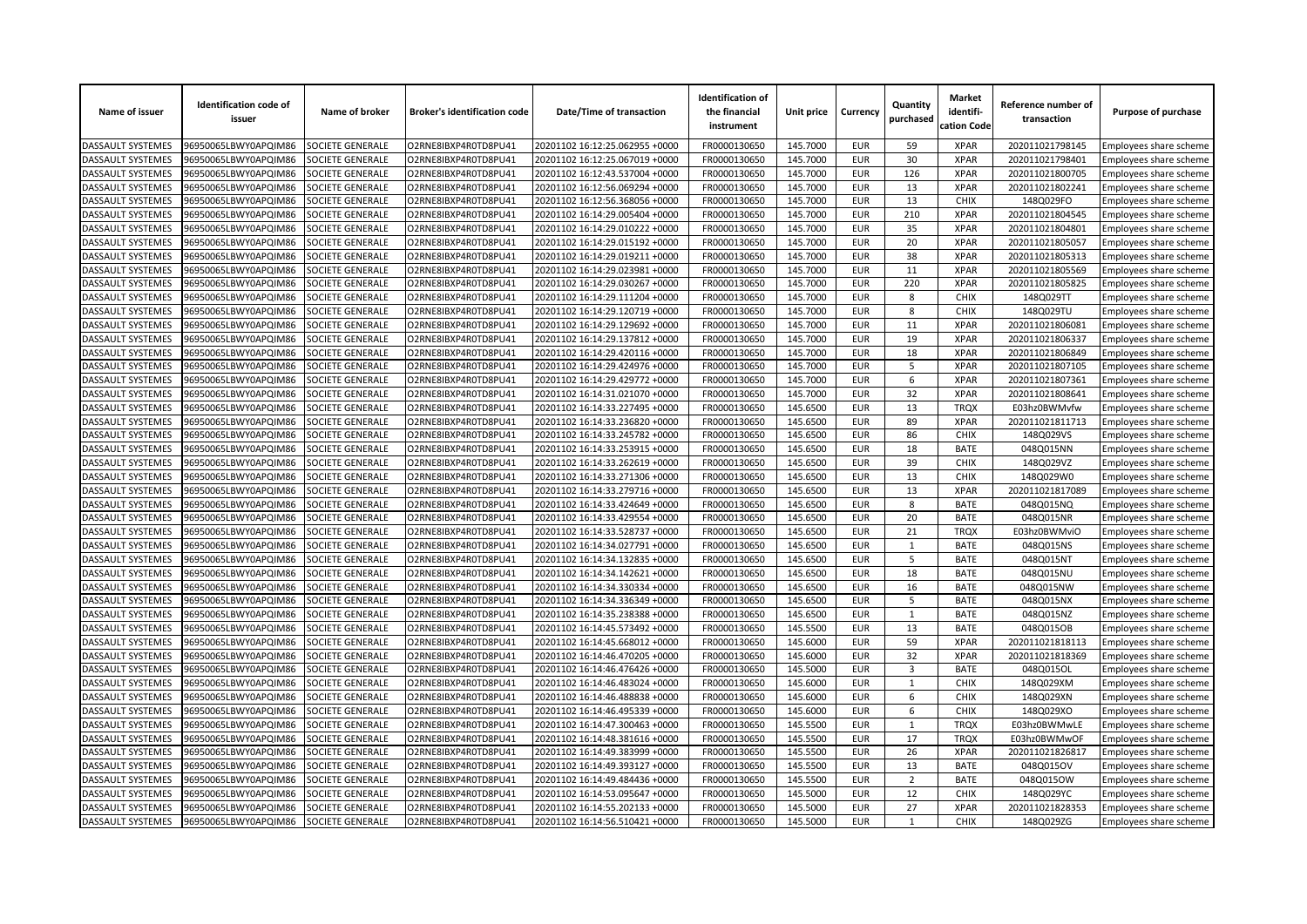| Name of issuer           | <b>Identification code of</b><br>issuer | Name of broker          | <b>Broker's identification code</b> | Date/Time of transaction       | <b>Identification of</b><br>the financial<br>instrument | Unit price | Currency   | Quantity<br>purchased | <b>Market</b><br>identifi-<br>cation Code | Reference number of<br>transaction | Purpose of purchase    |
|--------------------------|-----------------------------------------|-------------------------|-------------------------------------|--------------------------------|---------------------------------------------------------|------------|------------|-----------------------|-------------------------------------------|------------------------------------|------------------------|
| DASSAULT SYSTEMES        | 96950065LBWY0APQIM86                    | SOCIETE GENERALE        | O2RNE8IBXP4R0TD8PU41                | 20201102 16:12:25.062955 +0000 | FR0000130650                                            | 145.7000   | EUR        | 59                    | <b>XPAR</b>                               | 202011021798145                    | Employees share scheme |
| DASSAULT SYSTEMES        | 96950065LBWY0APQIM86                    | SOCIETE GENERALE        | O2RNE8IBXP4R0TD8PU41                | 20201102 16:12:25.067019 +0000 | FR0000130650                                            | 145.7000   | <b>EUR</b> | 30                    | <b>XPAR</b>                               | 202011021798401                    | Employees share scheme |
| DASSAULT SYSTEMES        | 96950065LBWY0APQIM86                    | SOCIETE GENERALE        | O2RNE8IBXP4R0TD8PU41                | 20201102 16:12:43.537004 +0000 | FR0000130650                                            | 145.7000   | <b>EUR</b> | 126                   | <b>XPAR</b>                               | 202011021800705                    | Employees share scheme |
| DASSAULT SYSTEMES        | 96950065LBWY0APQIM86                    | SOCIETE GENERALE        | O2RNE8IBXP4R0TD8PU41                | 20201102 16:12:56.069294 +0000 | FR0000130650                                            | 145.7000   | <b>EUR</b> | 13                    | <b>XPAR</b>                               | 202011021802241                    | Employees share scheme |
| DASSAULT SYSTEMES        | 96950065LBWY0APQIM86                    | SOCIETE GENERALE        | O2RNE8IBXP4R0TD8PU41                | 20201102 16:12:56.368056 +0000 | FR0000130650                                            | 145.7000   | <b>EUR</b> | 13                    | <b>CHIX</b>                               | 148Q029FO                          | Employees share scheme |
| DASSAULT SYSTEMES        | 96950065LBWY0APQIM86                    | SOCIETE GENERALE        | O2RNE8IBXP4R0TD8PU41                | 20201102 16:14:29.005404 +0000 | FR0000130650                                            | 145.7000   | <b>EUR</b> | 210                   | <b>XPAR</b>                               | 202011021804545                    | Employees share scheme |
| <b>DASSAULT SYSTEMES</b> | 96950065LBWY0APQIM86                    | SOCIETE GENERALE        | O2RNE8IBXP4R0TD8PU41                | 20201102 16:14:29.010222 +0000 | FR0000130650                                            | 145.7000   | <b>EUR</b> | 35                    | <b>XPAR</b>                               | 202011021804801                    | Employees share scheme |
| <b>DASSAULT SYSTEMES</b> | 96950065LBWY0APQIM86                    | SOCIETE GENERALE        | O2RNE8IBXP4R0TD8PU41                | 20201102 16:14:29.015192 +0000 | FR0000130650                                            | 145.7000   | <b>EUR</b> | 20                    | <b>XPAR</b>                               | 202011021805057                    | Employees share scheme |
| DASSAULT SYSTEMES        | 96950065LBWY0APQIM86                    | SOCIETE GENERALE        | O2RNE8IBXP4R0TD8PU41                | 20201102 16:14:29.019211 +0000 | FR0000130650                                            | 145.7000   | <b>EUR</b> | 38                    | <b>XPAR</b>                               | 202011021805313                    | Employees share scheme |
| DASSAULT SYSTEMES        | 96950065LBWY0APQIM86                    | SOCIETE GENERALE        | O2RNE8IBXP4R0TD8PU41                | 20201102 16:14:29.023981 +0000 | FR0000130650                                            | 145.7000   | <b>EUR</b> | 11                    | <b>XPAR</b>                               | 202011021805569                    | Employees share scheme |
| DASSAULT SYSTEMES        | 96950065LBWY0APQIM86                    | SOCIETE GENERALE        | O2RNE8IBXP4R0TD8PU41                | 20201102 16:14:29.030267 +0000 | FR0000130650                                            | 145.7000   | <b>EUR</b> | 220                   | <b>XPAR</b>                               | 202011021805825                    | Employees share scheme |
| DASSAULT SYSTEMES        | 96950065LBWY0APQIM86                    | SOCIETE GENERALE        | O2RNE8IBXP4R0TD8PU41                | 20201102 16:14:29.111204 +0000 | FR0000130650                                            | 145.7000   | <b>EUR</b> | 8                     | <b>CHIX</b>                               | 148Q029TT                          | Employees share scheme |
| DASSAULT SYSTEMES        | 96950065LBWY0APQIM86                    | SOCIETE GENERALE        | O2RNE8IBXP4R0TD8PU41                | 20201102 16:14:29.120719 +0000 | FR0000130650                                            | 145.7000   | <b>EUR</b> | 8                     | <b>CHIX</b>                               | 148Q029TU                          | Employees share scheme |
| DASSAULT SYSTEMES        | 96950065LBWY0APQIM86                    | SOCIETE GENERALE        | O2RNE8IBXP4R0TD8PU41                | 20201102 16:14:29.129692 +0000 | FR0000130650                                            | 145.7000   | <b>EUR</b> | 11                    | <b>XPAR</b>                               | 202011021806081                    | Employees share scheme |
| DASSAULT SYSTEMES        | 96950065LBWY0APQIM86                    | <b>SOCIETE GENERALE</b> | O2RNE8IBXP4R0TD8PU41                | 20201102 16:14:29.137812 +0000 | FR0000130650                                            | 145.7000   | <b>EUR</b> | 19                    | <b>XPAR</b>                               | 202011021806337                    | Employees share scheme |
| DASSAULT SYSTEMES        | 96950065LBWY0APQIM86                    | SOCIETE GENERALE        | O2RNE8IBXP4R0TD8PU41                | 20201102 16:14:29.420116 +0000 | FR0000130650                                            | 145.7000   | <b>EUR</b> | 18                    | <b>XPAR</b>                               | 202011021806849                    | Employees share scheme |
| DASSAULT SYSTEMES        | 96950065LBWY0APQIM86                    | SOCIETE GENERALE        | O2RNE8IBXP4R0TD8PU41                | 20201102 16:14:29.424976 +0000 | FR0000130650                                            | 145.7000   | <b>EUR</b> | 5                     | <b>XPAR</b>                               | 202011021807105                    | Employees share scheme |
| DASSAULT SYSTEMES        | 96950065LBWY0APQIM86                    | SOCIETE GENERALE        | O2RNE8IBXP4R0TD8PU41                | 20201102 16:14:29.429772 +0000 | FR0000130650                                            | 145.7000   | <b>EUR</b> | 6                     | <b>XPAR</b>                               | 202011021807361                    | Employees share scheme |
| <b>DASSAULT SYSTEMES</b> | 96950065LBWY0APQIM86                    | SOCIETE GENERALE        | O2RNE8IBXP4R0TD8PU41                | 20201102 16:14:31.021070 +0000 | FR0000130650                                            | 145.7000   | <b>EUR</b> | 32                    | <b>XPAR</b>                               | 202011021808641                    | Employees share scheme |
| DASSAULT SYSTEMES        | 96950065LBWY0APQIM86                    | SOCIETE GENERALE        | O2RNE8IBXP4R0TD8PU41                | 20201102 16:14:33.227495 +0000 | FR0000130650                                            | 145.6500   | <b>EUR</b> | 13                    | <b>TRQX</b>                               | E03hz0BWMvfw                       | Employees share scheme |
| DASSAULT SYSTEMES        | 96950065LBWY0APQIM86                    | SOCIETE GENERALE        | O2RNE8IBXP4R0TD8PU41                | 20201102 16:14:33.236820 +0000 | FR0000130650                                            | 145.6500   | <b>EUR</b> | 89                    | <b>XPAR</b>                               | 202011021811713                    | Employees share scheme |
| <b>DASSAULT SYSTEMES</b> | 96950065LBWY0APQIM86                    | SOCIETE GENERALE        | O2RNE8IBXP4R0TD8PU41                | 20201102 16:14:33.245782 +0000 | FR0000130650                                            | 145.6500   | <b>EUR</b> | 86                    | <b>CHIX</b>                               | 148Q029VS                          | Employees share scheme |
| DASSAULT SYSTEMES        | 96950065LBWY0APQIM86                    | SOCIETE GENERALE        | O2RNE8IBXP4R0TD8PU41                | 20201102 16:14:33.253915 +0000 | FR0000130650                                            | 145.6500   | <b>EUR</b> | 18                    | <b>BATE</b>                               | 048Q015NN                          | Employees share scheme |
| <b>DASSAULT SYSTEMES</b> | 96950065LBWY0APQIM86                    | SOCIETE GENERALE        | O2RNE8IBXP4R0TD8PU41                | 20201102 16:14:33.262619 +0000 | FR0000130650                                            | 145.6500   | <b>EUR</b> | 39                    | <b>CHIX</b>                               | 148Q029VZ                          | Employees share scheme |
| <b>DASSAULT SYSTEMES</b> | 96950065LBWY0APQIM86                    | <b>SOCIETE GENERALE</b> | O2RNE8IBXP4R0TD8PU41                | 20201102 16:14:33.271306 +0000 | FR0000130650                                            | 145.6500   | <b>EUR</b> | 13                    | <b>CHIX</b>                               | 148Q029W0                          | Employees share scheme |
| DASSAULT SYSTEMES        | 96950065LBWY0APQIM86                    | SOCIETE GENERALE        | O2RNE8IBXP4R0TD8PU41                | 20201102 16:14:33.279716 +0000 | FR0000130650                                            | 145.6500   | <b>EUR</b> | 13                    | <b>XPAR</b>                               | 202011021817089                    | Employees share scheme |
| DASSAULT SYSTEMES        | 96950065LBWY0APQIM86                    | SOCIETE GENERALE        | O2RNE8IBXP4R0TD8PU41                | 20201102 16:14:33.424649 +0000 | FR0000130650                                            | 145.6500   | <b>EUR</b> | 8                     | <b>BATE</b>                               | 048Q015NQ                          | Employees share scheme |
| <b>DASSAULT SYSTEMES</b> | 96950065LBWY0APQIM86                    | SOCIETE GENERALE        | O2RNE8IBXP4R0TD8PU41                | 20201102 16:14:33.429554 +0000 | FR0000130650                                            | 145.6500   | <b>EUR</b> | 20                    | <b>BATE</b>                               | 048Q015NR                          | Employees share scheme |
| <b>DASSAULT SYSTEMES</b> | 96950065LBWY0APQIM86                    | SOCIETE GENERALE        | O2RNE8IBXP4R0TD8PU41                | 20201102 16:14:33.528737 +0000 | FR0000130650                                            | 145.6500   | <b>EUR</b> | 21                    | <b>TRQX</b>                               | E03hz0BWMviO                       | Employees share scheme |
| DASSAULT SYSTEMES        | 96950065LBWY0APQIM86                    | SOCIETE GENERALE        | O2RNE8IBXP4R0TD8PU41                | 20201102 16:14:34.027791 +0000 | FR0000130650                                            | 145.6500   | <b>EUR</b> | 1                     | <b>BATE</b>                               | 048Q015NS                          | Employees share scheme |
| DASSAULT SYSTEMES        | 96950065LBWY0APQIM86                    | SOCIETE GENERALE        | O2RNE8IBXP4R0TD8PU41                | 20201102 16:14:34.132835 +0000 | FR0000130650                                            | 145.6500   | <b>EUR</b> | 5                     | <b>BATE</b>                               | 048Q015NT                          | Employees share scheme |
| DASSAULT SYSTEMES        | 96950065LBWY0APQIM86                    | SOCIETE GENERALE        | O2RNE8IBXP4R0TD8PU41                | 20201102 16:14:34.142621 +0000 | FR0000130650                                            | 145.6500   | <b>EUR</b> | 18                    | <b>BATE</b>                               | 048Q015NU                          |                        |
| DASSAULT SYSTEMES        | 96950065LBWY0APQIM86                    | SOCIETE GENERALE        | O2RNE8IBXP4R0TD8PU41                | 20201102 16:14:34.330334 +0000 |                                                         | 145.6500   | <b>EUR</b> | 16                    | <b>BATE</b>                               | 048Q015NW                          | Employees share scheme |
|                          |                                         |                         |                                     |                                | FR0000130650                                            |            | <b>EUR</b> | 5                     |                                           |                                    | Employees share scheme |
| DASSAULT SYSTEMES        | 96950065LBWY0APQIM86                    | SOCIETE GENERALE        | O2RNE8IBXP4R0TD8PU41                | 20201102 16:14:34.336349 +0000 | FR0000130650                                            | 145.6500   | <b>EUR</b> |                       | <b>BATE</b>                               | 048Q015NX                          | Employees share scheme |
| DASSAULT SYSTEMES        | 96950065LBWY0APQIM86                    | SOCIETE GENERALE        | O2RNE8IBXP4R0TD8PU41                | 20201102 16:14:35.238388 +0000 | FR0000130650                                            | 145.6500   | <b>EUR</b> | $\mathbf{1}$<br>13    | <b>BATE</b><br><b>BATE</b>                | 048Q015NZ                          | Employees share scheme |
| <b>DASSAULT SYSTEMES</b> | 96950065LBWY0APQIM86                    | SOCIETE GENERALE        | O2RNE8IBXP4R0TD8PU41                | 20201102 16:14:45.573492 +0000 | FR0000130650                                            | 145.5500   |            |                       | <b>XPAR</b>                               | 048Q015OB                          | Employees share scheme |
| <b>DASSAULT SYSTEMES</b> | 96950065LBWY0APQIM86                    | SOCIETE GENERALE        | O2RNE8IBXP4R0TD8PU41                | 20201102 16:14:45.668012 +0000 | FR0000130650                                            | 145.6000   | <b>EUR</b> | 59                    |                                           | 202011021818113                    | Employees share scheme |
| <b>DASSAULT SYSTEMES</b> | 96950065LBWY0APQIM86                    | SOCIETE GENERALE        | O2RNE8IBXP4R0TD8PU41                | 20201102 16:14:46.470205 +0000 | FR0000130650                                            | 145.6000   | <b>EUR</b> | 32                    | <b>XPAR</b>                               | 202011021818369                    | Employees share scheme |
| DASSAULT SYSTEMES        | 96950065LBWY0APQIM86                    | SOCIETE GENERALE        | O2RNE8IBXP4R0TD8PU41                | 20201102 16:14:46.476426 +0000 | FR0000130650                                            | 145.5000   | <b>EUR</b> | 3                     | <b>BATE</b>                               | 048Q015OL                          | Employees share scheme |
| DASSAULT SYSTEMES        | 96950065LBWY0APQIM86                    | SOCIETE GENERALE        | O2RNE8IBXP4R0TD8PU41                | 20201102 16:14:46.483024 +0000 | FR0000130650                                            | 145.6000   | <b>EUR</b> | 1                     | <b>CHIX</b>                               | 148Q029XM                          | Employees share scheme |
| DASSAULT SYSTEMES        | 96950065LBWY0APQIM86                    | SOCIETE GENERALE        | O2RNE8IBXP4R0TD8PU41                | 20201102 16:14:46.488838 +0000 | FR0000130650                                            | 145.6000   | <b>EUR</b> | 6                     | <b>CHIX</b>                               | 148Q029XN                          | Employees share scheme |
| DASSAULT SYSTEMES        | 96950065LBWY0APQIM86                    | SOCIETE GENERALE        | O2RNE8IBXP4R0TD8PU41                | 20201102 16:14:46.495339 +0000 | FR0000130650                                            | 145.6000   | <b>EUR</b> | 6                     | CHIX                                      | 148Q029XO                          | Employees share scheme |
| DASSAULT SYSTEMES        | 96950065LBWY0APQIM86                    | SOCIETE GENERALE        | O2RNE8IBXP4R0TD8PU41                | 20201102 16:14:47.300463 +0000 | FR0000130650                                            | 145.5500   | <b>EUR</b> | 1                     | <b>TRQX</b>                               | E03hz0BWMwLE                       | Employees share scheme |
| DASSAULT SYSTEMES        | 96950065LBWY0APQIM86                    | SOCIETE GENERALE        | O2RNE8IBXP4R0TD8PU41                | 20201102 16:14:48.381616 +0000 | FR0000130650                                            | 145.5500   | <b>EUR</b> | 17                    | <b>TRQX</b>                               | E03hz0BWMwOF                       | Employees share scheme |
| DASSAULT SYSTEMES        | 96950065LBWY0APQIM86                    | SOCIETE GENERALE        | O2RNE8IBXP4R0TD8PU41                | 20201102 16:14:49.383999 +0000 | FR0000130650                                            | 145.5500   | <b>EUR</b> | 26                    | <b>XPAR</b>                               | 202011021826817                    | Employees share scheme |
| DASSAULT SYSTEMES        | 96950065LBWY0APQIM86                    | SOCIETE GENERALE        | O2RNE8IBXP4R0TD8PU41                | 20201102 16:14:49.393127 +0000 | FR0000130650                                            | 145.5500   | <b>EUR</b> | 13                    | <b>BATE</b>                               | 048Q015OV                          | Employees share scheme |
| DASSAULT SYSTEMES        | 96950065LBWY0APQIM86                    | SOCIETE GENERALE        | O2RNE8IBXP4R0TD8PU41                | 20201102 16:14:49.484436 +0000 | FR0000130650                                            | 145.5500   | <b>EUR</b> | $\overline{2}$        | <b>BATE</b>                               | 048Q015OW                          | Employees share scheme |
| DASSAULT SYSTEMES        | 96950065LBWY0APQIM86                    | SOCIETE GENERALE        | O2RNE8IBXP4R0TD8PU41                | 20201102 16:14:53.095647 +0000 | FR0000130650                                            | 145.5000   | <b>EUR</b> | 12                    | <b>CHIX</b>                               | 148Q029YC                          | Employees share scheme |
| DASSAULT SYSTEMES        | 96950065LBWY0APQIM86                    | SOCIETE GENERALE        | O2RNE8IBXP4R0TD8PU41                | 20201102 16:14:55.202133 +0000 | FR0000130650                                            | 145.5000   | <b>EUR</b> | 27                    | <b>XPAR</b>                               | 202011021828353                    | Employees share scheme |
| <b>DASSAULT SYSTEMES</b> | 96950065LBWY0APQIM86                    | SOCIETE GENERALE        | O2RNE8IBXP4R0TD8PU41                | 20201102 16:14:56.510421 +0000 | FR0000130650                                            | 145.5000   | <b>EUR</b> | 1                     | <b>CHIX</b>                               | 148Q029ZG                          | Employees share scheme |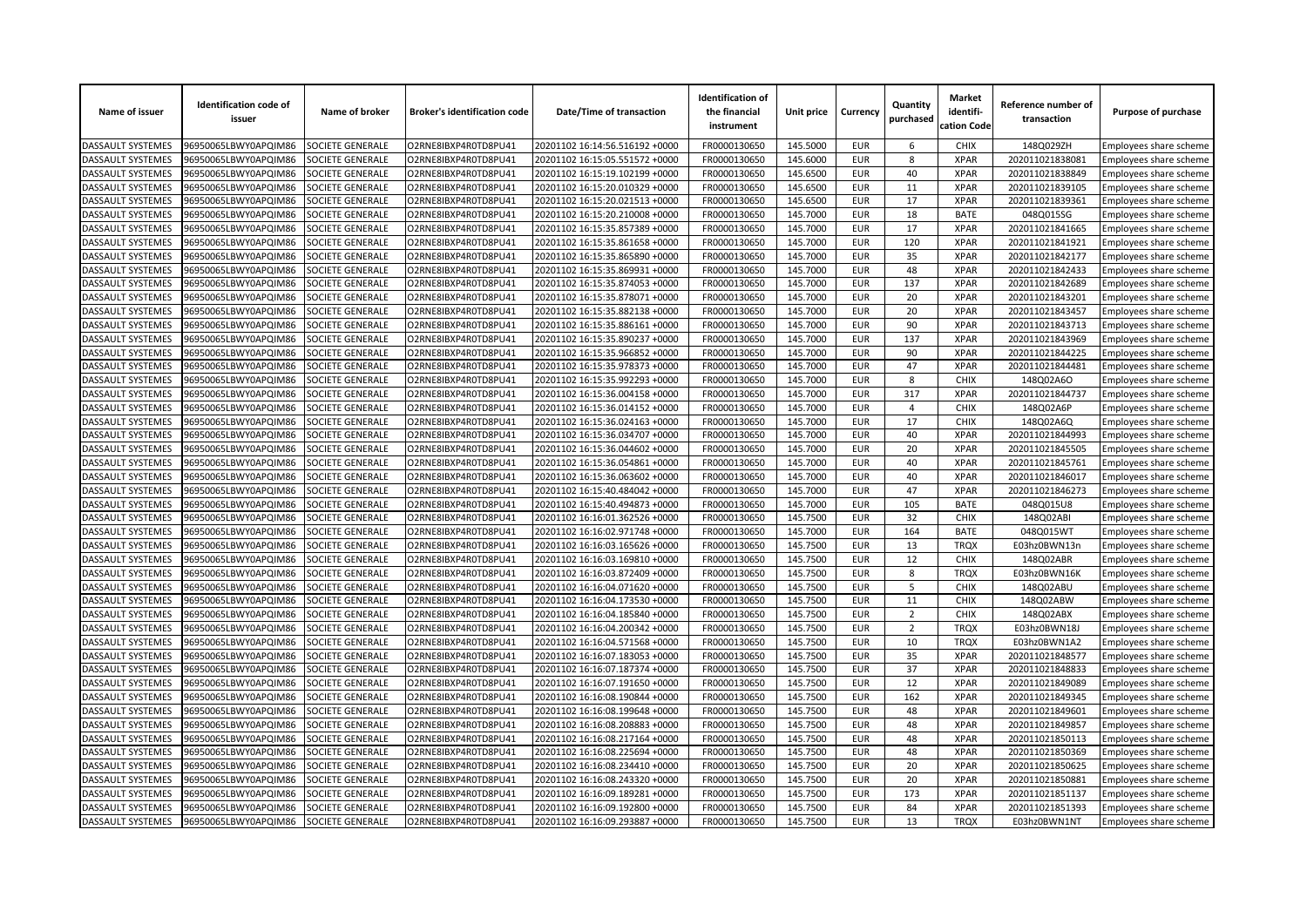| Name of issuer                                | <b>Identification code of</b><br>issuer | Name of broker                       | <b>Broker's identification code</b>          | Date/Time of transaction                                         | <b>Identification of</b><br>the financial<br>instrument | Unit price           | Currency                 | Quantity<br>purchased | <b>Market</b><br>identifi-<br>cation Code | Reference number of<br>transaction | Purpose of purchase                              |
|-----------------------------------------------|-----------------------------------------|--------------------------------------|----------------------------------------------|------------------------------------------------------------------|---------------------------------------------------------|----------------------|--------------------------|-----------------------|-------------------------------------------|------------------------------------|--------------------------------------------------|
| <b>DASSAULT SYSTEMES</b>                      | 96950065LBWY0APQIM86                    | SOCIETE GENERALE                     | O2RNE8IBXP4R0TD8PU41                         | 20201102 16:14:56.516192 +0000                                   | FR0000130650                                            | 145.5000             | <b>EUR</b>               | 6                     | <b>CHIX</b>                               | 148Q029ZH                          | Employees share scheme                           |
| DASSAULT SYSTEMES                             | 96950065LBWY0APQIM86                    | SOCIETE GENERALE                     | O2RNE8IBXP4R0TD8PU41                         | 20201102 16:15:05.551572 +0000                                   | FR0000130650                                            | 145.6000             | <b>EUR</b>               | 8                     | <b>XPAR</b>                               | 202011021838081                    | Employees share scheme                           |
| DASSAULT SYSTEMES                             | 96950065LBWY0APQIM86                    | SOCIETE GENERALE                     | O2RNE8IBXP4R0TD8PU41                         | 20201102 16:15:19.102199 +0000                                   | FR0000130650                                            | 145.6500             | <b>EUR</b>               | 40                    | <b>XPAR</b>                               | 202011021838849                    | Employees share scheme                           |
| DASSAULT SYSTEMES                             | 06950065LBWY0APQIM86                    | <b>SOCIETE GENERALE</b>              | O2RNE8IBXP4R0TD8PU41                         | 20201102 16:15:20.010329 +0000                                   | FR0000130650                                            | 145.6500             | <b>EUR</b>               | 11                    | <b>XPAR</b>                               | 202011021839105                    | Employees share scheme                           |
| DASSAULT SYSTEMES                             | 96950065LBWY0APQIM86                    | SOCIETE GENERALE                     | O2RNE8IBXP4R0TD8PU41                         | 20201102 16:15:20.021513 +0000                                   | FR0000130650                                            | 145.6500             | <b>EUR</b>               | 17                    | <b>XPAR</b>                               | 202011021839361                    | Employees share scheme                           |
| DASSAULT SYSTEMES                             | 96950065LBWY0APQIM86                    | SOCIETE GENERALE                     | O2RNE8IBXP4R0TD8PU41                         | 20201102 16:15:20.210008 +0000                                   | FR0000130650                                            | 145.7000             | <b>EUR</b>               | 18                    | <b>BATE</b>                               | 048Q015SG                          | Employees share scheme                           |
| DASSAULT SYSTEMES                             | 96950065LBWY0APQIM86                    | SOCIETE GENERALE                     | O2RNE8IBXP4R0TD8PU41                         | 20201102 16:15:35.857389 +0000                                   | FR0000130650                                            | 145.7000             | <b>EUR</b>               | 17                    | <b>XPAR</b>                               | 202011021841665                    | Employees share scheme                           |
| DASSAULT SYSTEMES                             | 96950065LBWY0APQIM86                    | <b>SOCIETE GENERALE</b>              | O2RNE8IBXP4R0TD8PU41                         | 20201102 16:15:35.861658 +0000                                   | FR0000130650                                            | 145.7000             | <b>EUR</b>               | 120                   | <b>XPAR</b>                               | 202011021841921                    | Employees share scheme                           |
| DASSAULT SYSTEMES                             | 06950065LBWY0APQIM86                    | SOCIETE GENERALE                     | O2RNE8IBXP4R0TD8PU41                         | 20201102 16:15:35.865890 +0000                                   | FR0000130650                                            | 145.7000             | <b>EUR</b>               | 35                    | <b>XPAR</b>                               | 202011021842177                    | Employees share scheme                           |
| DASSAULT SYSTEMES                             | 96950065LBWY0APQIM86                    | SOCIETE GENERALE                     | O2RNE8IBXP4R0TD8PU41                         | 20201102 16:15:35.869931 +0000                                   | FR0000130650                                            | 145.7000             | <b>EUR</b>               | 48                    | <b>XPAR</b>                               | 202011021842433                    | Employees share scheme                           |
| DASSAULT SYSTEMES                             | 96950065LBWY0APQIM86                    | SOCIETE GENERALE                     | O2RNE8IBXP4R0TD8PU41                         | 20201102 16:15:35.874053 +0000                                   | FR0000130650                                            | 145.7000             | <b>EUR</b>               | 137                   | <b>XPAR</b>                               | 202011021842689                    | Employees share scheme                           |
| DASSAULT SYSTEMES                             | 96950065LBWY0APQIM86                    | <b>SOCIETE GENERALE</b>              | O2RNE8IBXP4R0TD8PU41                         | 20201102 16:15:35.878071 +0000                                   | FR0000130650                                            | 145.7000             | <b>EUR</b>               | 20                    | <b>XPAR</b>                               | 202011021843201                    | Employees share scheme                           |
| DASSAULT SYSTEMES                             | 96950065LBWY0APQIM86                    | SOCIETE GENERALE                     | O2RNE8IBXP4R0TD8PU41                         | 20201102 16:15:35.882138 +0000                                   | FR0000130650                                            | 145.7000             | <b>EUR</b>               | 20                    | <b>XPAR</b>                               | 202011021843457                    | Employees share scheme                           |
| DASSAULT SYSTEMES                             | 96950065LBWY0APQIM86                    | SOCIETE GENERALE                     | O2RNE8IBXP4R0TD8PU41                         | 20201102 16:15:35.886161 +0000                                   | FR0000130650                                            | 145.7000             | <b>EUR</b>               | 90                    | <b>XPAR</b>                               | 202011021843713                    | Employees share scheme                           |
| DASSAULT SYSTEMES                             | 96950065LBWY0APQIM86                    | SOCIETE GENERALE                     | O2RNE8IBXP4R0TD8PU41                         | 20201102 16:15:35.890237 +0000                                   | FR0000130650                                            | 145.7000             | <b>EUR</b>               | 137                   | <b>XPAR</b>                               | 202011021843969                    | Employees share scheme                           |
| DASSAULT SYSTEMES                             | 06950065LBWY0APQIM86                    | SOCIETE GENERALE                     | O2RNE8IBXP4R0TD8PU41                         | 20201102 16:15:35.966852 +0000                                   | FR0000130650                                            | 145.7000             | <b>EUR</b>               | 90                    | <b>XPAR</b>                               | 202011021844225                    | <b>Employees share scheme</b>                    |
| <b>DASSAULT SYSTEMES</b>                      | 96950065LBWY0APQIM86                    | SOCIETE GENERALE                     | O2RNE8IBXP4R0TD8PU41                         | 20201102 16:15:35.978373 +0000                                   | FR0000130650                                            | 145.7000             | <b>EUR</b>               | 47                    | <b>XPAR</b>                               | 202011021844481                    | Employees share scheme                           |
| DASSAULT SYSTEMES                             | 96950065LBWY0APQIM86                    | SOCIETE GENERALE                     | O2RNE8IBXP4R0TD8PU41                         | 20201102 16:15:35.992293 +0000                                   | FR0000130650                                            | 145.7000             | <b>EUR</b>               | 8                     | <b>CHIX</b>                               | 148Q02A6O                          | Employees share scheme                           |
| DASSAULT SYSTEMES                             | 96950065LBWY0APQIM86                    | SOCIETE GENERALE                     | O2RNE8IBXP4R0TD8PU41                         | 20201102 16:15:36.004158 +0000                                   | FR0000130650                                            | 145.7000             | <b>EUR</b>               | 317                   | <b>XPAR</b>                               | 202011021844737                    | Employees share scheme                           |
| DASSAULT SYSTEMES                             | 06950065LBWY0APQIM86                    | SOCIETE GENERALE                     | O2RNE8IBXP4R0TD8PU41                         | 20201102 16:15:36.014152 +0000                                   | FR0000130650                                            | 145.7000             | <b>EUR</b>               | $\overline{4}$        | <b>CHIX</b>                               | 148Q02A6P                          | Employees share scheme                           |
| <b>DASSAULT SYSTEMES</b>                      | 96950065LBWY0APQIM86                    | SOCIETE GENERALE                     | O2RNE8IBXP4R0TD8PU41                         | 20201102 16:15:36.024163 +0000                                   | FR0000130650                                            | 145.7000             | <b>EUR</b>               | 17                    | <b>CHIX</b>                               | 148Q02A6Q                          | Employees share scheme                           |
| DASSAULT SYSTEMES                             | 96950065LBWY0APQIM86                    | SOCIETE GENERALE                     | O2RNE8IBXP4R0TD8PU41                         | 20201102 16:15:36.034707 +0000                                   | FR0000130650                                            | 145.7000             | <b>EUR</b>               | 40                    | <b>XPAR</b>                               | 202011021844993                    | Employees share scheme                           |
| DASSAULT SYSTEMES                             | 96950065LBWY0APQIM86                    | SOCIETE GENERALE                     | O2RNE8IBXP4R0TD8PU41                         | 20201102 16:15:36.044602 +0000                                   | FR0000130650                                            | 145.7000             | <b>EUR</b>               | 20                    | <b>XPAR</b>                               | 202011021845505                    | Employees share scheme                           |
| DASSAULT SYSTEMES                             | 96950065LBWY0APQIM86                    | <b>SOCIETE GENERALE</b>              | O2RNE8IBXP4R0TD8PU41                         | 20201102 16:15:36.054861 +0000                                   | FR0000130650                                            | 145.7000             | <b>EUR</b>               | 40                    | <b>XPAR</b>                               | 202011021845761                    | Employees share scheme                           |
| DASSAULT SYSTEMES                             | 96950065LBWY0APQIM86                    | SOCIETE GENERALE                     | O2RNE8IBXP4R0TD8PU41                         | 20201102 16:15:36.063602 +0000                                   | FR0000130650                                            | 145.7000             | <b>EUR</b>               | 40                    | <b>XPAR</b>                               | 202011021846017                    | Employees share scheme                           |
| DASSAULT SYSTEMES                             | 96950065LBWY0APQIM86                    | SOCIETE GENERALE                     | O2RNE8IBXP4R0TD8PU41                         | 20201102 16:15:40.484042 +0000                                   | FR0000130650                                            | 145.7000             | <b>EUR</b>               | 47                    | <b>XPAR</b>                               | 202011021846273                    | Employees share scheme                           |
| DASSAULT SYSTEMES                             | 96950065LBWY0APQIM86                    | SOCIETE GENERALE                     | O2RNE8IBXP4R0TD8PU41                         | 20201102 16:15:40.494873 +0000                                   | FR0000130650                                            | 145.7000             | <b>EUR</b>               | 105                   | <b>BATE</b>                               | 048Q015U8                          | Employees share scheme                           |
| DASSAULT SYSTEMES                             | 96950065LBWY0APQIM86                    | <b>SOCIETE GENERALE</b>              | O2RNE8IBXP4R0TD8PU41                         | 20201102 16:16:01.362526 +0000                                   | FR0000130650                                            | 145.7500             | <b>EUR</b>               | 32                    | <b>CHIX</b>                               | 148Q02ABI                          | Employees share scheme                           |
| DASSAULT SYSTEMES                             | 96950065LBWY0APQIM86                    | SOCIETE GENERALE                     | O2RNE8IBXP4R0TD8PU41                         | 20201102 16:16:02.971748 +0000                                   | FR0000130650                                            | 145.7000             | <b>EUR</b>               | 164                   | <b>BATE</b>                               | 048Q015WT                          |                                                  |
| DASSAULT SYSTEMES                             | 96950065LBWY0APQIM86                    | SOCIETE GENERALE                     | O2RNE8IBXP4R0TD8PU41                         | 20201102 16:16:03.165626 +0000                                   | FR0000130650                                            | 145.7500             | <b>EUR</b>               | 13                    | <b>TRQX</b>                               | E03hz0BWN13r                       | Employees share scheme<br>Employees share scheme |
| DASSAULT SYSTEMES                             | 96950065LBWY0APQIM86                    | SOCIETE GENERALE                     | O2RNE8IBXP4R0TD8PU41                         | 20201102 16:16:03.169810 +0000                                   | FR0000130650                                            | 145.7500             | <b>EUR</b>               | 12                    | <b>CHIX</b>                               | 148Q02ABR                          |                                                  |
| DASSAULT SYSTEMES                             | 06950065LBWY0APQIM86                    | SOCIETE GENERALE                     | O2RNE8IBXP4R0TD8PU41                         | 20201102 16:16:03.872409 +0000                                   | FR0000130650                                            | 145.7500             | <b>EUR</b>               | 8                     | <b>TRQX</b>                               |                                    | Employees share scheme                           |
| DASSAULT SYSTEMES                             | 96950065LBWY0APQIM86                    | SOCIETE GENERALE                     | O2RNE8IBXP4R0TD8PU41                         | 20201102 16:16:04.071620 +0000                                   | FR0000130650                                            | 145.7500             | <b>EUR</b>               | 5                     | CHIX                                      | E03hz0BWN16K<br>148Q02ABU          | Employees share scheme                           |
| DASSAULT SYSTEMES                             | 96950065LBWY0APQIM86                    |                                      | O2RNE8IBXP4R0TD8PU41                         | 20201102 16:16:04.173530 +0000                                   | FR0000130650                                            |                      | <b>EUR</b>               | 11                    | <b>CHIX</b>                               | 148Q02ABW                          | Employees share scheme                           |
|                                               |                                         | SOCIETE GENERALE                     |                                              |                                                                  |                                                         | 145.7500<br>145.7500 |                          | $\overline{2}$        |                                           | 148Q02ABX                          | Employees share scheme                           |
| DASSAULT SYSTEMES                             | 96950065LBWY0APQIM86                    | SOCIETE GENERALE                     | O2RNE8IBXP4R0TD8PU41                         | 20201102 16:16:04.185840 +0000                                   | FR0000130650                                            |                      | <b>EUR</b>               | $\overline{2}$        | <b>CHIX</b><br><b>TRQX</b>                |                                    | Employees share scheme                           |
| DASSAULT SYSTEMES<br><b>DASSAULT SYSTEMES</b> | 06950065LBWY0APQIM86                    | SOCIETE GENERALE<br>SOCIETE GENERALE | O2RNE8IBXP4R0TD8PU41<br>O2RNE8IBXP4R0TD8PU41 | 20201102 16:16:04.200342 +0000<br>20201102 16:16:04.571568 +0000 | FR0000130650<br>FR0000130650                            | 145.7500<br>145.7500 | <b>EUR</b><br><b>EUR</b> | 10                    | <b>TRQX</b>                               | E03hz0BWN18.<br>E03hz0BWN1A2       | Employees share scheme                           |
|                                               | 96950065LBWY0APQIM86                    |                                      |                                              |                                                                  |                                                         |                      |                          |                       |                                           |                                    | Employees share scheme                           |
| DASSAULT SYSTEMES                             | 96950065LBWY0APQIM86                    | SOCIETE GENERALE                     | O2RNE8IBXP4R0TD8PU41                         | 20201102 16:16:07.183053 +0000                                   | FR0000130650                                            | 145.7500             | <b>EUR</b><br><b>EUR</b> | 35<br>37              | <b>XPAR</b><br><b>XPAR</b>                | 202011021848577                    | Employees share scheme                           |
| DASSAULT SYSTEMES                             | 96950065LBWY0APQIM86                    | SOCIETE GENERALE                     | O2RNE8IBXP4R0TD8PU41                         | 20201102 16:16:07.187374 +0000                                   | FR0000130650                                            | 145.7500             | <b>EUR</b>               | 12                    | <b>XPAR</b>                               | 202011021848833                    | Employees share scheme                           |
| DASSAULT SYSTEMES                             | 06950065LBWY0APQIM86                    | <b>SOCIETE GENERALE</b>              | O2RNE8IBXP4R0TD8PU41                         | 20201102 16:16:07.191650 +0000                                   | FR0000130650                                            | 145.7500             |                          |                       |                                           | 202011021849089                    | Employees share scheme                           |
| DASSAULT SYSTEMES                             | 96950065LBWY0APQIM86                    | SOCIETE GENERALE                     | O2RNE8IBXP4R0TD8PU41                         | 20201102 16:16:08.190844 +0000                                   | FR0000130650                                            | 145.7500             | <b>EUR</b>               | 162                   | <b>XPAR</b>                               | 202011021849345                    | Employees share scheme                           |
| DASSAULT SYSTEMES                             | 96950065LBWY0APQIM86                    | SOCIETE GENERALE                     | O2RNE8IBXP4R0TD8PU41                         | 20201102 16:16:08.199648 +0000                                   | FR0000130650                                            | 145.7500             | <b>EUR</b>               | 48                    | <b>XPAR</b>                               | 202011021849601                    | Employees share scheme                           |
| DASSAULT SYSTEMES                             | 96950065LBWY0APQIM86                    | SOCIETE GENERALE                     | O2RNE8IBXP4R0TD8PU41                         | 20201102 16:16:08.208883 +0000                                   | FR0000130650                                            | 145.7500             | <b>EUR</b>               | 48                    | <b>XPAR</b>                               | 202011021849857                    | Employees share scheme                           |
| DASSAULT SYSTEMES                             | 06950065LBWY0APQIM86                    | <b>SOCIETE GENERALE</b>              | O2RNE8IBXP4R0TD8PU41                         | 20201102 16:16:08.217164 +0000                                   | FR0000130650                                            | 145.7500             | <b>EUR</b>               | 48                    | <b>XPAR</b>                               | 202011021850113                    | Employees share scheme                           |
| DASSAULT SYSTEMES                             | 96950065LBWY0APQIM86                    | SOCIETE GENERALE                     | O2RNE8IBXP4R0TD8PU41                         | 20201102 16:16:08.225694 +0000                                   | FR0000130650                                            | 145.7500             | <b>EUR</b>               | 48                    | <b>XPAR</b>                               | 202011021850369                    | Employees share scheme                           |
| DASSAULT SYSTEMES                             | 96950065LBWY0APQIM86                    | SOCIETE GENERALE                     | O2RNE8IBXP4R0TD8PU41                         | 20201102 16:16:08.234410 +0000                                   | FR0000130650                                            | 145.7500             | <b>EUR</b>               | 20                    | <b>XPAR</b>                               | 202011021850625                    | Employees share scheme                           |
| DASSAULT SYSTEMES                             | 96950065LBWY0APQIM86                    | SOCIETE GENERALE                     | O2RNE8IBXP4R0TD8PU41                         | 20201102 16:16:08.243320 +0000                                   | FR0000130650                                            | 145.7500             | <b>EUR</b>               | 20                    | <b>XPAR</b>                               | 202011021850881                    | Employees share scheme                           |
| DASSAULT SYSTEMES                             | 06950065LBWY0APQIM86                    | <b>OCIETE GENERALE</b>               | O2RNE8IBXP4R0TD8PU41                         | 20201102 16:16:09.189281 +0000                                   | FR0000130650                                            | 145.7500             | <b>EUR</b>               | 173                   | <b>XPAR</b>                               | 202011021851137                    | Employees share scheme                           |
| DASSAULT SYSTEMES                             | 96950065LBWY0APQIM86                    | SOCIETE GENERALE                     | O2RNE8IBXP4R0TD8PU41                         | 20201102 16:16:09.192800 +0000                                   | FR0000130650                                            | 145.7500             | <b>EUR</b>               | 84                    | <b>XPAR</b>                               | 202011021851393                    | Employees share scheme                           |
| <b>DASSAULT SYSTEMES</b>                      | 96950065LBWY0APQIM86                    | SOCIETE GENERALE                     | O2RNE8IBXP4R0TD8PU41                         | 20201102 16:16:09.293887 +0000                                   | FR0000130650                                            | 145.7500             | <b>EUR</b>               | 13                    | <b>TROX</b>                               | E03hz0BWN1NT                       | Employees share scheme                           |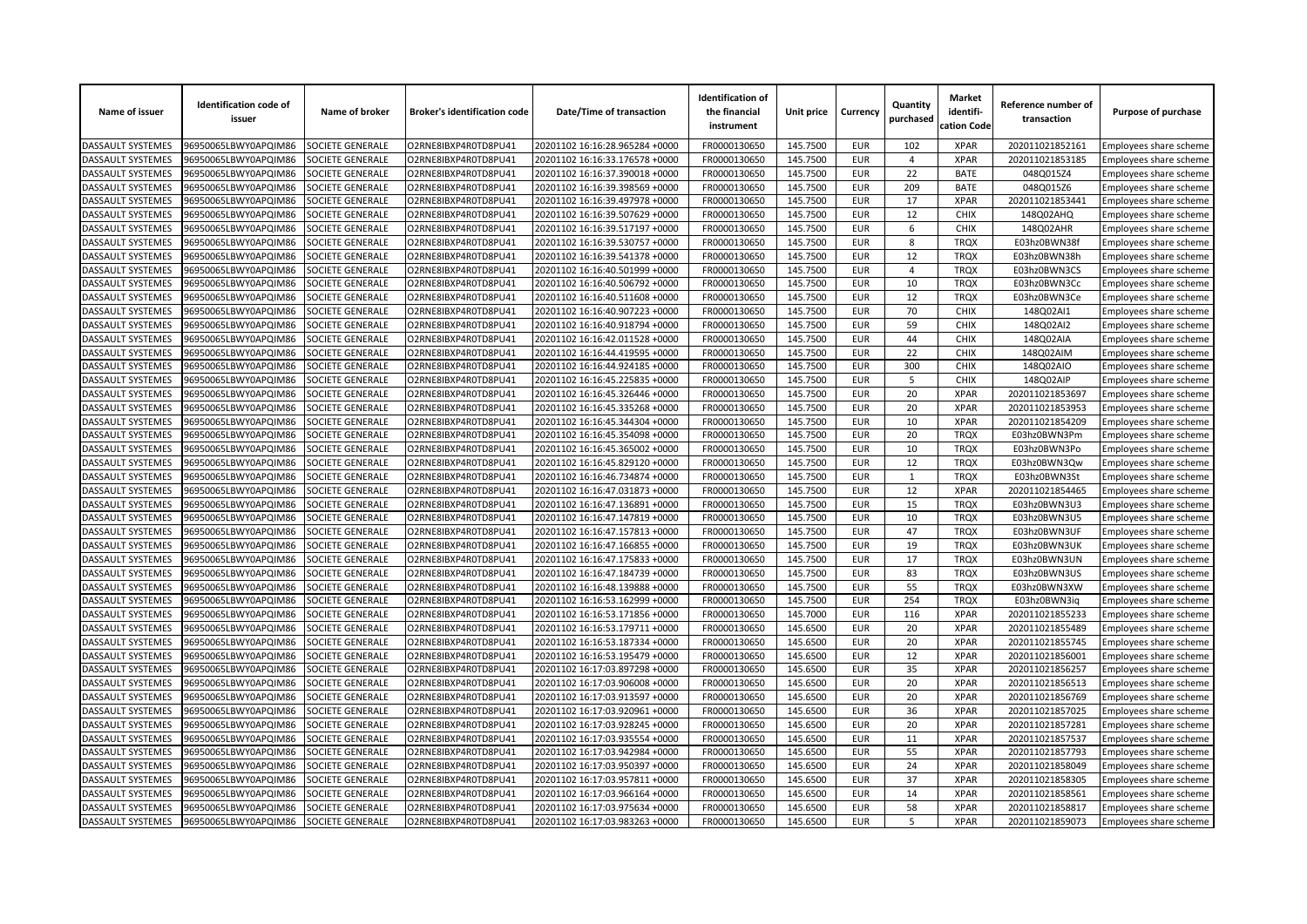| Name of issuer           | <b>Identification code of</b><br>issuer | Name of broker          | <b>Broker's identification code</b> | Date/Time of transaction                                         | <b>Identification of</b><br>the financial<br>instrument | Unit price | Currency                 | Quantity<br>purchased | <b>Market</b><br>identifi-<br>cation Code | Reference number of<br>transaction | Purpose of purchase                              |
|--------------------------|-----------------------------------------|-------------------------|-------------------------------------|------------------------------------------------------------------|---------------------------------------------------------|------------|--------------------------|-----------------------|-------------------------------------------|------------------------------------|--------------------------------------------------|
| <b>DASSAULT SYSTEMES</b> | 96950065LBWY0APQIM86                    | SOCIETE GENERALE        | O2RNE8IBXP4R0TD8PU41                | 20201102 16:16:28.965284 +0000                                   | FR0000130650                                            | 145.7500   | <b>EUR</b>               | 102                   | <b>XPAR</b>                               | 202011021852161                    | Employees share scheme                           |
| <b>DASSAULT SYSTEMES</b> | 96950065LBWY0APQIM86                    | SOCIETE GENERALE        | O2RNE8IBXP4R0TD8PU41                | 20201102 16:16:33.176578 +0000                                   | FR0000130650                                            | 145.7500   | <b>EUR</b>               | $\overline{4}$        | <b>XPAR</b>                               | 202011021853185                    | Employees share scheme                           |
| DASSAULT SYSTEMES        | 96950065LBWY0APQIM86                    | SOCIETE GENERALE        | O2RNE8IBXP4R0TD8PU41                | 20201102 16:16:37.390018 +0000                                   | FR0000130650                                            | 145.7500   | <b>EUR</b>               | 22                    | <b>BATE</b>                               | 048Q015Z4                          | Employees share scheme                           |
| DASSAULT SYSTEMES        | 96950065LBWY0APQIM86                    | SOCIETE GENERALE        | O2RNE8IBXP4R0TD8PU41                | 20201102 16:16:39.398569 +0000                                   | FR0000130650                                            | 145.7500   | <b>EUR</b>               | 209                   | <b>BATE</b>                               | 048Q015Z6                          | Employees share scheme                           |
| <b>DASSAULT SYSTEMES</b> | 96950065LBWY0APQIM86                    | SOCIETE GENERALE        | O2RNE8IBXP4R0TD8PU41                | 20201102 16:16:39.497978 +0000                                   | FR0000130650                                            | 145.7500   | <b>EUR</b>               | 17                    | <b>XPAR</b>                               | 202011021853441                    | Employees share scheme                           |
| DASSAULT SYSTEMES        | 96950065LBWY0APQIM86                    | SOCIETE GENERALE        | O2RNE8IBXP4R0TD8PU41                | 20201102 16:16:39.507629 +0000                                   | FR0000130650                                            | 145.7500   | <b>EUR</b>               | 12                    | CHIX                                      | 148Q02AHQ                          | Employees share scheme                           |
| DASSAULT SYSTEMES        | 96950065LBWY0APQIM86                    | SOCIETE GENERALE        | O2RNE8IBXP4R0TD8PU41                | 20201102 16:16:39.517197 +0000                                   | FR0000130650                                            | 145.7500   | <b>EUR</b>               | 6                     | CHIX                                      | 148Q02AHR                          | Employees share scheme                           |
| DASSAULT SYSTEMES        | 96950065LBWY0APQIM86                    | SOCIETE GENERALE        | O2RNE8IBXP4R0TD8PU41                | 20201102 16:16:39.530757 +0000                                   | FR0000130650                                            | 145.7500   | <b>EUR</b>               | 8                     | <b>TRQX</b>                               | E03hz0BWN38f                       | Employees share scheme                           |
| DASSAULT SYSTEMES        | 96950065LBWY0APQIM86                    | SOCIETE GENERALE        | O2RNE8IBXP4R0TD8PU41                | 20201102 16:16:39.541378 +0000                                   | FR0000130650                                            | 145.7500   | <b>EUR</b>               | 12                    | <b>TRQX</b>                               | E03hz0BWN38h                       | Employees share scheme                           |
| DASSAULT SYSTEMES        | 96950065LBWY0APQIM86                    | SOCIETE GENERALE        | O2RNE8IBXP4R0TD8PU41                | 20201102 16:16:40.501999 +0000                                   | FR0000130650                                            | 145.7500   | <b>EUR</b>               | 4                     | <b>TRQX</b>                               | E03hz0BWN3CS                       | Employees share scheme                           |
| DASSAULT SYSTEMES        | 96950065LBWY0APQIM86                    | SOCIETE GENERALE        | O2RNE8IBXP4R0TD8PU41                | 20201102 16:16:40.506792 +0000                                   | FR0000130650                                            | 145.7500   | <b>EUR</b>               | 10                    | <b>TROX</b>                               | E03hz0BWN3Cc                       | Employees share scheme                           |
| <b>DASSAULT SYSTEMES</b> | 96950065LBWY0APQIM86                    | SOCIETE GENERALE        | O2RNE8IBXP4R0TD8PU41                | 20201102 16:16:40.511608 +0000                                   | FR0000130650                                            | 145.7500   | <b>EUR</b>               | 12                    | <b>TRQX</b>                               | E03hz0BWN3Ce                       | <b>Employees share scheme</b>                    |
| DASSAULT SYSTEMES        | 96950065LBWY0APQIM86                    | SOCIETE GENERALE        | O2RNE8IBXP4R0TD8PU41                | 20201102 16:16:40.907223 +0000                                   | FR0000130650                                            | 145.7500   | <b>EUR</b>               | 70                    | <b>CHIX</b>                               | 148Q02AI1                          | Employees share scheme                           |
| DASSAULT SYSTEMES        | 96950065LBWY0APQIM86                    | SOCIETE GENERALE        | O2RNE8IBXP4R0TD8PU41                | 20201102 16:16:40.918794 +0000                                   | FR0000130650                                            | 145.7500   | <b>EUR</b>               | 59                    | <b>CHIX</b>                               | 148Q02AI2                          | Employees share scheme                           |
| DASSAULT SYSTEMES        | 96950065LBWY0APQIM86                    | SOCIETE GENERALE        | O2RNE8IBXP4R0TD8PU41                | 20201102 16:16:42.011528 +0000                                   | FR0000130650                                            | 145.7500   | <b>EUR</b>               | 44                    | <b>CHIX</b>                               | 148Q02AIA                          | Employees share scheme                           |
| DASSAULT SYSTEMES        | 96950065LBWY0APQIM86                    | SOCIETE GENERALE        | O2RNE8IBXP4R0TD8PU41                | 20201102 16:16:44.419595 +0000                                   | FR0000130650                                            | 145.7500   | <b>EUR</b>               | 22                    | <b>CHIX</b>                               | 148Q02AIM                          | Employees share scheme                           |
| DASSAULT SYSTEMES        | 96950065LBWY0APQIM86                    | SOCIETE GENERALE        | O2RNE8IBXP4R0TD8PU41                | 20201102 16:16:44.924185 +0000                                   | FR0000130650                                            | 145.7500   | <b>EUR</b>               | 300                   | <b>CHIX</b>                               | 148Q02AIO                          | Employees share scheme                           |
| DASSAULT SYSTEMES        | 96950065LBWY0APQIM86                    | SOCIETE GENERALE        | O2RNE8IBXP4R0TD8PU41                | 20201102 16:16:45.225835 +0000                                   | FR0000130650                                            | 145.7500   | <b>EUR</b>               | 5                     | <b>CHIX</b>                               | 148Q02AIP                          | Employees share scheme                           |
| DASSAULT SYSTEMES        | 96950065LBWY0APQIM86                    | SOCIETE GENERALE        | O2RNE8IBXP4R0TD8PU41                | 20201102 16:16:45.326446 +0000                                   | FR0000130650                                            | 145.7500   | <b>EUR</b>               | 20                    | <b>XPAR</b>                               | 202011021853697                    | Employees share scheme                           |
| DASSAULT SYSTEMES        | 96950065LBWY0APQIM86                    | SOCIETE GENERALE        | O2RNE8IBXP4R0TD8PU41                | 20201102 16:16:45.335268 +0000                                   | FR0000130650                                            | 145.7500   | <b>EUR</b>               | 20                    | <b>XPAR</b>                               | 202011021853953                    | Employees share scheme                           |
| DASSAULT SYSTEMES        | 96950065LBWY0APQIM86                    | SOCIETE GENERALE        | O2RNE8IBXP4R0TD8PU41                | 20201102 16:16:45.344304 +0000                                   | FR0000130650                                            | 145.7500   | <b>EUR</b>               | 10                    | <b>XPAR</b>                               | 202011021854209                    | Employees share scheme                           |
| DASSAULT SYSTEMES        | 96950065LBWY0APQIM86                    | SOCIETE GENERALE        | O2RNE8IBXP4R0TD8PU41                | 20201102 16:16:45.354098 +0000                                   | FR0000130650                                            | 145.7500   | <b>EUR</b>               | 20                    | <b>TRQX</b>                               | E03hz0BWN3Pm                       | Employees share scheme                           |
| DASSAULT SYSTEMES        | 96950065LBWY0APQIM86                    | SOCIETE GENERALE        | O2RNE8IBXP4R0TD8PU41                | 20201102 16:16:45.365002 +0000                                   | FR0000130650                                            | 145.7500   | <b>EUR</b>               | 10                    | <b>TRQX</b>                               | E03hz0BWN3Po                       | Employees share scheme                           |
| DASSAULT SYSTEMES        | 96950065LBWY0APQIM86                    | SOCIETE GENERALE        | O2RNE8IBXP4R0TD8PU41                | 20201102 16:16:45.829120 +0000                                   | FR0000130650                                            | 145.7500   | <b>EUR</b>               | 12                    | <b>TRQX</b>                               | E03hz0BWN3Qw                       | Employees share scheme                           |
| DASSAULT SYSTEMES        | 96950065LBWY0APQIM86                    | SOCIETE GENERALE        | O2RNE8IBXP4R0TD8PU41                | 20201102 16:16:46.734874 +0000                                   | FR0000130650                                            | 145.7500   | <b>EUR</b>               | 1                     | <b>TRQX</b>                               | E03hz0BWN3St                       | Employees share scheme                           |
| DASSAULT SYSTEMES        | 96950065LBWY0APQIM86                    | SOCIETE GENERALE        | O2RNE8IBXP4R0TD8PU41                | 20201102 16:16:47.031873 +0000                                   | FR0000130650                                            | 145.7500   | <b>EUR</b>               | 12                    | <b>XPAR</b>                               | 202011021854465                    | Employees share scheme                           |
| <b>DASSAULT SYSTEMES</b> | 96950065LBWY0APQIM86                    | SOCIETE GENERALE        | O2RNE8IBXP4R0TD8PU41                | 20201102 16:16:47.136891 +0000                                   | FR0000130650                                            | 145.7500   | <b>EUR</b>               | 15                    | <b>TRQX</b>                               | E03hz0BWN3U3                       | Employees share scheme                           |
| DASSAULT SYSTEMES        | 96950065LBWY0APQIM86                    | <b>SOCIETE GENERALE</b> | O2RNE8IBXP4R0TD8PU41                | 20201102 16:16:47.147819 +0000                                   | FR0000130650                                            | 145.7500   | <b>EUR</b>               | 10                    | <b>TRQX</b>                               | E03hz0BWN3U5                       | Employees share scheme                           |
| DASSAULT SYSTEMES        | 96950065LBWY0APQIM86                    | SOCIETE GENERALE        | O2RNE8IBXP4R0TD8PU41                | 20201102 16:16:47.157813 +0000                                   | FR0000130650                                            | 145.7500   | <b>EUR</b>               | 47                    | <b>TRQX</b>                               | E03hz0BWN3UF                       | Employees share scheme                           |
| DASSAULT SYSTEMES        | 96950065LBWY0APQIM86                    | SOCIETE GENERALE        | O2RNE8IBXP4R0TD8PU41                | 20201102 16:16:47.166855 +0000                                   | FR0000130650                                            | 145.7500   | <b>EUR</b>               | 19                    | <b>TROX</b>                               | E03hz0BWN3UK                       | Employees share scheme                           |
| DASSAULT SYSTEMES        | 96950065LBWY0APQIM86                    | SOCIETE GENERALE        | O2RNE8IBXP4R0TD8PU41                | 20201102 16:16:47.175833 +0000                                   | FR0000130650                                            | 145.7500   | <b>EUR</b>               | 17                    | <b>TRQX</b>                               | E03hz0BWN3UN                       | Employees share scheme                           |
| <b>DASSAULT SYSTEMES</b> | 96950065LBWY0APQIM86                    | <b>SOCIETE GENERALE</b> | O2RNE8IBXP4R0TD8PU41                | 20201102 16:16:47.184739 +0000                                   | FR0000130650                                            | 145.7500   | <b>EUR</b>               | 83                    | <b>TRQX</b>                               | E03hz0BWN3US                       | Employees share scheme                           |
| DASSAULT SYSTEMES        | 96950065LBWY0APQIM86                    | SOCIETE GENERALE        | O2RNE8IBXP4R0TD8PU41                | 20201102 16:16:48.139888 +0000                                   | FR0000130650                                            | 145.7500   | <b>EUR</b>               | 55                    | <b>TRQX</b>                               | E03hz0BWN3XW                       | Employees share scheme                           |
| DASSAULT SYSTEMES        | 96950065LBWY0APQIM86                    | SOCIETE GENERALE        | O2RNE8IBXP4R0TD8PU41                | 20201102 16:16:53.162999 +0000                                   | FR0000130650                                            | 145.7500   | <b>EUR</b>               | 254                   | <b>TRQX</b>                               | E03hz0BWN3ig                       | Employees share scheme                           |
| DASSAULT SYSTEMES        | 96950065LBWY0APQIM86                    | SOCIETE GENERALE        | O2RNE8IBXP4R0TD8PU41                | 20201102 16:16:53.171856 +0000                                   | FR0000130650                                            | 145.7000   | <b>EUR</b>               | 116                   | <b>XPAR</b>                               | 202011021855233                    |                                                  |
| DASSAULT SYSTEMES        | 96950065LBWY0APQIM86                    | SOCIETE GENERALE        | O2RNE8IBXP4R0TD8PU41                | 20201102 16:16:53.179711 +0000                                   | FR0000130650                                            | 145.6500   | <b>EUR</b>               | 20                    | <b>XPAR</b>                               | 202011021855489                    | Employees share scheme<br>Employees share scheme |
| <b>DASSAULT SYSTEMES</b> | 96950065LBWY0APQIM86                    | SOCIETE GENERALE        | O2RNE8IBXP4R0TD8PU41                | 20201102 16:16:53.187334 +0000                                   | FR0000130650                                            | 145.6500   | <b>EUR</b>               | 20                    | <b>XPAR</b>                               | 202011021855745                    |                                                  |
| DASSAULT SYSTEMES        | 96950065LBWY0APQIM86                    | SOCIETE GENERALE        | O2RNE8IBXP4R0TD8PU41                | 20201102 16:16:53.195479 +0000                                   | FR0000130650                                            | 145.6500   | <b>EUR</b>               | 12                    | <b>XPAR</b>                               | 202011021856001                    | Employees share scheme                           |
| DASSAULT SYSTEMES        | 96950065LBWY0APQIM86                    | SOCIETE GENERALE        | O2RNE8IBXP4R0TD8PU41                | 20201102 16:17:03.897298 +0000                                   | FR0000130650                                            | 145.6500   | <b>EUR</b>               | 35                    | <b>XPAR</b>                               | 202011021856257                    | Employees share scheme                           |
|                          |                                         | SOCIETE GENERALE        |                                     |                                                                  |                                                         |            | <b>EUR</b>               | 20                    | <b>XPAR</b>                               |                                    | Employees share scheme                           |
| DASSAULT SYSTEMES        | 96950065LBWY0APQIM86                    |                         | O2RNE8IBXP4R0TD8PU41                | 20201102 16:17:03.906008 +0000                                   | FR0000130650                                            | 145.6500   |                          |                       |                                           | 202011021856513                    | Employees share scheme                           |
| DASSAULT SYSTEMES        | 96950065LBWY0APQIM86                    | SOCIETE GENERALE        | O2RNE8IBXP4R0TD8PU41                | 20201102 16:17:03.913597 +0000                                   | FR0000130650                                            | 145.6500   | <b>EUR</b>               | 20                    | <b>XPAR</b><br><b>XPAR</b>                | 202011021856769                    | Employees share scheme                           |
| DASSAULT SYSTEMES        | 96950065LBWY0APQIM86                    | SOCIETE GENERALE        | O2RNE8IBXP4R0TD8PU41                | 20201102 16:17:03.920961 +0000<br>20201102 16:17:03.928245 +0000 | FR0000130650<br>FR0000130650                            | 145.6500   | <b>EUR</b><br><b>EUR</b> | 36<br>20              | <b>XPAR</b>                               | 202011021857025                    | Employees share scheme                           |
| <b>DASSAULT SYSTEMES</b> | 96950065LBWY0APQIM86                    | SOCIETE GENERALE        | O2RNE8IBXP4R0TD8PU41                |                                                                  |                                                         | 145.6500   |                          |                       |                                           | 202011021857281                    | Employees share scheme                           |
| DASSAULT SYSTEMES        | 96950065LBWY0APQIM86                    | SOCIETE GENERALE        | O2RNE8IBXP4R0TD8PU41                | 20201102 16:17:03.935554 +0000                                   | FR0000130650                                            | 145.6500   | <b>EUR</b>               | 11                    | <b>XPAR</b>                               | 202011021857537                    | Employees share scheme                           |
| DASSAULT SYSTEMES        | 96950065LBWY0APQIM86                    | SOCIETE GENERALE        | O2RNE8IBXP4R0TD8PU41                | 20201102 16:17:03.942984 +0000                                   | FR0000130650                                            | 145.6500   | <b>EUR</b>               | 55                    | <b>XPAR</b>                               | 202011021857793                    | Employees share scheme                           |
| DASSAULT SYSTEMES        | 96950065LBWY0APQIM86                    | SOCIETE GENERALE        | O2RNE8IBXP4R0TD8PU41                | 20201102 16:17:03.950397 +0000                                   | FR0000130650                                            | 145.6500   | <b>EUR</b>               | 24                    | <b>XPAR</b>                               | 202011021858049                    | Employees share scheme                           |
| DASSAULT SYSTEMES        | 96950065LBWY0APQIM86                    | SOCIETE GENERALE        | O2RNE8IBXP4R0TD8PU41                | 20201102 16:17:03.957811 +0000                                   | FR0000130650                                            | 145.6500   | <b>EUR</b>               | 37                    | <b>XPAR</b>                               | 202011021858305                    | Employees share scheme                           |
| DASSAULT SYSTEMES        | 96950065LBWY0APQIM86                    | <b>SOCIETE GENERALE</b> | O2RNE8IBXP4R0TD8PU41                | 20201102 16:17:03.966164 +0000                                   | FR0000130650                                            | 145.6500   | <b>EUR</b>               | 14                    | <b>XPAR</b>                               | 202011021858561                    | Employees share scheme                           |
| DASSAULT SYSTEMES        | 96950065LBWY0APQIM86                    | SOCIETE GENERALE        | O2RNE8IBXP4R0TD8PU41                | 20201102 16:17:03.975634 +0000                                   | FR0000130650                                            | 145.6500   | <b>EUR</b>               | 58                    | <b>XPAR</b>                               | 202011021858817                    | Employees share scheme                           |
| <b>DASSAULT SYSTEMES</b> | 96950065LBWY0APQIM86                    | <b>SOCIETE GENERALE</b> | O2RNE8IBXP4R0TD8PU41                | 20201102 16:17:03.983263 +0000                                   | FR0000130650                                            | 145.6500   | <b>EUR</b>               | 5                     | <b>XPAR</b>                               | 202011021859073                    | Employees share scheme                           |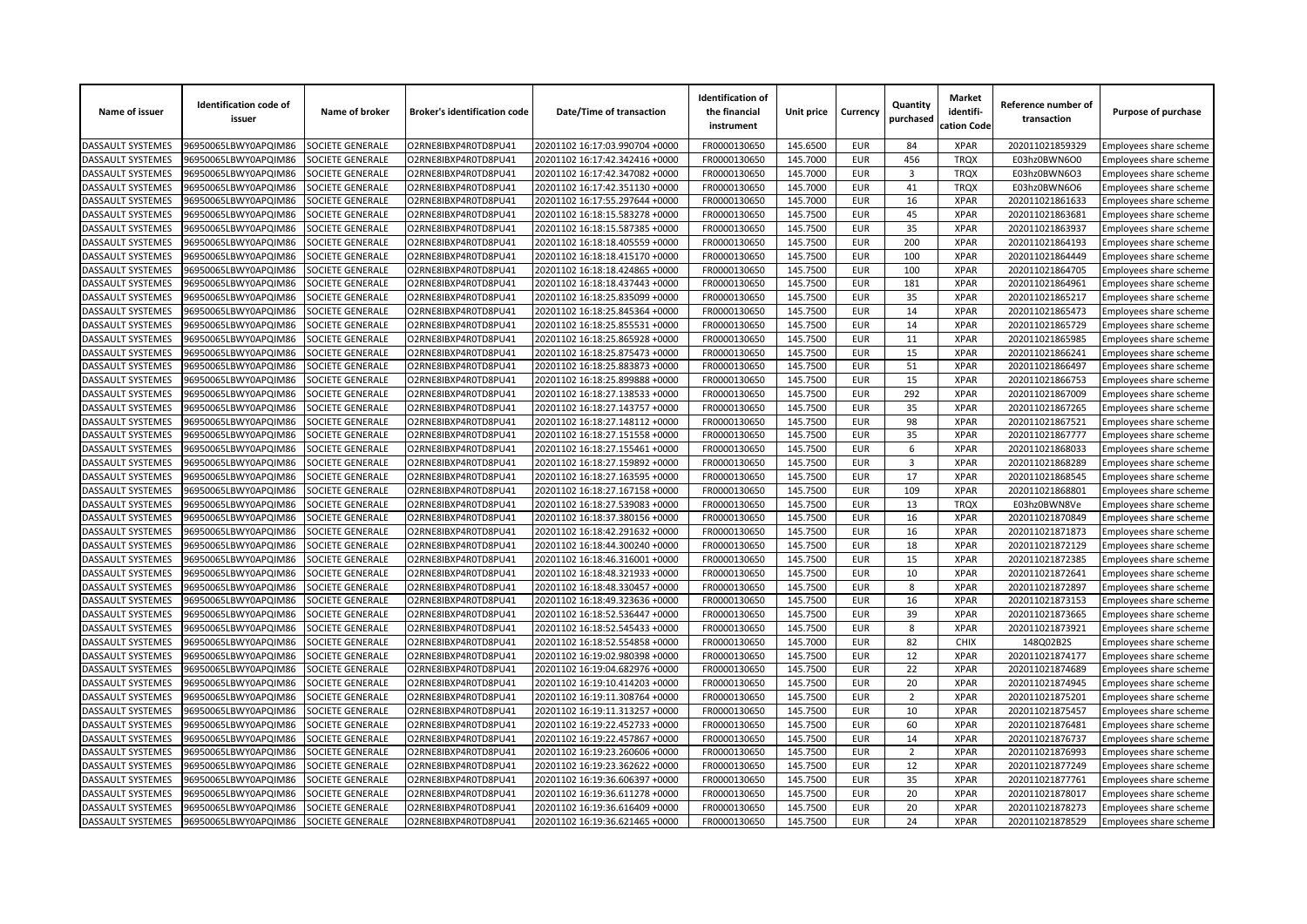| Name of issuer           | <b>Identification code of</b><br>issuer | Name of broker          | <b>Broker's identification code</b> | Date/Time of transaction       | <b>Identification of</b><br>the financial<br>instrument | Unit price | Currency   | Quantity<br>purchased   | <b>Market</b><br>identifi-<br>cation Code | Reference number of<br>transaction | Purpose of purchase    |
|--------------------------|-----------------------------------------|-------------------------|-------------------------------------|--------------------------------|---------------------------------------------------------|------------|------------|-------------------------|-------------------------------------------|------------------------------------|------------------------|
| <b>DASSAULT SYSTEMES</b> | 96950065LBWY0APQIM86                    | SOCIETE GENERALE        | O2RNE8IBXP4R0TD8PU41                | 20201102 16:17:03.990704 +0000 | FR0000130650                                            | 145.6500   | <b>EUR</b> | 84                      | <b>XPAR</b>                               | 202011021859329                    | Employees share scheme |
| <b>DASSAULT SYSTEMES</b> | 96950065LBWY0APQIM86                    | <b>SOCIETE GENERALE</b> | O2RNE8IBXP4R0TD8PU41                | 20201102 16:17:42.342416 +0000 | FR0000130650                                            | 145.7000   | <b>EUR</b> | 456                     | <b>TROX</b>                               | E03hz0BWN6O0                       | Employees share scheme |
| DASSAULT SYSTEMES        | 96950065LBWY0APQIM86                    | SOCIETE GENERALE        | O2RNE8IBXP4R0TD8PU41                | 20201102 16:17:42.347082 +0000 | FR0000130650                                            | 145.7000   | <b>EUR</b> | 3                       | <b>TRQX</b>                               | E03hz0BWN6O3                       | Employees share scheme |
| DASSAULT SYSTEMES        | 96950065LBWY0APQIM86                    | SOCIETE GENERALE        | O2RNE8IBXP4R0TD8PU41                | 20201102 16:17:42.351130 +0000 | FR0000130650                                            | 145.7000   | <b>EUR</b> | 41                      | <b>TRQX</b>                               | E03hz0BWN6O6                       | Employees share scheme |
| <b>DASSAULT SYSTEMES</b> | 96950065LBWY0APQIM86                    | SOCIETE GENERALE        | O2RNE8IBXP4R0TD8PU41                | 20201102 16:17:55.297644 +0000 | FR0000130650                                            | 145.7000   | <b>EUR</b> | 16                      | <b>XPAR</b>                               | 202011021861633                    | Employees share scheme |
| DASSAULT SYSTEMES        | 96950065LBWY0APQIM86                    | SOCIETE GENERALE        | O2RNE8IBXP4R0TD8PU41                | 20201102 16:18:15.583278 +0000 | FR0000130650                                            | 145.7500   | <b>EUR</b> | 45                      | <b>XPAR</b>                               | 202011021863681                    | Employees share scheme |
| DASSAULT SYSTEMES        | 96950065LBWY0APQIM86                    | SOCIETE GENERALE        | O2RNE8IBXP4R0TD8PU41                | 20201102 16:18:15.587385 +0000 | FR0000130650                                            | 145.7500   | <b>EUR</b> | 35                      | <b>XPAR</b>                               | 202011021863937                    | Employees share scheme |
| DASSAULT SYSTEMES        | 96950065LBWY0APQIM86                    | SOCIETE GENERALE        | O2RNE8IBXP4R0TD8PU41                | 20201102 16:18:18.405559 +0000 | FR0000130650                                            | 145.7500   | <b>EUR</b> | 200                     | <b>XPAR</b>                               | 202011021864193                    | Employees share scheme |
| DASSAULT SYSTEMES        | 96950065LBWY0APQIM86                    | SOCIETE GENERALE        | O2RNE8IBXP4R0TD8PU41                | 20201102 16:18:18.415170 +0000 | FR0000130650                                            | 145.7500   | <b>EUR</b> | 100                     | <b>XPAR</b>                               | 202011021864449                    | Employees share scheme |
| DASSAULT SYSTEMES        | 96950065LBWY0APQIM86                    | SOCIETE GENERALE        | O2RNE8IBXP4R0TD8PU41                | 20201102 16:18:18.424865 +0000 | FR0000130650                                            | 145.7500   | <b>EUR</b> | 100                     | <b>XPAR</b>                               | 202011021864705                    | Employees share scheme |
| DASSAULT SYSTEMES        | 96950065LBWY0APQIM86                    | SOCIETE GENERALE        | O2RNE8IBXP4R0TD8PU41                | 20201102 16:18:18.437443 +0000 | FR0000130650                                            | 145.7500   | <b>EUR</b> | 181                     | <b>XPAR</b>                               | 202011021864961                    | Employees share scheme |
| <b>DASSAULT SYSTEMES</b> | 96950065LBWY0APQIM86                    | SOCIETE GENERALE        | O2RNE8IBXP4R0TD8PU41                | 20201102 16:18:25.835099 +0000 | FR0000130650                                            | 145.7500   | <b>EUR</b> | 35                      | <b>XPAR</b>                               | 202011021865217                    | Employees share scheme |
| DASSAULT SYSTEMES        | 96950065LBWY0APQIM86                    | SOCIETE GENERALE        | O2RNE8IBXP4R0TD8PU41                | 20201102 16:18:25.845364 +0000 | FR0000130650                                            | 145.7500   | <b>EUR</b> | 14                      | <b>XPAR</b>                               | 202011021865473                    | Employees share scheme |
| DASSAULT SYSTEMES        | 96950065LBWY0APQIM86                    | SOCIETE GENERALE        | O2RNE8IBXP4R0TD8PU41                | 20201102 16:18:25.855531 +0000 | FR0000130650                                            | 145.7500   | <b>EUR</b> | 14                      | <b>XPAR</b>                               | 202011021865729                    | Employees share scheme |
| DASSAULT SYSTEMES        | 96950065LBWY0APQIM86                    | SOCIETE GENERALE        | O2RNE8IBXP4R0TD8PU41                | 20201102 16:18:25.865928 +0000 | FR0000130650                                            | 145.7500   | <b>EUR</b> | 11                      | <b>XPAR</b>                               | 202011021865985                    | Employees share scheme |
| DASSAULT SYSTEMES        | 96950065LBWY0APQIM86                    | SOCIETE GENERALE        | O2RNE8IBXP4R0TD8PU41                | 20201102 16:18:25.875473 +0000 | FR0000130650                                            | 145.7500   | <b>EUR</b> | 15                      | <b>XPAR</b>                               | 202011021866241                    | Employees share scheme |
| DASSAULT SYSTEMES        | 96950065LBWY0APQIM86                    | SOCIETE GENERALE        | O2RNE8IBXP4R0TD8PU41                | 20201102 16:18:25.883873 +0000 | FR0000130650                                            | 145.7500   | <b>EUR</b> | 51                      | <b>XPAR</b>                               | 202011021866497                    | Employees share scheme |
| DASSAULT SYSTEMES        | 96950065LBWY0APQIM86                    | SOCIETE GENERALE        | O2RNE8IBXP4R0TD8PU41                | 20201102 16:18:25.899888 +0000 | FR0000130650                                            | 145.7500   | <b>EUR</b> | 15                      | <b>XPAR</b>                               | 202011021866753                    | Employees share scheme |
| DASSAULT SYSTEMES        | 96950065LBWY0APQIM86                    | SOCIETE GENERALE        | O2RNE8IBXP4R0TD8PU41                | 20201102 16:18:27.138533 +0000 | FR0000130650                                            | 145.7500   | <b>EUR</b> | 292                     | <b>XPAR</b>                               | 202011021867009                    | Employees share scheme |
| DASSAULT SYSTEMES        | 96950065LBWY0APQIM86                    | SOCIETE GENERALE        | O2RNE8IBXP4R0TD8PU41                | 20201102 16:18:27.143757 +0000 | FR0000130650                                            | 145.7500   | <b>EUR</b> | 35                      | <b>XPAR</b>                               | 202011021867265                    | Employees share scheme |
| DASSAULT SYSTEMES        | 96950065LBWY0APQIM86                    | SOCIETE GENERALE        | O2RNE8IBXP4R0TD8PU41                | 20201102 16:18:27.148112 +0000 | FR0000130650                                            | 145.7500   | <b>EUR</b> | 98                      | <b>XPAR</b>                               | 202011021867521                    | Employees share scheme |
| DASSAULT SYSTEMES        | 96950065LBWY0APQIM86                    | SOCIETE GENERALE        | O2RNE8IBXP4R0TD8PU41                | 20201102 16:18:27.151558 +0000 | FR0000130650                                            | 145.7500   | <b>EUR</b> | 35                      | <b>XPAR</b>                               | 202011021867777                    | Employees share scheme |
| DASSAULT SYSTEMES        | 96950065LBWY0APQIM86                    | SOCIETE GENERALE        | O2RNE8IBXP4R0TD8PU41                | 20201102 16:18:27.155461 +0000 | FR0000130650                                            | 145.7500   | <b>EUR</b> | 6                       | <b>XPAR</b>                               | 202011021868033                    | Employees share scheme |
| DASSAULT SYSTEMES        | 96950065LBWY0APQIM86                    | SOCIETE GENERALE        | O2RNE8IBXP4R0TD8PU41                | 20201102 16:18:27.159892 +0000 | FR0000130650                                            | 145.7500   | <b>EUR</b> | $\overline{\mathbf{3}}$ | <b>XPAR</b>                               | 202011021868289                    | Employees share scheme |
| DASSAULT SYSTEMES        | 96950065LBWY0APQIM86                    | SOCIETE GENERALE        | O2RNE8IBXP4R0TD8PU41                | 20201102 16:18:27.163595 +0000 | FR0000130650                                            | 145.7500   | <b>EUR</b> | 17                      | <b>XPAR</b>                               | 202011021868545                    | Employees share scheme |
| DASSAULT SYSTEMES        | 96950065LBWY0APQIM86                    | SOCIETE GENERALE        | O2RNE8IBXP4R0TD8PU41                | 20201102 16:18:27.167158 +0000 | FR0000130650                                            | 145.7500   | <b>EUR</b> | 109                     | <b>XPAR</b>                               | 202011021868801                    | Employees share scheme |
| <b>DASSAULT SYSTEMES</b> | 96950065LBWY0APQIM86                    | SOCIETE GENERALE        | O2RNE8IBXP4R0TD8PU41                | 20201102 16:18:27.539083 +0000 | FR0000130650                                            | 145.7500   | <b>EUR</b> | 13                      | <b>TRQX</b>                               | E03hz0BWN8Ve                       | Employees share scheme |
| DASSAULT SYSTEMES        | 96950065LBWY0APQIM86                    | SOCIETE GENERALE        | O2RNE8IBXP4R0TD8PU41                | 20201102 16:18:37.380156 +0000 | FR0000130650                                            | 145.7500   | <b>EUR</b> | 16                      | <b>XPAR</b>                               | 202011021870849                    | Employees share scheme |
| DASSAULT SYSTEMES        | 96950065LBWY0APQIM86                    | SOCIETE GENERALE        | O2RNE8IBXP4R0TD8PU41                | 20201102 16:18:42.291632 +0000 | FR0000130650                                            | 145.7500   | <b>EUR</b> | 16                      | <b>XPAR</b>                               | 202011021871873                    | Employees share scheme |
| DASSAULT SYSTEMES        | 96950065LBWY0APQIM86                    | SOCIETE GENERALE        | O2RNE8IBXP4R0TD8PU41                | 20201102 16:18:44.300240 +0000 | FR0000130650                                            | 145.7500   | <b>EUR</b> | 18                      | <b>XPAR</b>                               | 202011021872129                    | Employees share scheme |
| DASSAULT SYSTEMES        | 96950065LBWY0APQIM86                    | SOCIETE GENERALE        | O2RNE8IBXP4R0TD8PU41                | 20201102 16:18:46.316001 +0000 | FR0000130650                                            | 145.7500   | <b>EUR</b> | 15                      | <b>XPAR</b>                               | 202011021872385                    | Employees share scheme |
| <b>DASSAULT SYSTEMES</b> | 96950065LBWY0APQIM86                    | SOCIETE GENERALE        | O2RNE8IBXP4R0TD8PU41                | 20201102 16:18:48.321933 +0000 | FR0000130650                                            | 145.7500   | <b>EUR</b> | 10                      | <b>XPAR</b>                               | 202011021872641                    | Employees share scheme |
| DASSAULT SYSTEMES        | 96950065LBWY0APQIM86                    | SOCIETE GENERALE        | O2RNE8IBXP4R0TD8PU41                | 20201102 16:18:48.330457 +0000 | FR0000130650                                            | 145.7500   | <b>EUR</b> | 8                       | <b>XPAR</b>                               | 202011021872897                    | Employees share scheme |
| DASSAULT SYSTEMES        | 96950065LBWY0APQIM86                    | SOCIETE GENERALE        | O2RNE8IBXP4R0TD8PU41                | 20201102 16:18:49.323636 +0000 | FR0000130650                                            | 145.7500   | <b>EUR</b> | 16                      | <b>XPAR</b>                               | 202011021873153                    | Employees share scheme |
| DASSAULT SYSTEMES        | 96950065LBWY0APQIM86                    | SOCIETE GENERALE        | O2RNE8IBXP4R0TD8PU41                | 20201102 16:18:52.536447 +0000 | FR0000130650                                            | 145.7500   | <b>EUR</b> | 39                      | <b>XPAR</b>                               | 202011021873665                    | Employees share scheme |
| DASSAULT SYSTEMES        | 96950065LBWY0APQIM86                    | SOCIETE GENERALE        | O2RNE8IBXP4R0TD8PU41                | 20201102 16:18:52.545433 +0000 | FR0000130650                                            | 145.7500   | <b>EUR</b> | 8                       | <b>XPAR</b>                               | 202011021873921                    | Employees share scheme |
| <b>DASSAULT SYSTEMES</b> | 96950065LBWY0APQIM86                    | SOCIETE GENERALE        | O2RNE8IBXP4R0TD8PU41                | 20201102 16:18:52.554858 +0000 | FR0000130650                                            | 145.7000   | <b>EUR</b> | 82                      | <b>CHIX</b>                               | 148Q02B2S                          | Employees share scheme |
| DASSAULT SYSTEMES        | 96950065LBWY0APQIM86                    | SOCIETE GENERALE        | O2RNE8IBXP4R0TD8PU41                | 20201102 16:19:02.980398 +0000 | FR0000130650                                            | 145.7500   | <b>EUR</b> | 12                      | <b>XPAR</b>                               | 202011021874177                    | Employees share scheme |
| DASSAULT SYSTEMES        | 96950065LBWY0APQIM86                    | SOCIETE GENERALE        | O2RNE8IBXP4R0TD8PU41                | 20201102 16:19:04.682976 +0000 | FR0000130650                                            | 145.7500   | <b>EUR</b> | 22                      | <b>XPAR</b>                               | 202011021874689                    | Employees share scheme |
| DASSAULT SYSTEMES        | 96950065LBWY0APQIM86                    | SOCIETE GENERALE        | O2RNE8IBXP4R0TD8PU41                | 20201102 16:19:10.414203 +0000 | FR0000130650                                            | 145.7500   | <b>EUR</b> | 20                      | <b>XPAR</b>                               | 202011021874945                    | Employees share scheme |
| DASSAULT SYSTEMES        | 96950065LBWY0APQIM86                    | SOCIETE GENERALE        | O2RNE8IBXP4R0TD8PU41                | 20201102 16:19:11.308764 +0000 | FR0000130650                                            | 145.7500   | <b>EUR</b> | $\overline{2}$          | <b>XPAR</b>                               | 202011021875201                    | Employees share scheme |
| DASSAULT SYSTEMES        | 96950065LBWY0APQIM86                    | SOCIETE GENERALE        | O2RNE8IBXP4R0TD8PU41                | 20201102 16:19:11.313257 +0000 | FR0000130650                                            | 145.7500   | <b>EUR</b> | 10                      | <b>XPAR</b>                               | 202011021875457                    | Employees share scheme |
| <b>DASSAULT SYSTEMES</b> | 96950065LBWY0APQIM86                    | SOCIETE GENERALE        | O2RNE8IBXP4R0TD8PU41                | 20201102 16:19:22.452733 +0000 | FR0000130650                                            | 145.7500   | <b>EUR</b> | 60                      | <b>XPAR</b>                               | 202011021876481                    | Employees share scheme |
| DASSAULT SYSTEMES        | 96950065LBWY0APQIM86                    | SOCIETE GENERALE        | O2RNE8IBXP4R0TD8PU41                | 20201102 16:19:22.457867 +0000 | FR0000130650                                            | 145.7500   | <b>EUR</b> | 14                      | <b>XPAR</b>                               | 202011021876737                    | Employees share scheme |
| DASSAULT SYSTEMES        | 96950065LBWY0APQIM86                    | SOCIETE GENERALE        | O2RNE8IBXP4R0TD8PU41                | 20201102 16:19:23.260606 +0000 | FR0000130650                                            | 145.7500   | <b>EUR</b> | $\overline{2}$          | <b>XPAR</b>                               | 202011021876993                    | Employees share scheme |
| DASSAULT SYSTEMES        | 96950065LBWY0APQIM86                    | SOCIETE GENERALE        | O2RNE8IBXP4R0TD8PU41                | 20201102 16:19:23.362622 +0000 | FR0000130650                                            | 145.7500   | <b>EUR</b> | 12                      | <b>XPAR</b>                               | 202011021877249                    | Employees share scheme |
| DASSAULT SYSTEMES        | 96950065LBWY0APQIM86                    | SOCIETE GENERALE        | O2RNE8IBXP4R0TD8PU41                | 20201102 16:19:36.606397 +0000 | FR0000130650                                            | 145.7500   | <b>EUR</b> | 35                      | <b>XPAR</b>                               | 202011021877761                    | Employees share scheme |
| DASSAULT SYSTEMES        | 96950065LBWY0APQIM86                    | <b>SOCIETE GENERALE</b> | O2RNE8IBXP4R0TD8PU41                | 20201102 16:19:36.611278 +0000 | FR0000130650                                            | 145.7500   | <b>EUR</b> | 20                      | <b>XPAR</b>                               | 202011021878017                    |                        |
|                          |                                         |                         |                                     |                                |                                                         |            | <b>EUR</b> | 20                      | <b>XPAR</b>                               |                                    | Employees share scheme |
| DASSAULT SYSTEMES        | 96950065LBWY0APQIM86                    | SOCIETE GENERALE        | O2RNE8IBXP4R0TD8PU41                | 20201102 16:19:36.616409 +0000 | FR0000130650                                            | 145.7500   |            |                         |                                           | 202011021878273                    | Employees share scheme |
| <b>DASSAULT SYSTEMES</b> | 96950065LBWY0APQIM86                    | <b>SOCIETE GENERALE</b> | O2RNE8IBXP4R0TD8PU41                | 20201102 16:19:36.621465 +0000 | FR0000130650                                            | 145.7500   | <b>EUR</b> | 24                      | <b>XPAR</b>                               | 202011021878529                    | Employees share scheme |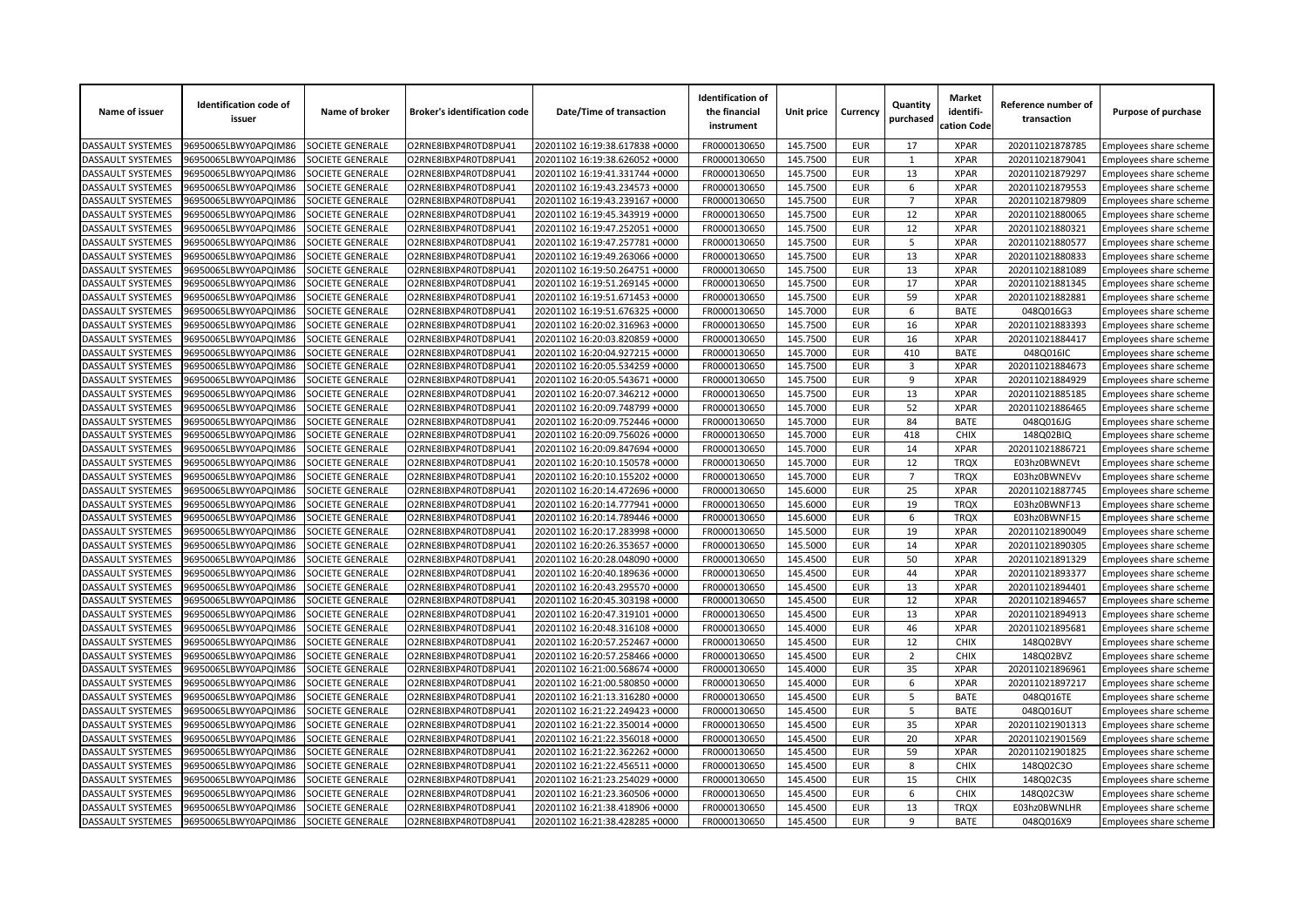| Name of issuer                         | <b>Identification code of</b><br>issuer      | Name of broker                       | <b>Broker's identification code</b>          | Date/Time of transaction                                         | <b>Identification of</b><br>the financial<br>instrument | Unit price | Currency   | Quantity<br>purchased | <b>Market</b><br>identifi-<br>cation Code | Reference number of<br>transaction | Purpose of purchase                              |
|----------------------------------------|----------------------------------------------|--------------------------------------|----------------------------------------------|------------------------------------------------------------------|---------------------------------------------------------|------------|------------|-----------------------|-------------------------------------------|------------------------------------|--------------------------------------------------|
| <b>DASSAULT SYSTEMES</b>               | 96950065LBWY0APQIM86                         | SOCIETE GENERALE                     | O2RNE8IBXP4R0TD8PU41                         | 20201102 16:19:38.617838 +0000                                   | FR0000130650                                            | 145.7500   | <b>EUR</b> | 17                    | <b>XPAR</b>                               | 202011021878785                    | Employees share scheme                           |
| DASSAULT SYSTEMES                      | 96950065LBWY0APQIM86                         | SOCIETE GENERALE                     | O2RNE8IBXP4R0TD8PU41                         | 20201102 16:19:38.626052 +0000                                   | FR0000130650                                            | 145.7500   | <b>EUR</b> | $\mathbf{1}$          | <b>XPAR</b>                               | 202011021879041                    | Employees share scheme                           |
| DASSAULT SYSTEMES                      | 96950065LBWY0APQIM86                         | SOCIETE GENERALE                     | O2RNE8IBXP4R0TD8PU41                         | 20201102 16:19:41.331744 +0000                                   | FR0000130650                                            | 145.7500   | <b>EUR</b> | 13                    | <b>XPAR</b>                               | 202011021879297                    | Employees share scheme                           |
| DASSAULT SYSTEMES                      | 06950065LBWY0APQIM86                         | <b>SOCIETE GENERALE</b>              | O2RNE8IBXP4R0TD8PU41                         | 20201102 16:19:43.234573 +0000                                   | FR0000130650                                            | 145.7500   | <b>EUR</b> | 6                     | <b>XPAR</b>                               | 202011021879553                    | Employees share scheme                           |
| DASSAULT SYSTEMES                      | 96950065LBWY0APQIM86                         | SOCIETE GENERALE                     | O2RNE8IBXP4R0TD8PU41                         | 20201102 16:19:43.239167 +0000                                   | FR0000130650                                            | 145.7500   | <b>EUR</b> | $\overline{7}$        | <b>XPAR</b>                               | 202011021879809                    | Employees share scheme                           |
| DASSAULT SYSTEMES                      | 96950065LBWY0APQIM86                         | SOCIETE GENERALE                     | O2RNE8IBXP4R0TD8PU41                         | 20201102 16:19:45.343919 +0000                                   | FR0000130650                                            | 145.7500   | <b>EUR</b> | 12                    | <b>XPAR</b>                               | 202011021880065                    | Employees share scheme                           |
| DASSAULT SYSTEMES                      | 96950065LBWY0APQIM86                         | SOCIETE GENERALE                     | O2RNE8IBXP4R0TD8PU41                         | 20201102 16:19:47.252051 +0000                                   | FR0000130650                                            | 145.7500   | <b>EUR</b> | 12                    | <b>XPAR</b>                               | 202011021880321                    | Employees share scheme                           |
| DASSAULT SYSTEMES                      | 96950065LBWY0APQIM86                         | <b>SOCIETE GENERALE</b>              | O2RNE8IBXP4R0TD8PU41                         | 20201102 16:19:47.257781 +0000                                   | FR0000130650                                            | 145.7500   | <b>EUR</b> | 5                     | <b>XPAR</b>                               | 202011021880577                    | Employees share scheme                           |
| DASSAULT SYSTEMES                      | 06950065LBWY0APQIM86                         | SOCIETE GENERALE                     | O2RNE8IBXP4R0TD8PU41                         | 20201102 16:19:49.263066 +0000                                   | FR0000130650                                            | 145.7500   | <b>EUR</b> | 13                    | <b>XPAR</b>                               | 202011021880833                    | Employees share scheme                           |
| DASSAULT SYSTEMES                      | 96950065LBWY0APQIM86                         | SOCIETE GENERALE                     | O2RNE8IBXP4R0TD8PU41                         | 20201102 16:19:50.264751 +0000                                   | FR0000130650                                            | 145.7500   | <b>EUR</b> | 13                    | <b>XPAR</b>                               | 202011021881089                    | Employees share scheme                           |
| DASSAULT SYSTEMES                      | 96950065LBWY0APQIM86                         | SOCIETE GENERALE                     | O2RNE8IBXP4R0TD8PU41                         | 20201102 16:19:51.269145 +0000                                   | FR0000130650                                            | 145.7500   | <b>EUR</b> | 17                    | <b>XPAR</b>                               | 202011021881345                    | Employees share scheme                           |
| DASSAULT SYSTEMES                      | 96950065LBWY0APQIM86                         | <b>SOCIETE GENERALE</b>              | O2RNE8IBXP4R0TD8PU41                         | 20201102 16:19:51.671453 +0000                                   | FR0000130650                                            | 145.7500   | <b>EUR</b> | 59                    | <b>XPAR</b>                               | 202011021882881                    | Employees share scheme                           |
| DASSAULT SYSTEMES                      | 96950065LBWY0APQIM86                         | SOCIETE GENERALE                     | O2RNE8IBXP4R0TD8PU41                         | 20201102 16:19:51.676325 +0000                                   | FR0000130650                                            | 145.7000   | <b>EUR</b> | 6                     | <b>BATE</b>                               | 048Q016G3                          | Employees share scheme                           |
| DASSAULT SYSTEMES                      | 96950065LBWY0APQIM86                         | SOCIETE GENERALE                     | O2RNE8IBXP4R0TD8PU41                         | 20201102 16:20:02.316963 +0000                                   | FR0000130650                                            | 145.7500   | <b>EUR</b> | 16                    | <b>XPAR</b>                               | 202011021883393                    | Employees share scheme                           |
| DASSAULT SYSTEMES                      | 96950065LBWY0APQIM86                         | SOCIETE GENERALE                     | O2RNE8IBXP4R0TD8PU41                         | 20201102 16:20:03.820859 +0000                                   | FR0000130650                                            | 145.7500   | <b>EUR</b> | 16                    | <b>XPAR</b>                               | 202011021884417                    | Employees share scheme                           |
| DASSAULT SYSTEMES                      | 06950065LBWY0APQIM86                         | SOCIETE GENERALE                     | O2RNE8IBXP4R0TD8PU41                         | 20201102 16:20:04.927215 +0000                                   | FR0000130650                                            | 145.7000   | <b>EUR</b> | 410                   | <b>BATE</b>                               | 048Q016IC                          | <b>Employees share scheme</b>                    |
| <b>DASSAULT SYSTEMES</b>               | 96950065LBWY0APQIM86                         | SOCIETE GENERALE                     | O2RNE8IBXP4R0TD8PU41                         | 20201102 16:20:05.534259 +0000                                   | FR0000130650                                            | 145.7500   | <b>EUR</b> | 3                     | <b>XPAR</b>                               | 202011021884673                    | Employees share scheme                           |
| DASSAULT SYSTEMES                      | 96950065LBWY0APQIM86                         | SOCIETE GENERALE                     | O2RNE8IBXP4R0TD8PU41                         | 20201102 16:20:05.543671 +0000                                   | FR0000130650                                            | 145.7500   | <b>EUR</b> | 9                     | <b>XPAR</b>                               | 202011021884929                    | Employees share scheme                           |
| DASSAULT SYSTEMES                      | 96950065LBWY0APQIM86                         | SOCIETE GENERALE                     | O2RNE8IBXP4R0TD8PU41                         | 20201102 16:20:07.346212 +0000                                   | FR0000130650                                            | 145.7500   | <b>EUR</b> | 13                    | <b>XPAR</b>                               | 202011021885185                    | Employees share scheme                           |
| DASSAULT SYSTEMES                      | 06950065LBWY0APQIM86                         | SOCIETE GENERALE                     | O2RNE8IBXP4R0TD8PU41                         | 20201102 16:20:09.748799 +0000                                   | FR0000130650                                            | 145.7000   | <b>EUR</b> | 52                    | <b>XPAR</b>                               | 202011021886465                    | Employees share scheme                           |
| <b>DASSAULT SYSTEMES</b>               | 96950065LBWY0APQIM86                         | SOCIETE GENERALE                     | O2RNE8IBXP4R0TD8PU41                         | 20201102 16:20:09.752446 +0000                                   | FR0000130650                                            | 145.7000   | <b>EUR</b> | 84                    | <b>BATE</b>                               | 048Q016JG                          | Employees share scheme                           |
| DASSAULT SYSTEMES                      | 96950065LBWY0APQIM86                         | SOCIETE GENERALE                     | O2RNE8IBXP4R0TD8PU41                         | 20201102 16:20:09.756026 +0000                                   | FR0000130650                                            | 145.7000   | <b>EUR</b> | 418                   | <b>CHIX</b>                               | 148Q02BIQ                          | Employees share scheme                           |
| DASSAULT SYSTEMES                      | 96950065LBWY0APQIM86                         | SOCIETE GENERALE                     | O2RNE8IBXP4R0TD8PU41                         | 20201102 16:20:09.847694 +0000                                   | FR0000130650                                            | 145.7000   | <b>EUR</b> | 14                    | <b>XPAR</b>                               | 202011021886721                    |                                                  |
| DASSAULT SYSTEMES                      | 96950065LBWY0APQIM86                         | <b>SOCIETE GENERALE</b>              | O2RNE8IBXP4R0TD8PU41                         | 20201102 16:20:10.150578 +0000                                   | FR0000130650                                            | 145.7000   | <b>EUR</b> | 12                    | <b>TRQX</b>                               | E03hz0BWNEV                        | Employees share scheme<br>Employees share scheme |
| DASSAULT SYSTEMES                      | 96950065LBWY0APQIM86                         | SOCIETE GENERALE                     | O2RNE8IBXP4R0TD8PU41                         | 20201102 16:20:10.155202 +0000                                   | FR0000130650                                            | 145.7000   | <b>EUR</b> | $\overline{7}$        | <b>TRQX</b>                               | E03hz0BWNEVv                       |                                                  |
|                                        |                                              |                                      |                                              |                                                                  | FR0000130650                                            | 145.6000   | <b>EUR</b> | 25                    | <b>XPAR</b>                               |                                    | Employees share scheme                           |
| DASSAULT SYSTEMES<br>DASSAULT SYSTEMES | 96950065LBWY0APQIM86<br>96950065LBWY0APQIM86 | SOCIETE GENERALE<br>SOCIETE GENERALE | O2RNE8IBXP4R0TD8PU41<br>O2RNE8IBXP4R0TD8PU41 | 20201102 16:20:14.472696 +0000<br>20201102 16:20:14.777941 +0000 | FR0000130650                                            | 145.6000   | <b>EUR</b> | 19                    | <b>TRQX</b>                               | 202011021887745<br>E03hz0BWNF13    | Employees share scheme                           |
|                                        |                                              |                                      |                                              |                                                                  |                                                         | 145.6000   | <b>EUR</b> | 6                     | <b>TRQX</b>                               |                                    | Employees share scheme                           |
| DASSAULT SYSTEMES                      | 96950065LBWY0APQIM86                         | <b>SOCIETE GENERALE</b>              | O2RNE8IBXP4R0TD8PU41                         | 20201102 16:20:14.789446 +0000                                   | FR0000130650                                            |            |            |                       |                                           | E03hz0BWNF15                       | Employees share scheme                           |
| DASSAULT SYSTEMES                      | 96950065LBWY0APQIM86                         | SOCIETE GENERALE                     | O2RNE8IBXP4R0TD8PU41                         | 20201102 16:20:17.283998 +0000                                   | FR0000130650                                            | 145.5000   | <b>EUR</b> | 19                    | <b>XPAR</b><br><b>XPAR</b>                | 202011021890049                    | Employees share scheme                           |
| DASSAULT SYSTEMES                      | 96950065LBWY0APQIM86                         | SOCIETE GENERALE                     | O2RNE8IBXP4R0TD8PU41                         | 20201102 16:20:26.353657 +0000                                   | FR0000130650                                            | 145.5000   | <b>EUR</b> | 14                    |                                           | 202011021890305                    | Employees share scheme                           |
| DASSAULT SYSTEMES                      | 96950065LBWY0APQIM86                         | SOCIETE GENERALE                     | O2RNE8IBXP4R0TD8PU41                         | 20201102 16:20:28.048090 +0000                                   | FR0000130650                                            | 145.4500   | <b>EUR</b> | 50                    | <b>XPAR</b>                               | 202011021891329                    | Employees share scheme                           |
| DASSAULT SYSTEMES                      | 06950065LBWY0APQIM86                         | SOCIETE GENERALE                     | O2RNE8IBXP4R0TD8PU41                         | 20201102 16:20:40.189636 +0000                                   | FR0000130650                                            | 145.4500   | <b>EUR</b> | 44                    | <b>XPAR</b>                               | 202011021893377                    | Employees share scheme                           |
| DASSAULT SYSTEMES                      | 96950065LBWY0APQIM86                         | SOCIETE GENERALE                     | O2RNE8IBXP4R0TD8PU41                         | 20201102 16:20:43.295570 +0000                                   | FR0000130650                                            | 145.4500   | <b>EUR</b> | 13                    | <b>XPAR</b>                               | 202011021894401                    | Employees share scheme                           |
| DASSAULT SYSTEMES                      | 96950065LBWY0APQIM86                         | SOCIETE GENERALE                     | O2RNE8IBXP4R0TD8PU41                         | 20201102 16:20:45.303198 +0000                                   | FR0000130650                                            | 145.4500   | <b>EUR</b> | 12                    | <b>XPAR</b>                               | 202011021894657                    | Employees share scheme                           |
| DASSAULT SYSTEMES                      | 96950065LBWY0APQIM86                         | SOCIETE GENERALE                     | O2RNE8IBXP4R0TD8PU41                         | 20201102 16:20:47.319101 +0000                                   | FR0000130650                                            | 145.4500   | <b>EUR</b> | 13                    | <b>XPAR</b>                               | 202011021894913                    | Employees share scheme                           |
| DASSAULT SYSTEMES                      | 06950065LBWY0APQIM86                         | SOCIETE GENERALE                     | O2RNE8IBXP4R0TD8PU41                         | 20201102 16:20:48.316108 +0000                                   | FR0000130650                                            | 145.4000   | <b>EUR</b> | 46                    | <b>XPAR</b>                               | 202011021895681                    | Employees share scheme                           |
| <b>DASSAULT SYSTEMES</b>               | 96950065LBWY0APQIM86                         | SOCIETE GENERALE                     | O2RNE8IBXP4R0TD8PU41                         | 20201102 16:20:57.252467 +0000                                   | FR0000130650                                            | 145.4500   | <b>EUR</b> | 12                    | <b>CHIX</b>                               | 148Q02BVY                          | Employees share scheme                           |
| DASSAULT SYSTEMES                      | 96950065LBWY0APQIM86                         | SOCIETE GENERALE                     | O2RNE8IBXP4R0TD8PU41                         | 20201102 16:20:57.258466 +0000                                   | FR0000130650                                            | 145.4500   | <b>EUR</b> | $\overline{2}$        | <b>CHIX</b>                               | 148Q02BVZ                          | Employees share scheme                           |
| DASSAULT SYSTEMES                      | 96950065LBWY0APQIM86                         | SOCIETE GENERALE                     | O2RNE8IBXP4R0TD8PU41                         | 20201102 16:21:00.568674 +0000                                   | FR0000130650                                            | 145.4000   | <b>EUR</b> | 35                    | <b>XPAR</b>                               | 202011021896961                    | Employees share scheme                           |
| DASSAULT SYSTEMES                      | 06950065LBWY0APQIM86                         | <b>SOCIETE GENERALE</b>              | O2RNE8IBXP4R0TD8PU41                         | 20201102 16:21:00.580850 +0000                                   | FR0000130650                                            | 145.4000   | <b>EUR</b> | 6                     | <b>XPAR</b>                               | 202011021897217                    | Employees share scheme                           |
| DASSAULT SYSTEMES                      | 96950065LBWY0APQIM86                         | SOCIETE GENERALE                     | O2RNE8IBXP4R0TD8PU41                         | 20201102 16:21:13.316280 +0000                                   | FR0000130650                                            | 145.4500   | <b>EUR</b> | 5                     | <b>BATE</b>                               | 048Q016TE                          | Employees share scheme                           |
| DASSAULT SYSTEMES                      | 96950065LBWY0APQIM86                         | SOCIETE GENERALE                     | O2RNE8IBXP4R0TD8PU41                         | 20201102 16:21:22.249423 +0000                                   | FR0000130650                                            | 145.4500   | <b>EUR</b> | 5                     | <b>BATE</b>                               | 048Q016UT                          | Employees share scheme                           |
| DASSAULT SYSTEMES                      | 96950065LBWY0APQIM86                         | SOCIETE GENERALE                     | O2RNE8IBXP4R0TD8PU41                         | 20201102 16:21:22.350014 +0000                                   | FR0000130650                                            | 145.4500   | <b>EUR</b> | 35                    | <b>XPAR</b>                               | 202011021901313                    | Employees share scheme                           |
| DASSAULT SYSTEMES                      | 06950065LBWY0APQIM86                         | <b>SOCIETE GENERALE</b>              | O2RNE8IBXP4R0TD8PU41                         | 20201102 16:21:22.356018 +0000                                   | FR0000130650                                            | 145.4500   | <b>EUR</b> | 20                    | <b>XPAR</b>                               | 202011021901569                    | Employees share scheme                           |
| DASSAULT SYSTEMES                      | 96950065LBWY0APQIM86                         | SOCIETE GENERALE                     | O2RNE8IBXP4R0TD8PU41                         | 20201102 16:21:22.362262 +0000                                   | FR0000130650                                            | 145.4500   | <b>EUR</b> | 59                    | <b>XPAR</b>                               | 202011021901825                    | Employees share scheme                           |
| DASSAULT SYSTEMES                      | 96950065LBWY0APQIM86                         | SOCIETE GENERALE                     | O2RNE8IBXP4R0TD8PU41                         | 20201102 16:21:22.456511 +0000                                   | FR0000130650                                            | 145.4500   | <b>EUR</b> | 8                     | <b>CHIX</b>                               | 148Q02C3O                          | Employees share scheme                           |
| DASSAULT SYSTEMES                      | 96950065LBWY0APQIM86                         | SOCIETE GENERALE                     | O2RNE8IBXP4R0TD8PU41                         | 20201102 16:21:23.254029 +0000                                   | FR0000130650                                            | 145.4500   | <b>EUR</b> | 15                    | <b>CHIX</b>                               | 148Q02C3S                          | Employees share scheme                           |
| DASSAULT SYSTEMES                      | 06950065LBWY0APQIM86                         | <b>OCIETE GENERALE</b>               | O2RNE8IBXP4R0TD8PU41                         | 20201102 16:21:23.360506 +0000                                   | FR0000130650                                            | 145.4500   | <b>EUR</b> | 6                     | <b>CHIX</b>                               | 148Q02C3W                          | Employees share scheme                           |
| DASSAULT SYSTEMES                      | 96950065LBWY0APQIM86                         | SOCIETE GENERALE                     | O2RNE8IBXP4R0TD8PU41                         | 20201102 16:21:38.418906 +0000                                   | FR0000130650                                            | 145.4500   | <b>EUR</b> | 13                    | <b>TRQX</b>                               | E03hz0BWNLHR                       | Employees share scheme                           |
| <b>DASSAULT SYSTEMES</b>               | 96950065LBWY0APQIM86                         | SOCIETE GENERALE                     | O2RNE8IBXP4R0TD8PU41                         | 20201102 16:21:38.428285 +0000                                   | FR0000130650                                            | 145.4500   | <b>EUR</b> | 9                     | <b>BATE</b>                               | 048Q016X9                          | Employees share scheme                           |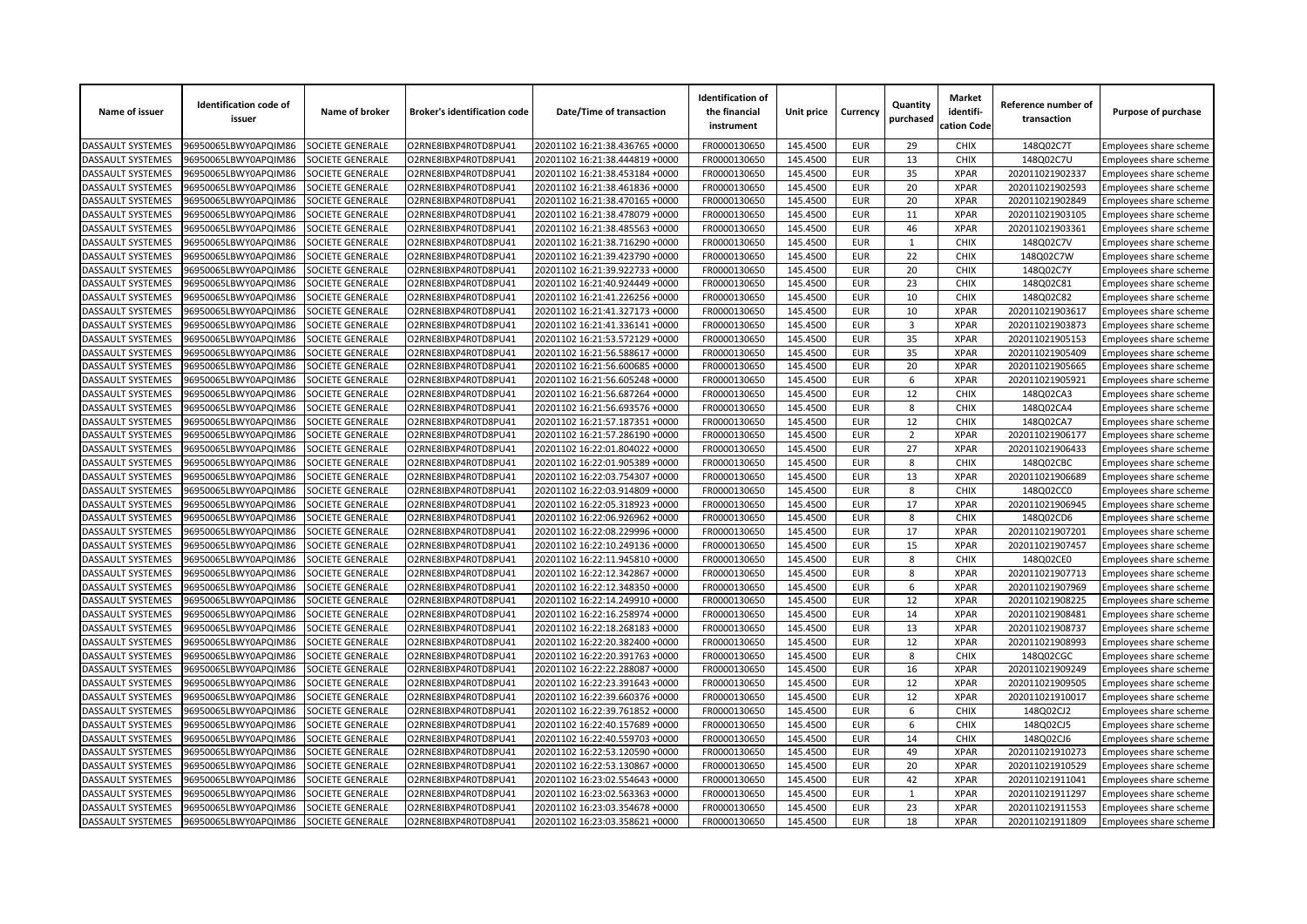| Name of issuer           | <b>Identification code of</b><br>issuer | Name of broker          | <b>Broker's identification code</b> | Date/Time of transaction       | <b>Identification of</b><br>the financial<br>instrument | Unit price | Currency   | Quantity<br>purchased | <b>Market</b><br>identifi-<br>cation Code | Reference number of<br>transaction | Purpose of purchase           |
|--------------------------|-----------------------------------------|-------------------------|-------------------------------------|--------------------------------|---------------------------------------------------------|------------|------------|-----------------------|-------------------------------------------|------------------------------------|-------------------------------|
| <b>DASSAULT SYSTEMES</b> | 96950065LBWY0APQIM86                    | SOCIETE GENERALE        | O2RNE8IBXP4R0TD8PU41                | 20201102 16:21:38.436765 +0000 | FR0000130650                                            | 145.4500   | <b>EUR</b> | 29                    | <b>CHIX</b>                               | 148Q02C7T                          | Employees share scheme        |
| <b>DASSAULT SYSTEMES</b> | 96950065LBWY0APQIM86                    | <b>SOCIETE GENERALE</b> | O2RNE8IBXP4R0TD8PU41                | 20201102 16:21:38.444819 +0000 | FR0000130650                                            | 145.4500   | <b>EUR</b> | 13                    | <b>CHIX</b>                               | 148Q02C7U                          | Employees share scheme        |
| DASSAULT SYSTEMES        | 96950065LBWY0APQIM86                    | SOCIETE GENERALE        | O2RNE8IBXP4R0TD8PU41                | 20201102 16:21:38.453184 +0000 | FR0000130650                                            | 145.4500   | <b>EUR</b> | 35                    | <b>XPAR</b>                               | 202011021902337                    | Employees share scheme        |
| DASSAULT SYSTEMES        | 96950065LBWY0APQIM86                    | SOCIETE GENERALE        | O2RNE8IBXP4R0TD8PU41                | 20201102 16:21:38.461836 +0000 | FR0000130650                                            | 145.4500   | <b>EUR</b> | 20                    | <b>XPAR</b>                               | 202011021902593                    | Employees share scheme        |
| <b>DASSAULT SYSTEMES</b> | 96950065LBWY0APQIM86                    | SOCIETE GENERALE        | O2RNE8IBXP4R0TD8PU41                | 20201102 16:21:38.470165 +0000 | FR0000130650                                            | 145.4500   | <b>EUR</b> | 20                    | <b>XPAR</b>                               | 202011021902849                    | Employees share scheme        |
| DASSAULT SYSTEMES        | 96950065LBWY0APQIM86                    | SOCIETE GENERALE        | O2RNE8IBXP4R0TD8PU41                | 20201102 16:21:38.478079 +0000 | FR0000130650                                            | 145.4500   | <b>EUR</b> | 11                    | <b>XPAR</b>                               | 202011021903105                    | Employees share scheme        |
| DASSAULT SYSTEMES        | 96950065LBWY0APQIM86                    | SOCIETE GENERALE        | O2RNE8IBXP4R0TD8PU41                | 20201102 16:21:38.485563 +0000 | FR0000130650                                            | 145.4500   | <b>EUR</b> | 46                    | <b>XPAR</b>                               | 202011021903361                    | Employees share scheme        |
| DASSAULT SYSTEMES        | 96950065LBWY0APQIM86                    | SOCIETE GENERALE        | O2RNE8IBXP4R0TD8PU41                | 20201102 16:21:38.716290 +0000 | FR0000130650                                            | 145.4500   | <b>EUR</b> | $\mathbf{1}$          | CHIX                                      | 148Q02C7V                          | Employees share scheme        |
| DASSAULT SYSTEMES        | 96950065LBWY0APQIM86                    | SOCIETE GENERALE        | O2RNE8IBXP4R0TD8PU41                | 20201102 16:21:39.423790 +0000 | FR0000130650                                            | 145.4500   | <b>EUR</b> | 22                    | <b>CHIX</b>                               | 148Q02C7W                          | Employees share scheme        |
| DASSAULT SYSTEMES        | 96950065LBWY0APQIM86                    | SOCIETE GENERALE        | O2RNE8IBXP4R0TD8PU41                | 20201102 16:21:39.922733 +0000 | FR0000130650                                            | 145.4500   | <b>EUR</b> | 20                    | <b>CHIX</b>                               | 148Q02C7Y                          | Employees share scheme        |
| DASSAULT SYSTEMES        | 96950065LBWY0APQIM86                    | SOCIETE GENERALE        | O2RNE8IBXP4R0TD8PU41                | 20201102 16:21:40.924449 +0000 | FR0000130650                                            | 145.4500   | <b>EUR</b> | 23                    | CHIX                                      | 148Q02C81                          | Employees share scheme        |
| <b>DASSAULT SYSTEMES</b> | 96950065LBWY0APQIM86                    | SOCIETE GENERALE        | O2RNE8IBXP4R0TD8PU41                | 20201102 16:21:41.226256 +0000 | FR0000130650                                            | 145.4500   | <b>EUR</b> | 10                    | CHIX                                      | 148Q02C82                          | <b>Employees share scheme</b> |
| DASSAULT SYSTEMES        | 96950065LBWY0APQIM86                    | SOCIETE GENERALE        | O2RNE8IBXP4R0TD8PU41                | 20201102 16:21:41.327173 +0000 | FR0000130650                                            | 145.4500   | <b>EUR</b> | 10                    | <b>XPAR</b>                               | 202011021903617                    | Employees share scheme        |
| DASSAULT SYSTEMES        | 96950065LBWY0APQIM86                    | SOCIETE GENERALE        | O2RNE8IBXP4R0TD8PU41                | 20201102 16:21:41.336141 +0000 | FR0000130650                                            | 145.4500   | <b>EUR</b> | 3                     | <b>XPAR</b>                               | 202011021903873                    | Employees share scheme        |
| DASSAULT SYSTEMES        | 96950065LBWY0APQIM86                    | SOCIETE GENERALE        | O2RNE8IBXP4R0TD8PU41                | 20201102 16:21:53.572129 +0000 | FR0000130650                                            | 145.4500   | <b>EUR</b> | 35                    | <b>XPAR</b>                               | 202011021905153                    | Employees share scheme        |
| DASSAULT SYSTEMES        | 96950065LBWY0APQIM86                    | SOCIETE GENERALE        | O2RNE8IBXP4R0TD8PU41                | 20201102 16:21:56.588617 +0000 | FR0000130650                                            | 145.4500   | <b>EUR</b> | 35                    | <b>XPAR</b>                               | 202011021905409                    | Employees share scheme        |
| DASSAULT SYSTEMES        | 96950065LBWY0APQIM86                    | SOCIETE GENERALE        | O2RNE8IBXP4R0TD8PU41                | 20201102 16:21:56.600685 +0000 | FR0000130650                                            | 145.4500   | <b>EUR</b> | 20                    | <b>XPAR</b>                               | 202011021905665                    | Employees share scheme        |
| DASSAULT SYSTEMES        | 96950065LBWY0APQIM86                    | SOCIETE GENERALE        | O2RNE8IBXP4R0TD8PU41                | 20201102 16:21:56.605248 +0000 | FR0000130650                                            | 145.4500   | <b>EUR</b> | 6                     | <b>XPAR</b>                               | 202011021905921                    | Employees share scheme        |
| DASSAULT SYSTEMES        | 96950065LBWY0APQIM86                    | SOCIETE GENERALE        | O2RNE8IBXP4R0TD8PU41                | 20201102 16:21:56.687264 +0000 | FR0000130650                                            | 145.4500   | <b>EUR</b> | 12                    | <b>CHIX</b>                               | 148Q02CA3                          | Employees share scheme        |
| DASSAULT SYSTEMES        | 96950065LBWY0APQIM86                    | SOCIETE GENERALE        | O2RNE8IBXP4R0TD8PU41                | 20201102 16:21:56.693576 +0000 | FR0000130650                                            | 145.4500   | <b>EUR</b> | 8                     | <b>CHIX</b>                               | 148Q02CA4                          | Employees share scheme        |
| DASSAULT SYSTEMES        | 96950065LBWY0APQIM86                    | SOCIETE GENERALE        | O2RNE8IBXP4R0TD8PU41                | 20201102 16:21:57.187351 +0000 | FR0000130650                                            | 145.4500   | <b>EUR</b> | 12                    | <b>CHIX</b>                               | 148Q02CA7                          | Employees share scheme        |
| DASSAULT SYSTEMES        | 96950065LBWY0APQIM86                    | SOCIETE GENERALE        | O2RNE8IBXP4R0TD8PU41                | 20201102 16:21:57.286190 +0000 | FR0000130650                                            | 145.4500   | <b>EUR</b> | $\overline{2}$        | <b>XPAR</b>                               | 202011021906177                    | Employees share scheme        |
| DASSAULT SYSTEMES        | 96950065LBWY0APQIM86                    | SOCIETE GENERALE        | O2RNE8IBXP4R0TD8PU41                | 20201102 16:22:01.804022 +0000 | FR0000130650                                            | 145.4500   | <b>EUR</b> | 27                    | <b>XPAR</b>                               | 202011021906433                    | Employees share scheme        |
| DASSAULT SYSTEMES        | 96950065LBWY0APQIM86                    | SOCIETE GENERALE        | O2RNE8IBXP4R0TD8PU41                | 20201102 16:22:01.905389 +0000 | FR0000130650                                            | 145.4500   | <b>EUR</b> | 8                     | <b>CHIX</b>                               | 148Q02CBC                          | Employees share scheme        |
| DASSAULT SYSTEMES        | 96950065LBWY0APQIM86                    | SOCIETE GENERALE        | O2RNE8IBXP4R0TD8PU41                | 20201102 16:22:03.754307 +0000 | FR0000130650                                            | 145.4500   | <b>EUR</b> | 13                    | <b>XPAR</b>                               | 202011021906689                    | Employees share scheme        |
| DASSAULT SYSTEMES        | 96950065LBWY0APQIM86                    | SOCIETE GENERALE        | O2RNE8IBXP4R0TD8PU41                | 20201102 16:22:03.914809 +0000 | FR0000130650                                            | 145.4500   | <b>EUR</b> | 8                     | <b>CHIX</b>                               | 148Q02CC0                          | Employees share scheme        |
| <b>DASSAULT SYSTEMES</b> | 96950065LBWY0APQIM86                    | SOCIETE GENERALE        | O2RNE8IBXP4R0TD8PU41                | 20201102 16:22:05.318923 +0000 | FR0000130650                                            | 145.4500   | <b>EUR</b> | 17                    | <b>XPAR</b>                               | 202011021906945                    | Employees share scheme        |
| DASSAULT SYSTEMES        | 96950065LBWY0APQIM86                    | SOCIETE GENERALE        | O2RNE8IBXP4R0TD8PU41                | 20201102 16:22:06.926962 +0000 | FR0000130650                                            | 145.4500   | <b>EUR</b> | 8                     | CHIX                                      | 148Q02CD6                          | Employees share scheme        |
| DASSAULT SYSTEMES        | 96950065LBWY0APQIM86                    | SOCIETE GENERALE        | O2RNE8IBXP4R0TD8PU41                | 20201102 16:22:08.229996 +0000 | FR0000130650                                            | 145.4500   | <b>EUR</b> | 17                    | <b>XPAR</b>                               | 202011021907201                    | Employees share scheme        |
| DASSAULT SYSTEMES        | 96950065LBWY0APQIM86                    | SOCIETE GENERALE        | O2RNE8IBXP4R0TD8PU41                | 20201102 16:22:10.249136 +0000 | FR0000130650                                            | 145.4500   | <b>EUR</b> | 15                    | <b>XPAR</b>                               | 202011021907457                    | Employees share scheme        |
| DASSAULT SYSTEMES        | 96950065LBWY0APQIM86                    | SOCIETE GENERALE        | O2RNE8IBXP4R0TD8PU41                | 20201102 16:22:11.945810 +0000 | FR0000130650                                            | 145.4500   | <b>EUR</b> | 8                     | CHIX                                      | 148Q02CE0                          | Employees share scheme        |
| <b>DASSAULT SYSTEMES</b> | 96950065LBWY0APQIM86                    | SOCIETE GENERALE        | O2RNE8IBXP4R0TD8PU41                | 20201102 16:22:12.342867 +0000 | FR0000130650                                            | 145.4500   | <b>EUR</b> | 8                     | <b>XPAR</b>                               | 202011021907713                    | Employees share scheme        |
| DASSAULT SYSTEMES        | 96950065LBWY0APQIM86                    | SOCIETE GENERALE        | O2RNE8IBXP4R0TD8PU41                | 20201102 16:22:12.348350 +0000 | FR0000130650                                            | 145.4500   | <b>EUR</b> | 6                     | <b>XPAR</b>                               | 202011021907969                    | Employees share scheme        |
| DASSAULT SYSTEMES        | 96950065LBWY0APQIM86                    | SOCIETE GENERALE        | O2RNE8IBXP4R0TD8PU41                | 20201102 16:22:14.249910 +0000 | FR0000130650                                            | 145.4500   | <b>EUR</b> | 12                    | <b>XPAR</b>                               | 202011021908225                    | Employees share scheme        |
| DASSAULT SYSTEMES        | 96950065LBWY0APQIM86                    | SOCIETE GENERALE        | O2RNE8IBXP4R0TD8PU41                | 20201102 16:22:16.258974 +0000 | FR0000130650                                            | 145.4500   | <b>EUR</b> | 14                    | <b>XPAR</b>                               | 202011021908481                    | Employees share scheme        |
| DASSAULT SYSTEMES        | 96950065LBWY0APQIM86                    | SOCIETE GENERALE        | O2RNE8IBXP4R0TD8PU41                | 20201102 16:22:18.268183 +0000 | FR0000130650                                            | 145.4500   | <b>EUR</b> | 13                    | <b>XPAR</b>                               | 202011021908737                    | Employees share scheme        |
| <b>DASSAULT SYSTEMES</b> | 96950065LBWY0APQIM86                    | SOCIETE GENERALE        | O2RNE8IBXP4R0TD8PU41                | 20201102 16:22:20.382400 +0000 | FR0000130650                                            | 145.4500   | <b>EUR</b> | 12                    | <b>XPAR</b>                               | 202011021908993                    | Employees share scheme        |
| DASSAULT SYSTEMES        | 96950065LBWY0APQIM86                    | SOCIETE GENERALE        | O2RNE8IBXP4R0TD8PU41                | 20201102 16:22:20.391763 +0000 | FR0000130650                                            | 145.4500   | <b>EUR</b> | 8                     | <b>CHIX</b>                               | 148Q02CGC                          | Employees share scheme        |
| DASSAULT SYSTEMES        | 96950065LBWY0APQIM86                    | SOCIETE GENERALE        | O2RNE8IBXP4R0TD8PU41                | 20201102 16:22:22.288087 +0000 | FR0000130650                                            | 145.4500   | <b>EUR</b> | 16                    | <b>XPAR</b>                               | 202011021909249                    | Employees share scheme        |
| DASSAULT SYSTEMES        | 96950065LBWY0APQIM86                    | SOCIETE GENERALE        | O2RNE8IBXP4R0TD8PU41                | 20201102 16:22:23.391643 +0000 | FR0000130650                                            | 145.4500   | <b>EUR</b> | 12                    | <b>XPAR</b>                               | 202011021909505                    | Employees share scheme        |
| DASSAULT SYSTEMES        | 96950065LBWY0APQIM86                    | SOCIETE GENERALE        | O2RNE8IBXP4R0TD8PU41                | 20201102 16:22:39.660376 +0000 | FR0000130650                                            | 145.4500   | <b>EUR</b> | 12                    | <b>XPAR</b>                               | 202011021910017                    | Employees share scheme        |
| DASSAULT SYSTEMES        | 96950065LBWY0APQIM86                    | SOCIETE GENERALE        | O2RNE8IBXP4R0TD8PU41                | 20201102 16:22:39.761852 +0000 | FR0000130650                                            | 145.4500   | <b>EUR</b> | 6                     | CHIX                                      | 148Q02CJ2                          | Employees share scheme        |
| <b>DASSAULT SYSTEMES</b> | 96950065LBWY0APQIM86                    | SOCIETE GENERALE        | O2RNE8IBXP4R0TD8PU41                | 20201102 16:22:40.157689 +0000 | FR0000130650                                            | 145.4500   | <b>EUR</b> | 6                     | <b>CHIX</b>                               | 148Q02CJ5                          | Employees share scheme        |
| DASSAULT SYSTEMES        | 96950065LBWY0APQIM86                    | SOCIETE GENERALE        | O2RNE8IBXP4R0TD8PU41                | 20201102 16:22:40.559703 +0000 | FR0000130650                                            | 145.4500   | <b>EUR</b> | 14                    | <b>CHIX</b>                               | 148Q02CJ6                          | Employees share scheme        |
| DASSAULT SYSTEMES        | 96950065LBWY0APQIM86                    | SOCIETE GENERALE        | O2RNE8IBXP4R0TD8PU41                | 20201102 16:22:53.120590 +0000 | FR0000130650                                            | 145.4500   | <b>EUR</b> | 49                    | <b>XPAR</b>                               | 202011021910273                    | Employees share scheme        |
|                          |                                         |                         |                                     | 20201102 16:22:53.130867 +0000 |                                                         | 145.4500   | <b>EUR</b> | 20                    | <b>XPAR</b>                               |                                    |                               |
| DASSAULT SYSTEMES        | 96950065LBWY0APQIM86                    | SOCIETE GENERALE        | O2RNE8IBXP4R0TD8PU41                |                                | FR0000130650                                            |            |            | 42                    | <b>XPAR</b>                               | 202011021910529                    | Employees share scheme        |
| DASSAULT SYSTEMES        | 96950065LBWY0APQIM86                    | SOCIETE GENERALE        | O2RNE8IBXP4R0TD8PU41                | 20201102 16:23:02.554643 +0000 | FR0000130650                                            | 145.4500   | <b>EUR</b> |                       |                                           | 202011021911041                    | Employees share scheme        |
| DASSAULT SYSTEMES        | 96950065LBWY0APQIM86                    | <b>SOCIETE GENERALE</b> | O2RNE8IBXP4R0TD8PU41                | 20201102 16:23:02.563363 +0000 | FR0000130650                                            | 145.4500   | <b>EUR</b> | 1                     | <b>XPAR</b>                               | 202011021911297                    | Employees share scheme        |
| DASSAULT SYSTEMES        | 96950065LBWY0APQIM86                    | SOCIETE GENERALE        | O2RNE8IBXP4R0TD8PU41                | 20201102 16:23:03.354678 +0000 | FR0000130650                                            | 145.4500   | <b>EUR</b> | 23                    | <b>XPAR</b>                               | 202011021911553                    | Employees share scheme        |
| <b>DASSAULT SYSTEMES</b> | 96950065LBWY0APQIM86                    | SOCIETE GENERALE        | O2RNE8IBXP4R0TD8PU41                | 20201102 16:23:03.358621 +0000 | FR0000130650                                            | 145.4500   | <b>EUR</b> | 18                    | <b>XPAR</b>                               | 202011021911809                    | Employees share scheme        |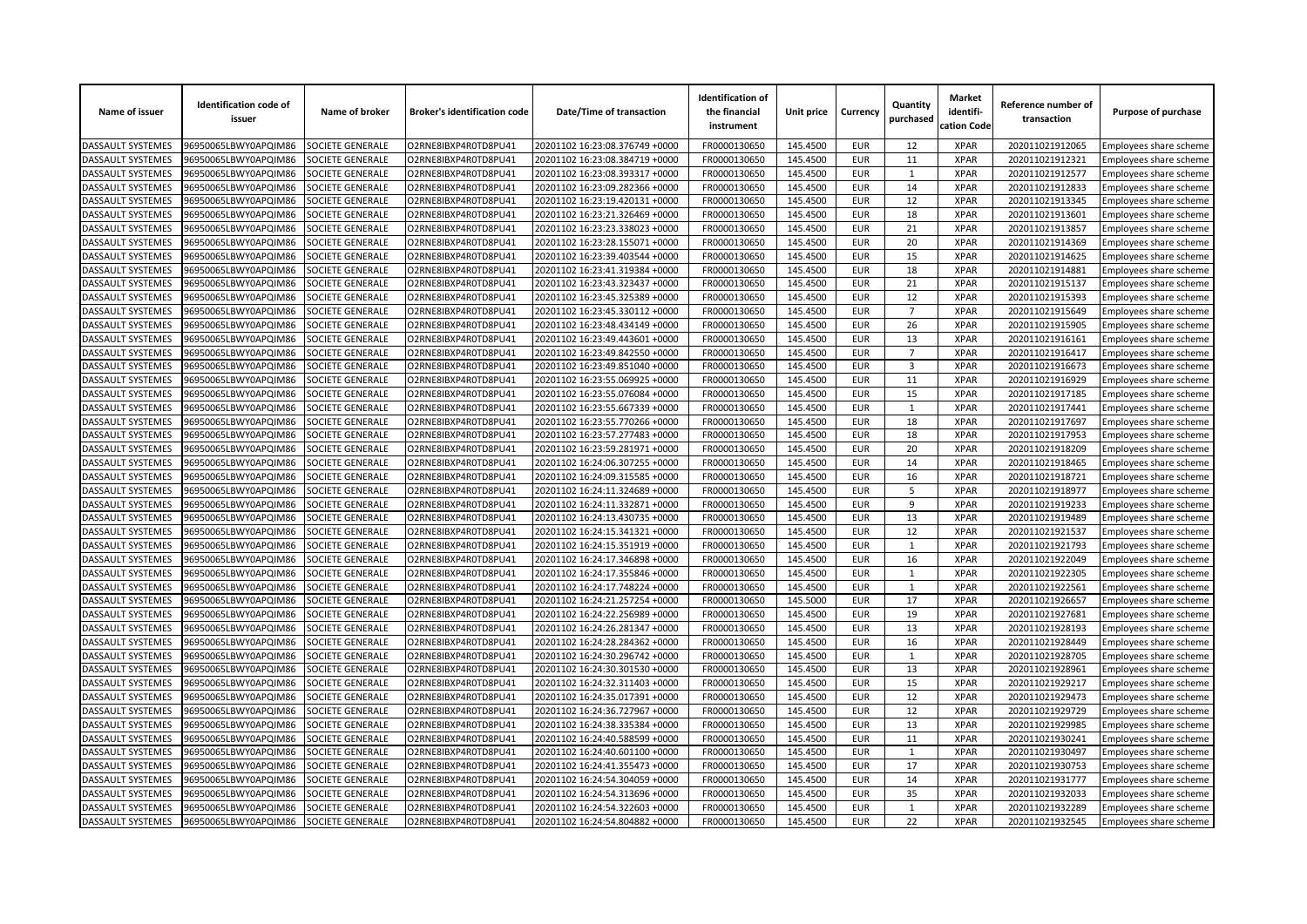| Name of issuer           | <b>Identification code of</b><br>issuer | Name of broker          | <b>Broker's identification code</b>          | Date/Time of transaction       | <b>Identification of</b><br>the financial<br>instrument | Unit price | Currency          | Quantity<br>purchased | <b>Market</b><br>identifi-<br>cation Code | Reference number of<br>transaction | Purpose of purchase                              |
|--------------------------|-----------------------------------------|-------------------------|----------------------------------------------|--------------------------------|---------------------------------------------------------|------------|-------------------|-----------------------|-------------------------------------------|------------------------------------|--------------------------------------------------|
| <b>DASSAULT SYSTEMES</b> | 96950065LBWY0APQIM86                    | SOCIETE GENERALE        | O2RNE8IBXP4R0TD8PU41                         | 20201102 16:23:08.376749 +0000 | FR0000130650                                            | 145.4500   | <b>EUR</b>        | 12                    | <b>XPAR</b>                               | 202011021912065                    | Employees share scheme                           |
| DASSAULT SYSTEMES        | 96950065LBWY0APQIM86                    | SOCIETE GENERALE        | O2RNE8IBXP4R0TD8PU41                         | 20201102 16:23:08.384719 +0000 | FR0000130650                                            | 145.4500   | <b>EUR</b>        | 11                    | <b>XPAR</b>                               | 202011021912321                    | Employees share scheme                           |
| DASSAULT SYSTEMES        | 96950065LBWY0APQIM86                    | SOCIETE GENERALE        | O2RNE8IBXP4R0TD8PU41                         | 20201102 16:23:08.393317 +0000 | FR0000130650                                            | 145.4500   | <b>EUR</b>        | $\mathbf{1}$          | <b>XPAR</b>                               | 202011021912577                    | Employees share scheme                           |
| DASSAULT SYSTEMES        | 06950065LBWY0APQIM86                    | <b>SOCIETE GENERALE</b> | O2RNE8IBXP4R0TD8PU41                         | 20201102 16:23:09.282366 +0000 | FR0000130650                                            | 145.4500   | <b>EUR</b>        | 14                    | <b>XPAR</b>                               | 202011021912833                    | Employees share scheme                           |
| DASSAULT SYSTEMES        | 96950065LBWY0APQIM86                    | SOCIETE GENERALE        | O2RNE8IBXP4R0TD8PU41                         | 20201102 16:23:19.420131 +0000 | FR0000130650                                            | 145.4500   | <b>EUR</b>        | 12                    | <b>XPAR</b>                               | 202011021913345                    | Employees share scheme                           |
| DASSAULT SYSTEMES        | 96950065LBWY0APQIM86                    | SOCIETE GENERALE        | O2RNE8IBXP4R0TD8PU41                         | 20201102 16:23:21.326469 +0000 | FR0000130650                                            | 145.4500   | <b>EUR</b>        | 18                    | <b>XPAR</b>                               | 202011021913601                    | Employees share scheme                           |
| DASSAULT SYSTEMES        | 96950065LBWY0APQIM86                    | SOCIETE GENERALE        | O2RNE8IBXP4R0TD8PU41                         | 20201102 16:23:23.338023 +0000 | FR0000130650                                            | 145.4500   | <b>EUR</b>        | 21                    | <b>XPAR</b>                               | 202011021913857                    | Employees share scheme                           |
| DASSAULT SYSTEMES        | 96950065LBWY0APQIM86                    | <b>SOCIETE GENERALE</b> | O2RNE8IBXP4R0TD8PU41                         | 20201102 16:23:28.155071 +0000 | FR0000130650                                            | 145.4500   | <b>EUR</b>        | 20                    | <b>XPAR</b>                               | 202011021914369                    | Employees share scheme                           |
| DASSAULT SYSTEMES        | 06950065LBWY0APQIM86                    | SOCIETE GENERALE        | O2RNE8IBXP4R0TD8PU41                         | 20201102 16:23:39.403544 +0000 | FR0000130650                                            | 145.4500   | <b>EUR</b>        | 15                    | <b>XPAR</b>                               | 202011021914625                    | Employees share scheme                           |
| DASSAULT SYSTEMES        | 96950065LBWY0APQIM86                    | SOCIETE GENERALE        | O2RNE8IBXP4R0TD8PU41                         | 20201102 16:23:41.319384 +0000 | FR0000130650                                            | 145.4500   | <b>EUR</b>        | 18                    | <b>XPAR</b>                               | 202011021914881                    | Employees share scheme                           |
| DASSAULT SYSTEMES        | 96950065LBWY0APQIM86                    | SOCIETE GENERALE        | O2RNE8IBXP4R0TD8PU41                         | 20201102 16:23:43.323437 +0000 | FR0000130650                                            | 145.4500   | <b>EUR</b>        | 21                    | <b>XPAR</b>                               | 202011021915137                    | Employees share scheme                           |
| DASSAULT SYSTEMES        | 96950065LBWY0APQIM86                    | <b>SOCIETE GENERALE</b> | O2RNE8IBXP4R0TD8PU41                         | 20201102 16:23:45.325389 +0000 | FR0000130650                                            | 145.4500   | <b>EUR</b>        | 12                    | <b>XPAR</b>                               | 202011021915393                    | Employees share scheme                           |
| DASSAULT SYSTEMES        | 96950065LBWY0APQIM86                    | SOCIETE GENERALE        | O2RNE8IBXP4R0TD8PU41                         | 20201102 16:23:45.330112 +0000 | FR0000130650                                            | 145.4500   | <b>EUR</b>        | $\overline{7}$        | <b>XPAR</b>                               | 202011021915649                    | Employees share scheme                           |
| DASSAULT SYSTEMES        | 96950065LBWY0APQIM86                    | SOCIETE GENERALE        | O2RNE8IBXP4R0TD8PU41                         | 20201102 16:23:48.434149 +0000 | FR0000130650                                            | 145.4500   | <b>EUR</b>        | 26                    | <b>XPAR</b>                               | 202011021915905                    | Employees share scheme                           |
| DASSAULT SYSTEMES        | 96950065LBWY0APQIM86                    | SOCIETE GENERALE        | O2RNE8IBXP4R0TD8PU41                         | 20201102 16:23:49.443601 +0000 | FR0000130650                                            | 145.4500   | <b>EUR</b>        | 13                    | <b>XPAR</b>                               | 202011021916161                    | Employees share scheme                           |
| DASSAULT SYSTEMES        | 06950065LBWY0APQIM86                    | <b>SOCIETE GENERALE</b> | O2RNE8IBXP4R0TD8PU41                         | 20201102 16:23:49.842550 +0000 | FR0000130650                                            | 145.4500   | <b>EUR</b>        | $\overline{7}$        | <b>XPAR</b>                               | 202011021916417                    | <b>Employees share scheme</b>                    |
| <b>DASSAULT SYSTEMES</b> | 96950065LBWY0APQIM86                    | SOCIETE GENERALE        | O2RNE8IBXP4R0TD8PU41                         | 20201102 16:23:49.851040 +0000 | FR0000130650                                            | 145.4500   | <b>EUR</b>        | 3                     | <b>XPAR</b>                               | 202011021916673                    | Employees share scheme                           |
| DASSAULT SYSTEMES        | 96950065LBWY0APQIM86                    | SOCIETE GENERALE        | O2RNE8IBXP4R0TD8PU41                         | 20201102 16:23:55.069925 +0000 | FR0000130650                                            | 145.4500   | <b>EUR</b>        | 11                    | <b>XPAR</b>                               | 202011021916929                    | Employees share scheme                           |
| DASSAULT SYSTEMES        | 96950065LBWY0APQIM86                    | SOCIETE GENERALE        | O2RNE8IBXP4R0TD8PU41                         | 20201102 16:23:55.076084 +0000 | FR0000130650                                            | 145.4500   | <b>EUR</b>        | 15                    | <b>XPAR</b>                               | 202011021917185                    | Employees share scheme                           |
| DASSAULT SYSTEMES        | 06950065LBWY0APQIM86                    | SOCIETE GENERALE        | O2RNE8IBXP4R0TD8PU41                         | 20201102 16:23:55.667339 +0000 | FR0000130650                                            | 145.4500   | <b>EUR</b>        | $\mathbf{1}$          | <b>XPAR</b>                               | 202011021917441                    | Employees share scheme                           |
| <b>DASSAULT SYSTEMES</b> | 96950065LBWY0APQIM86                    | SOCIETE GENERALE        | O2RNE8IBXP4R0TD8PU41                         | 20201102 16:23:55.770266 +0000 | FR0000130650                                            | 145.4500   | <b>EUR</b>        | 18                    | <b>XPAR</b>                               | 202011021917697                    | Employees share scheme                           |
| DASSAULT SYSTEMES        | 96950065LBWY0APQIM86                    | SOCIETE GENERALE        | O2RNE8IBXP4R0TD8PU41                         | 20201102 16:23:57.277483 +0000 | FR0000130650                                            | 145.4500   | <b>EUR</b>        | 18                    | <b>XPAR</b>                               | 202011021917953                    | Employees share scheme                           |
| DASSAULT SYSTEMES        | 96950065LBWY0APQIM86                    | SOCIETE GENERALE        | O2RNE8IBXP4R0TD8PU41                         | 20201102 16:23:59.281971 +0000 | FR0000130650                                            | 145.4500   | <b>EUR</b>        | 20                    | <b>XPAR</b>                               | 202011021918209                    | Employees share scheme                           |
| DASSAULT SYSTEMES        | 96950065LBWY0APQIM86                    | <b>SOCIETE GENERALE</b> | O2RNE8IBXP4R0TD8PU41                         | 20201102 16:24:06.307255 +0000 | FR0000130650                                            | 145.4500   | <b>EUR</b>        | 14                    | <b>XPAR</b>                               | 202011021918465                    | Employees share scheme                           |
| DASSAULT SYSTEMES        | 96950065LBWY0APQIM86                    | SOCIETE GENERALE        | O2RNE8IBXP4R0TD8PU41                         | 20201102 16:24:09.315585 +0000 | FR0000130650                                            | 145.4500   | <b>EUR</b>        | 16                    | <b>XPAR</b>                               | 202011021918721                    | Employees share scheme                           |
| DASSAULT SYSTEMES        | 96950065LBWY0APQIM86                    | SOCIETE GENERALE        | O2RNE8IBXP4R0TD8PU41                         | 20201102 16:24:11.324689 +0000 | FR0000130650                                            | 145.4500   | <b>EUR</b>        | $\overline{5}$        | <b>XPAR</b>                               | 202011021918977                    | Employees share scheme                           |
| DASSAULT SYSTEMES        | 96950065LBWY0APQIM86                    | SOCIETE GENERALE        | O2RNE8IBXP4R0TD8PU41                         | 20201102 16:24:11.332871 +0000 | FR0000130650                                            | 145.4500   | <b>EUR</b>        | 9                     | <b>XPAR</b>                               | 202011021919233                    | Employees share scheme                           |
| DASSAULT SYSTEMES        | 96950065LBWY0APQIM86                    | <b>SOCIETE GENERALE</b> | O2RNE8IBXP4R0TD8PU41                         | 20201102 16:24:13.430735 +0000 | FR0000130650                                            | 145.4500   | <b>EUR</b>        | 13                    | <b>XPAR</b>                               | 202011021919489                    | Employees share scheme                           |
| DASSAULT SYSTEMES        | 96950065LBWY0APQIM86                    | SOCIETE GENERALE        | O2RNE8IBXP4R0TD8PU41                         | 20201102 16:24:15.341321 +0000 | FR0000130650                                            | 145.4500   | <b>EUR</b>        | 12                    | <b>XPAR</b>                               | 202011021921537                    | Employees share scheme                           |
| DASSAULT SYSTEMES        | 96950065LBWY0APQIM86                    | SOCIETE GENERALE        | O2RNE8IBXP4R0TD8PU41                         | 20201102 16:24:15.351919 +0000 | FR0000130650                                            | 145.4500   | <b>EUR</b>        | $\mathbf{1}$          | <b>XPAR</b>                               | 202011021921793                    | Employees share scheme                           |
| DASSAULT SYSTEMES        | 96950065LBWY0APQIM86                    | SOCIETE GENERALE        | O2RNE8IBXP4R0TD8PU41                         | 20201102 16:24:17.346898 +0000 | FR0000130650                                            | 145.4500   | <b>EUR</b>        | 16                    | <b>XPAR</b>                               | 202011021922049                    | Employees share scheme                           |
| DASSAULT SYSTEMES        | 06950065LBWY0APQIM86                    | SOCIETE GENERALE        | O2RNE8IBXP4R0TD8PU41                         | 20201102 16:24:17.355846 +0000 | FR0000130650                                            | 145.4500   | <b>EUR</b>        | $\mathbf 1$           | <b>XPAR</b>                               | 202011021922305                    | Employees share scheme                           |
| DASSAULT SYSTEMES        | 96950065LBWY0APQIM86                    | SOCIETE GENERALE        | O2RNE8IBXP4R0TD8PU41                         | 20201102 16:24:17.748224 +0000 | FR0000130650                                            | 145.4500   | <b>EUR</b>        | $\mathbf{1}$          | <b>XPAR</b>                               | 202011021922561                    |                                                  |
| DASSAULT SYSTEMES        | 96950065LBWY0APQIM86                    | SOCIETE GENERALE        | O2RNE8IBXP4R0TD8PU41                         | 20201102 16:24:21.257254 +0000 | FR0000130650                                            | 145.5000   | <b>EUR</b>        | 17                    | <b>XPAR</b>                               | 202011021926657                    | Employees share scheme<br>Employees share scheme |
| DASSAULT SYSTEMES        | 96950065LBWY0APQIM86                    | SOCIETE GENERALE        | O2RNE8IBXP4R0TD8PU41                         | 20201102 16:24:22.256989 +0000 | FR0000130650                                            | 145.4500   | <b>EUR</b>        | 19                    | <b>XPAR</b>                               | 202011021927681                    |                                                  |
| DASSAULT SYSTEMES        | 06950065LBWY0APQIM86                    | SOCIETE GENERALE        | O2RNE8IBXP4R0TD8PU41                         | 20201102 16:24:26.281347 +0000 | FR0000130650                                            | 145.4500   | <b>EUR</b>        | 13                    | <b>XPAR</b>                               | 202011021928193                    | Employees share scheme<br>Employees share scheme |
| <b>DASSAULT SYSTEMES</b> | 96950065LBWY0APQIM86                    | SOCIETE GENERALE        | O2RNE8IBXP4R0TD8PU41                         | 20201102 16:24:28.284362 +0000 | FR0000130650                                            | 145.4500   | <b>EUR</b>        | 16                    | <b>XPAR</b>                               | 202011021928449                    | Employees share scheme                           |
| DASSAULT SYSTEMES        | 96950065LBWY0APQIM86                    | SOCIETE GENERALE        | O2RNE8IBXP4R0TD8PU41                         | 20201102 16:24:30.296742 +0000 | FR0000130650                                            | 145.4500   | <b>EUR</b>        | $\mathbf{1}$          | <b>XPAR</b>                               | 202011021928705                    | Employees share scheme                           |
| DASSAULT SYSTEMES        | 96950065LBWY0APQIM86                    | SOCIETE GENERALE        | O2RNE8IBXP4R0TD8PU41                         | 20201102 16:24:30.301530 +0000 | FR0000130650                                            | 145.4500   | <b>EUR</b>        | 13                    | <b>XPAR</b>                               | 202011021928961                    |                                                  |
| DASSAULT SYSTEMES        | 06950065LBWY0APQIM86                    | <b>SOCIETE GENERALE</b> | O2RNE8IBXP4R0TD8PU41                         | 20201102 16:24:32.311403 +0000 | FR0000130650                                            | 145.4500   | <b>EUR</b>        | 15                    | <b>XPAR</b>                               | 202011021929217                    | Employees share scheme                           |
| DASSAULT SYSTEMES        | 96950065LBWY0APQIM86                    | SOCIETE GENERALE        | O2RNE8IBXP4R0TD8PU41                         | 20201102 16:24:35.017391 +0000 | FR0000130650                                            | 145.4500   | <b>EUR</b>        | 12                    | <b>XPAR</b>                               | 202011021929473                    | Employees share scheme                           |
| DASSAULT SYSTEMES        | 96950065LBWY0APQIM86                    |                         |                                              |                                | FR0000130650                                            | 145.4500   | <b>EUR</b>        | 12                    | <b>XPAR</b>                               | 202011021929729                    | Employees share scheme                           |
| DASSAULT SYSTEMES        | 96950065LBWY0APQIM86                    | SOCIETE GENERALE        | O2RNE8IBXP4R0TD8PU41<br>O2RNE8IBXP4R0TD8PU41 | 20201102 16:24:36.727967 +0000 | FR0000130650                                            | 145.4500   |                   | 13                    | <b>XPAR</b>                               | 202011021929985                    | Employees share scheme                           |
|                          |                                         | SOCIETE GENERALE        |                                              | 20201102 16:24:38.335384 +0000 |                                                         |            | EUR<br><b>EUR</b> | 11                    | <b>XPAR</b>                               |                                    | Employees share scheme                           |
| DASSAULT SYSTEMES        | 06950065LBWY0APQIM86                    | <b>SOCIETE GENERALE</b> | O2RNE8IBXP4R0TD8PU41                         | 20201102 16:24:40.588599 +0000 | FR0000130650                                            | 145.4500   | <b>EUR</b>        |                       | <b>XPAR</b>                               | 202011021930241                    | Employees share scheme                           |
| DASSAULT SYSTEMES        | 96950065LBWY0APQIM86                    | SOCIETE GENERALE        | O2RNE8IBXP4R0TD8PU41                         | 20201102 16:24:40.601100 +0000 | FR0000130650                                            | 145.4500   |                   | $\mathbf{1}$          |                                           | 202011021930497                    | Employees share scheme                           |
| DASSAULT SYSTEMES        | 96950065LBWY0APQIM86                    | SOCIETE GENERALE        | O2RNE8IBXP4R0TD8PU41                         | 20201102 16:24:41.355473 +0000 | FR0000130650                                            | 145.4500   | <b>EUR</b>        | 17                    | <b>XPAR</b><br><b>XPAR</b>                | 202011021930753                    | Employees share scheme                           |
| DASSAULT SYSTEMES        | 96950065LBWY0APQIM86                    | SOCIETE GENERALE        | O2RNE8IBXP4R0TD8PU41                         | 20201102 16:24:54.304059 +0000 | FR0000130650                                            | 145.4500   | <b>EUR</b>        | 14                    |                                           | 202011021931777                    | Employees share scheme                           |
| DASSAULT SYSTEMES        | 06950065LBWY0APQIM86                    | <b>OCIETE GENERALE</b>  | O2RNE8IBXP4R0TD8PU41                         | 20201102 16:24:54.313696 +0000 | FR0000130650                                            | 145.4500   | <b>EUR</b>        | 35                    | <b>XPAR</b>                               | 202011021932033                    | mployees share scheme                            |
| DASSAULT SYSTEMES        | 96950065LBWY0APQIM86                    | SOCIETE GENERALE        | O2RNE8IBXP4R0TD8PU41                         | 20201102 16:24:54.322603 +0000 | FR0000130650                                            | 145.4500   | <b>EUR</b>        | $\mathbf{1}$          | <b>XPAR</b>                               | 202011021932289                    | Employees share scheme                           |
| <b>DASSAULT SYSTEMES</b> | 96950065LBWY0APQIM86                    | SOCIETE GENERALE        | O2RNE8IBXP4R0TD8PU41                         | 20201102 16:24:54.804882 +0000 | FR0000130650                                            | 145.4500   | <b>EUR</b>        | 22                    | <b>XPAR</b>                               | 202011021932545                    | Employees share scheme                           |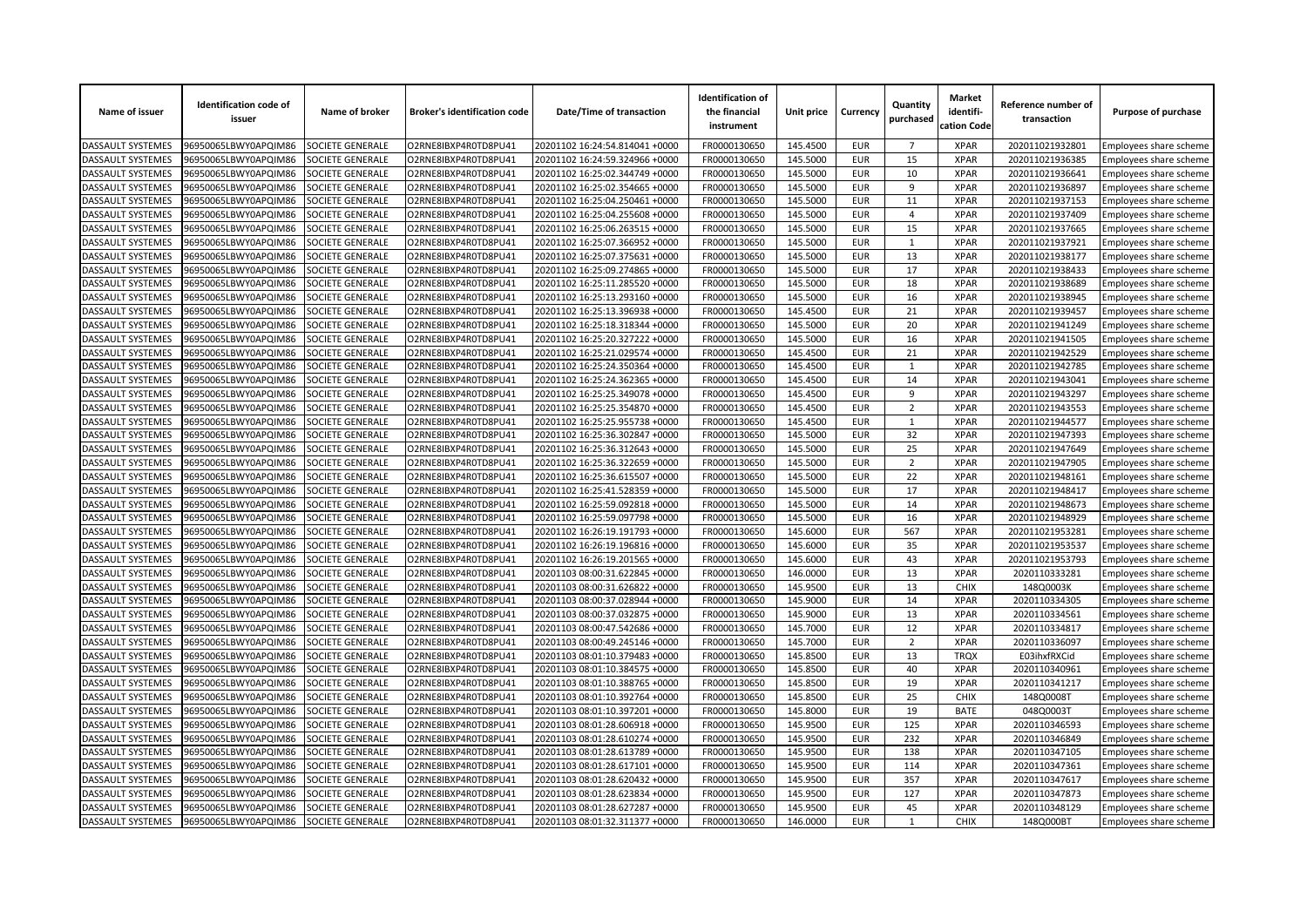| Name of issuer           | <b>Identification code of</b><br>issuer | Name of broker          | <b>Broker's identification code</b> | Date/Time of transaction       | <b>Identification of</b><br>the financial<br>instrument | Unit price | Currency                 | Quantity<br>purchased | <b>Market</b><br>identifi-<br>cation Code | Reference number of<br>transaction | Purpose of purchase           |
|--------------------------|-----------------------------------------|-------------------------|-------------------------------------|--------------------------------|---------------------------------------------------------|------------|--------------------------|-----------------------|-------------------------------------------|------------------------------------|-------------------------------|
| <b>DASSAULT SYSTEMES</b> | 96950065LBWY0APQIM86                    | SOCIETE GENERALE        | O2RNE8IBXP4R0TD8PU41                | 20201102 16:24:54.814041 +0000 | FR0000130650                                            | 145.4500   | <b>EUR</b>               | $\overline{7}$        | <b>XPAR</b>                               | 202011021932801                    | Employees share scheme        |
| DASSAULT SYSTEMES        | 96950065LBWY0APQIM86                    | SOCIETE GENERALE        | O2RNE8IBXP4R0TD8PU41                | 20201102 16:24:59.324966 +0000 | FR0000130650                                            | 145.5000   | <b>EUR</b>               | 15                    | <b>XPAR</b>                               | 202011021936385                    | Employees share scheme        |
| DASSAULT SYSTEMES        | 96950065LBWY0APQIM86                    | SOCIETE GENERALE        | O2RNE8IBXP4R0TD8PU41                | 20201102 16:25:02.344749 +0000 | FR0000130650                                            | 145.5000   | <b>EUR</b>               | 10                    | <b>XPAR</b>                               | 202011021936641                    | Employees share scheme        |
| DASSAULT SYSTEMES        | 06950065LBWY0APQIM86                    | <b>SOCIETE GENERALE</b> | O2RNE8IBXP4R0TD8PU41                | 20201102 16:25:02.354665 +0000 | FR0000130650                                            | 145.5000   | <b>EUR</b>               | 9                     | <b>XPAR</b>                               | 202011021936897                    | Employees share scheme        |
| DASSAULT SYSTEMES        | 96950065LBWY0APQIM86                    | SOCIETE GENERALE        | O2RNE8IBXP4R0TD8PU41                | 20201102 16:25:04.250461 +0000 | FR0000130650                                            | 145.5000   | <b>EUR</b>               | 11                    | <b>XPAR</b>                               | 202011021937153                    | Employees share scheme        |
| DASSAULT SYSTEMES        | 96950065LBWY0APQIM86                    | SOCIETE GENERALE        | O2RNE8IBXP4R0TD8PU41                | 20201102 16:25:04.255608 +0000 | FR0000130650                                            | 145.5000   | <b>EUR</b>               | $\overline{4}$        | <b>XPAR</b>                               | 202011021937409                    | Employees share scheme        |
| DASSAULT SYSTEMES        | 96950065LBWY0APQIM86                    | SOCIETE GENERALE        | O2RNE8IBXP4R0TD8PU41                | 20201102 16:25:06.263515 +0000 | FR0000130650                                            | 145.5000   | <b>EUR</b>               | 15                    | <b>XPAR</b>                               | 202011021937665                    | Employees share scheme        |
| DASSAULT SYSTEMES        | 96950065LBWY0APQIM86                    | <b>SOCIETE GENERALE</b> | O2RNE8IBXP4R0TD8PU41                | 20201102 16:25:07.366952 +0000 | FR0000130650                                            | 145.5000   | <b>EUR</b>               | $\mathbf{1}$          | <b>XPAR</b>                               | 202011021937921                    | Employees share scheme        |
| DASSAULT SYSTEMES        | 06950065LBWY0APQIM86                    | SOCIETE GENERALE        | O2RNE8IBXP4R0TD8PU41                | 20201102 16:25:07.375631 +0000 | FR0000130650                                            | 145.5000   | <b>EUR</b>               | 13                    | <b>XPAR</b>                               | 202011021938177                    | Employees share scheme        |
| DASSAULT SYSTEMES        | 96950065LBWY0APQIM86                    | SOCIETE GENERALE        | O2RNE8IBXP4R0TD8PU41                | 20201102 16:25:09.274865 +0000 | FR0000130650                                            | 145.5000   | <b>EUR</b>               | 17                    | <b>XPAR</b>                               | 202011021938433                    | Employees share scheme        |
| DASSAULT SYSTEMES        | 96950065LBWY0APQIM86                    | SOCIETE GENERALE        | O2RNE8IBXP4R0TD8PU41                | 20201102 16:25:11.285520 +0000 | FR0000130650                                            | 145.5000   | <b>EUR</b>               | 18                    | <b>XPAR</b>                               | 202011021938689                    | Employees share scheme        |
| DASSAULT SYSTEMES        | 96950065LBWY0APQIM86                    | <b>SOCIETE GENERALE</b> | O2RNE8IBXP4R0TD8PU41                | 20201102 16:25:13.293160 +0000 | FR0000130650                                            | 145.5000   | <b>EUR</b>               | 16                    | <b>XPAR</b>                               | 202011021938945                    | Employees share scheme        |
| DASSAULT SYSTEMES        | 96950065LBWY0APQIM86                    | SOCIETE GENERALE        | O2RNE8IBXP4R0TD8PU41                | 20201102 16:25:13.396938 +0000 | FR0000130650                                            | 145.4500   | <b>EUR</b>               | 21                    | <b>XPAR</b>                               | 202011021939457                    | Employees share scheme        |
| DASSAULT SYSTEMES        | 96950065LBWY0APQIM86                    | SOCIETE GENERALE        | O2RNE8IBXP4R0TD8PU41                | 20201102 16:25:18.318344 +0000 | FR0000130650                                            | 145.5000   | <b>EUR</b>               | 20                    | <b>XPAR</b>                               | 202011021941249                    | Employees share scheme        |
| DASSAULT SYSTEMES        | 96950065LBWY0APQIM86                    | SOCIETE GENERALE        | O2RNE8IBXP4R0TD8PU41                | 20201102 16:25:20.327222 +0000 | FR0000130650                                            | 145.5000   | <b>EUR</b>               | 16                    | <b>XPAR</b>                               | 202011021941505                    | Employees share scheme        |
| DASSAULT SYSTEMES        | 06950065LBWY0APQIM86                    | SOCIETE GENERALE        | O2RNE8IBXP4R0TD8PU41                | 20201102 16:25:21.029574 +0000 | FR0000130650                                            | 145.4500   | <b>EUR</b>               | $\overline{21}$       | <b>XPAR</b>                               | 202011021942529                    | <b>Employees share scheme</b> |
| <b>DASSAULT SYSTEMES</b> | 96950065LBWY0APQIM86                    | SOCIETE GENERALE        | O2RNE8IBXP4R0TD8PU41                | 20201102 16:25:24.350364 +0000 | FR0000130650                                            | 145.4500   | <b>EUR</b>               | $\mathbf{1}$          | <b>XPAR</b>                               | 202011021942785                    | Employees share scheme        |
| DASSAULT SYSTEMES        | 96950065LBWY0APQIM86                    | SOCIETE GENERALE        | O2RNE8IBXP4R0TD8PU41                | 20201102 16:25:24.362365 +0000 | FR0000130650                                            | 145.4500   | <b>EUR</b>               | 14                    | <b>XPAR</b>                               | 202011021943041                    | Employees share scheme        |
| DASSAULT SYSTEMES        | 96950065LBWY0APQIM86                    | SOCIETE GENERALE        | O2RNE8IBXP4R0TD8PU41                | 20201102 16:25:25.349078 +0000 | FR0000130650                                            | 145.4500   | <b>EUR</b>               | 9                     | <b>XPAR</b>                               | 202011021943297                    | Employees share scheme        |
| DASSAULT SYSTEMES        | 06950065LBWY0APQIM86                    | SOCIETE GENERALE        | O2RNE8IBXP4R0TD8PU41                | 20201102 16:25:25.354870 +0000 | FR0000130650                                            | 145.4500   | <b>EUR</b>               | $\overline{2}$        | <b>XPAR</b>                               | 202011021943553                    | Employees share scheme        |
| <b>DASSAULT SYSTEMES</b> | 96950065LBWY0APQIM86                    | SOCIETE GENERALE        | O2RNE8IBXP4R0TD8PU41                | 20201102 16:25:25.955738 +0000 | FR0000130650                                            | 145.4500   | <b>EUR</b>               | $\mathbf{1}$          | <b>XPAR</b>                               | 202011021944577                    | Employees share scheme        |
| DASSAULT SYSTEMES        | 96950065LBWY0APQIM86                    | SOCIETE GENERALE        | O2RNE8IBXP4R0TD8PU41                | 20201102 16:25:36.302847 +0000 | FR0000130650                                            | 145.5000   | <b>EUR</b>               | 32                    | <b>XPAR</b>                               | 202011021947393                    | Employees share scheme        |
| DASSAULT SYSTEMES        | 96950065LBWY0APQIM86                    | SOCIETE GENERALE        | O2RNE8IBXP4R0TD8PU41                | 20201102 16:25:36.312643 +0000 | FR0000130650                                            | 145.5000   | <b>EUR</b>               | 25                    | <b>XPAR</b>                               | 202011021947649                    | Employees share scheme        |
| DASSAULT SYSTEMES        | 96950065LBWY0APQIM86                    | <b>SOCIETE GENERALE</b> | O2RNE8IBXP4R0TD8PU41                | 20201102 16:25:36.322659 +0000 | FR0000130650                                            | 145.5000   | <b>EUR</b>               | $\overline{2}$        | <b>XPAR</b>                               | 202011021947905                    | Employees share scheme        |
| DASSAULT SYSTEMES        | 96950065LBWY0APQIM86                    | SOCIETE GENERALE        | O2RNE8IBXP4R0TD8PU41                | 20201102 16:25:36.615507 +0000 | FR0000130650                                            | 145.5000   | <b>EUR</b>               | 22                    | <b>XPAR</b>                               | 202011021948161                    | Employees share scheme        |
| DASSAULT SYSTEMES        | 96950065LBWY0APQIM86                    | SOCIETE GENERALE        | O2RNE8IBXP4R0TD8PU41                | 20201102 16:25:41.528359 +0000 | FR0000130650                                            | 145.5000   | <b>EUR</b>               | 17                    | <b>XPAR</b>                               | 202011021948417                    | Employees share scheme        |
| DASSAULT SYSTEMES        | 96950065LBWY0APQIM86                    | SOCIETE GENERALE        | O2RNE8IBXP4R0TD8PU41                | 20201102 16:25:59.092818 +0000 | FR0000130650                                            | 145.5000   | <b>EUR</b>               | 14                    | <b>XPAR</b>                               | 202011021948673                    | Employees share scheme        |
| DASSAULT SYSTEMES        | 96950065LBWY0APQIM86                    | <b>SOCIETE GENERALE</b> | O2RNE8IBXP4R0TD8PU41                | 20201102 16:25:59.097798 +0000 | FR0000130650                                            | 145.5000   | <b>EUR</b>               | 16                    | <b>XPAR</b>                               | 202011021948929                    | Employees share scheme        |
| DASSAULT SYSTEMES        | 96950065LBWY0APQIM86                    | SOCIETE GENERALE        | O2RNE8IBXP4R0TD8PU41                | 20201102 16:26:19.191793 +0000 | FR0000130650                                            | 145.6000   | <b>EUR</b>               | 567                   | <b>XPAR</b>                               | 202011021953281                    | Employees share scheme        |
| DASSAULT SYSTEMES        | 96950065LBWY0APQIM86                    | SOCIETE GENERALE        | O2RNE8IBXP4R0TD8PU41                | 20201102 16:26:19.196816 +0000 | FR0000130650                                            | 145.6000   | <b>EUR</b>               | 35                    | <b>XPAR</b>                               | 202011021953537                    | Employees share scheme        |
| DASSAULT SYSTEMES        | 96950065LBWY0APQIM86                    | SOCIETE GENERALE        | O2RNE8IBXP4R0TD8PU41                | 20201102 16:26:19.201565 +0000 | FR0000130650                                            | 145.6000   | <b>EUR</b>               | 43                    | <b>XPAR</b>                               | 202011021953793                    | Employees share scheme        |
| DASSAULT SYSTEMES        | 06950065LBWY0APQIM86                    | SOCIETE GENERALE        | O2RNE8IBXP4R0TD8PU41                | 20201103 08:00:31.622845 +0000 | FR0000130650                                            | 146.0000   | <b>EUR</b>               | 13                    | <b>XPAR</b>                               | 2020110333281                      | Employees share scheme        |
| DASSAULT SYSTEMES        | 96950065LBWY0APQIM86                    | SOCIETE GENERALE        | O2RNE8IBXP4R0TD8PU41                | 20201103 08:00:31.626822 +0000 | FR0000130650                                            | 145.9500   | <b>EUR</b>               | 13                    | CHIX                                      | 148Q0003K                          |                               |
| DASSAULT SYSTEMES        | 96950065LBWY0APQIM86                    | SOCIETE GENERALE        | O2RNE8IBXP4R0TD8PU41                | 20201103 08:00:37.028944 +0000 | FR0000130650                                            | 145.9000   | <b>EUR</b>               | 14                    | <b>XPAR</b>                               | 2020110334305                      | Employees share scheme        |
| DASSAULT SYSTEMES        | 96950065LBWY0APQIM86                    | SOCIETE GENERALE        | O2RNE8IBXP4R0TD8PU41                | 20201103 08:00:37.032875 +0000 | FR0000130650                                            | 145.9000   | <b>EUR</b>               | 13                    | <b>XPAR</b>                               | 2020110334561                      | Employees share scheme        |
| DASSAULT SYSTEMES        | 06950065LBWY0APQIM86                    | SOCIETE GENERALE        | O2RNE8IBXP4R0TD8PU41                | 20201103 08:00:47.542686 +0000 | FR0000130650                                            | 145.7000   | <b>EUR</b>               | 12                    | <b>XPAR</b>                               | 2020110334817                      | Employees share scheme        |
| <b>DASSAULT SYSTEMES</b> | 96950065LBWY0APQIM86                    | SOCIETE GENERALE        | O2RNE8IBXP4R0TD8PU41                | 20201103 08:00:49.245146 +0000 | FR0000130650                                            | 145.7000   | <b>EUR</b>               | $\overline{2}$        | <b>XPAR</b>                               | 2020110336097                      | Employees share scheme        |
| DASSAULT SYSTEMES        | 96950065LBWY0APQIM86                    | SOCIETE GENERALE        | O2RNE8IBXP4R0TD8PU41                | 20201103 08:01:10.379483 +0000 | FR0000130650                                            | 145.8500   | <b>EUR</b>               | 13                    | <b>TRQX</b>                               | E03ihxfRXCid                       | Employees share scheme        |
| DASSAULT SYSTEMES        | 96950065LBWY0APQIM86                    | SOCIETE GENERALE        | O2RNE8IBXP4R0TD8PU41                | 20201103 08:01:10.384575 +0000 | FR0000130650                                            | 145.8500   | <b>EUR</b>               | 40                    | <b>XPAR</b>                               | 2020110340961                      | Employees share scheme        |
| DASSAULT SYSTEMES        | 06950065LBWY0APQIM86                    | <b>SOCIETE GENERALE</b> | O2RNE8IBXP4R0TD8PU41                | 20201103 08:01:10.388765 +0000 | FR0000130650                                            | 145.8500   | <b>EUR</b>               | 19                    | <b>XPAR</b>                               | 2020110341217                      | Employees share scheme        |
|                          |                                         |                         |                                     |                                | FR0000130650                                            | 145.8500   | <b>EUR</b>               | 25                    | <b>CHIX</b>                               | 148Q0008T                          | Employees share scheme        |
| DASSAULT SYSTEMES        | 96950065LBWY0APQIM86                    | SOCIETE GENERALE        | O2RNE8IBXP4R0TD8PU41                | 20201103 08:01:10.392764 +0000 |                                                         |            | <b>EUR</b>               | 19                    | <b>BATE</b>                               | 048Q0003T                          | Employees share scheme        |
| DASSAULT SYSTEMES        | 96950065LBWY0APQIM86                    | SOCIETE GENERALE        | O2RNE8IBXP4R0TD8PU41                | 20201103 08:01:10.397201 +0000 | FR0000130650                                            | 145.8000   |                          |                       |                                           |                                    | Employees share scheme        |
| DASSAULT SYSTEMES        | 96950065LBWY0APQIM86                    | SOCIETE GENERALE        | O2RNE8IBXP4R0TD8PU41                | 20201103 08:01:28.606918 +0000 | FR0000130650                                            | 145.9500   | <b>EUR</b><br><b>EUR</b> | 125                   | <b>XPAR</b>                               | 2020110346593                      | Employees share scheme        |
| DASSAULT SYSTEMES        | 06950065LBWY0APQIM86                    | <b>SOCIETE GENERALE</b> | O2RNE8IBXP4R0TD8PU41                | 20201103 08:01:28.610274 +0000 | FR0000130650                                            | 145.9500   |                          | 232                   | <b>XPAR</b>                               | 2020110346849                      | Employees share scheme        |
| DASSAULT SYSTEMES        | 96950065LBWY0APQIM86                    | SOCIETE GENERALE        | O2RNE8IBXP4R0TD8PU41                | 20201103 08:01:28.613789 +0000 | FR0000130650                                            | 145.9500   | <b>EUR</b>               | 138                   | <b>XPAR</b>                               | 2020110347105                      | Employees share scheme        |
| DASSAULT SYSTEMES        | 96950065LBWY0APQIM86                    | SOCIETE GENERALE        | O2RNE8IBXP4R0TD8PU41                | 20201103 08:01:28.617101 +0000 | FR0000130650                                            | 145.9500   | <b>EUR</b>               | 114                   | <b>XPAR</b>                               | 2020110347361                      | Employees share scheme        |
| DASSAULT SYSTEMES        | 96950065LBWY0APQIM86                    | SOCIETE GENERALE        | O2RNE8IBXP4R0TD8PU41                | 20201103 08:01:28.620432 +0000 | FR0000130650                                            | 145.9500   | <b>EUR</b>               | 357                   | <b>XPAR</b>                               | 2020110347617                      | Employees share scheme        |
| DASSAULT SYSTEMES        | 06950065LBWY0APQIM86                    | <b>OCIETE GENERALE</b>  | O2RNE8IBXP4R0TD8PU41                | 20201103 08:01:28.623834 +0000 | FR0000130650                                            | 145.9500   | <b>EUR</b>               | 127                   | <b>XPAR</b>                               | 2020110347873                      | Employees share scheme        |
| DASSAULT SYSTEMES        | 96950065LBWY0APQIM86                    | SOCIETE GENERALE        | O2RNE8IBXP4R0TD8PU41                | 20201103 08:01:28.627287 +0000 | FR0000130650                                            | 145.9500   | <b>EUR</b>               | 45                    | <b>XPAR</b>                               | 2020110348129                      | Employees share scheme        |
| <b>DASSAULT SYSTEMES</b> | 96950065LBWY0APQIM86                    | SOCIETE GENERALE        | O2RNE8IBXP4R0TD8PU41                | 20201103 08:01:32.311377 +0000 | FR0000130650                                            | 146.0000   | <b>EUR</b>               | $\mathbf{1}$          | <b>CHIX</b>                               | 148Q000BT                          | Employees share scheme        |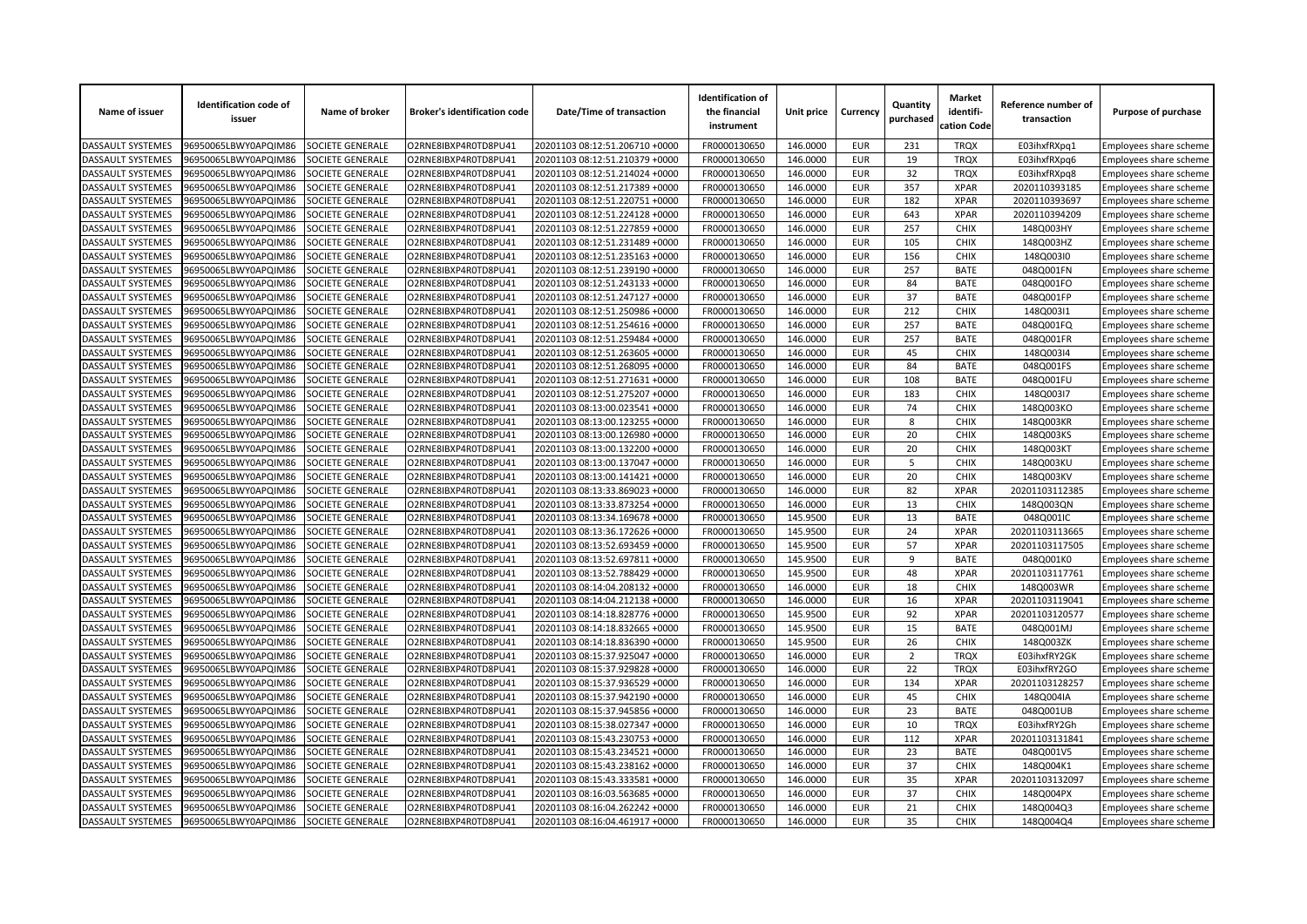| Name of issuer           | <b>Identification code of</b><br>issuer | Name of broker          | <b>Broker's identification code</b> | Date/Time of transaction       | <b>Identification of</b><br>the financial<br>instrument | Unit price | Currency   | Quantity<br>purchased | <b>Market</b><br>identifi-<br>cation Code | Reference number of<br>transaction | Purpose of purchase    |
|--------------------------|-----------------------------------------|-------------------------|-------------------------------------|--------------------------------|---------------------------------------------------------|------------|------------|-----------------------|-------------------------------------------|------------------------------------|------------------------|
| DASSAULT SYSTEMES        | 96950065LBWY0APQIM86                    | SOCIETE GENERALE        | O2RNE8IBXP4R0TD8PU41                | 20201103 08:12:51.206710 +0000 | FR0000130650                                            | 146.0000   | <b>EUR</b> | 231                   | <b>TRQX</b>                               | E03ihxfRXpq1                       | Employees share scheme |
| DASSAULT SYSTEMES        | 96950065LBWY0APQIM86                    | SOCIETE GENERALE        | O2RNE8IBXP4R0TD8PU41                | 20201103 08:12:51.210379 +0000 | FR0000130650                                            | 146.0000   | <b>EUR</b> | 19                    | <b>TRQX</b>                               | E03ihxfRXpq6                       | Employees share scheme |
| DASSAULT SYSTEMES        | 96950065LBWY0APQIM86                    | SOCIETE GENERALE        | O2RNE8IBXP4R0TD8PU41                | 20201103 08:12:51.214024 +0000 | FR0000130650                                            | 146.0000   | <b>EUR</b> | 32                    | <b>TRQX</b>                               | E03ihxfRXpq8                       | Employees share scheme |
| DASSAULT SYSTEMES        | 96950065LBWY0APQIM86                    | SOCIETE GENERALE        | O2RNE8IBXP4R0TD8PU41                | 20201103 08:12:51.217389 +0000 | FR0000130650                                            | 146.0000   | <b>EUR</b> | 357                   | <b>XPAR</b>                               | 2020110393185                      | Employees share scheme |
| DASSAULT SYSTEMES        | 96950065LBWY0APQIM86                    | SOCIETE GENERALE        | O2RNE8IBXP4R0TD8PU41                | 20201103 08:12:51.220751 +0000 | FR0000130650                                            | 146.0000   | <b>EUR</b> | 182                   | <b>XPAR</b>                               | 2020110393697                      | Employees share scheme |
| DASSAULT SYSTEMES        | 96950065LBWY0APQIM86                    | SOCIETE GENERALE        | O2RNE8IBXP4R0TD8PU41                | 20201103 08:12:51.224128 +0000 | FR0000130650                                            | 146.0000   | <b>EUR</b> | 643                   | <b>XPAR</b>                               | 2020110394209                      | Employees share scheme |
| <b>DASSAULT SYSTEMES</b> | 96950065LBWY0APQIM86                    | SOCIETE GENERALE        | O2RNE8IBXP4R0TD8PU41                | 20201103 08:12:51.227859 +0000 | FR0000130650                                            | 146.0000   | <b>EUR</b> | 257                   | <b>CHIX</b>                               | 148Q003HY                          | Employees share scheme |
| <b>DASSAULT SYSTEMES</b> | 96950065LBWY0APQIM86                    | SOCIETE GENERALE        | O2RNE8IBXP4R0TD8PU41                | 20201103 08:12:51.231489 +0000 | FR0000130650                                            | 146.0000   | <b>EUR</b> | 105                   | <b>CHIX</b>                               | 148Q003HZ                          | Employees share scheme |
| DASSAULT SYSTEMES        | 96950065LBWY0APQIM86                    | SOCIETE GENERALE        | O2RNE8IBXP4R0TD8PU41                | 20201103 08:12:51.235163 +0000 | FR0000130650                                            | 146.0000   | <b>EUR</b> | 156                   | <b>CHIX</b>                               | 148Q003I0                          | Employees share scheme |
| DASSAULT SYSTEMES        | 96950065LBWY0APQIM86                    | SOCIETE GENERALE        | O2RNE8IBXP4R0TD8PU41                | 20201103 08:12:51.239190 +0000 | FR0000130650                                            | 146.0000   | <b>EUR</b> | 257                   | <b>BATE</b>                               | 048Q001FN                          | Employees share scheme |
| DASSAULT SYSTEMES        | 96950065LBWY0APQIM86                    | SOCIETE GENERALE        | O2RNE8IBXP4R0TD8PU41                | 20201103 08:12:51.243133 +0000 | FR0000130650                                            | 146.0000   | <b>EUR</b> | 84                    | <b>BATE</b>                               | 048Q001FO                          | Employees share scheme |
| DASSAULT SYSTEMES        | 96950065LBWY0APQIM86                    | SOCIETE GENERALE        | O2RNE8IBXP4R0TD8PU41                | 20201103 08:12:51.247127 +0000 | FR0000130650                                            | 146.0000   | <b>EUR</b> | 37                    | <b>BATE</b>                               | 048Q001FP                          | Employees share scheme |
| DASSAULT SYSTEMES        | 96950065LBWY0APQIM86                    | SOCIETE GENERALE        | O2RNE8IBXP4R0TD8PU41                | 20201103 08:12:51.250986 +0000 | FR0000130650                                            | 146.0000   | <b>EUR</b> | 212                   | <b>CHIX</b>                               | 148Q003I1                          | Employees share scheme |
| DASSAULT SYSTEMES        | 96950065LBWY0APQIM86                    | SOCIETE GENERALE        | O2RNE8IBXP4R0TD8PU41                | 20201103 08:12:51.254616 +0000 | FR0000130650                                            | 146.0000   | <b>EUR</b> | 257                   | <b>BATE</b>                               | 048Q001FQ                          | Employees share scheme |
| DASSAULT SYSTEMES        | 96950065LBWY0APQIM86                    | <b>SOCIETE GENERALE</b> | O2RNE8IBXP4R0TD8PU41                | 20201103 08:12:51.259484 +0000 | FR0000130650                                            | 146.0000   | <b>EUR</b> | 257                   | <b>BATE</b>                               | 048Q001FR                          | Employees share scheme |
| DASSAULT SYSTEMES        | 96950065LBWY0APQIM86                    | SOCIETE GENERALE        | O2RNE8IBXP4R0TD8PU41                | 20201103 08:12:51.263605 +0000 | FR0000130650                                            | 146.0000   | <b>EUR</b> | 45                    | <b>CHIX</b>                               | 148Q003I4                          | Employees share scheme |
| DASSAULT SYSTEMES        | 96950065LBWY0APQIM86                    | SOCIETE GENERALE        | O2RNE8IBXP4R0TD8PU41                | 20201103 08:12:51.268095 +0000 | FR0000130650                                            | 146.0000   | <b>EUR</b> | 84                    | <b>BATE</b>                               | 048Q001FS                          | Employees share scheme |
| DASSAULT SYSTEMES        | 96950065LBWY0APQIM86                    | SOCIETE GENERALE        | O2RNE8IBXP4R0TD8PU41                | 20201103 08:12:51.271631 +0000 | FR0000130650                                            | 146.0000   | <b>EUR</b> | 108                   | <b>BATE</b>                               | 048Q001FU                          | Employees share scheme |
| <b>DASSAULT SYSTEMES</b> | 96950065LBWY0APQIM86                    | SOCIETE GENERALE        | O2RNE8IBXP4R0TD8PU41                | 20201103 08:12:51.275207 +0000 | FR0000130650                                            | 146.0000   | <b>EUR</b> | 183                   | <b>CHIX</b>                               | 148Q003I7                          | Employees share scheme |
| DASSAULT SYSTEMES        | 96950065LBWY0APQIM86                    | SOCIETE GENERALE        | O2RNE8IBXP4R0TD8PU41                | 20201103 08:13:00.023541 +0000 | FR0000130650                                            | 146.0000   | <b>EUR</b> | 74                    | <b>CHIX</b>                               | 148Q003KO                          | Employees share scheme |
| DASSAULT SYSTEMES        | 96950065LBWY0APQIM86                    | SOCIETE GENERALE        | O2RNE8IBXP4R0TD8PU41                | 20201103 08:13:00.123255 +0000 | FR0000130650                                            | 146.0000   | <b>EUR</b> | 8                     | <b>CHIX</b>                               | 148Q003KR                          | Employees share scheme |
| <b>DASSAULT SYSTEMES</b> | 96950065LBWY0APQIM86                    | SOCIETE GENERALE        | O2RNE8IBXP4R0TD8PU41                | 20201103 08:13:00.126980 +0000 | FR0000130650                                            | 146.0000   | <b>EUR</b> | 20                    | <b>CHIX</b>                               | 148Q003KS                          | Employees share scheme |
| DASSAULT SYSTEMES        | 96950065LBWY0APQIM86                    | SOCIETE GENERALE        | O2RNE8IBXP4R0TD8PU41                | 20201103 08:13:00.132200 +0000 | FR0000130650                                            | 146.0000   | <b>EUR</b> | 20                    | <b>CHIX</b>                               | 148Q003KT                          | Employees share scheme |
| <b>DASSAULT SYSTEMES</b> | 96950065LBWY0APQIM86                    | SOCIETE GENERALE        | O2RNE8IBXP4R0TD8PU41                | 20201103 08:13:00.137047 +0000 | FR0000130650                                            | 146.0000   | <b>EUR</b> | 5                     | <b>CHIX</b>                               | 148Q003KU                          | Employees share scheme |
| <b>DASSAULT SYSTEMES</b> | 96950065LBWY0APQIM86                    | <b>SOCIETE GENERALE</b> | O2RNE8IBXP4R0TD8PU41                | 20201103 08:13:00.141421 +0000 | FR0000130650                                            | 146.0000   | <b>EUR</b> | 20                    | <b>CHIX</b>                               | 148Q003KV                          | Employees share scheme |
| DASSAULT SYSTEMES        | 96950065LBWY0APQIM86                    | SOCIETE GENERALE        | O2RNE8IBXP4R0TD8PU41                | 20201103 08:13:33.869023 +0000 | FR0000130650                                            | 146.0000   | <b>EUR</b> | 82                    | <b>XPAR</b>                               | 20201103112385                     | Employees share scheme |
| DASSAULT SYSTEMES        | 96950065LBWY0APQIM86                    | SOCIETE GENERALE        | O2RNE8IBXP4R0TD8PU41                | 20201103 08:13:33.873254 +0000 | FR0000130650                                            | 146.0000   | <b>EUR</b> | 13                    | <b>CHIX</b>                               | 148Q003QN                          | Employees share scheme |
| <b>DASSAULT SYSTEMES</b> | 96950065LBWY0APQIM86                    | SOCIETE GENERALE        | O2RNE8IBXP4R0TD8PU41                | 20201103 08:13:34.169678 +0000 | FR0000130650                                            | 145.9500   | <b>EUR</b> | 13                    | <b>BATE</b>                               | 048Q001IC                          | Employees share scheme |
| DASSAULT SYSTEMES        | 96950065LBWY0APQIM86                    | SOCIETE GENERALE        | O2RNE8IBXP4R0TD8PU41                | 20201103 08:13:36.172626 +0000 | FR0000130650                                            | 145.9500   | <b>EUR</b> | 24                    | <b>XPAR</b>                               | 20201103113665                     | Employees share scheme |
| DASSAULT SYSTEMES        | 96950065LBWY0APQIM86                    | SOCIETE GENERALE        | O2RNE8IBXP4R0TD8PU41                | 20201103 08:13:52.693459 +0000 | FR0000130650                                            | 145.9500   | <b>EUR</b> | 57                    | <b>XPAR</b>                               | 20201103117505                     | Employees share scheme |
| DASSAULT SYSTEMES        | 96950065LBWY0APQIM86                    | SOCIETE GENERALE        | O2RNE8IBXP4R0TD8PU41                | 20201103 08:13:52.697811 +0000 | FR0000130650                                            | 145.9500   | <b>EUR</b> | 9                     | <b>BATE</b>                               | 048Q001K0                          | Employees share scheme |
| DASSAULT SYSTEMES        | 96950065LBWY0APQIM86                    | SOCIETE GENERALE        | O2RNE8IBXP4R0TD8PU41                | 20201103 08:13:52.788429 +0000 | FR0000130650                                            | 145.9500   | <b>EUR</b> | 48                    | <b>XPAR</b>                               | 20201103117761                     |                        |
| DASSAULT SYSTEMES        | 96950065LBWY0APQIM86                    | SOCIETE GENERALE        | O2RNE8IBXP4R0TD8PU41                | 20201103 08:14:04.208132 +0000 |                                                         | 146.0000   | <b>EUR</b> | 18                    | CHIX                                      | 148Q003WR                          | Employees share scheme |
|                          |                                         |                         |                                     |                                | FR0000130650                                            |            |            |                       |                                           |                                    | Employees share scheme |
| DASSAULT SYSTEMES        | 96950065LBWY0APQIM86                    | SOCIETE GENERALE        | O2RNE8IBXP4R0TD8PU41                | 20201103 08:14:04.212138 +0000 | FR0000130650                                            | 146.0000   | <b>EUR</b> | 16                    | <b>XPAR</b>                               | 20201103119041                     | Employees share scheme |
| DASSAULT SYSTEMES        | 96950065LBWY0APQIM86                    | SOCIETE GENERALE        | O2RNE8IBXP4R0TD8PU41                | 20201103 08:14:18.828776 +0000 | FR0000130650                                            | 145.9500   | <b>EUR</b> | 92<br>15              | <b>XPAR</b><br><b>BATE</b>                | 20201103120577                     | Employees share scheme |
| <b>DASSAULT SYSTEMES</b> | 96950065LBWY0APQIM86                    | SOCIETE GENERALE        | O2RNE8IBXP4R0TD8PU41                | 20201103 08:14:18.832665 +0000 | FR0000130650                                            | 145.9500   | <b>EUR</b> |                       |                                           | 048Q001MJ                          | Employees share scheme |
| <b>DASSAULT SYSTEMES</b> | 96950065LBWY0APQIM86                    | SOCIETE GENERALE        | O2RNE8IBXP4R0TD8PU41                | 20201103 08:14:18.836390 +0000 | FR0000130650                                            | 145.9500   | <b>EUR</b> | 26                    | <b>CHIX</b>                               | 148Q003ZK                          | Employees share scheme |
| <b>DASSAULT SYSTEMES</b> | 96950065LBWY0APQIM86                    | SOCIETE GENERALE        | O2RNE8IBXP4R0TD8PU41                | 20201103 08:15:37.925047 +0000 | FR0000130650                                            | 146.0000   | <b>EUR</b> | $\overline{2}$        | <b>TRQX</b>                               | E03ihxfRY2GK                       | Employees share scheme |
| DASSAULT SYSTEMES        | 96950065LBWY0APQIM86                    | SOCIETE GENERALE        | O2RNE8IBXP4R0TD8PU41                | 20201103 08:15:37.929828 +0000 | FR0000130650                                            | 146.0000   | <b>EUR</b> | 22                    | <b>TRQX</b>                               | E03ihxfRY2GO                       | Employees share scheme |
| DASSAULT SYSTEMES        | 96950065LBWY0APQIM86                    | SOCIETE GENERALE        | O2RNE8IBXP4R0TD8PU41                | 20201103 08:15:37.936529 +0000 | FR0000130650                                            | 146.0000   | <b>EUR</b> | 134                   | <b>XPAR</b>                               | 20201103128257                     | Employees share scheme |
| DASSAULT SYSTEMES        | 96950065LBWY0APQIM86                    | SOCIETE GENERALE        | O2RNE8IBXP4R0TD8PU41                | 20201103 08:15:37.942190 +0000 | FR0000130650                                            | 146.0000   | <b>EUR</b> | 45                    | <b>CHIX</b>                               | 148Q004IA                          | Employees share scheme |
| DASSAULT SYSTEMES        | 96950065LBWY0APQIM86                    | SOCIETE GENERALE        | O2RNE8IBXP4R0TD8PU41                | 20201103 08:15:37.945856 +0000 | FR0000130650                                            | 146.0000   | <b>EUR</b> | 23                    | <b>BATE</b>                               | 048Q001UB                          | Employees share scheme |
| DASSAULT SYSTEMES        | 96950065LBWY0APQIM86                    | SOCIETE GENERALE        | O2RNE8IBXP4R0TD8PU41                | 20201103 08:15:38.027347 +0000 | FR0000130650                                            | 146.0000   | <b>EUR</b> | 10                    | <b>TRQX</b>                               | E03ihxfRY2Gh                       | Employees share scheme |
| DASSAULT SYSTEMES        | 96950065LBWY0APQIM86                    | SOCIETE GENERALE        | O2RNE8IBXP4R0TD8PU41                | 20201103 08:15:43.230753 +0000 | FR0000130650                                            | 146.0000   | <b>EUR</b> | 112                   | <b>XPAR</b>                               | 20201103131841                     | Employees share scheme |
| DASSAULT SYSTEMES        | 96950065LBWY0APQIM86                    | SOCIETE GENERALE        | O2RNE8IBXP4R0TD8PU41                | 20201103 08:15:43.234521 +0000 | FR0000130650                                            | 146.0000   | <b>EUR</b> | 23                    | <b>BATE</b>                               | 048Q001V5                          | Employees share scheme |
| DASSAULT SYSTEMES        | 96950065LBWY0APQIM86                    | SOCIETE GENERALE        | O2RNE8IBXP4R0TD8PU41                | 20201103 08:15:43.238162 +0000 | FR0000130650                                            | 146.0000   | <b>EUR</b> | 37                    | <b>CHIX</b>                               | 148Q004K1                          | Employees share scheme |
| DASSAULT SYSTEMES        | 96950065LBWY0APQIM86                    | SOCIETE GENERALE        | O2RNE8IBXP4R0TD8PU41                | 20201103 08:15:43.333581 +0000 | FR0000130650                                            | 146.0000   | <b>EUR</b> | 35                    | <b>XPAR</b>                               | 20201103132097                     | Employees share scheme |
| DASSAULT SYSTEMES        | 96950065LBWY0APQIM86                    | SOCIETE GENERALE        | O2RNE8IBXP4R0TD8PU41                | 20201103 08:16:03.563685 +0000 | FR0000130650                                            | 146.0000   | <b>EUR</b> | 37                    | <b>CHIX</b>                               | 148Q004PX                          | Employees share scheme |
| DASSAULT SYSTEMES        | 96950065LBWY0APQIM86                    | SOCIETE GENERALE        | O2RNE8IBXP4R0TD8PU41                | 20201103 08:16:04.262242 +0000 | FR0000130650                                            | 146.0000   | <b>EUR</b> | 21                    | <b>CHIX</b>                               | 148Q004Q3                          | Employees share scheme |
| <b>DASSAULT SYSTEMES</b> | 96950065LBWY0APQIM86                    | SOCIETE GENERALE        | O2RNE8IBXP4R0TD8PU41                | 20201103 08:16:04.461917 +0000 | FR0000130650                                            | 146.0000   | <b>EUR</b> | 35                    | CHIX                                      | 148Q004Q4                          | Employees share scheme |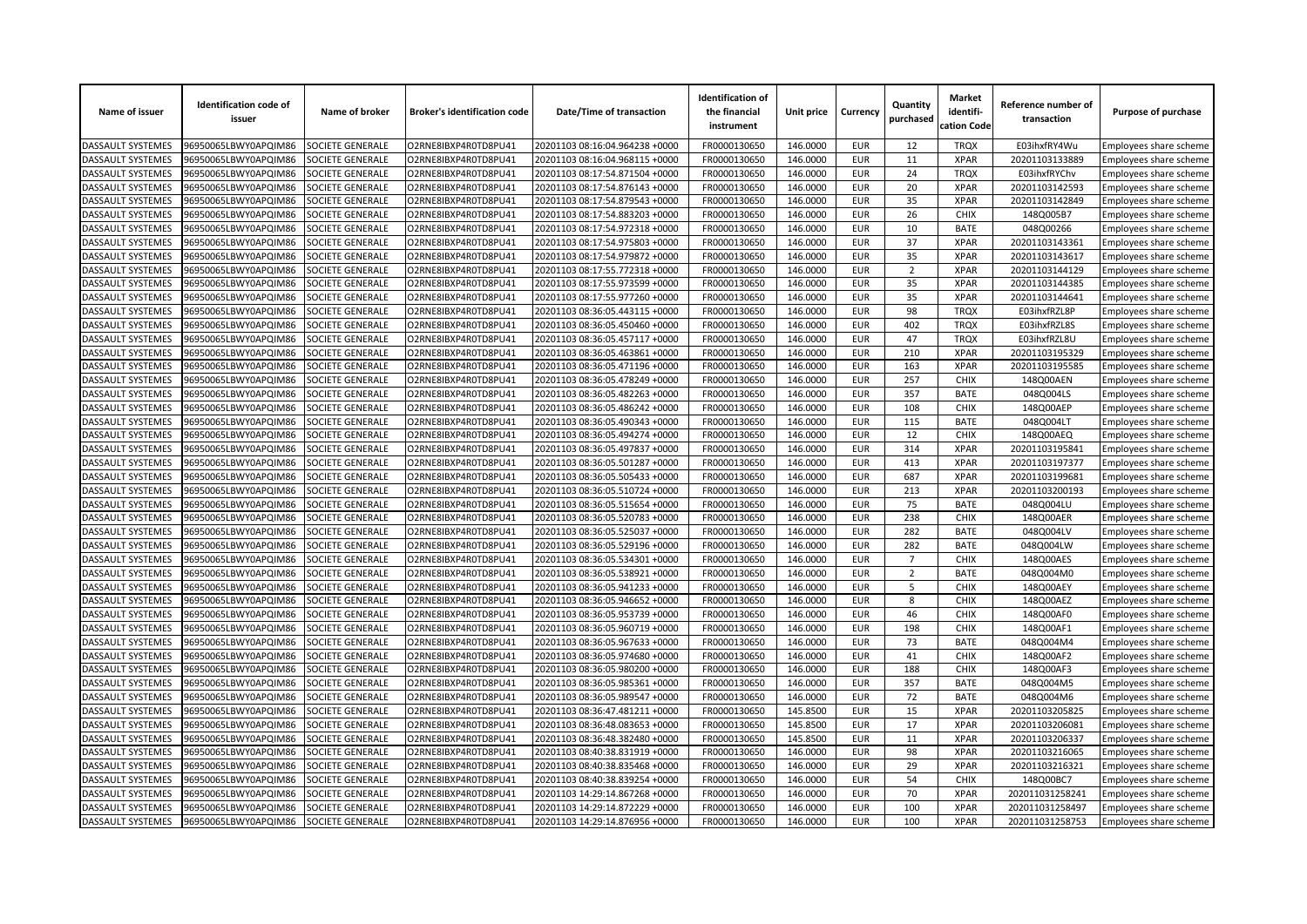| Name of issuer           | <b>Identification code of</b><br>issuer | Name of broker          | <b>Broker's identification code</b> | Date/Time of transaction       | <b>Identification of</b><br>the financial<br>instrument | Unit price | Currency   | Quantity<br>purchased | <b>Market</b><br>identifi-<br>cation Code | Reference number of<br>transaction | Purpose of purchase                              |
|--------------------------|-----------------------------------------|-------------------------|-------------------------------------|--------------------------------|---------------------------------------------------------|------------|------------|-----------------------|-------------------------------------------|------------------------------------|--------------------------------------------------|
| <b>DASSAULT SYSTEMES</b> | 96950065LBWY0APQIM86                    | SOCIETE GENERALE        | O2RNE8IBXP4R0TD8PU41                | 20201103 08:16:04.964238 +0000 | FR0000130650                                            | 146.0000   | <b>EUR</b> | 12                    | <b>TRQX</b>                               | E03ihxfRY4Wu                       | Employees share scheme                           |
| <b>DASSAULT SYSTEMES</b> | 96950065LBWY0APQIM86                    | <b>SOCIETE GENERALE</b> | O2RNE8IBXP4R0TD8PU41                | 20201103 08:16:04.968115 +0000 | FR0000130650                                            | 146.0000   | <b>EUR</b> | 11                    | <b>XPAR</b>                               | 20201103133889                     | Employees share scheme                           |
| DASSAULT SYSTEMES        | 96950065LBWY0APQIM86                    | SOCIETE GENERALE        | O2RNE8IBXP4R0TD8PU41                | 20201103 08:17:54.871504 +0000 | FR0000130650                                            | 146.0000   | <b>EUR</b> | 24                    | <b>TRQX</b>                               | E03ihxfRYChv                       | Employees share scheme                           |
| DASSAULT SYSTEMES        | 96950065LBWY0APQIM86                    | SOCIETE GENERALE        | O2RNE8IBXP4R0TD8PU41                | 20201103 08:17:54.876143 +0000 | FR0000130650                                            | 146.0000   | <b>EUR</b> | 20                    | <b>XPAR</b>                               | 20201103142593                     | Employees share scheme                           |
| <b>DASSAULT SYSTEMES</b> | 96950065LBWY0APQIM86                    | SOCIETE GENERALE        | O2RNE8IBXP4R0TD8PU41                | 20201103 08:17:54.879543 +0000 | FR0000130650                                            | 146.0000   | <b>EUR</b> | 35                    | <b>XPAR</b>                               | 20201103142849                     | Employees share scheme                           |
| DASSAULT SYSTEMES        | 96950065LBWY0APQIM86                    | SOCIETE GENERALE        | O2RNE8IBXP4R0TD8PU41                | 20201103 08:17:54.883203 +0000 | FR0000130650                                            | 146.0000   | <b>EUR</b> | 26                    | <b>CHIX</b>                               | 148Q005B7                          | Employees share scheme                           |
| DASSAULT SYSTEMES        | 96950065LBWY0APQIM86                    | SOCIETE GENERALE        | O2RNE8IBXP4R0TD8PU41                | 20201103 08:17:54.972318 +0000 | FR0000130650                                            | 146.0000   | <b>EUR</b> | 10                    | <b>BATE</b>                               | 048Q00266                          | Employees share scheme                           |
| DASSAULT SYSTEMES        | 96950065LBWY0APQIM86                    | SOCIETE GENERALE        | O2RNE8IBXP4R0TD8PU41                | 20201103 08:17:54.975803 +0000 | FR0000130650                                            | 146.0000   | <b>EUR</b> | 37                    | <b>XPAR</b>                               | 20201103143361                     | Employees share scheme                           |
| DASSAULT SYSTEMES        | 96950065LBWY0APQIM86                    | SOCIETE GENERALE        | O2RNE8IBXP4R0TD8PU41                | 20201103 08:17:54.979872 +0000 | FR0000130650                                            | 146.0000   | <b>EUR</b> | 35                    | <b>XPAR</b>                               | 20201103143617                     | Employees share scheme                           |
| DASSAULT SYSTEMES        | 96950065LBWY0APQIM86                    | SOCIETE GENERALE        | O2RNE8IBXP4R0TD8PU41                | 20201103 08:17:55.772318 +0000 | FR0000130650                                            | 146.0000   | <b>EUR</b> | $\overline{2}$        | <b>XPAR</b>                               | 20201103144129                     | Employees share scheme                           |
| DASSAULT SYSTEMES        | 96950065LBWY0APQIM86                    | SOCIETE GENERALE        | O2RNE8IBXP4R0TD8PU41                | 20201103 08:17:55.973599 +0000 | FR0000130650                                            | 146.0000   | <b>EUR</b> | 35                    | <b>XPAR</b>                               | 20201103144385                     | Employees share scheme                           |
| <b>DASSAULT SYSTEMES</b> | 96950065LBWY0APQIM86                    | SOCIETE GENERALE        | O2RNE8IBXP4R0TD8PU41                | 20201103 08:17:55.977260 +0000 | FR0000130650                                            | 146.0000   | <b>EUR</b> | 35                    | <b>XPAR</b>                               | 20201103144641                     | Employees share scheme                           |
| DASSAULT SYSTEMES        | 96950065LBWY0APQIM86                    | SOCIETE GENERALE        | O2RNE8IBXP4R0TD8PU41                | 20201103 08:36:05.443115 +0000 | FR0000130650                                            | 146.0000   | <b>EUR</b> | 98                    | <b>TRQX</b>                               | E03ihxfRZL8P                       | Employees share scheme                           |
| DASSAULT SYSTEMES        | 96950065LBWY0APQIM86                    | SOCIETE GENERALE        | O2RNE8IBXP4R0TD8PU41                | 20201103 08:36:05.450460 +0000 | FR0000130650                                            | 146.0000   | <b>EUR</b> | 402                   | <b>TRQX</b>                               | E03ihxfRZL8S                       | Employees share scheme                           |
| DASSAULT SYSTEMES        | 96950065LBWY0APQIM86                    | SOCIETE GENERALE        | O2RNE8IBXP4R0TD8PU41                | 20201103 08:36:05.457117 +0000 | FR0000130650                                            | 146.0000   | <b>EUR</b> | 47                    | <b>TRQX</b>                               | E03ihxfRZL8U                       | Employees share scheme                           |
| DASSAULT SYSTEMES        | 96950065LBWY0APQIM86                    | SOCIETE GENERALE        | O2RNE8IBXP4R0TD8PU41                | 20201103 08:36:05.463861 +0000 | FR0000130650                                            | 146.0000   | <b>EUR</b> | 210                   | <b>XPAR</b>                               | 20201103195329                     | Employees share scheme                           |
| DASSAULT SYSTEMES        | 96950065LBWY0APQIM86                    | SOCIETE GENERALE        | O2RNE8IBXP4R0TD8PU41                | 20201103 08:36:05.471196 +0000 | FR0000130650                                            | 146.0000   | <b>EUR</b> | 163                   | <b>XPAR</b>                               | 20201103195585                     | Employees share scheme                           |
| DASSAULT SYSTEMES        | 96950065LBWY0APQIM86                    | SOCIETE GENERALE        | O2RNE8IBXP4R0TD8PU41                | 20201103 08:36:05.478249 +0000 | FR0000130650                                            | 146.0000   | <b>EUR</b> | 257                   | <b>CHIX</b>                               | 148Q00AEN                          | Employees share scheme                           |
| DASSAULT SYSTEMES        | 96950065LBWY0APQIM86                    | SOCIETE GENERALE        | O2RNE8IBXP4R0TD8PU41                | 20201103 08:36:05.482263 +0000 | FR0000130650                                            | 146.0000   | <b>EUR</b> | 357                   | <b>BATE</b>                               | 048Q004LS                          | Employees share scheme                           |
| DASSAULT SYSTEMES        | 96950065LBWY0APQIM86                    | SOCIETE GENERALE        | O2RNE8IBXP4R0TD8PU41                | 20201103 08:36:05.486242 +0000 | FR0000130650                                            | 146.0000   | <b>EUR</b> | 108                   | <b>CHIX</b>                               | 148Q00AEP                          | Employees share scheme                           |
| DASSAULT SYSTEMES        | 96950065LBWY0APQIM86                    | SOCIETE GENERALE        | O2RNE8IBXP4R0TD8PU41                | 20201103 08:36:05.490343 +0000 | FR0000130650                                            | 146.0000   | <b>EUR</b> | 115                   | <b>BATE</b>                               | 048Q004LT                          | Employees share scheme                           |
| <b>DASSAULT SYSTEMES</b> | 96950065LBWY0APQIM86                    | SOCIETE GENERALE        | O2RNE8IBXP4R0TD8PU41                | 20201103 08:36:05.494274 +0000 | FR0000130650                                            | 146.0000   | <b>EUR</b> | 12                    | <b>CHIX</b>                               | 148Q00AEQ                          | Employees share scheme                           |
| DASSAULT SYSTEMES        | 96950065LBWY0APQIM86                    | SOCIETE GENERALE        | O2RNE8IBXP4R0TD8PU41                | 20201103 08:36:05.497837 +0000 | FR0000130650                                            | 146.0000   | <b>EUR</b> | 314                   | <b>XPAR</b>                               | 20201103195841                     | Employees share scheme                           |
| DASSAULT SYSTEMES        | 96950065LBWY0APQIM86                    | SOCIETE GENERALE        | O2RNE8IBXP4R0TD8PU41                | 20201103 08:36:05.501287 +0000 | FR0000130650                                            | 146.0000   | <b>EUR</b> | 413                   | <b>XPAR</b>                               | 20201103197377                     | Employees share scheme                           |
| DASSAULT SYSTEMES        | 96950065LBWY0APQIM86                    | SOCIETE GENERALE        | O2RNE8IBXP4R0TD8PU41                | 20201103 08:36:05.505433 +0000 | FR0000130650                                            | 146.0000   | <b>EUR</b> | 687                   | <b>XPAR</b>                               | 20201103199681                     | Employees share scheme                           |
| DASSAULT SYSTEMES        | 96950065LBWY0APQIM86                    | SOCIETE GENERALE        | O2RNE8IBXP4R0TD8PU41                | 20201103 08:36:05.510724 +0000 | FR0000130650                                            | 146.0000   | <b>EUR</b> | 213                   | <b>XPAR</b>                               | 20201103200193                     | Employees share scheme                           |
| <b>DASSAULT SYSTEMES</b> | 96950065LBWY0APQIM86                    | SOCIETE GENERALE        | O2RNE8IBXP4R0TD8PU41                | 20201103 08:36:05.515654 +0000 | FR0000130650                                            | 146.0000   | <b>EUR</b> | 75                    | <b>BATE</b>                               | 048Q004LU                          | Employees share scheme                           |
| DASSAULT SYSTEMES        | 96950065LBWY0APQIM86                    | <b>SOCIETE GENERALE</b> | O2RNE8IBXP4R0TD8PU41                | 20201103 08:36:05.520783 +0000 | FR0000130650                                            | 146.0000   | <b>EUR</b> | 238                   | CHIX                                      | 148Q00AER                          | Employees share scheme                           |
| DASSAULT SYSTEMES        | 96950065LBWY0APQIM86                    | SOCIETE GENERALE        | O2RNE8IBXP4R0TD8PU41                | 20201103 08:36:05.525037 +0000 | FR0000130650                                            | 146.0000   | <b>EUR</b> | 282                   | <b>BATE</b>                               | 048Q004LV                          | Employees share scheme                           |
| DASSAULT SYSTEMES        | 96950065LBWY0APQIM86                    | SOCIETE GENERALE        | O2RNE8IBXP4R0TD8PU41                | 20201103 08:36:05.529196 +0000 | FR0000130650                                            | 146.0000   | <b>EUR</b> | 282                   | <b>BATE</b>                               | 048Q004LW                          | Employees share scheme                           |
| DASSAULT SYSTEMES        | 96950065LBWY0APQIM86                    | SOCIETE GENERALE        | O2RNE8IBXP4R0TD8PU41                | 20201103 08:36:05.534301 +0000 | FR0000130650                                            | 146.0000   | <b>EUR</b> | $\overline{7}$        | <b>CHIX</b>                               | 148Q00AES                          | Employees share scheme                           |
| <b>DASSAULT SYSTEMES</b> | 96950065LBWY0APQIM86                    | <b>SOCIETE GENERALE</b> | O2RNE8IBXP4R0TD8PU41                | 20201103 08:36:05.538921 +0000 | FR0000130650                                            | 146.0000   | <b>EUR</b> | $\overline{2}$        | <b>BATE</b>                               | 048Q004M0                          | Employees share scheme                           |
| DASSAULT SYSTEMES        | 96950065LBWY0APQIM86                    | SOCIETE GENERALE        | O2RNE8IBXP4R0TD8PU41                | 20201103 08:36:05.941233 +0000 | FR0000130650                                            | 146.0000   | <b>EUR</b> | 5                     | CHIX                                      | 148Q00AEY                          | Employees share scheme                           |
| DASSAULT SYSTEMES        | 96950065LBWY0APQIM86                    | SOCIETE GENERALE        | O2RNE8IBXP4R0TD8PU41                | 20201103 08:36:05.946652 +0000 | FR0000130650                                            | 146.0000   | <b>EUR</b> | 8                     | <b>CHIX</b>                               | 148Q00AEZ                          | Employees share scheme                           |
| DASSAULT SYSTEMES        | 96950065LBWY0APQIM86                    | SOCIETE GENERALE        | O2RNE8IBXP4R0TD8PU41                | 20201103 08:36:05.953739 +0000 | FR0000130650                                            | 146.0000   | <b>EUR</b> | 46                    | CHIX                                      | 148Q00AF0                          | Employees share scheme                           |
| DASSAULT SYSTEMES        | 96950065LBWY0APQIM86                    | SOCIETE GENERALE        | O2RNE8IBXP4R0TD8PU41                | 20201103 08:36:05.960719 +0000 | FR0000130650                                            | 146.0000   | <b>EUR</b> | 198                   | <b>CHIX</b>                               | 148Q00AF1                          | Employees share scheme                           |
| DASSAULT SYSTEMES        | 96950065LBWY0APQIM86                    | SOCIETE GENERALE        | O2RNE8IBXP4R0TD8PU41                | 20201103 08:36:05.967633 +0000 | FR0000130650                                            | 146.0000   | <b>EUR</b> | 73                    | <b>BATE</b>                               | 048Q004M4                          | Employees share scheme                           |
| DASSAULT SYSTEMES        | 96950065LBWY0APQIM86                    | SOCIETE GENERALE        | O2RNE8IBXP4R0TD8PU41                | 20201103 08:36:05.974680 +0000 | FR0000130650                                            | 146.0000   | <b>EUR</b> | 41                    | <b>CHIX</b>                               | 148Q00AF2                          | Employees share scheme                           |
| DASSAULT SYSTEMES        | 96950065LBWY0APQIM86                    | SOCIETE GENERALE        | O2RNE8IBXP4R0TD8PU41                | 20201103 08:36:05.980200 +0000 | FR0000130650                                            | 146.0000   | <b>EUR</b> | 188                   | CHIX                                      | 148Q00AF3                          | Employees share scheme                           |
| DASSAULT SYSTEMES        | 96950065LBWY0APQIM86                    | SOCIETE GENERALE        | O2RNE8IBXP4R0TD8PU41                | 20201103 08:36:05.985361 +0000 | FR0000130650                                            | 146.0000   | <b>EUR</b> | 357                   | <b>BATE</b>                               | 048Q004M5                          |                                                  |
| DASSAULT SYSTEMES        | 96950065LBWY0APQIM86                    | SOCIETE GENERALE        | O2RNE8IBXP4R0TD8PU41                | 20201103 08:36:05.989547 +0000 | FR0000130650                                            | 146.0000   | <b>EUR</b> | 72                    | <b>BATE</b>                               | 048Q004M6                          | Employees share scheme                           |
| DASSAULT SYSTEMES        | 96950065LBWY0APQIM86                    | SOCIETE GENERALE        | O2RNE8IBXP4R0TD8PU41                | 20201103 08:36:47.481211 +0000 | FR0000130650                                            | 145.8500   | <b>EUR</b> | 15                    | <b>XPAR</b>                               | 20201103205825                     | Employees share scheme<br>Employees share scheme |
| <b>DASSAULT SYSTEMES</b> | 96950065LBWY0APQIM86                    | SOCIETE GENERALE        | O2RNE8IBXP4R0TD8PU41                | 20201103 08:36:48.083653 +0000 | FR0000130650                                            | 145.8500   | <b>EUR</b> | 17                    | <b>XPAR</b>                               |                                    |                                                  |
| DASSAULT SYSTEMES        | 96950065LBWY0APQIM86                    | SOCIETE GENERALE        | O2RNE8IBXP4R0TD8PU41                | 20201103 08:36:48.382480 +0000 | FR0000130650                                            | 145.8500   | <b>EUR</b> | 11                    | <b>XPAR</b>                               | 20201103206081<br>20201103206337   | Employees share scheme                           |
| DASSAULT SYSTEMES        | 96950065LBWY0APQIM86                    | SOCIETE GENERALE        | O2RNE8IBXP4R0TD8PU41                | 20201103 08:40:38.831919 +0000 |                                                         |            | <b>EUR</b> | 98                    | <b>XPAR</b>                               |                                    | Employees share scheme                           |
|                          |                                         |                         |                                     |                                | FR0000130650                                            | 146.0000   |            |                       |                                           | 20201103216065                     | Employees share scheme                           |
| DASSAULT SYSTEMES        | 96950065LBWY0APQIM86                    | SOCIETE GENERALE        | O2RNE8IBXP4R0TD8PU41                | 20201103 08:40:38.835468 +0000 | FR0000130650                                            | 146.0000   | <b>EUR</b> | 29                    | <b>XPAR</b>                               | 20201103216321                     | Employees share scheme                           |
| DASSAULT SYSTEMES        | 96950065LBWY0APQIM86                    | SOCIETE GENERALE        | O2RNE8IBXP4R0TD8PU41                | 20201103 08:40:38.839254 +0000 | FR0000130650                                            | 146.0000   | <b>EUR</b> | 54                    | CHIX                                      | 148Q00BC7                          | Employees share scheme                           |
| DASSAULT SYSTEMES        | 96950065LBWY0APQIM86                    | <b>SOCIETE GENERALE</b> | O2RNE8IBXP4R0TD8PU41                | 20201103 14:29:14.867268 +0000 | FR0000130650                                            | 146.0000   | <b>EUR</b> | 70                    | <b>XPAR</b>                               | 202011031258241                    | Employees share scheme                           |
| DASSAULT SYSTEMES        | 96950065LBWY0APQIM86                    | SOCIETE GENERALE        | O2RNE8IBXP4R0TD8PU41                | 20201103 14:29:14.872229 +0000 | FR0000130650                                            | 146.0000   | <b>EUR</b> | 100                   | <b>XPAR</b>                               | 202011031258497                    | Employees share scheme                           |
| <b>DASSAULT SYSTEMES</b> | 96950065LBWY0APQIM86                    | SOCIETE GENERALE        | O2RNE8IBXP4R0TD8PU41                | 20201103 14:29:14.876956 +0000 | FR0000130650                                            | 146.0000   | <b>EUR</b> | 100                   | <b>XPAR</b>                               | 202011031258753                    | Employees share scheme                           |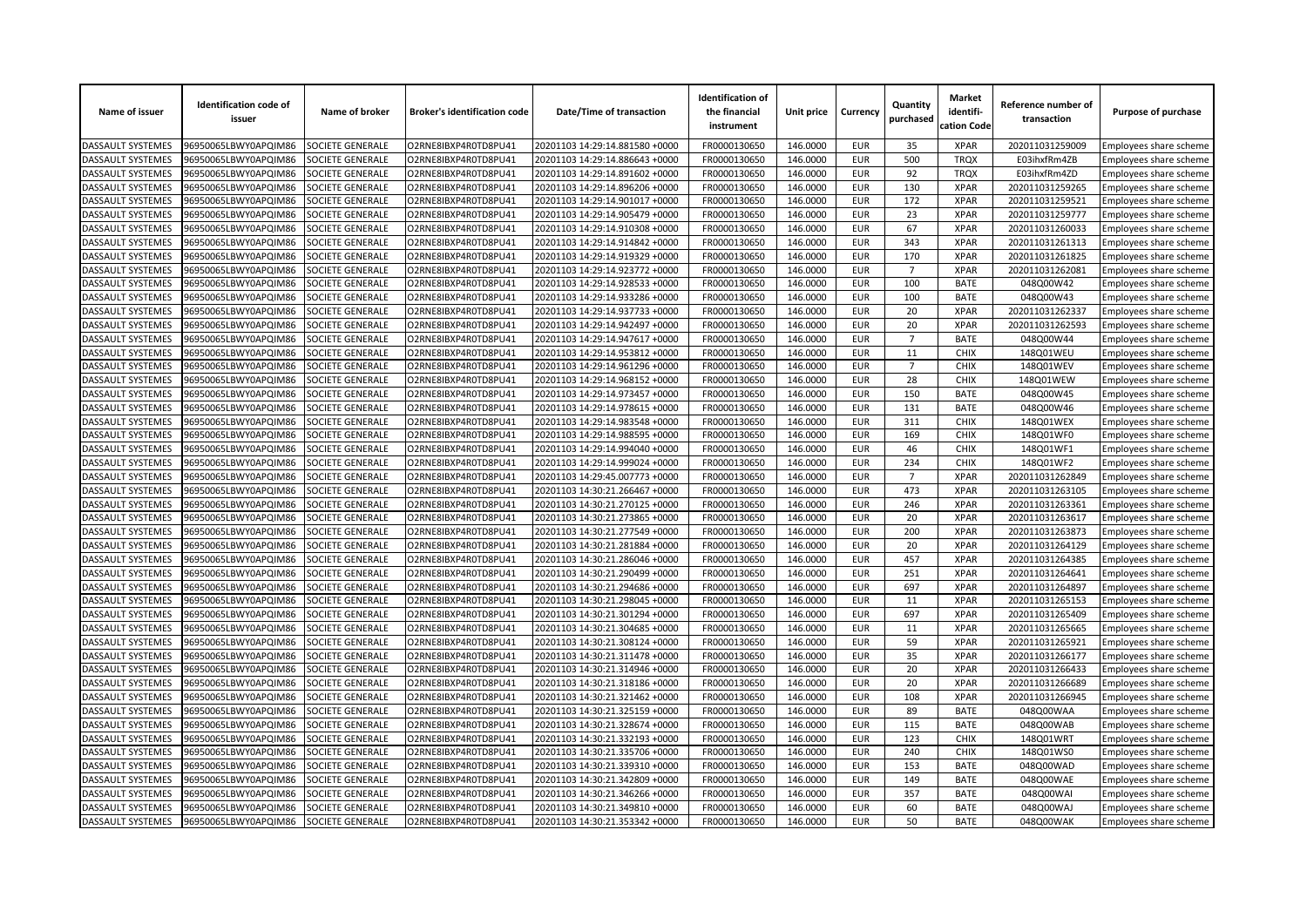| Name of issuer           | <b>Identification code of</b><br>issuer | Name of broker          | <b>Broker's identification code</b> | Date/Time of transaction       | <b>Identification of</b><br>the financial<br>instrument | Unit price | Currency   | Quantity<br>purchased | <b>Market</b><br>identifi-<br>cation Code | Reference number of<br>transaction | Purpose of purchase    |
|--------------------------|-----------------------------------------|-------------------------|-------------------------------------|--------------------------------|---------------------------------------------------------|------------|------------|-----------------------|-------------------------------------------|------------------------------------|------------------------|
| <b>DASSAULT SYSTEMES</b> | 96950065LBWY0APQIM86                    | SOCIETE GENERALE        | O2RNE8IBXP4R0TD8PU41                | 20201103 14:29:14.881580 +0000 | FR0000130650                                            | 146.0000   | <b>EUR</b> | 35                    | <b>XPAR</b>                               | 202011031259009                    | Employees share scheme |
| <b>DASSAULT SYSTEMES</b> | 96950065LBWY0APQIM86                    | <b>SOCIETE GENERALE</b> | O2RNE8IBXP4R0TD8PU41                | 20201103 14:29:14.886643 +0000 | FR0000130650                                            | 146.0000   | <b>EUR</b> | 500                   | <b>TROX</b>                               | E03ihxfRm4ZB                       | Employees share scheme |
| DASSAULT SYSTEMES        | 96950065LBWY0APQIM86                    | SOCIETE GENERALE        | O2RNE8IBXP4R0TD8PU41                | 20201103 14:29:14.891602 +0000 | FR0000130650                                            | 146.0000   | <b>EUR</b> | 92                    | <b>TRQX</b>                               | E03ihxfRm4ZD                       | Employees share scheme |
| DASSAULT SYSTEMES        | 96950065LBWY0APQIM86                    | SOCIETE GENERALE        | O2RNE8IBXP4R0TD8PU41                | 20201103 14:29:14.896206 +0000 | FR0000130650                                            | 146.0000   | <b>EUR</b> | 130                   | <b>XPAR</b>                               | 202011031259265                    | Employees share scheme |
| <b>DASSAULT SYSTEMES</b> | 96950065LBWY0APQIM86                    | SOCIETE GENERALE        | O2RNE8IBXP4R0TD8PU41                | 20201103 14:29:14.901017 +0000 | FR0000130650                                            | 146.0000   | <b>EUR</b> | 172                   | <b>XPAR</b>                               | 202011031259521                    | Employees share scheme |
| DASSAULT SYSTEMES        | 96950065LBWY0APQIM86                    | SOCIETE GENERALE        | O2RNE8IBXP4R0TD8PU41                | 20201103 14:29:14.905479 +0000 | FR0000130650                                            | 146.0000   | <b>EUR</b> | 23                    | <b>XPAR</b>                               | 202011031259777                    | Employees share scheme |
| DASSAULT SYSTEMES        | 96950065LBWY0APQIM86                    | SOCIETE GENERALE        | O2RNE8IBXP4R0TD8PU41                | 20201103 14:29:14.910308 +0000 | FR0000130650                                            | 146.0000   | <b>EUR</b> | 67                    | <b>XPAR</b>                               | 202011031260033                    | Employees share scheme |
| DASSAULT SYSTEMES        | 96950065LBWY0APQIM86                    | SOCIETE GENERALE        | O2RNE8IBXP4R0TD8PU41                | 20201103 14:29:14.914842 +0000 | FR0000130650                                            | 146.0000   | <b>EUR</b> | 343                   | <b>XPAR</b>                               | 202011031261313                    | Employees share scheme |
| DASSAULT SYSTEMES        | 96950065LBWY0APQIM86                    | SOCIETE GENERALE        | O2RNE8IBXP4R0TD8PU41                | 20201103 14:29:14.919329 +0000 | FR0000130650                                            | 146.0000   | <b>EUR</b> | 170                   | <b>XPAR</b>                               | 202011031261825                    | Employees share scheme |
| DASSAULT SYSTEMES        | 96950065LBWY0APQIM86                    | SOCIETE GENERALE        | O2RNE8IBXP4R0TD8PU41                | 20201103 14:29:14.923772 +0000 | FR0000130650                                            | 146.0000   | <b>EUR</b> | $\overline{7}$        | <b>XPAR</b>                               | 202011031262081                    | Employees share scheme |
| DASSAULT SYSTEMES        | 96950065LBWY0APQIM86                    | SOCIETE GENERALE        | O2RNE8IBXP4R0TD8PU41                | 20201103 14:29:14.928533 +0000 | FR0000130650                                            | 146.0000   | <b>EUR</b> | 100                   | <b>BATE</b>                               | 048Q00W42                          | Employees share scheme |
| <b>DASSAULT SYSTEMES</b> | 96950065LBWY0APQIM86                    | SOCIETE GENERALE        | O2RNE8IBXP4R0TD8PU41                | 20201103 14:29:14.933286 +0000 | FR0000130650                                            | 146.0000   | <b>EUR</b> | 100                   | <b>BATE</b>                               | 048Q00W43                          | Employees share scheme |
| DASSAULT SYSTEMES        | 96950065LBWY0APQIM86                    | SOCIETE GENERALE        | O2RNE8IBXP4R0TD8PU41                | 20201103 14:29:14.937733 +0000 | FR0000130650                                            | 146.0000   | <b>EUR</b> | 20                    | <b>XPAR</b>                               | 202011031262337                    | Employees share scheme |
| DASSAULT SYSTEMES        | 96950065LBWY0APQIM86                    | SOCIETE GENERALE        | O2RNE8IBXP4R0TD8PU41                | 20201103 14:29:14.942497 +0000 | FR0000130650                                            | 146.0000   | <b>EUR</b> | 20                    | <b>XPAR</b>                               | 202011031262593                    | Employees share scheme |
| DASSAULT SYSTEMES        | 96950065LBWY0APQIM86                    | SOCIETE GENERALE        | O2RNE8IBXP4R0TD8PU41                | 20201103 14:29:14.947617 +0000 | FR0000130650                                            | 146.0000   | <b>EUR</b> | $\overline{7}$        | <b>BATE</b>                               | 048Q00W44                          | Employees share scheme |
| DASSAULT SYSTEMES        | 96950065LBWY0APQIM86                    | SOCIETE GENERALE        | O2RNE8IBXP4R0TD8PU41                | 20201103 14:29:14.953812 +0000 | FR0000130650                                            | 146.0000   | <b>EUR</b> | 11                    | <b>CHIX</b>                               | 148Q01WEU                          | Employees share scheme |
| DASSAULT SYSTEMES        | 96950065LBWY0APQIM86                    | SOCIETE GENERALE        | O2RNE8IBXP4R0TD8PU41                | 20201103 14:29:14.961296 +0000 | FR0000130650                                            | 146.0000   | <b>EUR</b> | $7^{\circ}$           | <b>CHIX</b>                               | 148Q01WEV                          | Employees share scheme |
| DASSAULT SYSTEMES        | 96950065LBWY0APQIM86                    | SOCIETE GENERALE        | O2RNE8IBXP4R0TD8PU41                | 20201103 14:29:14.968152 +0000 | FR0000130650                                            | 146.0000   | <b>EUR</b> | 28                    | <b>CHIX</b>                               | 148Q01WEW                          | Employees share scheme |
| DASSAULT SYSTEMES        | 96950065LBWY0APQIM86                    | SOCIETE GENERALE        | O2RNE8IBXP4R0TD8PU41                | 20201103 14:29:14.973457 +0000 | FR0000130650                                            | 146.0000   | <b>EUR</b> | 150                   | <b>BATE</b>                               | 048Q00W45                          | Employees share scheme |
| DASSAULT SYSTEMES        | 96950065LBWY0APQIM86                    | SOCIETE GENERALE        | O2RNE8IBXP4R0TD8PU41                | 20201103 14:29:14.978615 +0000 | FR0000130650                                            | 146.0000   | <b>EUR</b> | 131                   | <b>BATE</b>                               | 048Q00W46                          | Employees share scheme |
| DASSAULT SYSTEMES        | 96950065LBWY0APQIM86                    | SOCIETE GENERALE        | O2RNE8IBXP4R0TD8PU41                | 20201103 14:29:14.983548 +0000 | FR0000130650                                            | 146.0000   | <b>EUR</b> | 311                   | <b>CHIX</b>                               | 148Q01WEX                          | Employees share scheme |
| <b>DASSAULT SYSTEMES</b> | 96950065LBWY0APQIM86                    | SOCIETE GENERALE        | O2RNE8IBXP4R0TD8PU41                | 20201103 14:29:14.988595 +0000 | FR0000130650                                            | 146.0000   | <b>EUR</b> | 169                   | <b>CHIX</b>                               | 148Q01WF0                          | Employees share scheme |
| DASSAULT SYSTEMES        | 96950065LBWY0APQIM86                    | SOCIETE GENERALE        | O2RNE8IBXP4R0TD8PU41                | 20201103 14:29:14.994040 +0000 | FR0000130650                                            | 146.0000   | <b>EUR</b> | 46                    | <b>CHIX</b>                               | 148Q01WF1                          | Employees share scheme |
| DASSAULT SYSTEMES        | 96950065LBWY0APQIM86                    | SOCIETE GENERALE        | O2RNE8IBXP4R0TD8PU41                | 20201103 14:29:14.999024 +0000 | FR0000130650                                            | 146.0000   | <b>EUR</b> | 234                   | <b>CHIX</b>                               | 148Q01WF2                          | Employees share scheme |
| DASSAULT SYSTEMES        | 96950065LBWY0APQIM86                    | SOCIETE GENERALE        | O2RNE8IBXP4R0TD8PU41                | 20201103 14:29:45.007773 +0000 | FR0000130650                                            | 146.0000   | <b>EUR</b> | $\overline{7}$        | <b>XPAR</b>                               | 202011031262849                    | Employees share scheme |
| DASSAULT SYSTEMES        | 96950065LBWY0APQIM86                    | SOCIETE GENERALE        | O2RNE8IBXP4R0TD8PU41                | 20201103 14:30:21.266467 +0000 | FR0000130650                                            | 146.0000   | <b>EUR</b> | 473                   | <b>XPAR</b>                               | 202011031263105                    | Employees share scheme |
| <b>DASSAULT SYSTEMES</b> | 96950065LBWY0APQIM86                    | SOCIETE GENERALE        | O2RNE8IBXP4R0TD8PU41                | 20201103 14:30:21.270125 +0000 | FR0000130650                                            | 146.0000   | <b>EUR</b> | 246                   | <b>XPAR</b>                               | 202011031263361                    | Employees share scheme |
| DASSAULT SYSTEMES        | 96950065LBWY0APQIM86                    | <b>SOCIETE GENERALE</b> | O2RNE8IBXP4R0TD8PU41                | 20201103 14:30:21.273865 +0000 | FR0000130650                                            | 146.0000   | <b>EUR</b> | 20                    | <b>XPAR</b>                               | 202011031263617                    | Employees share scheme |
| DASSAULT SYSTEMES        | 96950065LBWY0APQIM86                    | SOCIETE GENERALE        | O2RNE8IBXP4R0TD8PU41                | 20201103 14:30:21.277549 +0000 | FR0000130650                                            | 146.0000   | <b>EUR</b> | 200                   | <b>XPAR</b>                               | 202011031263873                    | Employees share scheme |
| DASSAULT SYSTEMES        | 96950065LBWY0APQIM86                    | SOCIETE GENERALE        | O2RNE8IBXP4R0TD8PU41                | 20201103 14:30:21.281884 +0000 | FR0000130650                                            | 146.0000   | <b>EUR</b> | 20                    | <b>XPAR</b>                               | 202011031264129                    | Employees share scheme |
| DASSAULT SYSTEMES        | 96950065LBWY0APQIM86                    | SOCIETE GENERALE        | O2RNE8IBXP4R0TD8PU41                | 20201103 14:30:21.286046 +0000 | FR0000130650                                            | 146.0000   | <b>EUR</b> | 457                   | <b>XPAR</b>                               | 202011031264385                    | Employees share scheme |
| <b>DASSAULT SYSTEMES</b> | 96950065LBWY0APQIM86                    | <b>SOCIETE GENERALE</b> | O2RNE8IBXP4R0TD8PU41                | 20201103 14:30:21.290499 +0000 | FR0000130650                                            | 146.0000   | <b>EUR</b> | 251                   | <b>XPAR</b>                               | 202011031264641                    | Employees share scheme |
| DASSAULT SYSTEMES        | 96950065LBWY0APQIM86                    | SOCIETE GENERALE        | O2RNE8IBXP4R0TD8PU41                | 20201103 14:30:21.294686 +0000 | FR0000130650                                            | 146.0000   | <b>EUR</b> | 697                   | <b>XPAR</b>                               | 202011031264897                    | Employees share scheme |
| DASSAULT SYSTEMES        | 96950065LBWY0APQIM86                    | SOCIETE GENERALE        | O2RNE8IBXP4R0TD8PU41                | 20201103 14:30:21.298045 +0000 | FR0000130650                                            | 146.0000   | <b>EUR</b> | 11                    | <b>XPAR</b>                               | 202011031265153                    | Employees share scheme |
| DASSAULT SYSTEMES        | 96950065LBWY0APQIM86                    | SOCIETE GENERALE        | O2RNE8IBXP4R0TD8PU41                | 20201103 14:30:21.301294 +0000 | FR0000130650                                            | 146.0000   | <b>EUR</b> | 697                   | <b>XPAR</b>                               | 202011031265409                    | Employees share scheme |
| DASSAULT SYSTEMES        | 96950065LBWY0APQIM86                    | SOCIETE GENERALE        | O2RNE8IBXP4R0TD8PU41                | 20201103 14:30:21.304685 +0000 | FR0000130650                                            | 146.0000   | <b>EUR</b> | 11                    | <b>XPAR</b>                               | 202011031265665                    | Employees share scheme |
| DASSAULT SYSTEMES        | 96950065LBWY0APQIM86                    | SOCIETE GENERALE        | O2RNE8IBXP4R0TD8PU41                | 20201103 14:30:21.308124 +0000 | FR0000130650                                            | 146.0000   | <b>EUR</b> | 59                    | <b>XPAR</b>                               | 202011031265921                    | Employees share scheme |
| DASSAULT SYSTEMES        | 96950065LBWY0APQIM86                    | SOCIETE GENERALE        | O2RNE8IBXP4R0TD8PU41                | 20201103 14:30:21.311478 +0000 | FR0000130650                                            | 146.0000   | <b>EUR</b> | 35                    | <b>XPAR</b>                               | 202011031266177                    | Employees share scheme |
| DASSAULT SYSTEMES        | 96950065LBWY0APQIM86                    | SOCIETE GENERALE        | O2RNE8IBXP4R0TD8PU41                | 20201103 14:30:21.314946 +0000 | FR0000130650                                            | 146.0000   | <b>EUR</b> | 20                    | <b>XPAR</b>                               | 202011031266433                    | Employees share scheme |
| DASSAULT SYSTEMES        | 96950065LBWY0APQIM86                    | SOCIETE GENERALE        | O2RNE8IBXP4R0TD8PU41                | 20201103 14:30:21.318186 +0000 | FR0000130650                                            | 146.0000   | <b>EUR</b> | 20                    | <b>XPAR</b>                               | 202011031266689                    | Employees share scheme |
| DASSAULT SYSTEMES        | 96950065LBWY0APQIM86                    | SOCIETE GENERALE        | O2RNE8IBXP4R0TD8PU41                | 20201103 14:30:21.321462 +0000 | FR0000130650                                            | 146.0000   | <b>EUR</b> | 108                   | <b>XPAR</b>                               | 202011031266945                    | Employees share scheme |
| DASSAULT SYSTEMES        | 96950065LBWY0APQIM86                    | SOCIETE GENERALE        | O2RNE8IBXP4R0TD8PU41                | 20201103 14:30:21.325159 +0000 | FR0000130650                                            | 146.0000   | <b>EUR</b> | 89                    | <b>BATE</b>                               | 048Q00WAA                          | Employees share scheme |
| <b>DASSAULT SYSTEMES</b> | 96950065LBWY0APQIM86                    | SOCIETE GENERALE        | O2RNE8IBXP4R0TD8PU41                | 20201103 14:30:21.328674 +0000 | FR0000130650                                            | 146.0000   | <b>EUR</b> | 115                   | <b>BATE</b>                               | 048Q00WAB                          | Employees share scheme |
| DASSAULT SYSTEMES        | 96950065LBWY0APQIM86                    | SOCIETE GENERALE        | O2RNE8IBXP4R0TD8PU41                | 20201103 14:30:21.332193 +0000 | FR0000130650                                            | 146.0000   | <b>EUR</b> | 123                   | <b>CHIX</b>                               | 148Q01WRT                          | Employees share scheme |
| DASSAULT SYSTEMES        | 96950065LBWY0APQIM86                    | SOCIETE GENERALE        | O2RNE8IBXP4R0TD8PU41                | 20201103 14:30:21.335706 +0000 | FR0000130650                                            | 146.0000   | <b>EUR</b> | 240                   | <b>CHIX</b>                               | 148Q01WS0                          | Employees share scheme |
| DASSAULT SYSTEMES        | 96950065LBWY0APQIM86                    | SOCIETE GENERALE        | O2RNE8IBXP4R0TD8PU41                | 20201103 14:30:21.339310 +0000 | FR0000130650                                            | 146.0000   | <b>EUR</b> | 153                   | <b>BATE</b>                               | 048Q00WAD                          | Employees share scheme |
| DASSAULT SYSTEMES        | 96950065LBWY0APQIM86                    | SOCIETE GENERALE        | O2RNE8IBXP4R0TD8PU41                | 20201103 14:30:21.342809 +0000 | FR0000130650                                            | 146.0000   | <b>EUR</b> | 149                   | <b>BATE</b>                               | 048Q00WAE                          |                        |
| DASSAULT SYSTEMES        | 96950065LBWY0APQIM86                    | <b>SOCIETE GENERALE</b> | O2RNE8IBXP4R0TD8PU41                | 20201103 14:30:21.346266 +0000 | FR0000130650                                            | 146.0000   | <b>EUR</b> | 357                   | <b>BATE</b>                               | 048Q00WAI                          | Employees share scheme |
|                          |                                         |                         |                                     |                                |                                                         |            | <b>EUR</b> |                       | <b>BATE</b>                               |                                    | Employees share scheme |
| DASSAULT SYSTEMES        | 96950065LBWY0APQIM86                    | SOCIETE GENERALE        | O2RNE8IBXP4R0TD8PU41                | 20201103 14:30:21.349810 +0000 | FR0000130650                                            | 146.0000   |            | 60                    |                                           | 048Q00WAJ                          | Employees share scheme |
| <b>DASSAULT SYSTEMES</b> | 96950065LBWY0APQIM86                    | <b>SOCIETE GENERALE</b> | O2RNE8IBXP4R0TD8PU41                | 20201103 14:30:21.353342 +0000 | FR0000130650                                            | 146.0000   | <b>EUR</b> | 50                    | <b>BATE</b>                               | 048Q00WAK                          | Employees share scheme |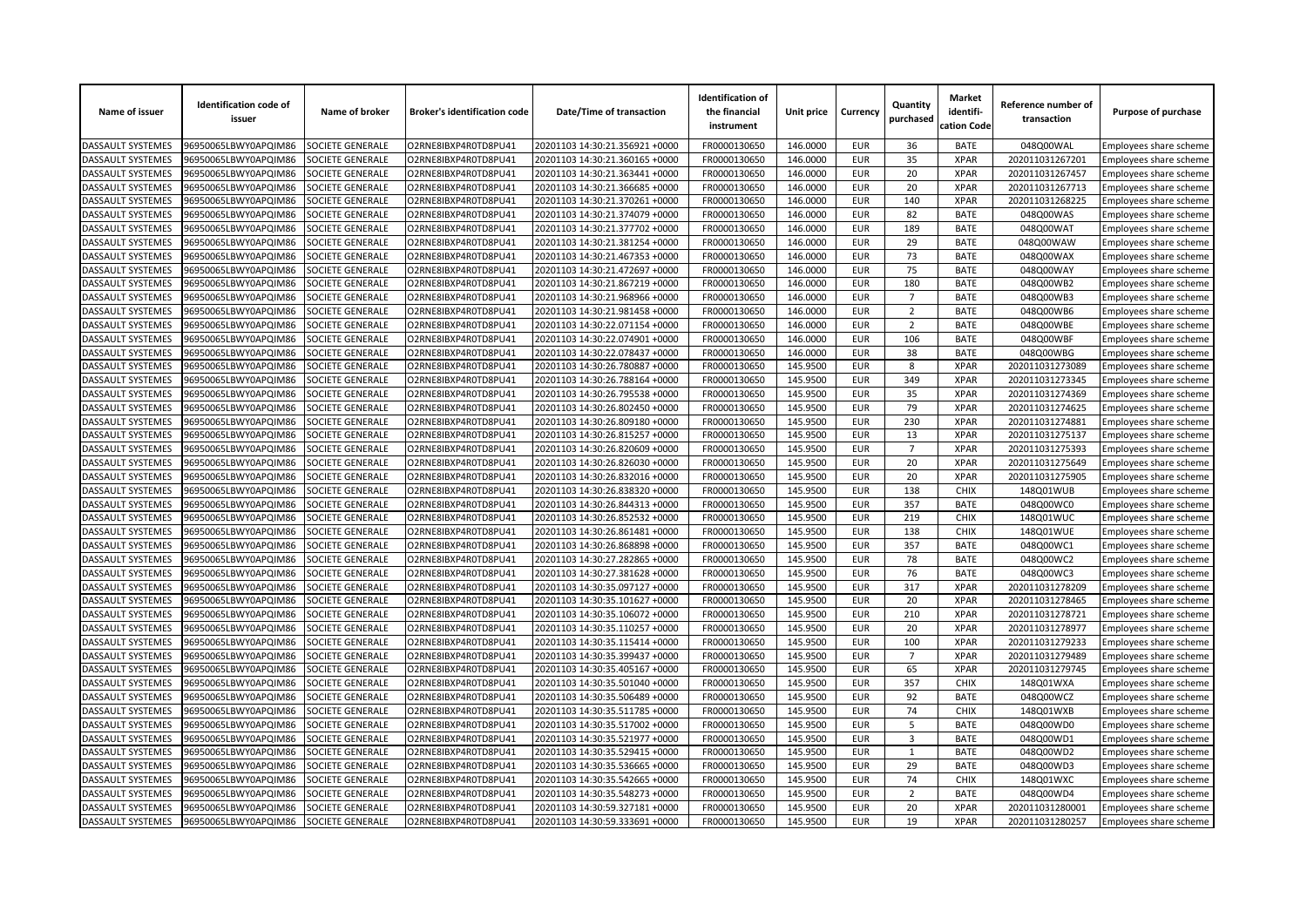| Name of issuer                         | <b>Identification code of</b><br>issuer | Name of broker          | <b>Broker's identification code</b> | Date/Time of transaction       | <b>Identification of</b><br>the financial<br>instrument | Unit price           | Currency                 | Quantity<br>purchased | <b>Market</b><br>identifi-<br>cation Code | Reference number of<br>transaction | Purpose of purchase    |
|----------------------------------------|-----------------------------------------|-------------------------|-------------------------------------|--------------------------------|---------------------------------------------------------|----------------------|--------------------------|-----------------------|-------------------------------------------|------------------------------------|------------------------|
| <b>DASSAULT SYSTEMES</b>               | 96950065LBWY0APQIM86                    | SOCIETE GENERALE        | O2RNE8IBXP4R0TD8PU41                | 20201103 14:30:21.356921 +0000 | FR0000130650                                            | 146.0000             | <b>EUR</b>               | 36                    | <b>BATE</b>                               | 048Q00WAL                          | Employees share scheme |
| <b>DASSAULT SYSTEMES</b>               | 96950065LBWY0APQIM86                    | <b>SOCIETE GENERALE</b> | O2RNE8IBXP4R0TD8PU41                | 20201103 14:30:21.360165 +0000 | FR0000130650                                            | 146.0000             | <b>EUR</b>               | 35                    | <b>XPAR</b>                               | 202011031267201                    | Employees share scheme |
| DASSAULT SYSTEMES                      | 96950065LBWY0APQIM86                    | SOCIETE GENERALE        | O2RNE8IBXP4R0TD8PU41                | 20201103 14:30:21.363441 +0000 | FR0000130650                                            | 146.0000             | <b>EUR</b>               | 20                    | <b>XPAR</b>                               | 202011031267457                    | Employees share scheme |
| DASSAULT SYSTEMES                      | 96950065LBWY0APQIM86                    | SOCIETE GENERALE        | O2RNE8IBXP4R0TD8PU41                | 20201103 14:30:21.366685 +0000 | FR0000130650                                            | 146.0000             | <b>EUR</b>               | 20                    | <b>XPAR</b>                               | 202011031267713                    | Employees share scheme |
| <b>DASSAULT SYSTEMES</b>               | 96950065LBWY0APQIM86                    | SOCIETE GENERALE        | O2RNE8IBXP4R0TD8PU41                | 20201103 14:30:21.370261 +0000 | FR0000130650                                            | 146.0000             | <b>EUR</b>               | 140                   | <b>XPAR</b>                               | 202011031268225                    | Employees share scheme |
| DASSAULT SYSTEMES                      | 96950065LBWY0APQIM86                    | SOCIETE GENERALE        | O2RNE8IBXP4R0TD8PU41                | 20201103 14:30:21.374079 +0000 | FR0000130650                                            | 146.0000             | <b>EUR</b>               | 82                    | <b>BATE</b>                               | 048Q00WAS                          | Employees share scheme |
| DASSAULT SYSTEMES                      | 96950065LBWY0APQIM86                    | SOCIETE GENERALE        | O2RNE8IBXP4R0TD8PU41                | 20201103 14:30:21.377702 +0000 | FR0000130650                                            | 146.0000             | <b>EUR</b>               | 189                   | <b>BATE</b>                               | 048Q00WAT                          | Employees share scheme |
| DASSAULT SYSTEMES                      | 96950065LBWY0APQIM86                    | SOCIETE GENERALE        | O2RNE8IBXP4R0TD8PU41                | 20201103 14:30:21.381254 +0000 | FR0000130650                                            | 146.0000             | <b>EUR</b>               | 29                    | <b>BATE</b>                               | 048Q00WAW                          | Employees share scheme |
| DASSAULT SYSTEMES                      | 96950065LBWY0APQIM86                    | SOCIETE GENERALE        | O2RNE8IBXP4R0TD8PU41                | 20201103 14:30:21.467353 +0000 | FR0000130650                                            | 146.0000             | <b>EUR</b>               | 73                    | <b>BATE</b>                               | 048Q00WAX                          | Employees share scheme |
| DASSAULT SYSTEMES                      | 96950065LBWY0APQIM86                    | SOCIETE GENERALE        | O2RNE8IBXP4R0TD8PU41                | 20201103 14:30:21.472697 +0000 | FR0000130650                                            | 146.0000             | <b>EUR</b>               | 75                    | <b>BATE</b>                               | 048Q00WAY                          | Employees share scheme |
| DASSAULT SYSTEMES                      | 96950065LBWY0APQIM86                    | SOCIETE GENERALE        | O2RNE8IBXP4R0TD8PU41                | 20201103 14:30:21.867219 +0000 | FR0000130650                                            | 146.0000             | <b>EUR</b>               | 180                   | <b>BATE</b>                               | 048Q00WB2                          | Employees share scheme |
| <b>DASSAULT SYSTEMES</b>               | 96950065LBWY0APQIM86                    | SOCIETE GENERALE        | O2RNE8IBXP4R0TD8PU41                | 20201103 14:30:21.968966 +0000 | FR0000130650                                            | 146.0000             | <b>EUR</b>               | $\overline{7}$        | <b>BATE</b>                               | 048Q00WB3                          | Employees share scheme |
| DASSAULT SYSTEMES                      | 96950065LBWY0APQIM86                    | SOCIETE GENERALE        | O2RNE8IBXP4R0TD8PU41                | 20201103 14:30:21.981458 +0000 | FR0000130650                                            | 146.0000             | <b>EUR</b>               | $\overline{2}$        | <b>BATE</b>                               | 048Q00WB6                          | Employees share scheme |
| DASSAULT SYSTEMES                      | 96950065LBWY0APQIM86                    | SOCIETE GENERALE        | O2RNE8IBXP4R0TD8PU41                | 20201103 14:30:22.071154 +0000 | FR0000130650                                            | 146.0000             | <b>EUR</b>               | $\overline{2}$        | <b>BATE</b>                               | 048Q00WBE                          | Employees share scheme |
| DASSAULT SYSTEMES                      | 96950065LBWY0APQIM86                    | SOCIETE GENERALE        | O2RNE8IBXP4R0TD8PU41                | 20201103 14:30:22.074901 +0000 | FR0000130650                                            | 146.0000             | <b>EUR</b>               | 106                   | <b>BATE</b>                               | 048Q00WBF                          | Employees share scheme |
| DASSAULT SYSTEMES                      | 96950065LBWY0APQIM86                    | SOCIETE GENERALE        | O2RNE8IBXP4R0TD8PU41                | 20201103 14:30:22.078437 +0000 | FR0000130650                                            | 146.0000             | <b>EUR</b>               | 38                    | <b>BATE</b>                               | 048Q00WBG                          | Employees share scheme |
| DASSAULT SYSTEMES                      | 96950065LBWY0APQIM86                    | SOCIETE GENERALE        | O2RNE8IBXP4R0TD8PU41                | 20201103 14:30:26.780887 +0000 | FR0000130650                                            | 145.9500             | <b>EUR</b>               | 8                     | <b>XPAR</b>                               | 202011031273089                    | Employees share scheme |
| DASSAULT SYSTEMES                      | 96950065LBWY0APQIM86                    | SOCIETE GENERALE        | O2RNE8IBXP4R0TD8PU41                | 20201103 14:30:26.788164 +0000 | FR0000130650                                            | 145.9500             | <b>EUR</b>               | 349                   | <b>XPAR</b>                               | 202011031273345                    | Employees share scheme |
| DASSAULT SYSTEMES                      | 96950065LBWY0APQIM86                    | SOCIETE GENERALE        | O2RNE8IBXP4R0TD8PU41                | 20201103 14:30:26.795538 +0000 | FR0000130650                                            | 145.9500             | <b>EUR</b>               | 35                    | <b>XPAR</b>                               | 202011031274369                    | Employees share scheme |
| DASSAULT SYSTEMES                      | 96950065LBWY0APQIM86                    | SOCIETE GENERALE        | O2RNE8IBXP4R0TD8PU41                | 20201103 14:30:26.802450 +0000 | FR0000130650                                            | 145.9500             | <b>EUR</b>               | 79                    | <b>XPAR</b>                               | 202011031274625                    | Employees share scheme |
| DASSAULT SYSTEMES                      | 96950065LBWY0APQIM86                    | SOCIETE GENERALE        | O2RNE8IBXP4R0TD8PU41                | 20201103 14:30:26.809180 +0000 | FR0000130650                                            | 145.9500             | <b>EUR</b>               | 230                   | <b>XPAR</b>                               | 202011031274881                    | Employees share scheme |
| <b>DASSAULT SYSTEMES</b>               | 96950065LBWY0APQIM86                    | SOCIETE GENERALE        | O2RNE8IBXP4R0TD8PU41                | 20201103 14:30:26.815257 +0000 | FR0000130650                                            | 145.9500             | <b>EUR</b>               | 13                    | <b>XPAR</b>                               | 202011031275137                    | Employees share scheme |
| DASSAULT SYSTEMES                      | 96950065LBWY0APQIM86                    | SOCIETE GENERALE        | O2RNE8IBXP4R0TD8PU41                | 20201103 14:30:26.820609 +0000 | FR0000130650                                            | 145.9500             | <b>EUR</b>               | $\overline{7}$        | <b>XPAR</b>                               | 202011031275393                    | Employees share scheme |
| DASSAULT SYSTEMES                      | 96950065LBWY0APQIM86                    | SOCIETE GENERALE        | O2RNE8IBXP4R0TD8PU41                | 20201103 14:30:26.826030 +0000 | FR0000130650                                            | 145.9500             | <b>EUR</b>               | 20                    | <b>XPAR</b>                               | 202011031275649                    | Employees share scheme |
| DASSAULT SYSTEMES                      | 96950065LBWY0APQIM86                    | SOCIETE GENERALE        | O2RNE8IBXP4R0TD8PU41                | 20201103 14:30:26.832016 +0000 | FR0000130650                                            | 145.9500             | <b>EUR</b>               | 20                    | <b>XPAR</b>                               | 202011031275905                    | Employees share scheme |
| DASSAULT SYSTEMES                      | 96950065LBWY0APQIM86                    | SOCIETE GENERALE        | O2RNE8IBXP4R0TD8PU41                | 20201103 14:30:26.838320 +0000 | FR0000130650                                            | 145.9500             | <b>EUR</b>               | 138                   | <b>CHIX</b>                               | 148Q01WUB                          | Employees share scheme |
| <b>DASSAULT SYSTEMES</b>               | 96950065LBWY0APQIM86                    | SOCIETE GENERALE        | O2RNE8IBXP4R0TD8PU41                | 20201103 14:30:26.844313 +0000 | FR0000130650                                            | 145.9500             | <b>EUR</b>               | 357                   | <b>BATE</b>                               | 048Q00WC0                          | Employees share scheme |
| DASSAULT SYSTEMES                      | 96950065LBWY0APQIM86                    | SOCIETE GENERALE        | O2RNE8IBXP4R0TD8PU41                | 20201103 14:30:26.852532 +0000 | FR0000130650                                            | 145.9500             | <b>EUR</b>               | 219                   | CHIX                                      | 148Q01WUC                          | Employees share scheme |
| DASSAULT SYSTEMES                      | 96950065LBWY0APQIM86                    | SOCIETE GENERALE        | O2RNE8IBXP4R0TD8PU41                | 20201103 14:30:26.861481 +0000 | FR0000130650                                            | 145.9500             | <b>EUR</b>               | 138                   | <b>CHIX</b>                               | 148Q01WUE                          | Employees share scheme |
| DASSAULT SYSTEMES                      | 96950065LBWY0APQIM86                    | SOCIETE GENERALE        | O2RNE8IBXP4R0TD8PU41                | 20201103 14:30:26.868898 +0000 | FR0000130650                                            | 145.9500             | <b>EUR</b>               | 357                   | <b>BATE</b>                               | 048Q00WC1                          | Employees share scheme |
| DASSAULT SYSTEMES                      | 96950065LBWY0APQIM86                    | SOCIETE GENERALE        | O2RNE8IBXP4R0TD8PU41                | 20201103 14:30:27.282865 +0000 | FR0000130650                                            | 145.9500             | <b>EUR</b>               | 78                    | <b>BATE</b>                               | 048Q00WC2                          | Employees share scheme |
| <b>DASSAULT SYSTEMES</b>               | 96950065LBWY0APQIM86                    | SOCIETE GENERALE        | O2RNE8IBXP4R0TD8PU41                | 20201103 14:30:27.381628 +0000 | FR0000130650                                            | 145.9500             | <b>EUR</b>               | 76                    | <b>BATE</b>                               | 048Q00WC3                          | Employees share scheme |
| DASSAULT SYSTEMES                      | 96950065LBWY0APQIM86                    | SOCIETE GENERALE        | O2RNE8IBXP4R0TD8PU41                | 20201103 14:30:35.097127 +0000 | FR0000130650                                            | 145.9500             | <b>EUR</b>               | 317                   | <b>XPAR</b>                               | 202011031278209                    | Employees share scheme |
| DASSAULT SYSTEMES                      | 96950065LBWY0APQIM86                    | SOCIETE GENERALE        | O2RNE8IBXP4R0TD8PU41                | 20201103 14:30:35.101627 +0000 | FR0000130650                                            | 145.9500             | <b>EUR</b>               | 20                    | <b>XPAR</b>                               | 202011031278465                    | Employees share scheme |
| DASSAULT SYSTEMES                      | 96950065LBWY0APQIM86                    | SOCIETE GENERALE        | O2RNE8IBXP4R0TD8PU41                | 20201103 14:30:35.106072 +0000 | FR0000130650                                            | 145.9500             | <b>EUR</b>               | 210                   | <b>XPAR</b>                               | 202011031278721                    | Employees share scheme |
| DASSAULT SYSTEMES                      | 96950065LBWY0APQIM86                    | SOCIETE GENERALE        | O2RNE8IBXP4R0TD8PU41                | 20201103 14:30:35.110257 +0000 | FR0000130650                                            | 145.9500             | <b>EUR</b>               | 20                    | <b>XPAR</b>                               | 202011031278977                    | Employees share scheme |
| <b>DASSAULT SYSTEMES</b>               | 96950065LBWY0APQIM86                    | SOCIETE GENERALE        | O2RNE8IBXP4R0TD8PU41                | 20201103 14:30:35.115414 +0000 | FR0000130650                                            | 145.9500             | <b>EUR</b>               | 100                   | <b>XPAR</b>                               | 202011031279233                    | Employees share scheme |
| DASSAULT SYSTEMES                      | 96950065LBWY0APQIM86                    | SOCIETE GENERALE        | O2RNE8IBXP4R0TD8PU41                | 20201103 14:30:35.399437 +0000 | FR0000130650                                            | 145.9500             | <b>EUR</b>               | $\overline{7}$        | <b>XPAR</b>                               | 202011031279489                    | Employees share scheme |
| DASSAULT SYSTEMES                      | 96950065LBWY0APQIM86                    | SOCIETE GENERALE        | O2RNE8IBXP4R0TD8PU41                | 20201103 14:30:35.405167 +0000 | FR0000130650                                            | 145.9500             | <b>EUR</b>               | 65                    | <b>XPAR</b>                               | 202011031279745                    | Employees share scheme |
| DASSAULT SYSTEMES                      |                                         | SOCIETE GENERALE        | O2RNE8IBXP4R0TD8PU41                | 20201103 14:30:35.501040 +0000 | FR0000130650                                            | 145.9500             | <b>EUR</b>               | 357                   | <b>CHIX</b>                               |                                    |                        |
|                                        | 96950065LBWY0APQIM86                    | SOCIETE GENERALE        | O2RNE8IBXP4R0TD8PU41                |                                |                                                         |                      |                          | 92                    |                                           | 148Q01WXA                          | Employees share scheme |
| DASSAULT SYSTEMES<br>DASSAULT SYSTEMES | 96950065LBWY0APQIM86                    |                         |                                     | 20201103 14:30:35.506489 +0000 | FR0000130650<br>FR0000130650                            | 145.9500<br>145.9500 | <b>EUR</b><br><b>EUR</b> | 74                    | <b>BATE</b><br><b>CHIX</b>                | 048Q00WCZ                          | Employees share scheme |
| <b>DASSAULT SYSTEMES</b>               | 96950065LBWY0APQIM86                    | SOCIETE GENERALE        | O2RNE8IBXP4R0TD8PU41                | 20201103 14:30:35.511785 +0000 | FR0000130650                                            |                      | <b>EUR</b>               | 5                     | <b>BATE</b>                               | 148Q01WXB                          | Employees share scheme |
|                                        | 96950065LBWY0APQIM86                    | SOCIETE GENERALE        | O2RNE8IBXP4R0TD8PU41                | 20201103 14:30:35.517002 +0000 |                                                         | 145.9500             |                          |                       |                                           | 048Q00WD0                          | Employees share scheme |
| DASSAULT SYSTEMES                      | 96950065LBWY0APQIM86                    | SOCIETE GENERALE        | O2RNE8IBXP4R0TD8PU41                | 20201103 14:30:35.521977 +0000 | FR0000130650                                            | 145.9500             | <b>EUR</b>               | 3                     | <b>BATE</b>                               | 048Q00WD1                          | Employees share scheme |
| DASSAULT SYSTEMES                      | 96950065LBWY0APQIM86                    | SOCIETE GENERALE        | O2RNE8IBXP4R0TD8PU41                | 20201103 14:30:35.529415 +0000 | FR0000130650                                            | 145.9500             | <b>EUR</b>               | 1                     | <b>BATE</b>                               | 048Q00WD2                          | Employees share scheme |
| DASSAULT SYSTEMES                      | 96950065LBWY0APQIM86                    | SOCIETE GENERALE        | O2RNE8IBXP4R0TD8PU41                | 20201103 14:30:35.536665 +0000 | FR0000130650                                            | 145.9500             | <b>EUR</b>               | 29                    | <b>BATE</b>                               | 048Q00WD3                          | Employees share scheme |
| DASSAULT SYSTEMES                      | 96950065LBWY0APQIM86                    | SOCIETE GENERALE        | O2RNE8IBXP4R0TD8PU41                | 20201103 14:30:35.542665 +0000 | FR0000130650                                            | 145.9500             | <b>EUR</b>               | 74                    | <b>CHIX</b>                               | 148Q01WXC                          | Employees share scheme |
| DASSAULT SYSTEMES                      | 96950065LBWY0APQIM86                    | SOCIETE GENERALE        | O2RNE8IBXP4R0TD8PU41                | 20201103 14:30:35.548273 +0000 | FR0000130650                                            | 145.9500             | <b>EUR</b>               | $\overline{2}$        | <b>BATE</b>                               | 048Q00WD4                          | Employees share scheme |
| DASSAULT SYSTEMES                      | 96950065LBWY0APQIM86                    | SOCIETE GENERALE        | O2RNE8IBXP4R0TD8PU41                | 20201103 14:30:59.327181 +0000 | FR0000130650                                            | 145.9500             | <b>EUR</b>               | 20                    | <b>XPAR</b>                               | 202011031280001                    | Employees share scheme |
| <b>DASSAULT SYSTEMES</b>               | 96950065LBWY0APQIM86                    | <b>SOCIETE GENERALE</b> | O2RNE8IBXP4R0TD8PU41                | 20201103 14:30:59.333691 +0000 | FR0000130650                                            | 145.9500             | <b>EUR</b>               | 19                    | <b>XPAR</b>                               | 202011031280257                    | Employees share scheme |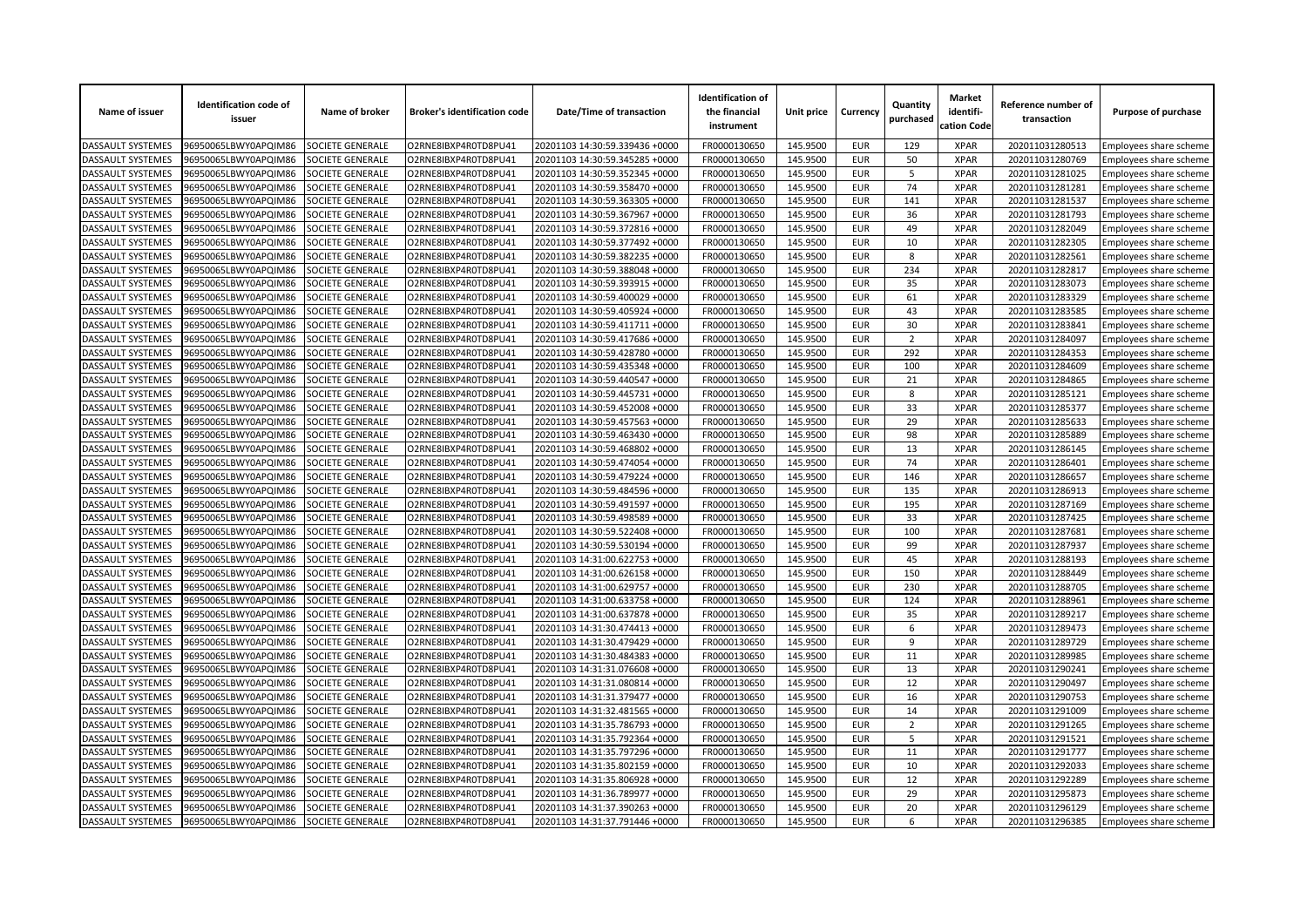| Name of issuer                         | <b>Identification code of</b><br>issuer | Name of broker          | <b>Broker's identification code</b> | Date/Time of transaction       | <b>Identification of</b><br>the financial<br>instrument | Unit price           | Currency   | Quantity<br>purchased | <b>Market</b><br>identifi-<br>cation Code | Reference number of<br>transaction | Purpose of purchase           |
|----------------------------------------|-----------------------------------------|-------------------------|-------------------------------------|--------------------------------|---------------------------------------------------------|----------------------|------------|-----------------------|-------------------------------------------|------------------------------------|-------------------------------|
| <b>DASSAULT SYSTEMES</b>               | 96950065LBWY0APQIM86                    | SOCIETE GENERALE        | O2RNE8IBXP4R0TD8PU41                | 20201103 14:30:59.339436 +0000 | FR0000130650                                            | 145.9500             | <b>EUR</b> | 129                   | <b>XPAR</b>                               | 202011031280513                    | Employees share scheme        |
| DASSAULT SYSTEMES                      | 96950065LBWY0APQIM86                    | SOCIETE GENERALE        | O2RNE8IBXP4R0TD8PU41                | 20201103 14:30:59.345285 +0000 | FR0000130650                                            | 145.9500             | <b>EUR</b> | 50                    | <b>XPAR</b>                               | 202011031280769                    | Employees share scheme        |
| DASSAULT SYSTEMES                      | 96950065LBWY0APQIM86                    | SOCIETE GENERALE        | O2RNE8IBXP4R0TD8PU41                | 20201103 14:30:59.352345 +0000 | FR0000130650                                            | 145.9500             | <b>EUR</b> | 5                     | <b>XPAR</b>                               | 202011031281025                    | Employees share scheme        |
| DASSAULT SYSTEMES                      | 06950065LBWY0APQIM86                    | <b>SOCIETE GENERALE</b> | O2RNE8IBXP4R0TD8PU41                | 20201103 14:30:59.358470 +0000 | FR0000130650                                            | 145.9500             | <b>EUR</b> | 74                    | <b>XPAR</b>                               | 202011031281281                    | Employees share scheme        |
| DASSAULT SYSTEMES                      | 96950065LBWY0APQIM86                    | SOCIETE GENERALE        | O2RNE8IBXP4R0TD8PU41                | 20201103 14:30:59.363305 +0000 | FR0000130650                                            | 145.9500             | <b>EUR</b> | 141                   | <b>XPAR</b>                               | 202011031281537                    | Employees share scheme        |
| DASSAULT SYSTEMES                      | 96950065LBWY0APQIM86                    | SOCIETE GENERALE        | O2RNE8IBXP4R0TD8PU41                | 20201103 14:30:59.367967 +0000 | FR0000130650                                            | 145.9500             | <b>EUR</b> | 36                    | <b>XPAR</b>                               | 202011031281793                    | Employees share scheme        |
| DASSAULT SYSTEMES                      | 96950065LBWY0APQIM86                    | SOCIETE GENERALE        | O2RNE8IBXP4R0TD8PU41                | 20201103 14:30:59.372816 +0000 | FR0000130650                                            | 145.9500             | <b>EUR</b> | 49                    | <b>XPAR</b>                               | 202011031282049                    | Employees share scheme        |
| DASSAULT SYSTEMES                      | 96950065LBWY0APQIM86                    | <b>SOCIETE GENERALE</b> | O2RNE8IBXP4R0TD8PU41                | 20201103 14:30:59.377492 +0000 | FR0000130650                                            | 145.9500             | <b>EUR</b> | 10                    | <b>XPAR</b>                               | 202011031282305                    | Employees share scheme        |
| DASSAULT SYSTEMES                      | 06950065LBWY0APQIM86                    | SOCIETE GENERALE        | O2RNE8IBXP4R0TD8PU41                | 20201103 14:30:59.382235 +0000 | FR0000130650                                            | 145.9500             | <b>EUR</b> | 8                     | <b>XPAR</b>                               | 202011031282561                    | Employees share scheme        |
| DASSAULT SYSTEMES                      | 96950065LBWY0APQIM86                    | SOCIETE GENERALE        | O2RNE8IBXP4R0TD8PU41                | 20201103 14:30:59.388048 +0000 | FR0000130650                                            | 145.9500             | <b>EUR</b> | 234                   | <b>XPAR</b>                               | 202011031282817                    | Employees share scheme        |
| DASSAULT SYSTEMES                      | 96950065LBWY0APQIM86                    | SOCIETE GENERALE        | O2RNE8IBXP4R0TD8PU41                | 20201103 14:30:59.393915 +0000 | FR0000130650                                            | 145.9500             | <b>EUR</b> | 35                    | <b>XPAR</b>                               | 202011031283073                    | Employees share scheme        |
| DASSAULT SYSTEMES                      | 96950065LBWY0APQIM86                    | <b>SOCIETE GENERALE</b> | O2RNE8IBXP4R0TD8PU41                | 20201103 14:30:59.400029 +0000 | FR0000130650                                            | 145.9500             | <b>EUR</b> | 61                    | <b>XPAR</b>                               | 202011031283329                    | Employees share scheme        |
| DASSAULT SYSTEMES                      | 96950065LBWY0APQIM86                    | SOCIETE GENERALE        | O2RNE8IBXP4R0TD8PU41                | 20201103 14:30:59.405924 +0000 | FR0000130650                                            | 145.9500             | <b>EUR</b> | 43                    | <b>XPAR</b>                               | 202011031283585                    | Employees share scheme        |
| DASSAULT SYSTEMES                      | 96950065LBWY0APQIM86                    | SOCIETE GENERALE        | O2RNE8IBXP4R0TD8PU41                | 20201103 14:30:59.411711 +0000 | FR0000130650                                            | 145.9500             | <b>EUR</b> | 30                    | <b>XPAR</b>                               | 202011031283841                    | Employees share scheme        |
| DASSAULT SYSTEMES                      | 96950065LBWY0APQIM86                    | SOCIETE GENERALE        | O2RNE8IBXP4R0TD8PU41                | 20201103 14:30:59.417686 +0000 | FR0000130650                                            | 145.9500             | <b>EUR</b> | $\overline{2}$        | <b>XPAR</b>                               | 202011031284097                    | Employees share scheme        |
| DASSAULT SYSTEMES                      | 06950065LBWY0APQIM86                    | SOCIETE GENERALE        | O2RNE8IBXP4R0TD8PU41                | 20201103 14:30:59.428780 +0000 | FR0000130650                                            | 145.9500             | <b>EUR</b> | 292                   | <b>XPAR</b>                               | 202011031284353                    | <b>Employees share scheme</b> |
| <b>DASSAULT SYSTEMES</b>               | 96950065LBWY0APQIM86                    | SOCIETE GENERALE        | O2RNE8IBXP4R0TD8PU41                | 20201103 14:30:59.435348 +0000 | FR0000130650                                            | 145.9500             | <b>EUR</b> | 100                   | <b>XPAR</b>                               | 202011031284609                    | Employees share scheme        |
| DASSAULT SYSTEMES                      | 96950065LBWY0APQIM86                    | SOCIETE GENERALE        | O2RNE8IBXP4R0TD8PU41                | 20201103 14:30:59.440547 +0000 | FR0000130650                                            | 145.9500             | <b>EUR</b> | 21                    | <b>XPAR</b>                               | 202011031284865                    | Employees share scheme        |
| DASSAULT SYSTEMES                      | 96950065LBWY0APQIM86                    | SOCIETE GENERALE        | O2RNE8IBXP4R0TD8PU41                | 20201103 14:30:59.445731 +0000 | FR0000130650                                            | 145.9500             | <b>EUR</b> | 8                     | <b>XPAR</b>                               | 202011031285121                    | Employees share scheme        |
| DASSAULT SYSTEMES                      | 06950065LBWY0APQIM86                    | SOCIETE GENERALE        | O2RNE8IBXP4R0TD8PU41                | 20201103 14:30:59.452008 +0000 | FR0000130650                                            | 145.9500             | <b>EUR</b> | 33                    | <b>XPAR</b>                               | 202011031285377                    | Employees share scheme        |
| <b>DASSAULT SYSTEMES</b>               | 96950065LBWY0APQIM86                    | SOCIETE GENERALE        | O2RNE8IBXP4R0TD8PU41                | 20201103 14:30:59.457563 +0000 | FR0000130650                                            | 145.9500             | <b>EUR</b> | 29                    | <b>XPAR</b>                               | 202011031285633                    | Employees share scheme        |
| DASSAULT SYSTEMES                      | 96950065LBWY0APQIM86                    | SOCIETE GENERALE        | O2RNE8IBXP4R0TD8PU41                | 20201103 14:30:59.463430 +0000 | FR0000130650                                            | 145.9500             | <b>EUR</b> | 98                    | <b>XPAR</b>                               | 202011031285889                    | Employees share scheme        |
| DASSAULT SYSTEMES                      | 96950065LBWY0APQIM86                    | SOCIETE GENERALE        | O2RNE8IBXP4R0TD8PU41                | 20201103 14:30:59.468802 +0000 | FR0000130650                                            | 145.9500             | <b>EUR</b> | 13                    | <b>XPAR</b>                               | 202011031286145                    | Employees share scheme        |
| DASSAULT SYSTEMES                      | 96950065LBWY0APQIM86                    | <b>SOCIETE GENERALE</b> | O2RNE8IBXP4R0TD8PU41                | 20201103 14:30:59.474054 +0000 | FR0000130650                                            | 145.9500             | <b>EUR</b> | 74                    | <b>XPAR</b>                               | 202011031286401                    | Employees share scheme        |
| DASSAULT SYSTEMES                      | 96950065LBWY0APQIM86                    | SOCIETE GENERALE        | O2RNE8IBXP4R0TD8PU41                | 20201103 14:30:59.479224 +0000 | FR0000130650                                            | 145.9500             | <b>EUR</b> | 146                   | <b>XPAR</b>                               | 202011031286657                    | Employees share scheme        |
| DASSAULT SYSTEMES                      | 96950065LBWY0APQIM86                    | SOCIETE GENERALE        | O2RNE8IBXP4R0TD8PU41                | 20201103 14:30:59.484596 +0000 | FR0000130650                                            | 145.9500             | <b>EUR</b> | 135                   | <b>XPAR</b>                               | 202011031286913                    | Employees share scheme        |
| DASSAULT SYSTEMES                      | 96950065LBWY0APQIM86                    | SOCIETE GENERALE        | O2RNE8IBXP4R0TD8PU41                | 20201103 14:30:59.491597 +0000 | FR0000130650                                            | 145.9500             | <b>EUR</b> | 195                   | <b>XPAR</b>                               | 202011031287169                    | Employees share scheme        |
| DASSAULT SYSTEMES                      | 96950065LBWY0APQIM86                    | <b>SOCIETE GENERALE</b> | O2RNE8IBXP4R0TD8PU41                | 20201103 14:30:59.498589 +0000 | FR0000130650                                            | 145.9500             | <b>EUR</b> | 33                    | <b>XPAR</b>                               | 202011031287425                    | Employees share scheme        |
| DASSAULT SYSTEMES                      | 96950065LBWY0APQIM86                    | SOCIETE GENERALE        | O2RNE8IBXP4R0TD8PU41                | 20201103 14:30:59.522408 +0000 | FR0000130650                                            | 145.9500             | <b>EUR</b> | 100                   | <b>XPAR</b>                               | 202011031287681                    | Employees share scheme        |
| DASSAULT SYSTEMES                      | 96950065LBWY0APQIM86                    | SOCIETE GENERALE        | O2RNE8IBXP4R0TD8PU41                | 20201103 14:30:59.530194 +0000 | FR0000130650                                            | 145.9500             | <b>EUR</b> | 99                    | <b>XPAR</b>                               | 202011031287937                    | Employees share scheme        |
| DASSAULT SYSTEMES                      | 96950065LBWY0APQIM86                    | SOCIETE GENERALE        | O2RNE8IBXP4R0TD8PU41                | 20201103 14:31:00.622753 +0000 | FR0000130650                                            | 145.9500             | <b>EUR</b> | 45                    | <b>XPAR</b>                               | 202011031288193                    | Employees share scheme        |
| DASSAULT SYSTEMES                      | 06950065LBWY0APQIM86                    | SOCIETE GENERALE        | O2RNE8IBXP4R0TD8PU41                | 20201103 14:31:00.626158 +0000 | FR0000130650                                            | 145.9500             | <b>EUR</b> | 150                   | <b>XPAR</b>                               | 202011031288449                    | Employees share scheme        |
| DASSAULT SYSTEMES                      | 96950065LBWY0APQIM86                    | SOCIETE GENERALE        | O2RNE8IBXP4R0TD8PU41                | 20201103 14:31:00.629757 +0000 | FR0000130650                                            | 145.9500             | <b>EUR</b> | 230                   | <b>XPAR</b>                               | 202011031288705                    |                               |
| DASSAULT SYSTEMES                      | 96950065LBWY0APQIM86                    | SOCIETE GENERALE        | O2RNE8IBXP4R0TD8PU41                | 20201103 14:31:00.633758 +0000 | FR0000130650                                            | 145.9500             | <b>EUR</b> | 124                   | <b>XPAR</b>                               | 202011031288961                    | Employees share scheme        |
| DASSAULT SYSTEMES                      | 96950065LBWY0APQIM86                    | SOCIETE GENERALE        | O2RNE8IBXP4R0TD8PU41                | 20201103 14:31:00.637878 +0000 | FR0000130650                                            | 145.9500             | <b>EUR</b> | 35                    | <b>XPAR</b>                               | 202011031289217                    | Employees share scheme        |
| DASSAULT SYSTEMES                      | 06950065LBWY0APQIM86                    | SOCIETE GENERALE        | O2RNE8IBXP4R0TD8PU41                | 20201103 14:31:30.474413 +0000 | FR0000130650                                            | 145.9500             | <b>EUR</b> | 6                     | <b>XPAR</b>                               | 202011031289473                    | Employees share scheme        |
| <b>DASSAULT SYSTEMES</b>               | 96950065LBWY0APQIM86                    | SOCIETE GENERALE        | O2RNE8IBXP4R0TD8PU41                | 20201103 14:31:30.479429 +0000 | FR0000130650                                            | 145.9500             | <b>EUR</b> | 9                     | <b>XPAR</b>                               | 202011031289729                    | Employees share scheme        |
| DASSAULT SYSTEMES                      | 96950065LBWY0APQIM86                    | SOCIETE GENERALE        | O2RNE8IBXP4R0TD8PU41                | 20201103 14:31:30.484383 +0000 | FR0000130650                                            |                      | <b>EUR</b> | 11                    | <b>XPAR</b>                               | 202011031289985                    | Employees share scheme        |
| DASSAULT SYSTEMES                      | 96950065LBWY0APQIM86                    | SOCIETE GENERALE        | O2RNE8IBXP4R0TD8PU41                | 20201103 14:31:31.076608 +0000 | FR0000130650                                            | 145.9500<br>145.9500 | <b>EUR</b> | 13                    | <b>XPAR</b>                               | 202011031290241                    | Employees share scheme        |
| DASSAULT SYSTEMES                      | 06950065LBWY0APQIM86                    | <b>SOCIETE GENERALE</b> | O2RNE8IBXP4R0TD8PU41                | 20201103 14:31:31.080814 +0000 | FR0000130650                                            | 145.9500             | <b>EUR</b> | 12                    | <b>XPAR</b>                               | 202011031290497                    | Employees share scheme        |
|                                        |                                         |                         |                                     | 20201103 14:31:31.379477 +0000 | FR0000130650                                            | 145.9500             | <b>EUR</b> | 16                    | <b>XPAR</b>                               | 202011031290753                    | Employees share scheme        |
| DASSAULT SYSTEMES<br>DASSAULT SYSTEMES | 96950065LBWY0APQIM86                    | SOCIETE GENERALE        | O2RNE8IBXP4R0TD8PU41                |                                |                                                         |                      | <b>EUR</b> | 14                    | <b>XPAR</b>                               | 202011031291009                    | Employees share scheme        |
|                                        | 96950065LBWY0APQIM86                    | SOCIETE GENERALE        | O2RNE8IBXP4R0TD8PU41                | 20201103 14:31:32.481565 +0000 | FR0000130650                                            | 145.9500             |            |                       | <b>XPAR</b>                               |                                    | Employees share scheme        |
| DASSAULT SYSTEMES                      | 96950065LBWY0APQIM86                    | SOCIETE GENERALE        | O2RNE8IBXP4R0TD8PU41                | 20201103 14:31:35.786793 +0000 | FR0000130650                                            | 145.9500             | <b>EUR</b> | $\overline{2}$        |                                           | 202011031291265                    | Employees share scheme        |
| DASSAULT SYSTEMES                      | 06950065LBWY0APQIM86                    | <b>SOCIETE GENERALE</b> | O2RNE8IBXP4R0TD8PU41                | 20201103 14:31:35.792364 +0000 | FR0000130650                                            | 145.9500             | <b>EUR</b> | 5                     | <b>XPAR</b>                               | 202011031291521                    | Employees share scheme        |
| DASSAULT SYSTEMES                      | 96950065LBWY0APQIM86                    | SOCIETE GENERALE        | O2RNE8IBXP4R0TD8PU41                | 20201103 14:31:35.797296 +0000 | FR0000130650                                            | 145.9500             | <b>EUR</b> | 11                    | <b>XPAR</b>                               | 202011031291777                    | Employees share scheme        |
| DASSAULT SYSTEMES                      | 96950065LBWY0APQIM86                    | SOCIETE GENERALE        | O2RNE8IBXP4R0TD8PU41                | 20201103 14:31:35.802159 +0000 | FR0000130650                                            | 145.9500             | <b>EUR</b> | 10                    | <b>XPAR</b>                               | 202011031292033                    | Employees share scheme        |
| DASSAULT SYSTEMES                      | 96950065LBWY0APQIM86                    | SOCIETE GENERALE        | O2RNE8IBXP4R0TD8PU41                | 20201103 14:31:35.806928 +0000 | FR0000130650                                            | 145.9500             | <b>EUR</b> | 12                    | <b>XPAR</b>                               | 202011031292289                    | Employees share scheme        |
| DASSAULT SYSTEMES                      | 06950065LBWY0APQIM86                    | <b>OCIETE GENERALE</b>  | O2RNE8IBXP4R0TD8PU41                | 20201103 14:31:36.789977 +0000 | FR0000130650                                            | 145.9500             | <b>EUR</b> | 29                    | <b>XPAR</b>                               | 202011031295873                    | mployees share scheme         |
| DASSAULT SYSTEMES                      | 96950065LBWY0APQIM86                    | SOCIETE GENERALE        | O2RNE8IBXP4R0TD8PU41                | 20201103 14:31:37.390263 +0000 | FR0000130650                                            | 145.9500             | <b>EUR</b> | 20                    | <b>XPAR</b>                               | 202011031296129                    | Employees share scheme        |
| <b>DASSAULT SYSTEMES</b>               | 96950065LBWY0APQIM86                    | SOCIETE GENERALE        | O2RNE8IBXP4R0TD8PU41                | 20201103 14:31:37.791446 +0000 | FR0000130650                                            | 145.9500             | <b>EUR</b> | 6                     | <b>XPAR</b>                               | 202011031296385                    | Employees share scheme        |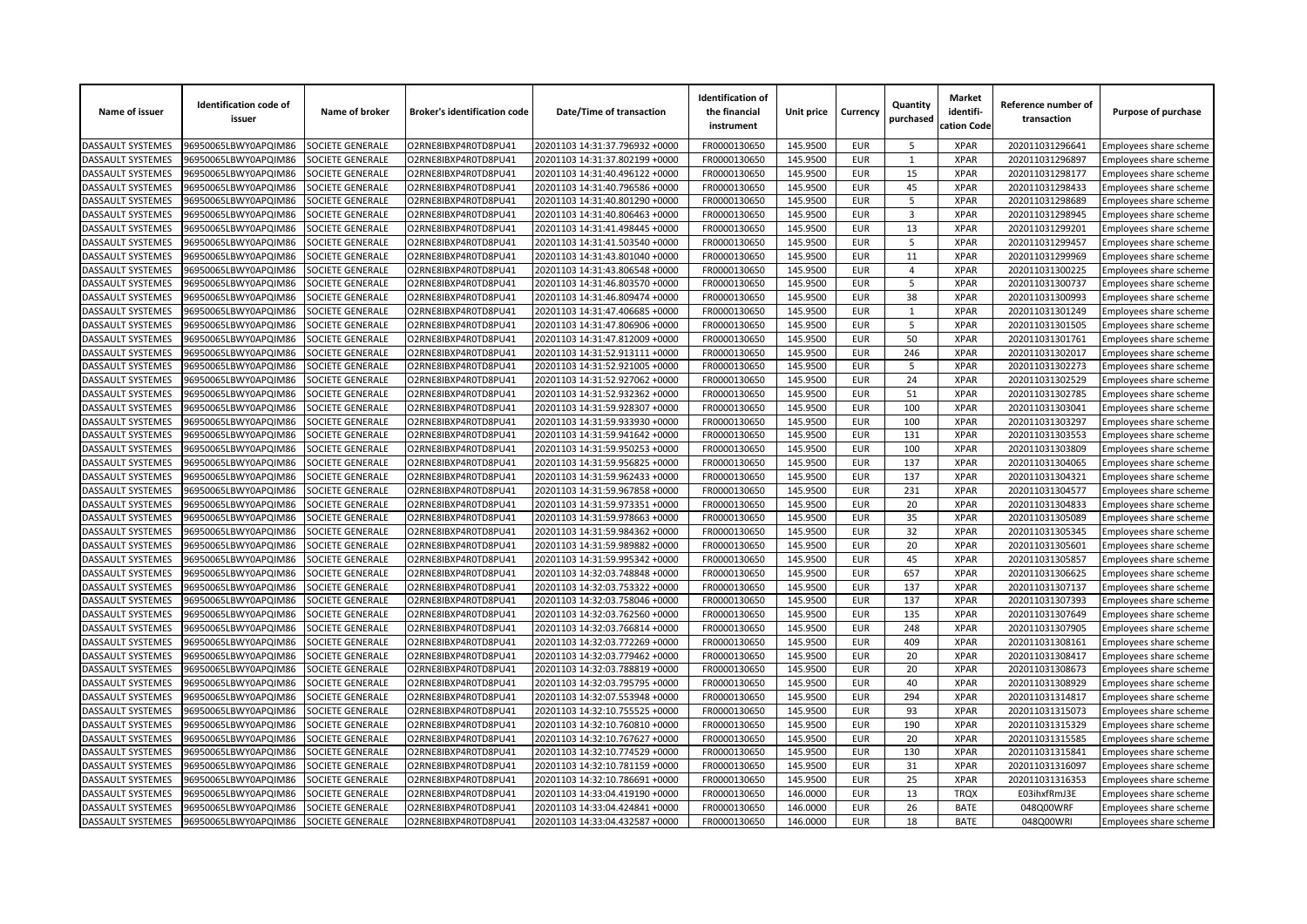| Name of issuer           | <b>Identification code of</b><br>issuer | Name of broker          | <b>Broker's identification code</b> | Date/Time of transaction       | <b>Identification of</b><br>the financial<br>instrument | Unit price | Currency                 | Quantity<br>purchased | <b>Market</b><br>identifi-<br>cation Code | Reference number of<br>transaction | Purpose of purchase    |
|--------------------------|-----------------------------------------|-------------------------|-------------------------------------|--------------------------------|---------------------------------------------------------|------------|--------------------------|-----------------------|-------------------------------------------|------------------------------------|------------------------|
| <b>DASSAULT SYSTEMES</b> | 96950065LBWY0APQIM86                    | SOCIETE GENERALE        | O2RNE8IBXP4R0TD8PU41                | 20201103 14:31:37.796932 +0000 | FR0000130650                                            | 145.9500   | <b>EUR</b>               | 5                     | <b>XPAR</b>                               | 202011031296641                    | Employees share scheme |
| <b>DASSAULT SYSTEMES</b> | 96950065LBWY0APQIM86                    | <b>SOCIETE GENERALE</b> | O2RNE8IBXP4R0TD8PU41                | 20201103 14:31:37.802199 +0000 | FR0000130650                                            | 145.9500   | <b>EUR</b>               | 1                     | <b>XPAR</b>                               | 202011031296897                    | Employees share scheme |
| DASSAULT SYSTEMES        | 96950065LBWY0APQIM86                    | SOCIETE GENERALE        | O2RNE8IBXP4R0TD8PU41                | 20201103 14:31:40.496122 +0000 | FR0000130650                                            | 145.9500   | <b>EUR</b>               | 15                    | <b>XPAR</b>                               | 202011031298177                    | Employees share scheme |
| DASSAULT SYSTEMES        | 96950065LBWY0APQIM86                    | SOCIETE GENERALE        | O2RNE8IBXP4R0TD8PU41                | 20201103 14:31:40.796586 +0000 | FR0000130650                                            | 145.9500   | <b>EUR</b>               | 45                    | <b>XPAR</b>                               | 202011031298433                    | Employees share scheme |
| <b>DASSAULT SYSTEMES</b> | 96950065LBWY0APQIM86                    | SOCIETE GENERALE        | O2RNE8IBXP4R0TD8PU41                | 20201103 14:31:40.801290 +0000 | FR0000130650                                            | 145.9500   | <b>EUR</b>               | 5                     | <b>XPAR</b>                               | 202011031298689                    | Employees share scheme |
| DASSAULT SYSTEMES        | 96950065LBWY0APQIM86                    | SOCIETE GENERALE        | O2RNE8IBXP4R0TD8PU41                | 20201103 14:31:40.806463 +0000 | FR0000130650                                            | 145.9500   | <b>EUR</b>               | 3                     | <b>XPAR</b>                               | 202011031298945                    | Employees share scheme |
| DASSAULT SYSTEMES        | 96950065LBWY0APQIM86                    | SOCIETE GENERALE        | O2RNE8IBXP4R0TD8PU41                | 20201103 14:31:41.498445 +0000 | FR0000130650                                            | 145.9500   | <b>EUR</b>               | 13                    | <b>XPAR</b>                               | 202011031299201                    | Employees share scheme |
| DASSAULT SYSTEMES        | 96950065LBWY0APQIM86                    | SOCIETE GENERALE        | O2RNE8IBXP4R0TD8PU41                | 20201103 14:31:41.503540 +0000 | FR0000130650                                            | 145.9500   | <b>EUR</b>               | 5                     | <b>XPAR</b>                               | 202011031299457                    | Employees share scheme |
| DASSAULT SYSTEMES        | 96950065LBWY0APQIM86                    | SOCIETE GENERALE        | O2RNE8IBXP4R0TD8PU41                | 20201103 14:31:43.801040 +0000 | FR0000130650                                            | 145.9500   | <b>EUR</b>               | 11                    | <b>XPAR</b>                               | 202011031299969                    | Employees share scheme |
| DASSAULT SYSTEMES        | 96950065LBWY0APQIM86                    | SOCIETE GENERALE        | O2RNE8IBXP4R0TD8PU41                | 20201103 14:31:43.806548 +0000 | FR0000130650                                            | 145.9500   | <b>EUR</b>               | $\overline{4}$        | <b>XPAR</b>                               | 202011031300225                    | Employees share scheme |
| DASSAULT SYSTEMES        | 96950065LBWY0APQIM86                    | SOCIETE GENERALE        | O2RNE8IBXP4R0TD8PU41                | 20201103 14:31:46.803570 +0000 | FR0000130650                                            | 145.9500   | <b>EUR</b>               | 5                     | <b>XPAR</b>                               | 202011031300737                    | Employees share scheme |
| <b>DASSAULT SYSTEMES</b> | 96950065LBWY0APQIM86                    | SOCIETE GENERALE        | O2RNE8IBXP4R0TD8PU41                | 20201103 14:31:46.809474 +0000 | FR0000130650                                            | 145.9500   | <b>EUR</b>               | 38                    | <b>XPAR</b>                               | 202011031300993                    | Employees share scheme |
| DASSAULT SYSTEMES        | 96950065LBWY0APQIM86                    | SOCIETE GENERALE        | O2RNE8IBXP4R0TD8PU41                | 20201103 14:31:47.406685 +0000 | FR0000130650                                            | 145.9500   | <b>EUR</b>               | 1                     | <b>XPAR</b>                               | 202011031301249                    | Employees share scheme |
| DASSAULT SYSTEMES        | 96950065LBWY0APQIM86                    | SOCIETE GENERALE        | O2RNE8IBXP4R0TD8PU41                | 20201103 14:31:47.806906 +0000 | FR0000130650                                            | 145.9500   | <b>EUR</b>               | 5                     | <b>XPAR</b>                               | 202011031301505                    | Employees share scheme |
| DASSAULT SYSTEMES        | 96950065LBWY0APQIM86                    | SOCIETE GENERALE        | O2RNE8IBXP4R0TD8PU41                | 20201103 14:31:47.812009 +0000 | FR0000130650                                            | 145.9500   | <b>EUR</b>               | 50                    | <b>XPAR</b>                               | 202011031301761                    | Employees share scheme |
| DASSAULT SYSTEMES        | 96950065LBWY0APQIM86                    | SOCIETE GENERALE        | O2RNE8IBXP4R0TD8PU41                | 20201103 14:31:52.913111 +0000 | FR0000130650                                            | 145.9500   | <b>EUR</b>               | 246                   | <b>XPAR</b>                               | 202011031302017                    | Employees share scheme |
| DASSAULT SYSTEMES        | 96950065LBWY0APQIM86                    | SOCIETE GENERALE        | O2RNE8IBXP4R0TD8PU41                | 20201103 14:31:52.921005 +0000 | FR0000130650                                            | 145.9500   | <b>EUR</b>               | 5                     | <b>XPAR</b>                               | 202011031302273                    | Employees share scheme |
| DASSAULT SYSTEMES        | 96950065LBWY0APQIM86                    | SOCIETE GENERALE        | O2RNE8IBXP4R0TD8PU41                | 20201103 14:31:52.927062 +0000 | FR0000130650                                            | 145.9500   | <b>EUR</b>               | 24                    | <b>XPAR</b>                               | 202011031302529                    | Employees share scheme |
| DASSAULT SYSTEMES        | 96950065LBWY0APQIM86                    | SOCIETE GENERALE        | O2RNE8IBXP4R0TD8PU41                | 20201103 14:31:52.932362 +0000 | FR0000130650                                            | 145.9500   | <b>EUR</b>               | 51                    | <b>XPAR</b>                               | 202011031302785                    | Employees share scheme |
| DASSAULT SYSTEMES        | 96950065LBWY0APQIM86                    | SOCIETE GENERALE        | O2RNE8IBXP4R0TD8PU41                | 20201103 14:31:59.928307 +0000 | FR0000130650                                            | 145.9500   | <b>EUR</b>               | 100                   | <b>XPAR</b>                               | 202011031303041                    | Employees share scheme |
| DASSAULT SYSTEMES        | 96950065LBWY0APQIM86                    | SOCIETE GENERALE        | O2RNE8IBXP4R0TD8PU41                | 20201103 14:31:59.933930 +0000 | FR0000130650                                            | 145.9500   | <b>EUR</b>               | 100                   | <b>XPAR</b>                               | 202011031303297                    | Employees share scheme |
| DASSAULT SYSTEMES        | 96950065LBWY0APQIM86                    | SOCIETE GENERALE        | O2RNE8IBXP4R0TD8PU41                | 20201103 14:31:59.941642 +0000 | FR0000130650                                            | 145.9500   | <b>EUR</b>               | 131                   | <b>XPAR</b>                               | 202011031303553                    | Employees share scheme |
| DASSAULT SYSTEMES        | 96950065LBWY0APQIM86                    | SOCIETE GENERALE        | O2RNE8IBXP4R0TD8PU41                | 20201103 14:31:59.950253 +0000 | FR0000130650                                            | 145.9500   | <b>EUR</b>               | 100                   | <b>XPAR</b>                               | 202011031303809                    | Employees share scheme |
| DASSAULT SYSTEMES        | 96950065LBWY0APQIM86                    | SOCIETE GENERALE        | O2RNE8IBXP4R0TD8PU41                | 20201103 14:31:59.956825 +0000 | FR0000130650                                            | 145.9500   | <b>EUR</b>               | 137                   | <b>XPAR</b>                               | 202011031304065                    | Employees share scheme |
| DASSAULT SYSTEMES        | 96950065LBWY0APQIM86                    | SOCIETE GENERALE        | O2RNE8IBXP4R0TD8PU41                | 20201103 14:31:59.962433 +0000 | FR0000130650                                            | 145.9500   | <b>EUR</b>               | 137                   | <b>XPAR</b>                               | 202011031304321                    | Employees share scheme |
| DASSAULT SYSTEMES        | 96950065LBWY0APQIM86                    | SOCIETE GENERALE        | O2RNE8IBXP4R0TD8PU41                | 20201103 14:31:59.967858 +0000 | FR0000130650                                            | 145.9500   | <b>EUR</b>               | 231                   | <b>XPAR</b>                               | 202011031304577                    | Employees share scheme |
| <b>DASSAULT SYSTEMES</b> | 96950065LBWY0APQIM86                    | SOCIETE GENERALE        | O2RNE8IBXP4R0TD8PU41                | 20201103 14:31:59.973351 +0000 | FR0000130650                                            | 145.9500   | <b>EUR</b>               | 20                    | <b>XPAR</b>                               | 202011031304833                    | Employees share scheme |
| DASSAULT SYSTEMES        | 96950065LBWY0APQIM86                    | <b>SOCIETE GENERALE</b> | O2RNE8IBXP4R0TD8PU41                | 20201103 14:31:59.978663 +0000 | FR0000130650                                            | 145.9500   | <b>EUR</b>               | 35                    | <b>XPAR</b>                               | 202011031305089                    | Employees share scheme |
| DASSAULT SYSTEMES        | 96950065LBWY0APQIM86                    | SOCIETE GENERALE        | O2RNE8IBXP4R0TD8PU41                | 20201103 14:31:59.984362 +0000 | FR0000130650                                            | 145.9500   | <b>EUR</b>               | 32                    | <b>XPAR</b>                               | 202011031305345                    | Employees share scheme |
| DASSAULT SYSTEMES        | 96950065LBWY0APQIM86                    | SOCIETE GENERALE        | O2RNE8IBXP4R0TD8PU41                | 20201103 14:31:59.989882 +0000 | FR0000130650                                            | 145.9500   | <b>EUR</b>               | 20                    | <b>XPAR</b>                               | 202011031305601                    | Employees share scheme |
| DASSAULT SYSTEMES        | 96950065LBWY0APQIM86                    | SOCIETE GENERALE        | O2RNE8IBXP4R0TD8PU41                | 20201103 14:31:59.995342 +0000 | FR0000130650                                            | 145.9500   | <b>EUR</b>               | 45                    | <b>XPAR</b>                               | 202011031305857                    | Employees share scheme |
| <b>DASSAULT SYSTEMES</b> | 96950065LBWY0APQIM86                    | <b>SOCIETE GENERALE</b> | O2RNE8IBXP4R0TD8PU41                | 20201103 14:32:03.748848 +0000 | FR0000130650                                            | 145.9500   | <b>EUR</b>               | 657                   | <b>XPAR</b>                               | 202011031306625                    | Employees share scheme |
| DASSAULT SYSTEMES        | 96950065LBWY0APQIM86                    | SOCIETE GENERALE        | O2RNE8IBXP4R0TD8PU41                | 20201103 14:32:03.753322 +0000 | FR0000130650                                            | 145.9500   | <b>EUR</b>               | 137                   | <b>XPAR</b>                               | 202011031307137                    | Employees share scheme |
| DASSAULT SYSTEMES        | 96950065LBWY0APQIM86                    | SOCIETE GENERALE        | O2RNE8IBXP4R0TD8PU41                | 20201103 14:32:03.758046 +0000 | FR0000130650                                            | 145.9500   | <b>EUR</b>               | 137                   | <b>XPAR</b>                               | 202011031307393                    | Employees share scheme |
| DASSAULT SYSTEMES        | 96950065LBWY0APQIM86                    | SOCIETE GENERALE        | O2RNE8IBXP4R0TD8PU41                | 20201103 14:32:03.762560 +0000 | FR0000130650                                            | 145.9500   | <b>EUR</b>               | 135                   | <b>XPAR</b>                               | 202011031307649                    |                        |
| DASSAULT SYSTEMES        | 96950065LBWY0APQIM86                    | SOCIETE GENERALE        | O2RNE8IBXP4R0TD8PU41                | 20201103 14:32:03.766814 +0000 | FR0000130650                                            | 145.9500   | <b>EUR</b>               | 248                   | <b>XPAR</b>                               | 202011031307905                    | Employees share scheme |
| <b>DASSAULT SYSTEMES</b> | 96950065LBWY0APQIM86                    | SOCIETE GENERALE        | O2RNE8IBXP4R0TD8PU41                | 20201103 14:32:03.772269 +0000 | FR0000130650                                            | 145.9500   | <b>EUR</b>               | 409                   | <b>XPAR</b>                               | 202011031308161                    | Employees share scheme |
| DASSAULT SYSTEMES        | 96950065LBWY0APQIM86                    | SOCIETE GENERALE        | O2RNE8IBXP4R0TD8PU41                | 20201103 14:32:03.779462 +0000 | FR0000130650                                            | 145.9500   | <b>EUR</b>               | 20                    | <b>XPAR</b>                               | 202011031308417                    | Employees share scheme |
| DASSAULT SYSTEMES        | 96950065LBWY0APQIM86                    | SOCIETE GENERALE        | O2RNE8IBXP4R0TD8PU41                | 20201103 14:32:03.788819 +0000 | FR0000130650                                            | 145.9500   | <b>EUR</b>               | 20                    | <b>XPAR</b>                               | 202011031308673                    | Employees share scheme |
|                          |                                         | SOCIETE GENERALE        |                                     |                                | FR0000130650                                            |            | <b>EUR</b>               | 40                    | <b>XPAR</b>                               |                                    | Employees share scheme |
| DASSAULT SYSTEMES        | 96950065LBWY0APQIM86                    |                         | O2RNE8IBXP4R0TD8PU41                | 20201103 14:32:03.795795 +0000 |                                                         | 145.9500   |                          | 294                   |                                           | 202011031308929                    | Employees share scheme |
| DASSAULT SYSTEMES        | 96950065LBWY0APQIM86                    | SOCIETE GENERALE        | O2RNE8IBXP4R0TD8PU41                | 20201103 14:32:07.553948 +0000 | FR0000130650                                            | 145.9500   | <b>EUR</b>               |                       | <b>XPAR</b><br><b>XPAR</b>                | 202011031314817                    | Employees share scheme |
| DASSAULT SYSTEMES        | 96950065LBWY0APQIM86                    | SOCIETE GENERALE        | O2RNE8IBXP4R0TD8PU41                | 20201103 14:32:10.755525 +0000 | FR0000130650<br>FR0000130650                            | 145.9500   | <b>EUR</b><br><b>EUR</b> | 93<br>190             | <b>XPAR</b>                               | 202011031315073                    | Employees share scheme |
| <b>DASSAULT SYSTEMES</b> | 96950065LBWY0APQIM86                    | SOCIETE GENERALE        | O2RNE8IBXP4R0TD8PU41                | 20201103 14:32:10.760810 +0000 |                                                         | 145.9500   |                          |                       |                                           | 202011031315329                    | Employees share scheme |
| DASSAULT SYSTEMES        | 96950065LBWY0APQIM86                    | SOCIETE GENERALE        | O2RNE8IBXP4R0TD8PU41                | 20201103 14:32:10.767627 +0000 | FR0000130650                                            | 145.9500   | <b>EUR</b>               | 20                    | <b>XPAR</b>                               | 202011031315585                    | Employees share scheme |
| DASSAULT SYSTEMES        | 96950065LBWY0APQIM86                    | SOCIETE GENERALE        | O2RNE8IBXP4R0TD8PU41                | 20201103 14:32:10.774529 +0000 | FR0000130650                                            | 145.9500   | <b>EUR</b>               | 130                   | <b>XPAR</b>                               | 202011031315841                    | Employees share scheme |
| DASSAULT SYSTEMES        | 96950065LBWY0APQIM86                    | SOCIETE GENERALE        | O2RNE8IBXP4R0TD8PU41                | 20201103 14:32:10.781159 +0000 | FR0000130650                                            | 145.9500   | <b>EUR</b>               | 31                    | <b>XPAR</b>                               | 202011031316097                    | Employees share scheme |
| DASSAULT SYSTEMES        | 96950065LBWY0APQIM86                    | SOCIETE GENERALE        | O2RNE8IBXP4R0TD8PU41                | 20201103 14:32:10.786691 +0000 | FR0000130650                                            | 145.9500   | <b>EUR</b>               | 25                    | <b>XPAR</b>                               | 202011031316353                    | Employees share scheme |
| DASSAULT SYSTEMES        | 96950065LBWY0APQIM86                    | <b>SOCIETE GENERALE</b> | O2RNE8IBXP4R0TD8PU41                | 20201103 14:33:04.419190 +0000 | FR0000130650                                            | 146.0000   | <b>EUR</b>               | 13                    | <b>TRQX</b>                               | E03ihxfRmJ3E                       | Employees share scheme |
| DASSAULT SYSTEMES        | 96950065LBWY0APQIM86                    | SOCIETE GENERALE        | O2RNE8IBXP4R0TD8PU41                | 20201103 14:33:04.424841 +0000 | FR0000130650                                            | 146.0000   | <b>EUR</b>               | 26                    | <b>BATE</b>                               | 048Q00WRF                          | Employees share scheme |
| <b>DASSAULT SYSTEMES</b> | 96950065LBWY0APQIM86                    | <b>SOCIETE GENERALE</b> | O2RNE8IBXP4R0TD8PU41                | 20201103 14:33:04.432587 +0000 | FR0000130650                                            | 146.0000   | <b>EUR</b>               | 18                    | <b>BATE</b>                               | 048Q00WRI                          | Employees share scheme |